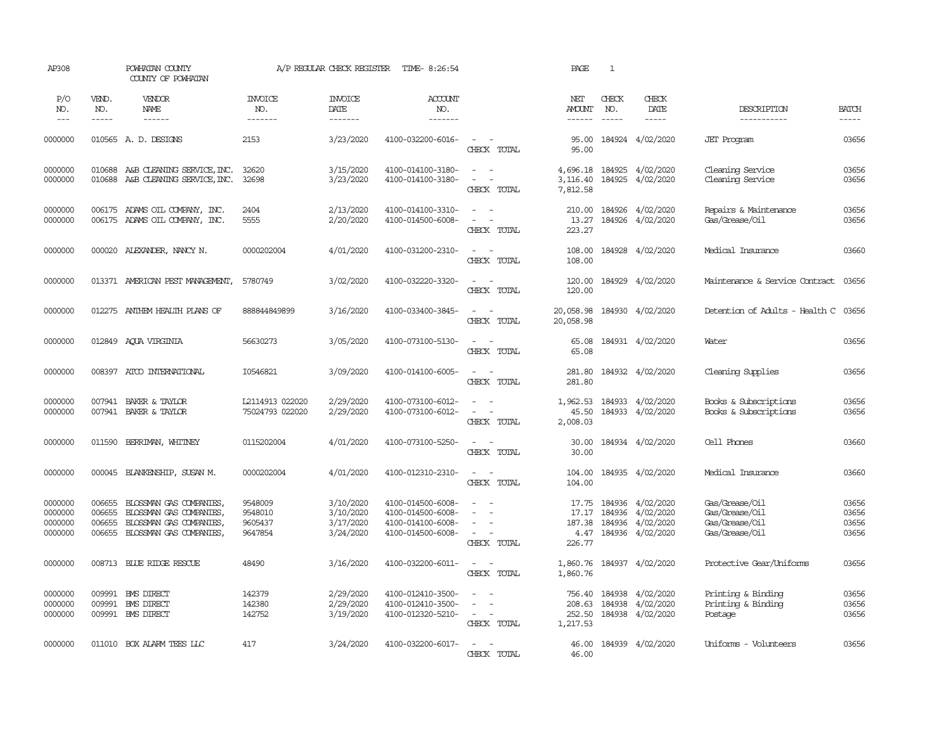| AP308                                    |                                      | POWHATAN COUNTY<br>COUNTY OF POWHATAN                                                                   |                                          | A/P REGULAR CHECK REGISTER                       | TIME- 8:26:54                                                                    |                                                                                 | PAGE                                       | <sup>1</sup>                  |                                                                       |                                                                      |                                  |
|------------------------------------------|--------------------------------------|---------------------------------------------------------------------------------------------------------|------------------------------------------|--------------------------------------------------|----------------------------------------------------------------------------------|---------------------------------------------------------------------------------|--------------------------------------------|-------------------------------|-----------------------------------------------------------------------|----------------------------------------------------------------------|----------------------------------|
| P/O<br>NO.<br>$---$                      | VEND.<br>NO.<br>$\frac{1}{2}$        | <b>VENDOR</b><br>NAME<br>$- - - - - -$                                                                  | <b>INVOICE</b><br>NO.<br>-------         | <b>INVOICE</b><br>DATE<br>$- - - - - - -$        | <b>ACCOUNT</b><br>NO.<br>$- - - - - - -$                                         |                                                                                 | NET<br>AMOUNT<br>$- - - - - -$             | CHECK<br>NO.<br>$\frac{1}{2}$ | CHECK<br>DATE<br>$- - - - -$                                          | DESCRIPTION<br>-----------                                           | <b>BATCH</b><br>-----            |
| 0000000                                  |                                      | 010565 A.D. DESIGNS                                                                                     | 2153                                     | 3/23/2020                                        | 4100-032200-6016-                                                                | $\sim$ $ \sim$<br>CHECK TOTAL                                                   | 95.00<br>95.00                             |                               | 184924 4/02/2020                                                      | <b>JET</b> Program                                                   | 03656                            |
| 0000000<br>0000000                       | 010688<br>010688                     | A&B CLEANING SERVICE, INC.<br>A&B CLEANING SERVICE, INC.                                                | 32620<br>32698                           | 3/15/2020<br>3/23/2020                           | 4100-014100-3180-<br>4100-014100-3180-                                           | $\sim$<br>$\sim$<br>$\overline{\phantom{a}}$<br>$\sim$<br>CHECK TOTAL           | 4,696.18<br>3,116.40<br>7,812.58           | 184925                        | 184925 4/02/2020<br>4/02/2020                                         | Cleaning Service<br>Cleaning Service                                 | 03656<br>03656                   |
| 0000000<br>0000000                       |                                      | 006175 ADAMS OIL COMPANY, INC.<br>006175 ADAMS OIL COMPANY, INC.                                        | 2404<br>5555                             | 2/13/2020<br>2/20/2020                           | 4100-014100-3310-<br>4100-014500-6008-                                           | $\sim$<br>$\sim$<br>$\sim$<br>CHECK TOTAL                                       | 210.00<br>13.27<br>223.27                  | 184926                        | 184926 4/02/2020<br>4/02/2020                                         | Repairs & Maintenance<br>Gas/Grease/Oil                              | 03656<br>03656                   |
| 0000000                                  |                                      | 000020 ALEXANDER, NANCY N.                                                                              | 0000202004                               | 4/01/2020                                        | 4100-031200-2310-                                                                | $\sim$<br>$\overline{a}$<br>CHECK TOTAL                                         | 108.00<br>108.00                           |                               | 184928 4/02/2020                                                      | Medical Insurance                                                    | 03660                            |
| 0000000                                  |                                      | 013371 AMERICAN PEST MANAGEMENT,                                                                        | 5780749                                  | 3/02/2020                                        | 4100-032220-3320-                                                                | $\sim$<br>$\overline{a}$<br>CHECK TOTAL                                         | 120.00<br>120.00                           |                               | 184929 4/02/2020                                                      | Maintenance & Service Contract                                       | 03656                            |
| 0000000                                  |                                      | 012275 ANTHEM HEALTH PLANS OF                                                                           | 888844849899                             | 3/16/2020                                        | 4100-033400-3845-                                                                | $\sim$ $\sim$<br>CHECK TOTAL                                                    | 20,058.98<br>20,058.98                     |                               | 184930 4/02/2020                                                      | Detention of Adults - Health C 03656                                 |                                  |
| 0000000                                  |                                      | 012849 AQUA VIRGINIA                                                                                    | 56630273                                 | 3/05/2020                                        | 4100-073100-5130-                                                                | $\sim$<br>$\sim$<br>CHECK TOTAL                                                 | 65.08<br>65.08                             |                               | 184931 4/02/2020                                                      | Water                                                                | 03656                            |
| 0000000                                  | 008397                               | ATCO INTERNATIONAL                                                                                      | I0546821                                 | 3/09/2020                                        | 4100-014100-6005-                                                                | $\overline{\phantom{a}}$<br>$\sim$<br>CHECK TOTAL                               | 281.80<br>281.80                           |                               | 184932 4/02/2020                                                      | Cleaning Supplies                                                    | 03656                            |
| 0000000<br>0000000                       | 007941<br>007941                     | BAKER & TAYLOR<br>BAKER & TAYLOR                                                                        | L2114913 022020<br>75024793 022020       | 2/29/2020<br>2/29/2020                           | 4100-073100-6012-<br>4100-073100-6012-                                           | $\equiv$<br>$\overline{\phantom{a}}$<br>CHECK TOTAL                             | 1,962.53<br>45.50<br>2,008.03              | 184933<br>184933              | 4/02/2020<br>4/02/2020                                                | Books & Subscriptions<br>Books & Subscriptions                       | 03656<br>03656                   |
| 0000000                                  | 011590                               | BERRIMAN, WHITNEY                                                                                       | 0115202004                               | 4/01/2020                                        | 4100-073100-5250-                                                                | $\sim$<br>CHECK TOTAL                                                           | 30.00<br>30.00                             |                               | 184934 4/02/2020                                                      | Cell Phones                                                          | 03660                            |
| 0000000                                  |                                      | 000045 BLANKENSHIP, SUSAN M.                                                                            | 0000202004                               | 4/01/2020                                        | 4100-012310-2310-                                                                | $\sim$ $ -$<br>CHECK TOTAL                                                      | 104.00<br>104.00                           |                               | 184935 4/02/2020                                                      | Medical Insurance                                                    | 03660                            |
| 0000000<br>0000000<br>0000000<br>0000000 | 006655<br>006655<br>006655<br>006655 | BLOSSMAN GAS COMPANIES,<br>BLOSSMAN GAS COMPANIES<br>BLOSSMAN GAS COMPANIES,<br>BLOSSMAN GAS COMPANIES, | 9548009<br>9548010<br>9605437<br>9647854 | 3/10/2020<br>3/10/2020<br>3/17/2020<br>3/24/2020 | 4100-014500-6008-<br>4100-014500-6008-<br>4100-014100-6008-<br>4100-014500-6008- | $\sim$<br>$\overline{a}$<br>$\sim$<br>$\sim$<br>$\sim$<br>CHECK TOTAL           | 17.75<br>17.17<br>187.38<br>4.47<br>226.77 | 184936                        | 184936 4/02/2020<br>184936 4/02/2020<br>4/02/2020<br>184936 4/02/2020 | Gas/Grease/Oil<br>Gas/Grease/Oil<br>Gas/Grease/Oil<br>Gas/Grease/Oil | 03656<br>03656<br>03656<br>03656 |
| 0000000                                  |                                      | 008713 BLUE RIDGE RESCUE                                                                                | 48490                                    | 3/16/2020                                        | 4100-032200-6011-                                                                | $\sim$<br>$\sim$<br>CHECK TOTAL                                                 | 1,860.76<br>1,860.76                       |                               | 184937 4/02/2020                                                      | Protective Gear/Uniforms                                             | 03656                            |
| 0000000<br>0000000<br>0000000            | 009991<br>009991                     | <b>EMS DIRECT</b><br>BMS DIRECT<br>009991 BMS DIRECT                                                    | 142379<br>142380<br>142752               | 2/29/2020<br>2/29/2020<br>3/19/2020              | 4100-012410-3500-<br>4100-012410-3500-<br>4100-012320-5210-                      | $\equiv$<br>$\overline{\phantom{a}}$<br>$\sim$<br>$\overline{a}$<br>CHECK TOTAL | 756.40<br>208.63<br>252.50<br>1,217.53     | 184938<br>184938              | 4/02/2020<br>4/02/2020<br>184938 4/02/2020                            | Printing & Binding<br>Printing & Binding<br>Postage                  | 03656<br>03656<br>03656          |
| 0000000                                  |                                      | 011010 BOX ALARM TEES LLC                                                                               | 417                                      | 3/24/2020                                        | 4100-032200-6017-                                                                | $\sim$<br>$\sim$<br>CHECK TOTAL                                                 | 46.00<br>46.00                             |                               | 184939 4/02/2020                                                      | Uniforms - Volunteers                                                | 03656                            |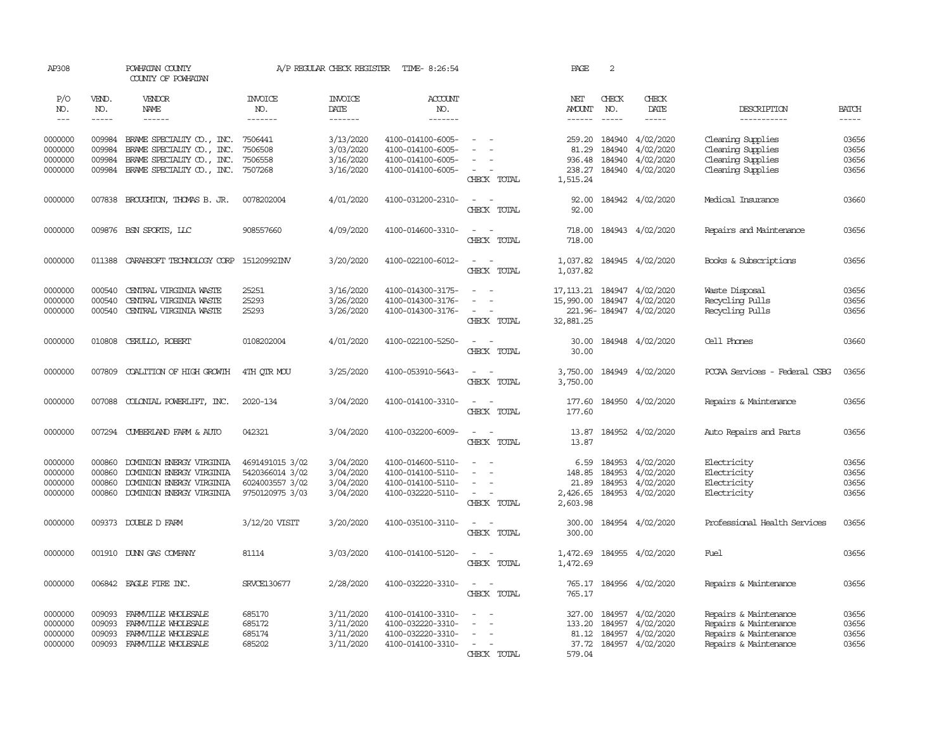| AP308                                    |                                      | POWHATAN COUNTY<br>COUNTY OF POWHATAN                                                    |                                      | A/P REGULAR CHECK REGISTER                       | TIME- 8:26:54                                                                    |                                                   | PAGE                          | 2            |                                                                                         |                                                                                                  |                                  |
|------------------------------------------|--------------------------------------|------------------------------------------------------------------------------------------|--------------------------------------|--------------------------------------------------|----------------------------------------------------------------------------------|---------------------------------------------------|-------------------------------|--------------|-----------------------------------------------------------------------------------------|--------------------------------------------------------------------------------------------------|----------------------------------|
| P/O<br>NO.                               | VEND.<br>NO.                         | VENDOR<br>NAME                                                                           | <b>INVOICE</b><br>NO.                | <b>INVOICE</b><br>DATE                           | <b>ACCOUNT</b><br>NO.                                                            |                                                   | NET<br>AMOUNT                 | CHECK<br>NO. | CHECK<br>DATE                                                                           | DESCRIPTION                                                                                      | <b>BATCH</b>                     |
| $---$                                    | $- - - - -$                          | ------                                                                                   | -------                              | -------                                          | -------                                                                          |                                                   | ------                        | $- - - - -$  | -----                                                                                   | -----------                                                                                      | -----                            |
| 0000000<br>0000000                       | 009984<br>009984                     | BRAME SPECIALITY $\infty$ , INC.<br>BRAME SPECIALITY CO., INC.                           | 7506441<br>7506508                   | 3/13/2020<br>3/03/2020                           | 4100-014100-6005-<br>4100-014100-6005-                                           | $\equiv$                                          | 259.20<br>81.29               | 184940       | 184940 4/02/2020<br>4/02/2020                                                           | Cleaning Supplies<br>Cleaning Supplies                                                           | 03656<br>03656                   |
| 0000000                                  | 009984                               | BRAME SPECIALITY CO., INC.                                                               | 7506558                              | 3/16/2020                                        | 4100-014100-6005-                                                                |                                                   | 936.48                        | 184940       | 4/02/2020                                                                               | Cleaning Supplies                                                                                | 03656                            |
| 0000000                                  |                                      | 009984 BRAME SPECIALITY CO., INC. 7507268                                                |                                      | 3/16/2020                                        | 4100-014100-6005-                                                                | CHECK TOTAL                                       | 238.27<br>1,515.24            |              | 184940 4/02/2020                                                                        | Cleaning Supplies                                                                                | 03656                            |
| 0000000                                  | 007838                               | BROUGHTON, THOMAS B. JR.                                                                 | 0078202004                           | 4/01/2020                                        | 4100-031200-2310-                                                                | $\sim$ $\sim$<br>CHECK TOTAL                      | 92.00<br>92.00                |              | 184942 4/02/2020                                                                        | Medical Insurance                                                                                | 03660                            |
| 0000000                                  | 009876                               | BSN SPORTS, LLC                                                                          | 908557660                            | 4/09/2020                                        | 4100-014600-3310-                                                                | $\sim$<br>CHECK TOTAL                             | 718.00<br>718.00              |              | 184943 4/02/2020                                                                        | Repairs and Maintenance                                                                          | 03656                            |
| 0000000                                  | 011388                               | CARAHSOFT TECHNOLOGY CORP 15120992INV                                                    |                                      | 3/20/2020                                        | 4100-022100-6012-                                                                | $\sim$<br>$\sim$<br>CHECK TOTAL                   | 1,037.82<br>1,037.82          |              | 184945 4/02/2020                                                                        | Books & Subscriptions                                                                            | 03656                            |
| 0000000<br>0000000<br>0000000            | 000540<br>000540<br>000540           | CENTRAL VIRGINIA WASTE<br>CENTRAL VIRGINIA WASTE<br>CENTRAL VIRGINIA WASTE               | 25251<br>25293<br>25293              | 3/16/2020<br>3/26/2020<br>3/26/2020              | 4100-014300-3175-<br>4100-014300-3176-<br>4100-014300-3176-                      | $\equiv$<br>$\equiv$<br>$\overline{\phantom{a}}$  |                               |              | 17, 113. 21  184947  4/02/2020<br>15,990.00 184947 4/02/2020<br>221.96-184947 4/02/2020 | Waste Disposal<br>Recycling Pulls<br>Recycling Pulls                                             | 03656<br>03656<br>03656          |
|                                          |                                      |                                                                                          |                                      |                                                  |                                                                                  | CHECK TOTAL                                       | 32,881.25                     |              |                                                                                         |                                                                                                  |                                  |
| 0000000                                  | 010808                               | CERULLO, ROBERT                                                                          | 0108202004                           | 4/01/2020                                        | 4100-022100-5250-                                                                | $\overline{\phantom{a}}$<br>CHECK TOTAL           | 30.00<br>30.00                |              | 184948 4/02/2020                                                                        | Cell Phones                                                                                      | 03660                            |
| 0000000                                  | 007809                               | COALITION OF HIGH GROWIH                                                                 | 4TH OTR MOU                          | 3/25/2020                                        | 4100-053910-5643-                                                                | $\sim$<br>CHECK TOTAL                             | 3,750.00<br>3,750.00          |              | 184949 4/02/2020                                                                        | PCCAA Services - Federal CSBG                                                                    | 03656                            |
| 0000000                                  | 007088                               | COLONIAL POWERLIFT, INC.                                                                 | 2020-134                             | 3/04/2020                                        | 4100-014100-3310-                                                                | $\sim$<br>$\sim$<br>CHECK TOTAL                   | 177.60<br>177.60              |              | 184950 4/02/2020                                                                        | Repairs & Maintenance                                                                            | 03656                            |
| 0000000                                  |                                      | 007294 CUMBERLAND FARM & AUTO                                                            | 042321                               | 3/04/2020                                        | 4100-032200-6009-                                                                | $\overline{\phantom{a}}$<br>$\sim$<br>CHECK TOTAL | 13.87<br>13.87                |              | 184952 4/02/2020                                                                        | Auto Repairs and Parts                                                                           | 03656                            |
| 0000000<br>0000000                       | 000860<br>000860                     | DOMINION ENERGY VIRGINIA<br>DOMINION ENERGY VIRGINIA                                     | 4691491015 3/02<br>5420366014 3/02   | 3/04/2020<br>3/04/2020                           | 4100-014600-5110-<br>4100-014100-5110-                                           | $\equiv$                                          | 6.59<br>148.85                | 184953       | 4/02/2020<br>184953 4/02/2020                                                           | Electricity<br>Electricity                                                                       | 03656<br>03656                   |
| 0000000<br>0000000                       | 000860<br>000860                     | DOMINION ENERGY VIRGINIA<br>DOMINION ENERGY VIRGINIA                                     | 6024003557 3/02<br>9750120975 3/03   | 3/04/2020<br>3/04/2020                           | 4100-014100-5110-<br>4100-032220-5110-                                           | $\sim$<br>CHECK TOTAL                             | 21.89<br>2,426.65<br>2,603.98 |              | 184953 4/02/2020<br>184953 4/02/2020                                                    | Electricity<br>Electricity                                                                       | 03656<br>03656                   |
| 0000000                                  |                                      | 009373 DOUBLE D FARM                                                                     | 3/12/20 VISIT                        | 3/20/2020                                        | 4100-035100-3110-                                                                | $\overline{\phantom{a}}$<br>CHECK TOTAL           | 300.00<br>300.00              |              | 184954 4/02/2020                                                                        | Professional Health Services                                                                     | 03656                            |
| 0000000                                  | 001910                               | DUNN GAS COMPANY                                                                         | 81114                                | 3/03/2020                                        | 4100-014100-5120-                                                                | $\sim$<br>CHECK TOTAL                             | 1,472.69<br>1,472.69          |              | 184955 4/02/2020                                                                        | Fuel                                                                                             | 03656                            |
| 0000000                                  |                                      | 006842 EAGLE FIRE INC.                                                                   | <b>SRVCE130677</b>                   | 2/28/2020                                        | 4100-032220-3310-                                                                | $\sim$ $ -$<br>CHECK TOTAL                        | 765.17                        |              | 765.17 184956 4/02/2020                                                                 | Repairs & Maintenance                                                                            | 03656                            |
| 0000000<br>0000000<br>0000000<br>0000000 | 009093<br>009093<br>009093<br>009093 | FARMVILLE WHOLESALE<br>FARMVILLE WHOLESALE<br>FARMVILLE WHOLESALE<br>FARMVILLE WHOLESALE | 685170<br>685172<br>685174<br>685202 | 3/11/2020<br>3/11/2020<br>3/11/2020<br>3/11/2020 | 4100-014100-3310-<br>4100-032220-3310-<br>4100-032220-3310-<br>4100-014100-3310- | $\sim$<br>$\sim$<br>$\sim$                        | 327.00<br>133.20<br>81.12     |              | 184957 4/02/2020<br>184957 4/02/2020<br>184957 4/02/2020<br>37.72 184957 4/02/2020      | Repairs & Maintenance<br>Repairs & Maintenance<br>Repairs & Maintenance<br>Repairs & Maintenance | 03656<br>03656<br>03656<br>03656 |
|                                          |                                      |                                                                                          |                                      |                                                  |                                                                                  | CHECK TOTAL                                       | 579.04                        |              |                                                                                         |                                                                                                  |                                  |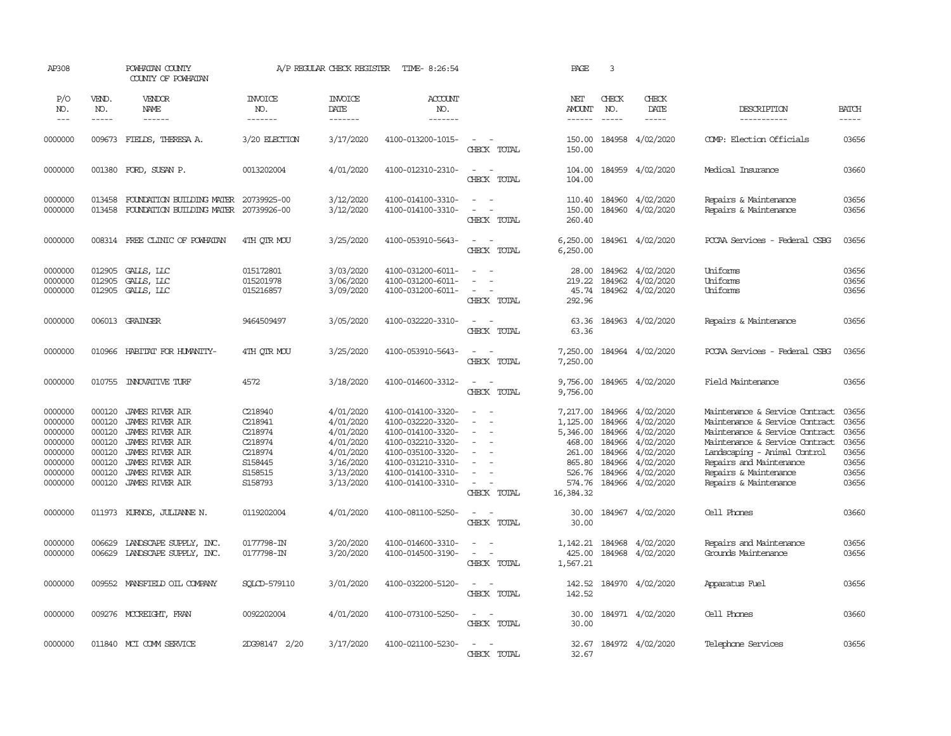| AP308                                                                                |                                                                              | POWHATAN COUNTY<br>COUNTY OF POWHATAN                                                                                                                                                                        |                                                                                      | A/P REGULAR CHECK REGISTER                                                                           | TIME- 8:26:54                                                                                                                                                        |                                                                                                               | PAGE                                                                                | 3                                                        |                                                                                                                             |                                                                                                                                                                                                                                                   |                                                                      |
|--------------------------------------------------------------------------------------|------------------------------------------------------------------------------|--------------------------------------------------------------------------------------------------------------------------------------------------------------------------------------------------------------|--------------------------------------------------------------------------------------|------------------------------------------------------------------------------------------------------|----------------------------------------------------------------------------------------------------------------------------------------------------------------------|---------------------------------------------------------------------------------------------------------------|-------------------------------------------------------------------------------------|----------------------------------------------------------|-----------------------------------------------------------------------------------------------------------------------------|---------------------------------------------------------------------------------------------------------------------------------------------------------------------------------------------------------------------------------------------------|----------------------------------------------------------------------|
| P/O<br>NO.<br>$---$                                                                  | VEND.<br>NO.<br>$- - - - -$                                                  | VENDOR<br>NAME<br>$- - - - - -$                                                                                                                                                                              | <b>INVOICE</b><br>NO.<br>-------                                                     | <b>INVOICE</b><br>DATE<br>-------                                                                    | <b>ACCOUNT</b><br>NO.<br>-------                                                                                                                                     |                                                                                                               | NET<br><b>AMOUNT</b><br>$- - - - - -$                                               | CHECK<br>NO.<br>$\frac{1}{2}$                            | CHECK<br>DATE<br>-----                                                                                                      | DESCRIPTION<br>-----------                                                                                                                                                                                                                        | <b>BATCH</b><br>$- - - - -$                                          |
| 0000000                                                                              |                                                                              | 009673 FIELDS, THERESA A.                                                                                                                                                                                    | 3/20 ELECTION                                                                        | 3/17/2020                                                                                            | 4100-013200-1015-                                                                                                                                                    | $\overline{\phantom{a}}$<br>$\sim$<br>CHECK TOTAL                                                             | 150.00<br>150.00                                                                    |                                                          | 184958 4/02/2020                                                                                                            | COMP: Election Officials                                                                                                                                                                                                                          | 03656                                                                |
| 0000000                                                                              |                                                                              | 001380 FORD, SUSAN P.                                                                                                                                                                                        | 0013202004                                                                           | 4/01/2020                                                                                            | 4100-012310-2310-                                                                                                                                                    | $\sim$<br>$\sim$ $-$<br>CHECK TOTAL                                                                           | 104.00<br>104.00                                                                    |                                                          | 184959 4/02/2020                                                                                                            | Medical Insurance                                                                                                                                                                                                                                 | 03660                                                                |
| 0000000<br>0000000                                                                   | 013458<br>013458                                                             | FOUNDATION BUILDING MATER<br>FOUNDATION BUILDING MATER 20739926-00                                                                                                                                           | 20739925-00                                                                          | 3/12/2020<br>3/12/2020                                                                               | 4100-014100-3310-<br>4100-014100-3310-                                                                                                                               | $\sim$<br>$\sim$ $\sim$<br>$\sim$<br>$\sim$<br>CHECK TOTAL                                                    | 110.40<br>150.00<br>260.40                                                          |                                                          | 184960 4/02/2020<br>184960 4/02/2020                                                                                        | Repairs & Maintenance<br>Repairs & Maintenance                                                                                                                                                                                                    | 03656<br>03656                                                       |
| 0000000                                                                              |                                                                              | 008314 FREE CLINIC OF POWHATAN                                                                                                                                                                               | 4TH QTR MOU                                                                          | 3/25/2020                                                                                            | 4100-053910-5643-                                                                                                                                                    | $\sim$<br>$\sim$<br>CHECK TOTAL                                                                               | 6,250.00<br>6,250.00                                                                |                                                          | 184961 4/02/2020                                                                                                            | PCCAA Services - Federal CSBG                                                                                                                                                                                                                     | 03656                                                                |
| 0000000<br>0000000<br>0000000                                                        | 012905<br>012905<br>012905                                                   | GALLS, LLC<br>GALLS, LLC<br>GALLS, LLC                                                                                                                                                                       | 015172801<br>015201978<br>015216857                                                  | 3/03/2020<br>3/06/2020<br>3/09/2020                                                                  | 4100-031200-6011-<br>4100-031200-6011-<br>4100-031200-6011-                                                                                                          | $\equiv$<br>$\sim$<br>CHECK TOTAL                                                                             | 28.00<br>219.22<br>45.74<br>292.96                                                  |                                                          | 184962 4/02/2020<br>184962 4/02/2020<br>184962 4/02/2020                                                                    | Uniforms<br>Uniforms<br>Uniforms                                                                                                                                                                                                                  | 03656<br>03656<br>03656                                              |
| 0000000                                                                              |                                                                              | 006013 GRAINGER                                                                                                                                                                                              | 9464509497                                                                           | 3/05/2020                                                                                            | 4100-032220-3310-                                                                                                                                                    | $\sim$<br>$\sim$<br>CHECK TOTAL                                                                               | 63.36<br>63.36                                                                      |                                                          | 184963 4/02/2020                                                                                                            | Repairs & Maintenance                                                                                                                                                                                                                             | 03656                                                                |
| 0000000                                                                              | 010966                                                                       | HABITAT FOR HUMANITY-                                                                                                                                                                                        | 4TH QTR MOU                                                                          | 3/25/2020                                                                                            | 4100-053910-5643-                                                                                                                                                    | $\overline{a}$<br>$\sim$<br>CHECK TOTAL                                                                       | 7,250.00<br>7,250.00                                                                |                                                          | 184964 4/02/2020                                                                                                            | PCCAA Services - Federal CSBG                                                                                                                                                                                                                     | 03656                                                                |
| 0000000                                                                              | 010755                                                                       | <b>INOVATIVE TURF</b>                                                                                                                                                                                        | 4572                                                                                 | 3/18/2020                                                                                            | 4100-014600-3312-                                                                                                                                                    | $\frac{1}{2} \left( \frac{1}{2} \right) \left( \frac{1}{2} \right) \left( \frac{1}{2} \right)$<br>CHECK TOTAL | 9,756.00<br>9,756.00                                                                |                                                          | 184965 4/02/2020                                                                                                            | Field Maintenance                                                                                                                                                                                                                                 | 03656                                                                |
| 0000000<br>0000000<br>0000000<br>0000000<br>0000000<br>0000000<br>0000000<br>0000000 | 000120<br>000120<br>000120<br>000120<br>000120<br>000120<br>000120<br>000120 | <b>JAMES RIVER AIR</b><br><b>JAMES RIVER AIR</b><br><b>JAMES RIVER AIR</b><br><b>JAMES RIVER AIR</b><br><b>JAMES RIVER AIR</b><br><b>JAMES RIVER AIR</b><br><b>JAMES RIVER AIR</b><br><b>JAMES RIVER AIR</b> | C218940<br>C218941<br>C218974<br>C218974<br>C218974<br>S158445<br>S158515<br>S158793 | 4/01/2020<br>4/01/2020<br>4/01/2020<br>4/01/2020<br>4/01/2020<br>3/16/2020<br>3/13/2020<br>3/13/2020 | 4100-014100-3320-<br>4100-032220-3320-<br>4100-014100-3320-<br>4100-032210-3320-<br>4100-035100-3320-<br>4100-031210-3310-<br>4100-014100-3310-<br>4100-014100-3310- | $\equiv$<br>$\sim$<br>$\equiv$<br>$\sim$<br>$\overline{\phantom{a}}$<br>$\sim$<br>CHECK TOTAL                 | 7,217.00<br>1,125.00<br>468.00<br>261.00<br>865.80<br>526.76<br>574.76<br>16,384.32 | 184966<br>184966<br>184966<br>184966<br>184966<br>184966 | 184966 4/02/2020<br>4/02/2020<br>5,346.00 184966 4/02/2020<br>4/02/2020<br>4/02/2020<br>4/02/2020<br>4/02/2020<br>4/02/2020 | Maintenance & Service Contract<br>Maintenance & Service Contract<br>Maintenance & Service Contract<br>Maintenance & Service Contract<br>Landscaping - Animal Control<br>Repairs and Maintenance<br>Repairs & Maintenance<br>Repairs & Maintenance | 03656<br>03656<br>03656<br>03656<br>03656<br>03656<br>03656<br>03656 |
| 0000000                                                                              |                                                                              | 011973 KURNOS, JULIANNE N.                                                                                                                                                                                   | 0119202004                                                                           | 4/01/2020                                                                                            | 4100-081100-5250-                                                                                                                                                    | $\overline{\phantom{a}}$<br>$\sim$<br>CHECK TOTAL                                                             | 30.00<br>30.00                                                                      |                                                          | 184967 4/02/2020                                                                                                            | Cell Phones                                                                                                                                                                                                                                       | 03660                                                                |
| 0000000<br>0000000                                                                   | 006629<br>006629                                                             | LANDSCAPE SUPPLY, INC.<br>LANDSCAPE SUPPLY, INC.                                                                                                                                                             | 0177798-IN<br>0177798-IN                                                             | 3/20/2020<br>3/20/2020                                                                               | 4100-014600-3310-<br>4100-014500-3190-                                                                                                                               | $\equiv$<br>$\sim$<br>CHECK TOTAL                                                                             | 1,142.21<br>425.00<br>1,567.21                                                      | 184968                                                   | 184968 4/02/2020<br>4/02/2020                                                                                               | Repairs and Maintenance<br>Grands Maintenance                                                                                                                                                                                                     | 03656<br>03656                                                       |
| 0000000                                                                              |                                                                              | 009552 MANSFIELD OIL COMPANY                                                                                                                                                                                 | SOLCD-579110                                                                         | 3/01/2020                                                                                            | 4100-032200-5120-                                                                                                                                                    | $\sim$ $\sim$<br>CHECK TOTAL                                                                                  | 142.52<br>142.52                                                                    |                                                          | 184970 4/02/2020                                                                                                            | Apparatus Fuel                                                                                                                                                                                                                                    | 03656                                                                |
| 0000000                                                                              |                                                                              | 009276 MCCREIGHT, FRAN                                                                                                                                                                                       | 0092202004                                                                           | 4/01/2020                                                                                            | 4100-073100-5250-                                                                                                                                                    | $\sim$<br>$\sim$<br>CHECK TOTAL                                                                               | 30.00<br>30.00                                                                      |                                                          | 184971 4/02/2020                                                                                                            | Cell Phones                                                                                                                                                                                                                                       | 03660                                                                |
| 0000000                                                                              |                                                                              | 011840 MCI COMM SERVICE                                                                                                                                                                                      | 2DG98147 2/20                                                                        | 3/17/2020                                                                                            | 4100-021100-5230-                                                                                                                                                    | $\sim$<br>$\sim$<br>CHECK TOTAL                                                                               | 32.67<br>32.67                                                                      |                                                          | 184972 4/02/2020                                                                                                            | Telephone Services                                                                                                                                                                                                                                | 03656                                                                |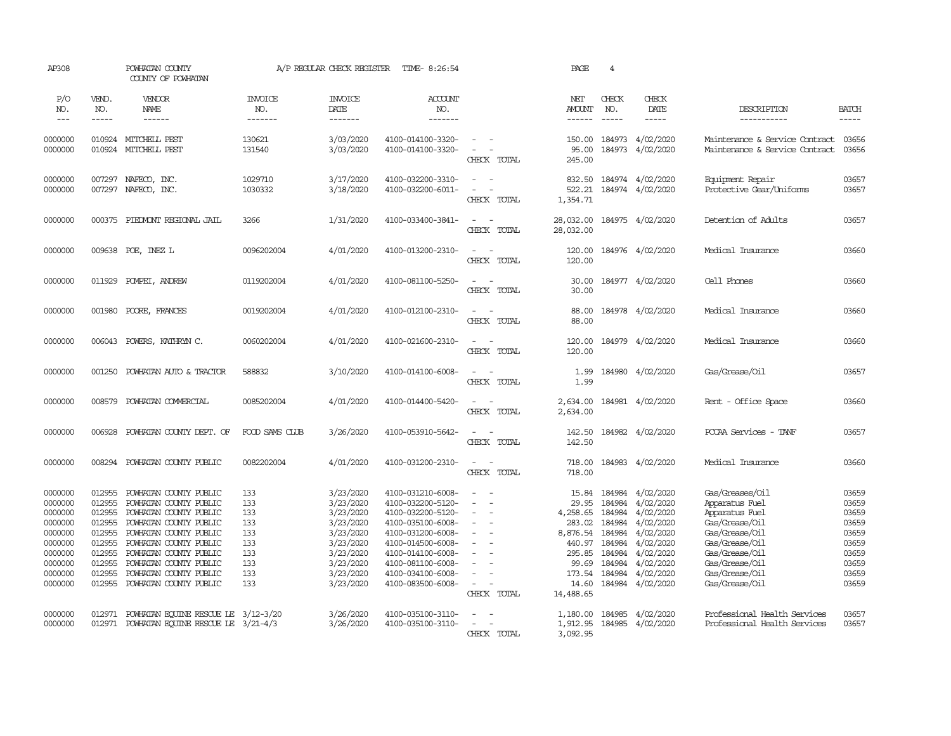| AP308                                                                                                      |                                                                                                  | POWHATAN COUNTY<br>COUNTY OF POWHATAN                                                                                                                                                                                                                            |                                                                    | A/P REGULAR CHECK REGISTER                                                                                                     | TIME- 8:26:54                                                                                                                                                                                                  |                                                                                                   | PAGE                                                                                                          | $\overline{4}$                                                                         |                                                                                                                                       |                                                                                                                                                                                   |                                                                                        |
|------------------------------------------------------------------------------------------------------------|--------------------------------------------------------------------------------------------------|------------------------------------------------------------------------------------------------------------------------------------------------------------------------------------------------------------------------------------------------------------------|--------------------------------------------------------------------|--------------------------------------------------------------------------------------------------------------------------------|----------------------------------------------------------------------------------------------------------------------------------------------------------------------------------------------------------------|---------------------------------------------------------------------------------------------------|---------------------------------------------------------------------------------------------------------------|----------------------------------------------------------------------------------------|---------------------------------------------------------------------------------------------------------------------------------------|-----------------------------------------------------------------------------------------------------------------------------------------------------------------------------------|----------------------------------------------------------------------------------------|
| P/O<br>NO.<br>$\frac{1}{2}$                                                                                | VEND.<br>NO.<br>$- - - - -$                                                                      | VENDOR<br>NAME<br>------                                                                                                                                                                                                                                         | <b>INVOICE</b><br>NO.<br>-------                                   | <b>INVOICE</b><br>DATE<br>-------                                                                                              | <b>ACCOUNT</b><br>NO.<br>-------                                                                                                                                                                               |                                                                                                   | NET<br><b>AMOUNT</b><br>$- - - - - -$                                                                         | CHECK<br>NO.<br>$\frac{1}{2}$                                                          | CHECK<br>DATE<br>$- - - - -$                                                                                                          | DESCRIPTION<br>-----------                                                                                                                                                        | <b>BATCH</b><br>$- - - - -$                                                            |
| 0000000<br>0000000                                                                                         |                                                                                                  | 010924 MITCHELL PEST<br>010924 MITCHELL PEST                                                                                                                                                                                                                     | 130621<br>131540                                                   | 3/03/2020<br>3/03/2020                                                                                                         | 4100-014100-3320-<br>4100-014100-3320-                                                                                                                                                                         | $\equiv$<br>$\equiv$<br>÷.<br>CHECK TOTAL                                                         | 150.00<br>95.00<br>245.00                                                                                     | 184973<br>184973                                                                       | 4/02/2020<br>4/02/2020                                                                                                                | Maintenance & Service Contract<br>Maintenance & Service Contract                                                                                                                  | 03656<br>03656                                                                         |
| 0000000<br>0000000                                                                                         | 007297<br>007297                                                                                 | NAFECO, INC.<br>NAFECO, INC.                                                                                                                                                                                                                                     | 1029710<br>1030332                                                 | 3/17/2020<br>3/18/2020                                                                                                         | 4100-032200-3310-<br>4100-032200-6011-                                                                                                                                                                         | $\sim$<br>$\sim$<br>CHECK TOTAL                                                                   | 832.50<br>522.21<br>1,354.71                                                                                  | 184974                                                                                 | 4/02/2020<br>184974 4/02/2020                                                                                                         | Equipment Repair<br>Protective Gear/Uniforms                                                                                                                                      | 03657<br>03657                                                                         |
| 0000000                                                                                                    | 000375                                                                                           | PIEDMONT REGIONAL JAIL                                                                                                                                                                                                                                           | 3266                                                               | 1/31/2020                                                                                                                      | 4100-033400-3841-                                                                                                                                                                                              | - 14<br>CHECK TOTAL                                                                               | 28,032.00<br>28,032.00                                                                                        |                                                                                        | 184975 4/02/2020                                                                                                                      | Detention of Adults                                                                                                                                                               | 03657                                                                                  |
| 0000000                                                                                                    | 009638                                                                                           | POE, INEZ L                                                                                                                                                                                                                                                      | 0096202004                                                         | 4/01/2020                                                                                                                      | 4100-013200-2310-                                                                                                                                                                                              | $\sim$<br>$\equiv$<br>CHECK TOTAL                                                                 | 120.00<br>120.00                                                                                              |                                                                                        | 184976 4/02/2020                                                                                                                      | Medical Insurance                                                                                                                                                                 | 03660                                                                                  |
| 0000000                                                                                                    | 011929                                                                                           | POMPEI, ANDREW                                                                                                                                                                                                                                                   | 0119202004                                                         | 4/01/2020                                                                                                                      | 4100-081100-5250-                                                                                                                                                                                              | $\overline{\phantom{a}}$<br>CHECK TOTAL                                                           | 30.00<br>30.00                                                                                                |                                                                                        | 184977 4/02/2020                                                                                                                      | Cell Phones                                                                                                                                                                       | 03660                                                                                  |
| 0000000                                                                                                    | 001980                                                                                           | POORE, FRANCES                                                                                                                                                                                                                                                   | 0019202004                                                         | 4/01/2020                                                                                                                      | 4100-012100-2310-                                                                                                                                                                                              | $\overline{\phantom{a}}$<br>CHECK TOTAL                                                           | 88.00<br>88.00                                                                                                |                                                                                        | 184978 4/02/2020                                                                                                                      | Medical Insurance                                                                                                                                                                 | 03660                                                                                  |
| 0000000                                                                                                    | 006043                                                                                           | POWERS, KATHRYN C.                                                                                                                                                                                                                                               | 0060202004                                                         | 4/01/2020                                                                                                                      | 4100-021600-2310-                                                                                                                                                                                              | $\sim$<br>$\sim$<br>CHECK TOTAL                                                                   | 120.00<br>120.00                                                                                              |                                                                                        | 184979 4/02/2020                                                                                                                      | Medical Insurance                                                                                                                                                                 | 03660                                                                                  |
| 0000000                                                                                                    | 001250                                                                                           | POWHATAN AUTO & TRACTOR                                                                                                                                                                                                                                          | 588832                                                             | 3/10/2020                                                                                                                      | 4100-014100-6008-                                                                                                                                                                                              | $\sim$<br>CHECK TOTAL                                                                             | 1.99<br>1.99                                                                                                  |                                                                                        | 184980 4/02/2020                                                                                                                      | Gas/Grease/Oil                                                                                                                                                                    | 03657                                                                                  |
| 0000000                                                                                                    | 008579                                                                                           | POWHATAN COMMERCIAL                                                                                                                                                                                                                                              | 0085202004                                                         | 4/01/2020                                                                                                                      | 4100-014400-5420-                                                                                                                                                                                              | $\equiv$<br>$\overline{\phantom{a}}$<br>CHECK TOTAL                                               | 2,634.00<br>2,634.00                                                                                          |                                                                                        | 184981 4/02/2020                                                                                                                      | Rent - Office Space                                                                                                                                                               | 03660                                                                                  |
| 0000000                                                                                                    | 006928                                                                                           | POWHATAN COUNTY DEPT. OF                                                                                                                                                                                                                                         | FOOD SAMS CILIB                                                    | 3/26/2020                                                                                                                      | 4100-053910-5642-                                                                                                                                                                                              | $\equiv$<br>÷.<br>CHECK TOTAL                                                                     | 142.50<br>142.50                                                                                              |                                                                                        | 184982 4/02/2020                                                                                                                      | PCCAA Services - TANF                                                                                                                                                             | 03657                                                                                  |
| 0000000                                                                                                    |                                                                                                  | 008294 POWHATAN COUNTY PUBLIC                                                                                                                                                                                                                                    | 0082202004                                                         | 4/01/2020                                                                                                                      | 4100-031200-2310-                                                                                                                                                                                              | $\sim$<br>$\overline{\phantom{a}}$<br>CHECK TOTAL                                                 | 718.00<br>718.00                                                                                              |                                                                                        | 184983 4/02/2020                                                                                                                      | Medical Insurance                                                                                                                                                                 | 03660                                                                                  |
| 0000000<br>0000000<br>0000000<br>0000000<br>0000000<br>0000000<br>0000000<br>0000000<br>0000000<br>0000000 | 012955<br>012955<br>012955<br>012955<br>012955<br>012955<br>012955<br>012955<br>012955<br>012955 | POWHATAN COUNTY PUBLIC<br>POWHATAN COUNTY PUBLIC<br>POWHATAN COUNTY PUBLIC<br>POWHATAN COUNTY PUBLIC<br>POWHATAN COUNTY PUBLIC<br>POWHATAN COUNTY PUBLIC<br>POWHATAN COUNTY PUBLIC<br>POWHATAN COUNTY PUBLIC<br>POWHATAN COUNTY PUBLIC<br>POWHATAN COUNTY PUBLIC | 133<br>133<br>133<br>133<br>133<br>133<br>133<br>133<br>133<br>133 | 3/23/2020<br>3/23/2020<br>3/23/2020<br>3/23/2020<br>3/23/2020<br>3/23/2020<br>3/23/2020<br>3/23/2020<br>3/23/2020<br>3/23/2020 | 4100-031210-6008-<br>4100-032200-5120-<br>4100-032200-5120-<br>4100-035100-6008-<br>4100-031200-6008-<br>4100-014500-6008-<br>4100-014100-6008-<br>4100-081100-6008-<br>4100-034100-6008-<br>4100-083500-6008- | $\equiv$<br>$\equiv$<br>$\sim$<br>$\sim$<br>$\sim$<br>$\sim$<br>$\equiv$<br>$\sim$<br>CHECK TOTAL | 15.84<br>29.95<br>4,258.65<br>283.02<br>8,876.54<br>440.97<br>295.85<br>99.69<br>173.54<br>14.60<br>14,488.65 | 184984<br>184984<br>184984<br>184984<br>184984<br>184984<br>184984<br>184984<br>184984 | 4/02/2020<br>4/02/2020<br>4/02/2020<br>4/02/2020<br>4/02/2020<br>4/02/2020<br>4/02/2020<br>4/02/2020<br>4/02/2020<br>184984 4/02/2020 | Gas/Greases/Oil<br>Apparatus Fuel<br>Apparatus Fuel<br>Gas/Grease/Oil<br>Gas/Grease/Oil<br>Gas/Grease/Oil<br>Gas/Grease/Oil<br>Gas/Grease/Oil<br>Gas/Grease/Oil<br>Gas/Grease/Oil | 03659<br>03659<br>03659<br>03659<br>03659<br>03659<br>03659<br>03659<br>03659<br>03659 |
| 0000000<br>0000000                                                                                         | 012971                                                                                           | POWHATAN EQUINE RESCUE LE 3/12-3/20<br>012971 POWHATAN EQUINE RESCUE LE 3/21-4/3                                                                                                                                                                                 |                                                                    | 3/26/2020<br>3/26/2020                                                                                                         | 4100-035100-3110-<br>4100-035100-3110-                                                                                                                                                                         | CHECK TOTAL                                                                                       | 1,180.00<br>1,912.95<br>3,092.95                                                                              | 184985                                                                                 | 4/02/2020<br>184985 4/02/2020                                                                                                         | Professional Health Services<br>Professional Health Services                                                                                                                      | 03657<br>03657                                                                         |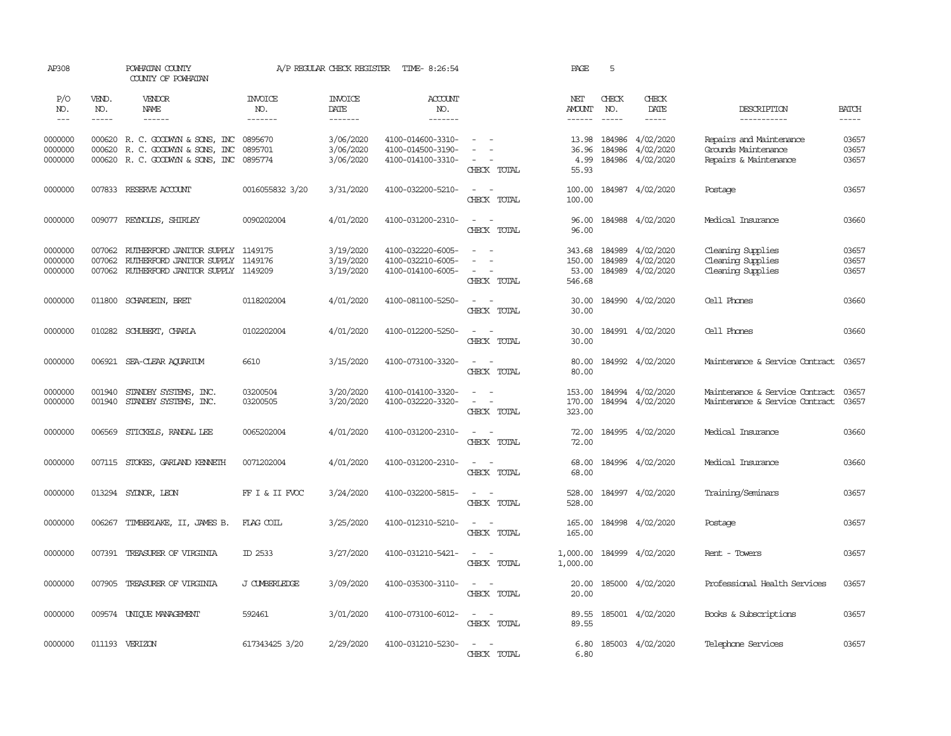| AP308                         |                  | POWHATAN COUNTY<br>COUNTY OF POWHATAN                                                                             |                       | A/P REGULAR CHECK REGISTER          | TIME- 8:26:54                                               |                                                                                                                                                                                      | PAGE                                       | 5                      |                                            |                                                                         |                         |
|-------------------------------|------------------|-------------------------------------------------------------------------------------------------------------------|-----------------------|-------------------------------------|-------------------------------------------------------------|--------------------------------------------------------------------------------------------------------------------------------------------------------------------------------------|--------------------------------------------|------------------------|--------------------------------------------|-------------------------------------------------------------------------|-------------------------|
| P/O<br>NO.                    | VEND.<br>NO.     | VENDOR<br>NAME                                                                                                    | <b>INVOICE</b><br>NO. | <b>INVOICE</b><br>DATE              | ACCOUNT<br>NO.                                              |                                                                                                                                                                                      | NET<br>AMOUNT                              | CHECK<br>NO.           | CHECK<br>DATE                              | DESCRIPTION                                                             | <b>BATCH</b>            |
| $\frac{1}{2}$                 | -----            | ------                                                                                                            | -------               | -------                             | -------                                                     |                                                                                                                                                                                      | ------                                     | $- - - - -$            | $- - - - -$                                | -----------                                                             | -----                   |
| 0000000<br>0000000<br>0000000 | 000620           | 000620 R. C. GOODWIN & SONS, INC 0895670<br>R. C. GOODWIN & SONS, INC<br>000620 R. C. GOODWIN & SONS, INC 0895774 | 0895701               | 3/06/2020<br>3/06/2020<br>3/06/2020 | 4100-014600-3310-<br>4100-014500-3190-<br>4100-014100-3310- | $\omega_{\rm{max}}$ and $\omega_{\rm{max}}$<br>$\sim$<br>$\frac{1}{2} \left( \frac{1}{2} \right) \left( \frac{1}{2} \right) = \frac{1}{2} \left( \frac{1}{2} \right)$<br>CHECK TOTAL | 36.96<br>4.99<br>55.93                     | 13.98 184986<br>184986 | 4/02/2020<br>4/02/2020<br>184986 4/02/2020 | Repairs and Maintenance<br>Grounds Maintenance<br>Repairs & Maintenance | 03657<br>03657<br>03657 |
| 0000000                       |                  | 007833 RESERVE ACCOUNT                                                                                            | 0016055832 3/20       | 3/31/2020                           | 4100-032200-5210-                                           | $\overline{\phantom{a}}$<br>$\overline{\phantom{a}}$<br>CHECK TOTAL                                                                                                                  | 100.00<br>100.00                           |                        | 184987 4/02/2020                           | Postage                                                                 | 03657                   |
| 0000000                       |                  | 009077 REYNOLDS, SHIRLEY                                                                                          | 0090202004            | 4/01/2020                           | 4100-031200-2310-                                           | $\sim$<br>$\sim$<br>CHECK TOTAL                                                                                                                                                      | 96.00<br>96.00                             |                        | 184988 4/02/2020                           | Medical Insurance                                                       | 03660                   |
| 0000000<br>0000000<br>0000000 | 007062           | 007062 RUIHERFORD JANITOR SUPPLY 1149175<br>RUIHERFORD JANITOR SUPPLY<br>007062 RUIHERFORD JANITOR SUPPLY 1149209 | 1149176               | 3/19/2020<br>3/19/2020<br>3/19/2020 | 4100-032220-6005-<br>4100-032210-6005-<br>4100-014100-6005- | $\sim$ 100 $\sim$<br>$\sim$<br>$\sim$<br>$\sim$<br>CHECK TOTAL                                                                                                                       | 343.68 184989<br>150.00<br>53.00<br>546.68 | 184989                 | 4/02/2020<br>4/02/2020<br>184989 4/02/2020 | Cleaning Supplies<br>Cleaning Supplies<br>Cleaning Supplies             | 03657<br>03657<br>03657 |
| 0000000                       | 011800           | SCHARDEIN, BRET                                                                                                   | 0118202004            | 4/01/2020                           | 4100-081100-5250-                                           | $\overline{\phantom{a}}$<br>$\overline{\phantom{a}}$<br>CHECK TOTAL                                                                                                                  | 30.00<br>30.00                             |                        | 184990 4/02/2020                           | Cell Phones                                                             | 03660                   |
| 0000000                       |                  | 010282 SCHUBERT, CHARLA                                                                                           | 0102202004            | 4/01/2020                           | 4100-012200-5250-                                           | $\sim$<br>$\sim$<br>CHECK TOTAL                                                                                                                                                      | 30.00<br>30.00                             |                        | 184991 4/02/2020                           | Cell Phones                                                             | 03660                   |
| 0000000                       |                  | 006921 SEA-CLEAR AQUARIUM                                                                                         | 6610                  | 3/15/2020                           | 4100-073100-3320-                                           | $\sim$ $ \sim$<br>CHECK TOTAL                                                                                                                                                        | 80.00<br>80.00                             |                        | 184992 4/02/2020                           | Maintenance & Service Contract                                          | 03657                   |
| 0000000<br>0000000            | 001940<br>001940 | STANDBY SYSTEMS, INC.<br>STANDBY SYSTEMS, INC.                                                                    | 03200504<br>03200505  | 3/20/2020<br>3/20/2020              | 4100-014100-3320-<br>4100-032220-3320-                      | $\sim$<br>$\sim$<br>$\overline{\phantom{a}}$<br>$\sim$<br>CHECK TOTAL                                                                                                                | 153.00<br>170.00<br>323.00                 |                        | 184994 4/02/2020<br>184994 4/02/2020       | Maintenance & Service Contract<br>Maintenance & Service Contract        | 03657<br>03657          |
| 0000000                       |                  | 006569 STICKELS, RANDAL LEE                                                                                       | 0065202004            | 4/01/2020                           | 4100-031200-2310-                                           | $\sim$ $ \sim$<br>CHECK TOTAL                                                                                                                                                        | 72.00<br>72.00                             |                        | 184995 4/02/2020                           | Medical Insurance                                                       | 03660                   |
| 0000000                       |                  | 007115 STOKES, GARLAND KENNETH                                                                                    | 0071202004            | 4/01/2020                           | 4100-031200-2310-                                           | $\sim$ $ \sim$<br>CHECK TOTAL                                                                                                                                                        | 68.00<br>68.00                             |                        | 184996 4/02/2020                           | Medical Insurance                                                       | 03660                   |
| 0000000                       |                  | 013294 SYDNOR, LEON                                                                                               | FF I & II FVOC        | 3/24/2020                           | 4100-032200-5815-                                           | $\sim$ $ \sim$<br>CHECK TOTAL                                                                                                                                                        | 528.00<br>528.00                           |                        | 184997 4/02/2020                           | Training/Seminars                                                       | 03657                   |
| 0000000                       | 006267           | TIMBERLAKE, II, JAMES B.                                                                                          | FLAG COIL             | 3/25/2020                           | 4100-012310-5210-                                           | $\sim$<br>$\sim$<br>CHECK TOTAL                                                                                                                                                      | 165.00<br>165.00                           |                        | 184998 4/02/2020                           | Postage                                                                 | 03657                   |
| 0000000                       |                  | 007391 TREASURER OF VIRGINIA                                                                                      | ID 2533               | 3/27/2020                           | 4100-031210-5421-                                           | $\overline{\phantom{a}}$<br>$\sim$<br>CHECK TOTAL                                                                                                                                    | 1,000.00<br>1,000.00                       |                        | 184999 4/02/2020                           | Rent - Towers                                                           | 03657                   |
| 0000000                       |                  | 007905 TREASURER OF VIRGINIA                                                                                      | J CUMBERLEDGE         | 3/09/2020                           | 4100-035300-3110-                                           | $\sim$ $\sim$<br>CHECK TOTAL                                                                                                                                                         | 20.00<br>20.00                             |                        | 185000 4/02/2020                           | Professional Health Services                                            | 03657                   |
| 0000000                       |                  | 009574 UNIQUE MANAGEMENT                                                                                          | 592461                | 3/01/2020                           | 4100-073100-6012-                                           | $\sim$<br>$\sim$<br>CHECK TOTAL                                                                                                                                                      | 89.55<br>89.55                             |                        | 185001 4/02/2020                           | Books & Subscriptions                                                   | 03657                   |
| 0000000                       |                  | 011193 VERIZON                                                                                                    | 617343425 3/20        | 2/29/2020                           | 4100-031210-5230-                                           | $\sim$ $\sim$<br>CHRCK TOTAL                                                                                                                                                         | 6.80<br>6.80                               |                        | 185003 4/02/2020                           | Telephone Services                                                      | 03657                   |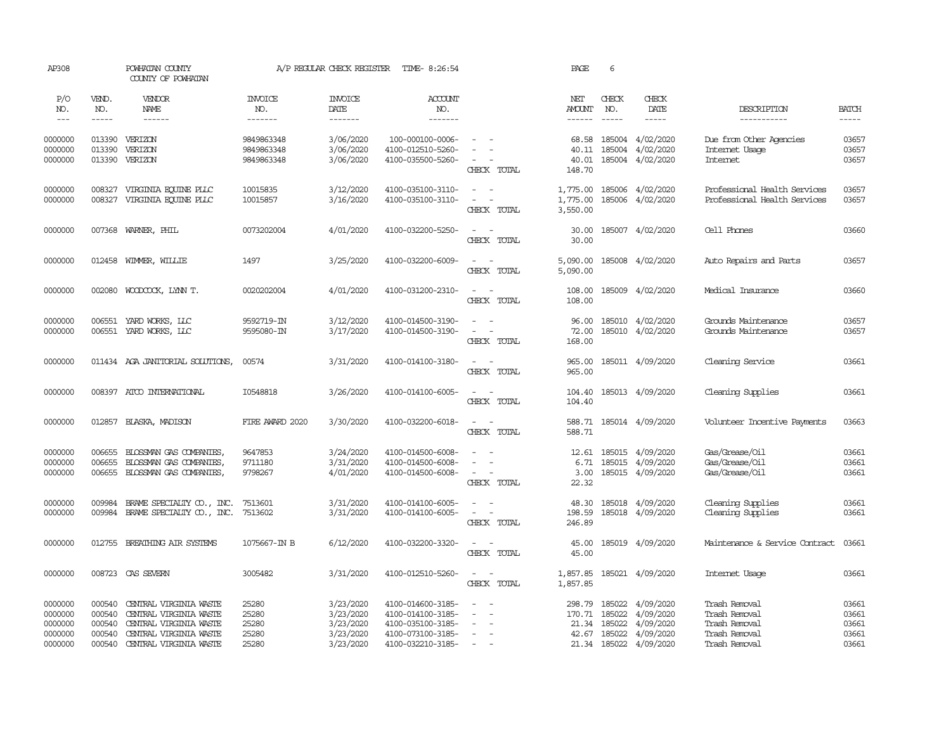| AP308                                               |                                                | POWHATAN COUNTY<br>COUNTY OF POWHATAN                                                                                          |                                           | A/P REGULAR CHECK REGISTER                                    | TIME- 8:26:54                                                                                         |                                                                | PAGE                               | 6                             |                                                                                   |                                                                                   |                                           |
|-----------------------------------------------------|------------------------------------------------|--------------------------------------------------------------------------------------------------------------------------------|-------------------------------------------|---------------------------------------------------------------|-------------------------------------------------------------------------------------------------------|----------------------------------------------------------------|------------------------------------|-------------------------------|-----------------------------------------------------------------------------------|-----------------------------------------------------------------------------------|-------------------------------------------|
| P/O<br>NO.<br>$---$                                 | VEND.<br>NO.<br>$- - - - -$                    | <b>VENDOR</b><br>NAME<br>$- - - - - -$                                                                                         | <b>INVOICE</b><br>NO.<br>-------          | <b>INVOICE</b><br>DATE<br>-------                             | <b>ACCOUNT</b><br>NO.<br>-------                                                                      |                                                                | NET<br><b>AMOUNT</b><br>------     | CHECK<br>NO.<br>$\frac{1}{2}$ | CHECK<br>DATE<br>$- - - - -$                                                      | DESCRIPTION<br>------------                                                       | <b>BATCH</b><br>$- - - - -$               |
| 0000000<br>0000000<br>0000000                       | 013390<br>013390<br>013390                     | VERIZON<br>VERIZON<br>VERIZON                                                                                                  | 9849863348<br>9849863348<br>9849863348    | 3/06/2020<br>3/06/2020<br>3/06/2020                           | 100-000100-0006-<br>4100-012510-5260-<br>4100-035500-5260-                                            | $\equiv$<br>$\sim$<br>CHECK TOTAL                              | 68.58<br>40.11<br>40.01<br>148.70  | 185004                        | 185004 4/02/2020<br>4/02/2020<br>185004 4/02/2020                                 | Due from Other Agencies<br>Internet Usage<br><b>Internet</b>                      | 03657<br>03657<br>03657                   |
| 0000000<br>0000000                                  | 008327<br>008327                               | VIRGINIA EQUINE PLLC<br>VIRGINIA EQUINE PLLC                                                                                   | 10015835<br>10015857                      | 3/12/2020<br>3/16/2020                                        | 4100-035100-3110-<br>4100-035100-3110-                                                                | $\equiv$<br>$\sim$<br>$\sim$<br>CHECK TOTAL                    | 1,775.00<br>1,775.00<br>3,550.00   |                               | 185006 4/02/2020<br>185006 4/02/2020                                              | Professional Health Services<br>Professional Health Services                      | 03657<br>03657                            |
| 0000000                                             | 007368                                         | WARNER, PHIL                                                                                                                   | 0073202004                                | 4/01/2020                                                     | 4100-032200-5250-                                                                                     | $\sim$<br>$\sim$<br>CHECK TOTAL                                | 30.00<br>30.00                     |                               | 185007 4/02/2020                                                                  | Cell Phones                                                                       | 03660                                     |
| 0000000                                             | 012458                                         | WIMMER, WILLIE                                                                                                                 | 1497                                      | 3/25/2020                                                     | 4100-032200-6009-                                                                                     | $\sim$<br>$\sim$ $-$<br>CHECK TOTAL                            | 5,090.00<br>5,090.00               |                               | 185008 4/02/2020                                                                  | Auto Repairs and Parts                                                            | 03657                                     |
| 0000000                                             | 002080                                         | WOODCOCK, LYNN T.                                                                                                              | 0020202004                                | 4/01/2020                                                     | 4100-031200-2310-                                                                                     | $\sim$<br>$\sim$<br>CHECK TOTAL                                | 108.00<br>108.00                   |                               | 185009 4/02/2020                                                                  | Medical Insurance                                                                 | 03660                                     |
| 0000000<br>0000000                                  | 006551<br>006551                               | YARD WORKS, LLC<br>YARD WORKS, LLC                                                                                             | 9592719-IN<br>9595080-IN                  | 3/12/2020<br>3/17/2020                                        | 4100-014500-3190-<br>4100-014500-3190-                                                                | $\equiv$<br>CHECK TOTAL                                        | 96.00<br>72.00<br>168.00           |                               | 185010 4/02/2020<br>185010 4/02/2020                                              | Grounds Maintenance<br>Grounds Maintenance                                        | 03657<br>03657                            |
| 0000000                                             |                                                | 011434 AGA JANITORIAL SOLUTIONS,                                                                                               | 00574                                     | 3/31/2020                                                     | 4100-014100-3180-                                                                                     | $\sim$<br>$\sim$<br>CHECK TOTAL                                | 965.00<br>965.00                   |                               | 185011 4/09/2020                                                                  | Cleaning Service                                                                  | 03661                                     |
| 0000000                                             | 008397                                         | ATCO INTERNATIONAL                                                                                                             | I0548818                                  | 3/26/2020                                                     | 4100-014100-6005-                                                                                     | $\equiv$<br>CHECK TOTAL                                        | 104.40<br>104.40                   |                               | 185013 4/09/2020                                                                  | Cleaning Supplies                                                                 | 03661                                     |
| 0000000                                             | 012857                                         | BLASKA, MADISON                                                                                                                | FIRE AWARD 2020                           | 3/30/2020                                                     | 4100-032200-6018-                                                                                     | $\overline{\phantom{a}}$<br>$\sim$<br>CHECK TOTAL              | 588.71<br>588.71                   |                               | 185014 4/09/2020                                                                  | Volunteer Incentive Payments                                                      | 03663                                     |
| 0000000<br>0000000<br>0000000                       | 006655<br>006655<br>006655                     | BLOSSMAN GAS COMPANIES,<br>BLOSSMAN GAS COMPANIES,<br>BLOSSMAN GAS COMPANIES,                                                  | 9647853<br>9711180<br>9798267             | 3/24/2020<br>3/31/2020<br>4/01/2020                           | 4100-014500-6008-<br>4100-014500-6008-<br>4100-014500-6008-                                           | $\equiv$<br>$\equiv$<br>$\sim$<br>CHECK TOTAL                  | 6.71<br>3.00<br>22.32              | 185015                        | 12.61 185015 4/09/2020<br>4/09/2020<br>185015 4/09/2020                           | Gas/Grease/Oil<br>Gas/Grease/Oil<br>Gas/Grease/Oil                                | 03661<br>03661<br>03661                   |
| 0000000<br>0000000                                  | 009984<br>009984                               | BRAME SPECIALIY CO., INC.<br>BRAME SPECIALITY CO., INC.                                                                        | 7513601<br>7513602                        | 3/31/2020<br>3/31/2020                                        | 4100-014100-6005-<br>4100-014100-6005-                                                                | $\sim$<br>$\sim$<br>$\sim$<br>CHECK TOTAL                      | 48.30<br>198.59<br>246.89          | 185018                        | 4/09/2020<br>185018 4/09/2020                                                     | Cleaning Supplies<br>Cleaning Supplies                                            | 03661<br>03661                            |
| 0000000                                             | 012755                                         | BREATHING AIR SYSTEMS                                                                                                          | 1075667-IN B                              | 6/12/2020                                                     | 4100-032200-3320-                                                                                     | $\sim$<br>$\sim$<br>CHECK TOTAL                                | 45.00<br>45.00                     |                               | 185019 4/09/2020                                                                  | Maintenance & Service Contract                                                    | 03661                                     |
| 0000000                                             | 008723                                         | CAS SEVERN                                                                                                                     | 3005482                                   | 3/31/2020                                                     | 4100-012510-5260-                                                                                     | $\sim$<br>$\sim$<br>CHECK TOTAL                                | 1,857.85<br>1,857.85               |                               | 185021 4/09/2020                                                                  | Internet Usage                                                                    | 03661                                     |
| 0000000<br>0000000<br>0000000<br>0000000<br>0000000 | 000540<br>000540<br>000540<br>000540<br>000540 | CENTRAL VIRGINIA WASTE<br>CENTRAL VIRGINIA WASTE<br>CENTRAL VIRGINIA WASTE<br>CENTRAL VIRGINIA WASTE<br>CENTRAL VIRGINIA WASTE | 25280<br>25280<br>25280<br>25280<br>25280 | 3/23/2020<br>3/23/2020<br>3/23/2020<br>3/23/2020<br>3/23/2020 | 4100-014600-3185-<br>4100-014100-3185-<br>4100-035100-3185-<br>4100-073100-3185-<br>4100-032210-3185- | $\overline{\phantom{a}}$<br>$\sim$<br>$\blacksquare$<br>$\sim$ | 298.79<br>170.71<br>21.34<br>42.67 | 185022<br>185022<br>185022    | 185022 4/09/2020<br>4/09/2020<br>4/09/2020<br>4/09/2020<br>21.34 185022 4/09/2020 | Trash Removal<br>Trash Removal<br>Trash Removal<br>Trash Removal<br>Trash Removal | 03661<br>03661<br>03661<br>03661<br>03661 |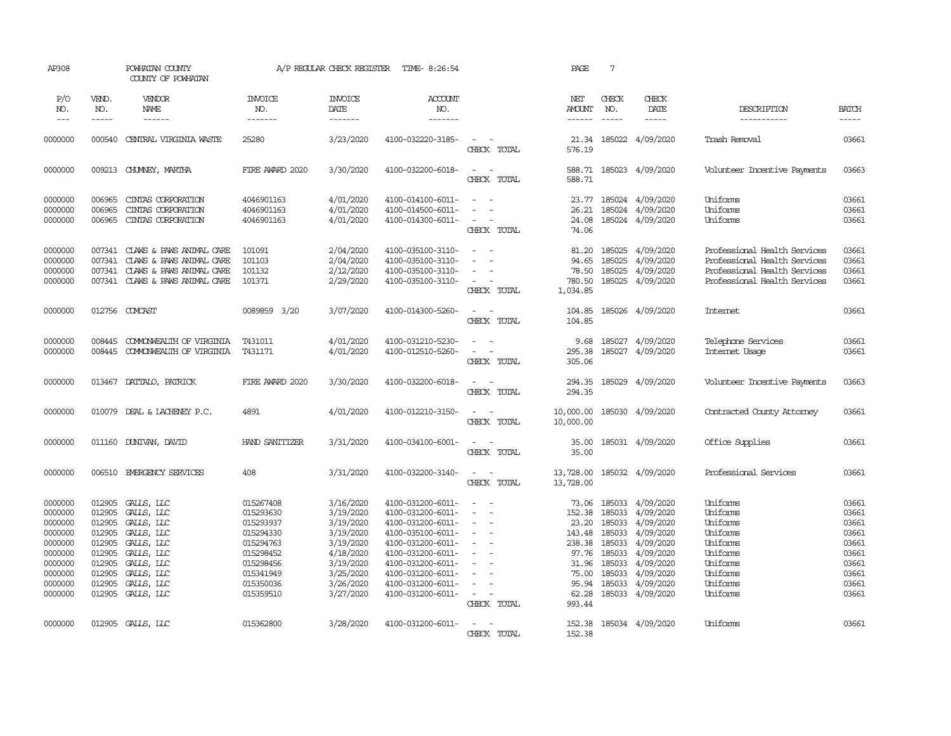| AP308                                                                                                      |                                                                                                  | POWHATAN COUNTY<br>COUNTY OF POWHATAN                                                                                                    |                                                                                                                                | A/P REGULAR CHECK REGISTER                                                                                                     | TIME- 8:26:54                                                                                                                                                                                                  |                                                                                                                                                                   | PAGE                                                                                                | $7\phantom{.0}$                                                                                                                                                                                                                                                                                                                                                                                                                                                                                     |                                                                                                                                              |                                                                                                                              |                                                                                        |
|------------------------------------------------------------------------------------------------------------|--------------------------------------------------------------------------------------------------|------------------------------------------------------------------------------------------------------------------------------------------|--------------------------------------------------------------------------------------------------------------------------------|--------------------------------------------------------------------------------------------------------------------------------|----------------------------------------------------------------------------------------------------------------------------------------------------------------------------------------------------------------|-------------------------------------------------------------------------------------------------------------------------------------------------------------------|-----------------------------------------------------------------------------------------------------|-----------------------------------------------------------------------------------------------------------------------------------------------------------------------------------------------------------------------------------------------------------------------------------------------------------------------------------------------------------------------------------------------------------------------------------------------------------------------------------------------------|----------------------------------------------------------------------------------------------------------------------------------------------|------------------------------------------------------------------------------------------------------------------------------|----------------------------------------------------------------------------------------|
| P/O<br>NO.<br>$\qquad \qquad - -$                                                                          | VEND.<br>NO.<br>$- - - - -$                                                                      | VENDOR<br>NAME<br>------                                                                                                                 | <b>INVOICE</b><br>NO.<br>-------                                                                                               | <b>INVOICE</b><br>DATE<br>-------                                                                                              | <b>ACCOUNT</b><br>NO.<br>-------                                                                                                                                                                               |                                                                                                                                                                   | NET<br><b>AMOUNT</b>                                                                                | CHECK<br>NO.<br>$\begin{tabular}{ccccc} \multicolumn{2}{c}{} & \multicolumn{2}{c}{} & \multicolumn{2}{c}{} & \multicolumn{2}{c}{} & \multicolumn{2}{c}{} & \multicolumn{2}{c}{} & \multicolumn{2}{c}{} & \multicolumn{2}{c}{} & \multicolumn{2}{c}{} & \multicolumn{2}{c}{} & \multicolumn{2}{c}{} & \multicolumn{2}{c}{} & \multicolumn{2}{c}{} & \multicolumn{2}{c}{} & \multicolumn{2}{c}{} & \multicolumn{2}{c}{} & \multicolumn{2}{c}{} & \multicolumn{2}{c}{} & \multicolumn{2}{c}{} & \mult$ | CHECK<br>DATE<br>$- - - - -$                                                                                                                 | DESCRIPTION<br>-----------                                                                                                   | <b>BATCH</b><br>$- - - - -$                                                            |
| 0000000                                                                                                    | 000540                                                                                           | CENTRAL VIRGINIA WASTE                                                                                                                   | 25280                                                                                                                          | 3/23/2020                                                                                                                      | 4100-032220-3185-                                                                                                                                                                                              | $\sim$<br>$\sim$<br>CHECK TOTAL                                                                                                                                   | 21.34<br>576.19                                                                                     |                                                                                                                                                                                                                                                                                                                                                                                                                                                                                                     | 185022 4/09/2020                                                                                                                             | Trash Removal                                                                                                                | 03661                                                                                  |
| 0000000                                                                                                    |                                                                                                  | 009213 CHUMEY, MARTHA                                                                                                                    | FIRE AWARD 2020                                                                                                                | 3/30/2020                                                                                                                      | 4100-032200-6018-                                                                                                                                                                                              | $\sim$<br>$\sim$<br>CHECK TOTAL                                                                                                                                   | 588.71                                                                                              |                                                                                                                                                                                                                                                                                                                                                                                                                                                                                                     | 588.71 185023 4/09/2020                                                                                                                      | Volunteer Incentive Payments                                                                                                 | 03663                                                                                  |
| 0000000<br>0000000<br>0000000                                                                              | 006965<br>006965<br>006965                                                                       | CINIAS CORPORATION<br>CINIAS CORPORATION<br>CINIAS CORPORATION                                                                           | 4046901163<br>4046901163<br>4046901163                                                                                         | 4/01/2020<br>4/01/2020<br>4/01/2020                                                                                            | 4100-014100-6011-<br>4100-014500-6011-<br>4100-014300-6011-                                                                                                                                                    | $\sim$<br>CHECK TOTAL                                                                                                                                             | 23.77<br>26.21<br>24.08<br>74.06                                                                    |                                                                                                                                                                                                                                                                                                                                                                                                                                                                                                     | 185024 4/09/2020<br>185024 4/09/2020<br>185024 4/09/2020                                                                                     | Uniforms<br>Uniforms<br>Uniforms                                                                                             | 03661<br>03661<br>03661                                                                |
| 0000000<br>0000000<br>0000000<br>0000000                                                                   | 007341<br>007341<br>007341<br>007341                                                             | CLAWS & PAWS ANIMAL CARE<br>CLAWS & PAWS ANIMAL CARE<br>CLAWS & PAWS ANIMAL CARE<br>CLAWS & PAWS ANIMAL CARE                             | 101091<br>101103<br>101132<br>101371                                                                                           | 2/04/2020<br>2/04/2020<br>2/12/2020<br>2/29/2020                                                                               | 4100-035100-3110-<br>4100-035100-3110-<br>4100-035100-3110-<br>4100-035100-3110-                                                                                                                               | $\sim$<br>$\sim$<br>$\equiv$<br>$\sim$<br>CHECK TOTAL                                                                                                             | 81.20<br>94.65<br>78.50<br>780.50<br>1,034.85                                                       | 185025<br>185025<br>185025                                                                                                                                                                                                                                                                                                                                                                                                                                                                          | 4/09/2020<br>4/09/2020<br>4/09/2020<br>185025 4/09/2020                                                                                      | Professional Health Services<br>Professional Health Services<br>Professional Health Services<br>Professional Health Services | 03661<br>03661<br>03661<br>03661                                                       |
| 0000000                                                                                                    |                                                                                                  | 012756 COMCAST                                                                                                                           | 0089859 3/20                                                                                                                   | 3/07/2020                                                                                                                      | 4100-014300-5260-                                                                                                                                                                                              | $\equiv$<br>CHECK TOTAL                                                                                                                                           | 104.85<br>104.85                                                                                    |                                                                                                                                                                                                                                                                                                                                                                                                                                                                                                     | 185026 4/09/2020                                                                                                                             | Internet                                                                                                                     | 03661                                                                                  |
| 0000000<br>0000000                                                                                         | 008445<br>008445                                                                                 | COMONWEALTH OF VIRGINIA<br>COMONWEALTH OF VIRGINIA                                                                                       | T431011<br>T431171                                                                                                             | 4/01/2020<br>4/01/2020                                                                                                         | 4100-031210-5230-<br>4100-012510-5260-                                                                                                                                                                         | $\sim$<br>$\sim$<br>$\sim$<br>CHECK TOTAL                                                                                                                         | 9.68<br>295.38<br>305.06                                                                            |                                                                                                                                                                                                                                                                                                                                                                                                                                                                                                     | 185027 4/09/2020<br>185027 4/09/2020                                                                                                         | Telephone Services<br>Internet Usage                                                                                         | 03661<br>03661                                                                         |
| 0000000                                                                                                    |                                                                                                  | 013467 DATTALO, PATRICK                                                                                                                  | FIRE AWARD 2020                                                                                                                | 3/30/2020                                                                                                                      | 4100-032200-6018-                                                                                                                                                                                              | $\sim$<br>$\sim$<br>CHECK TOTAL                                                                                                                                   | 294.35<br>294.35                                                                                    |                                                                                                                                                                                                                                                                                                                                                                                                                                                                                                     | 185029 4/09/2020                                                                                                                             | Volunteer Incentive Payments                                                                                                 | 03663                                                                                  |
| 0000000                                                                                                    |                                                                                                  | 010079 DEAL & LACHENEY P.C.                                                                                                              | 4891                                                                                                                           | 4/01/2020                                                                                                                      | 4100-012210-3150-                                                                                                                                                                                              | $\sim$<br>$\sim$<br>CHECK TOTAL                                                                                                                                   | 10,000.00<br>10,000.00                                                                              |                                                                                                                                                                                                                                                                                                                                                                                                                                                                                                     | 185030 4/09/2020                                                                                                                             | Contracted County Attorney                                                                                                   | 03661                                                                                  |
| 0000000                                                                                                    |                                                                                                  | 011160 DUNIVAN, DAVID                                                                                                                    | HAND SANITIZER                                                                                                                 | 3/31/2020                                                                                                                      | 4100-034100-6001-                                                                                                                                                                                              | $\sim$<br>$\sim$<br>CHECK TOTAL                                                                                                                                   | 35.00<br>35.00                                                                                      |                                                                                                                                                                                                                                                                                                                                                                                                                                                                                                     | 185031 4/09/2020                                                                                                                             | Office Supplies                                                                                                              | 03661                                                                                  |
| 0000000                                                                                                    |                                                                                                  | 006510 EMERGENCY SERVICES                                                                                                                | 408                                                                                                                            | 3/31/2020                                                                                                                      | 4100-032200-3140-                                                                                                                                                                                              | $\sim$<br>$\sim$ $-$<br>CHECK TOTAL                                                                                                                               | 13,728.00<br>13,728.00                                                                              |                                                                                                                                                                                                                                                                                                                                                                                                                                                                                                     | 185032 4/09/2020                                                                                                                             | Professional Services                                                                                                        | 03661                                                                                  |
| 0000000<br>0000000<br>0000000<br>0000000<br>0000000<br>0000000<br>0000000<br>0000000<br>0000000<br>0000000 | 012905<br>012905<br>012905<br>012905<br>012905<br>012905<br>012905<br>012905<br>012905<br>012905 | GALLS, LLC<br>GALLS, LLC<br>GALLS, LLC<br>GALLS, LLC<br>GALLS, LLC<br>GALLS, LLC<br>GALLS, LLC<br>GALLS, LLC<br>GALLS, LLC<br>GALLS, LLC | 015267408<br>015293630<br>015293937<br>015294330<br>015294763<br>015298452<br>015298456<br>015341949<br>015350036<br>015359510 | 3/16/2020<br>3/19/2020<br>3/19/2020<br>3/19/2020<br>3/19/2020<br>4/18/2020<br>3/19/2020<br>3/25/2020<br>3/26/2020<br>3/27/2020 | 4100-031200-6011-<br>4100-031200-6011-<br>4100-031200-6011-<br>4100-035100-6011-<br>4100-031200-6011-<br>4100-031200-6011-<br>4100-031200-6011-<br>4100-031200-6011-<br>4100-031200-6011-<br>4100-031200-6011- | $\sim$<br>$\sim$<br>$\equiv$<br>$\sim$<br>$\sim$<br>$\equiv$<br>$\overline{\phantom{a}}$<br>$\equiv$<br>$\overline{\phantom{a}}$<br>$\sim$ $ \sim$<br>CHECK TOTAL | 73.06<br>152.38<br>23.20<br>143.48<br>238.38<br>97.76<br>31.96<br>75.00<br>95.94<br>62.28<br>993.44 | 185033<br>185033<br>185033<br>185033<br>185033<br>185033<br>185033<br>185033                                                                                                                                                                                                                                                                                                                                                                                                                        | 185033 4/09/2020<br>4/09/2020<br>4/09/2020<br>4/09/2020<br>4/09/2020<br>4/09/2020<br>4/09/2020<br>4/09/2020<br>4/09/2020<br>185033 4/09/2020 | Uniforms<br>Uniforms<br>Uniforms<br>Uniforms<br>Uniforms<br>Uniforms<br>Uniforms<br>Uniforms<br>Uniforms<br>Uniforms         | 03661<br>03661<br>03661<br>03661<br>03661<br>03661<br>03661<br>03661<br>03661<br>03661 |
| 0000000                                                                                                    |                                                                                                  | 012905 GALLS, LLC                                                                                                                        | 015362800                                                                                                                      | 3/28/2020                                                                                                                      | 4100-031200-6011-                                                                                                                                                                                              | $\sim$<br>CHECK TOTAL                                                                                                                                             | 152.38<br>152.38                                                                                    |                                                                                                                                                                                                                                                                                                                                                                                                                                                                                                     | 185034 4/09/2020                                                                                                                             | Uniforms                                                                                                                     | 03661                                                                                  |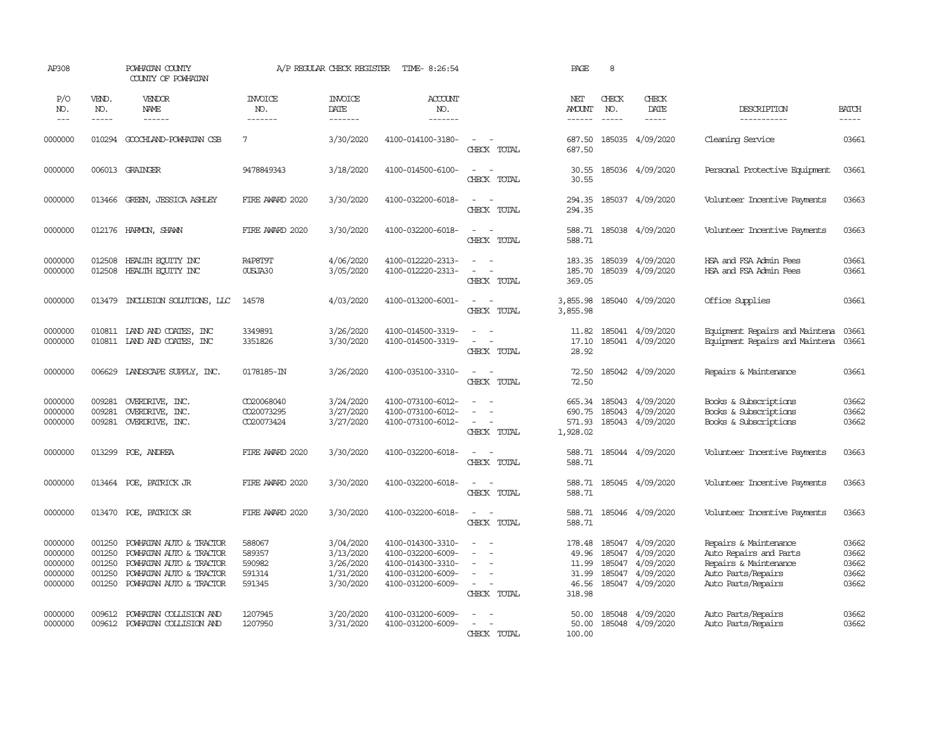| AP308                                               |                                                | POWHATAN COUNTY<br>COUNTY OF POWHATAN                                                                                               |                                                | A/P REGULAR CHECK REGISTER                                    | TIME- 8:26:54                                                                                         |                                                                                               | PAGE                                                 | 8                                                                                                                                                                                                                                                                                                                                                                                                            |                                                                      |                                                                                                                      |                                           |
|-----------------------------------------------------|------------------------------------------------|-------------------------------------------------------------------------------------------------------------------------------------|------------------------------------------------|---------------------------------------------------------------|-------------------------------------------------------------------------------------------------------|-----------------------------------------------------------------------------------------------|------------------------------------------------------|--------------------------------------------------------------------------------------------------------------------------------------------------------------------------------------------------------------------------------------------------------------------------------------------------------------------------------------------------------------------------------------------------------------|----------------------------------------------------------------------|----------------------------------------------------------------------------------------------------------------------|-------------------------------------------|
| P/O<br>NO.<br>$---$                                 | VEND.<br>NO.<br>$- - - - -$                    | VENDOR<br>NAME<br>$- - - - - -$                                                                                                     | <b>INVOICE</b><br>NO.<br>-------               | <b>INVOICE</b><br>DATE<br>-------                             | <b>ACCOUNT</b><br>NO.<br>-------                                                                      |                                                                                               | NET<br>AMOUNT<br>------                              | CHECK<br>NO.<br>$\frac{1}{2} \frac{1}{2} \frac{1}{2} \frac{1}{2} \frac{1}{2} \frac{1}{2} \frac{1}{2} \frac{1}{2} \frac{1}{2} \frac{1}{2} \frac{1}{2} \frac{1}{2} \frac{1}{2} \frac{1}{2} \frac{1}{2} \frac{1}{2} \frac{1}{2} \frac{1}{2} \frac{1}{2} \frac{1}{2} \frac{1}{2} \frac{1}{2} \frac{1}{2} \frac{1}{2} \frac{1}{2} \frac{1}{2} \frac{1}{2} \frac{1}{2} \frac{1}{2} \frac{1}{2} \frac{1}{2} \frac{$ | CHECK<br>DATE<br>$- - - - -$                                         | DESCRIPTION<br>-----------                                                                                           | <b>BATCH</b><br>-----                     |
| 0000000                                             | 010294                                         | GOOCHLAND-POWHATAN CSB                                                                                                              | 7                                              | 3/30/2020                                                     | 4100-014100-3180-                                                                                     | $\sim$<br>$\sim$<br>CHECK TOTAL                                                               | 687.50<br>687.50                                     |                                                                                                                                                                                                                                                                                                                                                                                                              | 185035 4/09/2020                                                     | Cleaning Service                                                                                                     | 03661                                     |
| 0000000                                             |                                                | 006013 GRAINGER                                                                                                                     | 9478849343                                     | 3/18/2020                                                     | 4100-014500-6100-                                                                                     | $\sim$<br>$\sim$<br>CHECK TOTAL                                                               | 30.55<br>30.55                                       |                                                                                                                                                                                                                                                                                                                                                                                                              | 185036 4/09/2020                                                     | Personal Protective Equipment                                                                                        | 03661                                     |
| 0000000                                             | 013466                                         | GREEN, JESSICA ASHLEY                                                                                                               | FIRE AWARD 2020                                | 3/30/2020                                                     | 4100-032200-6018-                                                                                     | $\overline{\phantom{a}}$<br>$\sim$<br>CHECK TOTAL                                             | 294.35<br>294.35                                     |                                                                                                                                                                                                                                                                                                                                                                                                              | 185037 4/09/2020                                                     | Volunteer Incentive Payments                                                                                         | 03663                                     |
| 0000000                                             |                                                | 012176 HARMON, SHAWN                                                                                                                | FIRE AWARD 2020                                | 3/30/2020                                                     | 4100-032200-6018-                                                                                     | $\sim$<br>$\sim$<br>CHECK TOTAL                                                               | 588.71<br>588.71                                     |                                                                                                                                                                                                                                                                                                                                                                                                              | 185038 4/09/2020                                                     | Volunteer Incentive Payments                                                                                         | 03663                                     |
| 0000000<br>0000000                                  | 012508<br>012508                               | HEALTH ECUTTY INC<br>HEALTH EQUITY INC                                                                                              | R4P8T9T<br>OUSJA30                             | 4/06/2020<br>3/05/2020                                        | 4100-012220-2313-<br>4100-012220-2313-                                                                | $\sim$<br>$\sim$<br>$\equiv$<br>$\overline{a}$<br>CHECK TOTAL                                 | 183.35<br>185.70<br>369.05                           | 185039<br>185039                                                                                                                                                                                                                                                                                                                                                                                             | 4/09/2020<br>4/09/2020                                               | HSA and FSA Admin Fees<br>HSA and FSA Admin Fees                                                                     | 03661<br>03661                            |
| 0000000                                             | 013479                                         | INCLUSION SOLUTIONS, LLC                                                                                                            | 14578                                          | 4/03/2020                                                     | 4100-013200-6001-                                                                                     | $\overline{\phantom{a}}$<br>$\sim$<br>CHECK TOTAL                                             | 3,855.98<br>3,855.98                                 |                                                                                                                                                                                                                                                                                                                                                                                                              | 185040 4/09/2020                                                     | Office Supplies                                                                                                      | 03661                                     |
| 0000000<br>0000000                                  | 010811                                         | 010811 LAND AND COATES, INC<br>LAND AND COATES, INC                                                                                 | 3349891<br>3351826                             | 3/26/2020<br>3/30/2020                                        | 4100-014500-3319-<br>4100-014500-3319-                                                                | $\equiv$<br>$\sim$<br>$\sim$<br>$\sim$<br>CHECK TOTAL                                         | 11.82<br>17.10<br>28.92                              |                                                                                                                                                                                                                                                                                                                                                                                                              | 185041 4/09/2020<br>185041 4/09/2020                                 | Equipment Repairs and Maintena<br>Equipment Repairs and Maintena                                                     | 03661<br>03661                            |
| 0000000                                             | 006629                                         | LANDSCAPE SUPPLY, INC.                                                                                                              | 0178185-IN                                     | 3/26/2020                                                     | 4100-035100-3310-                                                                                     | $\sim$<br>$\sim$<br>CHECK TOTAL                                                               | 72.50<br>72.50                                       |                                                                                                                                                                                                                                                                                                                                                                                                              | 185042 4/09/2020                                                     | Repairs & Maintenance                                                                                                | 03661                                     |
| 0000000<br>0000000<br>0000000                       | 009281<br>009281<br>009281                     | OVERDRIVE, INC.<br>OVERDRIVE, INC.<br>OVERDRIVE, INC.                                                                               | CO20068040<br>0020073295<br>CO20073424         | 3/24/2020<br>3/27/2020<br>3/27/2020                           | 4100-073100-6012-<br>4100-073100-6012-<br>4100-073100-6012-                                           | $\overline{\phantom{a}}$<br>CHECK TOTAL                                                       | 665.34 185043<br>690.75<br>571.93<br>1,928.02        | 185043                                                                                                                                                                                                                                                                                                                                                                                                       | 4/09/2020<br>4/09/2020<br>185043 4/09/2020                           | Books & Subscriptions<br>Books & Subscriptions<br>Books & Subscriptions                                              | 03662<br>03662<br>03662                   |
| 0000000                                             | 013299                                         | POE, ANDREA                                                                                                                         | FIRE AWARD 2020                                | 3/30/2020                                                     | 4100-032200-6018-                                                                                     | $\sim$<br>$\sim$<br>CHECK TOTAL                                                               | 588.71<br>588.71                                     |                                                                                                                                                                                                                                                                                                                                                                                                              | 185044 4/09/2020                                                     | Volunteer Incentive Payments                                                                                         | 03663                                     |
| 0000000                                             |                                                | 013464 POE, PATRICK JR                                                                                                              | FIRE AWARD 2020                                | 3/30/2020                                                     | 4100-032200-6018-                                                                                     | $\sim$<br>$\sim$<br>CHECK TOTAL                                                               | 588.71<br>588.71                                     |                                                                                                                                                                                                                                                                                                                                                                                                              | 185045 4/09/2020                                                     | Volunteer Incentive Payments                                                                                         | 03663                                     |
| 0000000                                             | 013470                                         | POE, PATRICK SR                                                                                                                     | FIRE AWARD 2020                                | 3/30/2020                                                     | 4100-032200-6018-                                                                                     | $\sim$<br>$\sim$<br>CHECK TOTAL                                                               | 588.71                                               |                                                                                                                                                                                                                                                                                                                                                                                                              | 588.71 185046 4/09/2020                                              | Volunteer Incentive Payments                                                                                         | 03663                                     |
| 0000000<br>0000000<br>0000000<br>0000000<br>0000000 | 001250<br>001250<br>001250<br>001250<br>001250 | POWHATAN AUTO & TRACTOR<br>POWHATAN AUTO & TRACTOR<br>POWHATAN AUTO & TRACTOR<br>POWHATAN AUTO & TRACTOR<br>POWHATAN AUTO & TRACTOR | 588067<br>589357<br>590982<br>591314<br>591345 | 3/04/2020<br>3/13/2020<br>3/26/2020<br>1/31/2020<br>3/30/2020 | 4100-014300-3310-<br>4100-032200-6009-<br>4100-014300-3310-<br>4100-031200-6009-<br>4100-031200-6009- | $\equiv$<br>$\equiv$<br>$\overline{\phantom{a}}$<br>$\sim$<br>$\sim$<br>$\sim$<br>CHECK TOTAL | 178.48<br>49.96<br>11.99<br>31.99<br>46.56<br>318.98 | 185047<br>185047<br>185047<br>185047                                                                                                                                                                                                                                                                                                                                                                         | 4/09/2020<br>4/09/2020<br>4/09/2020<br>4/09/2020<br>185047 4/09/2020 | Repairs & Maintenance<br>Auto Repairs and Parts<br>Repairs & Maintenance<br>Auto Parts/Repairs<br>Auto Parts/Repairs | 03662<br>03662<br>03662<br>03662<br>03662 |
| 0000000<br>0000000                                  | 009612<br>009612                               | POWHATAN COLLISION AND<br>POWHATAN COLLISION AND                                                                                    | 1207945<br>1207950                             | 3/20/2020<br>3/31/2020                                        | 4100-031200-6009-<br>4100-031200-6009-                                                                | CHECK TOTAL                                                                                   | 50.00<br>50.00<br>100.00                             | 185048                                                                                                                                                                                                                                                                                                                                                                                                       | 4/09/2020<br>185048 4/09/2020                                        | Auto Parts/Repairs<br>Auto Parts/Repairs                                                                             | 03662<br>03662                            |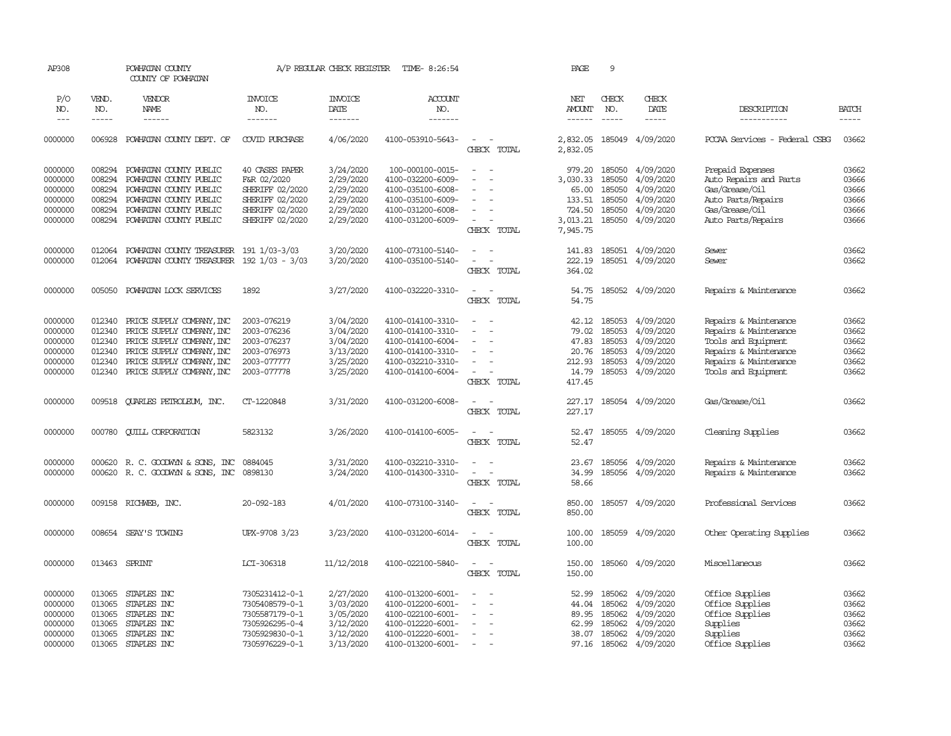| AP308      |               | POWHATAN COUNTY<br>COUNTY OF POWHATAN     |                       | A/P REGULAR CHECK REGISTER | TIME- 8:26:54     |                                         | PAGE                 | 9             |                  |                               |              |
|------------|---------------|-------------------------------------------|-----------------------|----------------------------|-------------------|-----------------------------------------|----------------------|---------------|------------------|-------------------------------|--------------|
| P/O<br>NO. | VEND.<br>NO.  | VENDOR<br>NAME                            | <b>INVOICE</b><br>NO. | <b>INVOICE</b><br>DATE     | ACCOUNT<br>NO.    |                                         | NET<br><b>AMOUNT</b> | CHECK<br>NO.  | CHECK<br>DATE    | DESCRIPTION                   | <b>BATCH</b> |
| $---$      | $\frac{1}{2}$ | ------                                    | -------               | $- - - - - - -$            | --------          |                                         | $- - - - - -$        | $\frac{1}{2}$ | -----            | -----------                   | $- - - - -$  |
| 0000000    | 006928        | POWHATAN COUNTY DEPT. OF                  | <b>COVID PURCHASE</b> | 4/06/2020                  | 4100-053910-5643- | $\overline{\phantom{a}}$<br>CHECK TOTAL | 2,832.05<br>2,832.05 |               | 185049 4/09/2020 | PCCAA Services - Federal CSBG | 03662        |
| 0000000    | 008294        | POWHATAN COUNTY PUBLIC                    | 40 CASES PAPER        | 3/24/2020                  | 100-000100-0015-  | $\sim$                                  | 979.20               | 185050        | 4/09/2020        | Prepaid Expenses              | 03662        |
| 0000000    | 008294        | POWHATAN COUNTY PUBLIC                    | F&R 02/2020           | 2/29/2020                  | 4100-032200-6009- |                                         | 3,030.33             | 185050        | 4/09/2020        | Auto Repairs and Parts        | 03666        |
| 0000000    | 008294        | POWHATAN COUNTY PUBLIC                    | SHERIFF 02/2020       | 2/29/2020                  | 4100-035100-6008- |                                         | 65.00                | 185050        | 4/09/2020        | Gas/Grease/Oil                | 03666        |
| 0000000    | 008294        | POWHATAN COUNTY PUBLIC                    | SHERIFF 02/2020       | 2/29/2020                  | 4100-035100-6009- | ÷                                       | 133.51               | 185050        | 4/09/2020        | Auto Parts/Repairs            | 03666        |
| 0000000    | 008294        | POWHATAN COUNTY PUBLIC                    | SHERIFF 02/2020       | 2/29/2020                  | 4100-031200-6008- |                                         | 724.50               | 185050        | 4/09/2020        | Gas/Grease/Oil                | 03666        |
| 0000000    | 008294        | POWHATAN COUNTY PUBLIC                    | SHERIFF 02/2020       | 2/29/2020                  | 4100-031200-6009- | $\equiv$                                | 3,013.21             | 185050        | 4/09/2020        | Auto Parts/Repairs            | 03666        |
|            |               |                                           |                       |                            |                   | CHECK TOTAL                             | 7,945.75             |               |                  |                               |              |
| 0000000    | 012064        | POWHATAN COUNTY TREASURER 191 1/03-3/03   |                       | 3/20/2020                  | 4100-073100-5140- | $\sim$                                  | 141.83               |               | 185051 4/09/2020 | Sewer                         | 03662        |
| 0000000    | 012064        | POWHATAN COUNTY TREASURER 192 1/03 - 3/03 |                       | 3/20/2020                  | 4100-035100-5140- | $\sim$<br>$\sim$                        | 222.19               |               | 185051 4/09/2020 | Sewer                         | 03662        |
|            |               |                                           |                       |                            |                   | CHECK TOTAL                             | 364.02               |               |                  |                               |              |
| 0000000    | 005050        | POWHATAN LOCK SERVICES                    | 1892                  | 3/27/2020                  | 4100-032220-3310- | $\sim$<br>- 11                          | 54.75                |               | 185052 4/09/2020 | Repairs & Maintenance         | 03662        |
|            |               |                                           |                       |                            |                   | CHECK TOTAL                             | 54.75                |               |                  |                               |              |
| 0000000    | 012340        | PRICE SUPPLY COMPANY, INC                 | 2003-076219           | 3/04/2020                  | 4100-014100-3310- | $\equiv$                                | 42.12                | 185053        | 4/09/2020        | Repairs & Maintenance         | 03662        |
| 0000000    | 012340        | PRICE SUPPLY COMPANY, INC                 | 2003-076236           | 3/04/2020                  | 4100-014100-3310- |                                         | 79.02                | 185053        | 4/09/2020        | Repairs & Maintenance         | 03662        |
| 0000000    | 012340        | PRICE SUPPLY COMPANY, INC                 | 2003-076237           | 3/04/2020                  | 4100-014100-6004- |                                         | 47.83                | 185053        | 4/09/2020        | Tools and Equipment           | 03662        |
| 0000000    | 012340        | PRICE SUPPLY COMPANY, INC                 | 2003-076973           | 3/13/2020                  | 4100-014100-3310- |                                         | 20.76                | 185053        | 4/09/2020        | Repairs & Maintenance         | 03662        |
| 0000000    | 012340        | PRICE SUPPLY COMPANY, INC                 | 2003-077777           | 3/25/2020                  | 4100-032210-3310- |                                         | 212.93               | 185053        | 4/09/2020        | Repairs & Maintenance         | 03662        |
| 0000000    | 012340        | PRICE SUPPLY COMPANY, INC                 | 2003-077778           | 3/25/2020                  | 4100-014100-6004- | $\overline{\phantom{a}}$                | 14.79                |               | 185053 4/09/2020 | Tools and Equipment           | 03662        |
|            |               |                                           |                       |                            |                   | CHECK TOTAL                             | 417.45               |               |                  |                               |              |
| 0000000    | 009518        | QUARLES PETROLEUM, INC.                   | CT-1220848            | 3/31/2020                  | 4100-031200-6008- | $\overline{\phantom{a}}$<br>$\sim$      | 227.17               |               | 185054 4/09/2020 | Gas/Grease/Oil                | 03662        |
|            |               |                                           |                       |                            |                   | CHECK TOTAL                             | 227.17               |               |                  |                               |              |
| 0000000    | 000780        | <b>CUILL CORPORATION</b>                  | 5823132               | 3/26/2020                  | 4100-014100-6005- | $\equiv$<br>$\sim$                      | 52.47                |               | 185055 4/09/2020 | Cleaning Supplies             | 03662        |
|            |               |                                           |                       |                            |                   | CHECK TOTAL                             | 52.47                |               |                  |                               |              |
| 0000000    | 000620        | R. C. GOODWIN & SONS, INC                 | 0884045               | 3/31/2020                  | 4100-032210-3310- | $\overline{\phantom{a}}$                | 23.67                | 185056        | 4/09/2020        | Repairs & Maintenance         | 03662        |
| 0000000    | 000620        | R. C. GOODWYN & SONS, INC                 | 0898130               | 3/24/2020                  | 4100-014300-3310- |                                         | 34.99                |               | 185056 4/09/2020 | Repairs & Maintenance         | 03662        |
|            |               |                                           |                       |                            |                   | CHECK TOTAL                             | 58.66                |               |                  |                               |              |
| 0000000    | 009158        | RICHWEB, INC.                             | 20-092-183            | 4/01/2020                  | 4100-073100-3140- | $\sim$<br>$\sim$                        | 850.00               |               | 185057 4/09/2020 | Professional Services         | 03662        |
|            |               |                                           |                       |                            |                   | CHECK TOTAL                             | 850.00               |               |                  |                               |              |
| 0000000    | 008654        | SEAY'S TOWING                             | UPX-9708 3/23         | 3/23/2020                  | 4100-031200-6014- |                                         | 100.00               |               | 185059 4/09/2020 | Other Operating Supplies      | 03662        |
|            |               |                                           |                       |                            |                   | CHECK TOTAL                             | 100.00               |               |                  |                               |              |
| 0000000    | 013463        | SPRINT                                    | LCI-306318            | 11/12/2018                 | 4100-022100-5840- | $\equiv$                                | 150.00               |               | 185060 4/09/2020 | Miscellaneous                 | 03662        |
|            |               |                                           |                       |                            |                   | CHECK TOTAL                             | 150.00               |               |                  |                               |              |
| 0000000    | 013065        | STAPLES INC                               | 7305231412-0-1        | 2/27/2020                  | 4100-013200-6001- | $\overline{\phantom{a}}$                | 52.99                | 185062        | 4/09/2020        | Office Supplies               | 03662        |
| 0000000    | 013065        | STAPLES INC                               | 7305408579-0-1        | 3/03/2020                  | 4100-012200-6001- |                                         | 44.04                | 185062        | 4/09/2020        | Office Supplies               | 03662        |
| 0000000    | 013065        | STAPLES INC                               | 7305587179-0-1        | 3/05/2020                  | 4100-022100-6001- |                                         | 89.95                | 185062        | 4/09/2020        | Office Supplies               | 03662        |
| 0000000    | 013065        | STAPLES INC                               | 7305926295-0-4        | 3/12/2020                  | 4100-012220-6001- |                                         | 62.99                | 185062        | 4/09/2020        | Supplies                      | 03662        |
| 0000000    | 013065        | STAPLES INC                               | 7305929830-0-1        | 3/12/2020                  | 4100-012220-6001- | $\overline{\phantom{a}}$                | 38.07                | 185062        | 4/09/2020        | Supplies                      | 03662        |
| 0000000    | 013065        | STAPLES INC                               | 7305976229-0-1        | 3/13/2020                  | 4100-013200-6001- | $\equiv$                                | 97.16                |               | 185062 4/09/2020 | Office Supplies               | 03662        |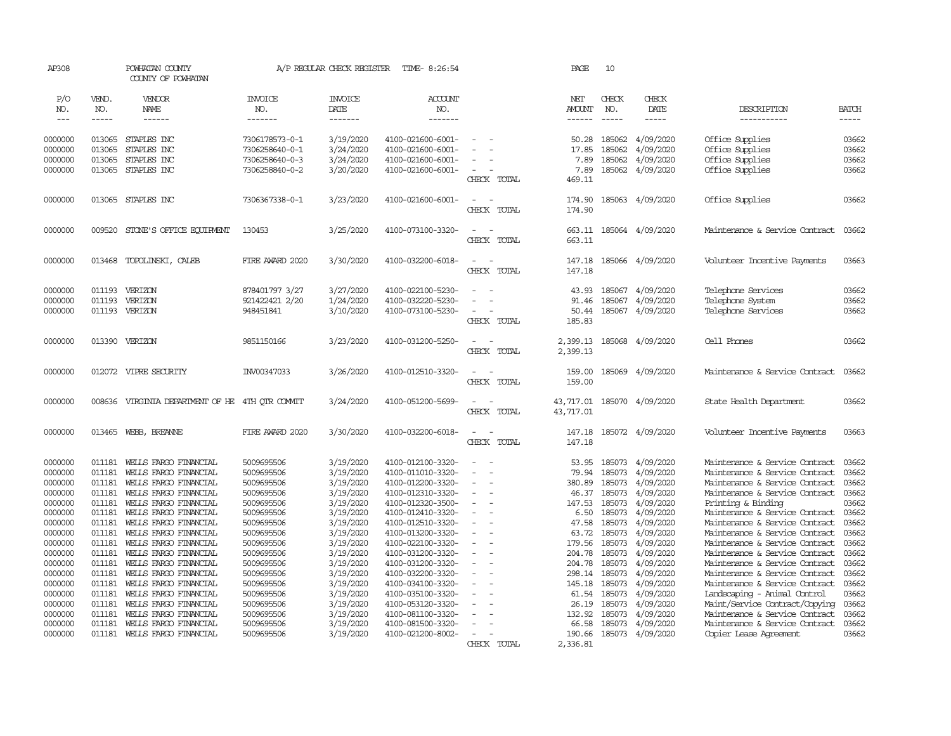| AP308                                                                                                                                                                                   |                                                                                                                                                                        | POWHATAN COUNTY<br>COUNTY OF POWHATAN                                                                                                                                                                                                                                                                                                                                                                                                 |                                                                                                                                                                                                                                            | A/P REGULAR CHECK REGISTER                                                                                                                                                                                                | TIME- 8:26:54                                                                                                                                                                                                                                                                                                                                                     |                                                                  | PAGE                                                                                                                                                         | 10                                                                                                                                                                     |                                                                                                                                                                                                                           |                                                                                                                                                                                                                                                                                                                                                                                                                                                                                                                                                                                  |                                                                                                                                                       |
|-----------------------------------------------------------------------------------------------------------------------------------------------------------------------------------------|------------------------------------------------------------------------------------------------------------------------------------------------------------------------|---------------------------------------------------------------------------------------------------------------------------------------------------------------------------------------------------------------------------------------------------------------------------------------------------------------------------------------------------------------------------------------------------------------------------------------|--------------------------------------------------------------------------------------------------------------------------------------------------------------------------------------------------------------------------------------------|---------------------------------------------------------------------------------------------------------------------------------------------------------------------------------------------------------------------------|-------------------------------------------------------------------------------------------------------------------------------------------------------------------------------------------------------------------------------------------------------------------------------------------------------------------------------------------------------------------|------------------------------------------------------------------|--------------------------------------------------------------------------------------------------------------------------------------------------------------|------------------------------------------------------------------------------------------------------------------------------------------------------------------------|---------------------------------------------------------------------------------------------------------------------------------------------------------------------------------------------------------------------------|----------------------------------------------------------------------------------------------------------------------------------------------------------------------------------------------------------------------------------------------------------------------------------------------------------------------------------------------------------------------------------------------------------------------------------------------------------------------------------------------------------------------------------------------------------------------------------|-------------------------------------------------------------------------------------------------------------------------------------------------------|
| P/O<br>NO.<br>$---$                                                                                                                                                                     | VEND.<br>NO.<br>-----                                                                                                                                                  | VENDOR<br>NAME<br>$- - - - - -$                                                                                                                                                                                                                                                                                                                                                                                                       | <b>INVOICE</b><br>NO.<br>-------                                                                                                                                                                                                           | <b>INVOICE</b><br>DATE<br>-------                                                                                                                                                                                         | ACCOUNT<br>NO.<br>--------                                                                                                                                                                                                                                                                                                                                        |                                                                  | NET<br>AMOUNT<br>-------                                                                                                                                     | CHECK<br>NO.<br>$\frac{1}{2}$                                                                                                                                          | CHECK<br>DATE<br>-----                                                                                                                                                                                                    | DESCRIPTION<br>-----------                                                                                                                                                                                                                                                                                                                                                                                                                                                                                                                                                       | BATCH<br>-----                                                                                                                                        |
| 0000000<br>0000000<br>0000000<br>0000000                                                                                                                                                | 013065<br>013065<br>013065<br>013065                                                                                                                                   | STAPLES INC.<br>STAPLES INC<br>STAPLES INC<br>STAPLES INC                                                                                                                                                                                                                                                                                                                                                                             | 7306178573-0-1<br>7306258640-0-1<br>7306258640-0-3<br>7306258840-0-2                                                                                                                                                                       | 3/19/2020<br>3/24/2020<br>3/24/2020<br>3/20/2020                                                                                                                                                                          | 4100-021600-6001-<br>4100-021600-6001-<br>4100-021600-6001-<br>4100-021600-6001-                                                                                                                                                                                                                                                                                  | $\sim$<br>CHECK TOTAL                                            | 50.28<br>17.85<br>7.89<br>7.89<br>469.11                                                                                                                     | 185062<br>185062<br>185062<br>185062                                                                                                                                   | 4/09/2020<br>4/09/2020<br>4/09/2020<br>4/09/2020                                                                                                                                                                          | Office Supplies<br>Office Supplies<br>Office Supplies<br>Office Supplies                                                                                                                                                                                                                                                                                                                                                                                                                                                                                                         | 03662<br>03662<br>03662<br>03662                                                                                                                      |
| 0000000                                                                                                                                                                                 |                                                                                                                                                                        | 013065 STAPLES INC                                                                                                                                                                                                                                                                                                                                                                                                                    | 7306367338-0-1                                                                                                                                                                                                                             | 3/23/2020                                                                                                                                                                                                                 | 4100-021600-6001-                                                                                                                                                                                                                                                                                                                                                 | $\sim$<br>$\sim$<br>CHECK TOTAL                                  | 174.90<br>174.90                                                                                                                                             |                                                                                                                                                                        | 185063 4/09/2020                                                                                                                                                                                                          | Office Supplies                                                                                                                                                                                                                                                                                                                                                                                                                                                                                                                                                                  | 03662                                                                                                                                                 |
| 0000000                                                                                                                                                                                 | 009520                                                                                                                                                                 | STONE'S OFFICE EQUIPMENT                                                                                                                                                                                                                                                                                                                                                                                                              | 130453                                                                                                                                                                                                                                     | 3/25/2020                                                                                                                                                                                                                 | 4100-073100-3320-                                                                                                                                                                                                                                                                                                                                                 | $\sim$<br>$\sim$<br>CHECK TOTAL                                  | 663.11<br>663.11                                                                                                                                             |                                                                                                                                                                        | 185064 4/09/2020                                                                                                                                                                                                          | Maintenance & Service Contract                                                                                                                                                                                                                                                                                                                                                                                                                                                                                                                                                   | 03662                                                                                                                                                 |
| 0000000                                                                                                                                                                                 | 013468                                                                                                                                                                 | TOPOLINSKI, CALEB                                                                                                                                                                                                                                                                                                                                                                                                                     | FIRE AWARD 2020                                                                                                                                                                                                                            | 3/30/2020                                                                                                                                                                                                                 | 4100-032200-6018-                                                                                                                                                                                                                                                                                                                                                 | $\sim$<br>$\sim$<br>CHECK TOTAL                                  | 147.18<br>147.18                                                                                                                                             |                                                                                                                                                                        | 185066 4/09/2020                                                                                                                                                                                                          | Volunteer Incentive Payments                                                                                                                                                                                                                                                                                                                                                                                                                                                                                                                                                     | 03663                                                                                                                                                 |
| 0000000<br>0000000<br>0000000                                                                                                                                                           | 011193<br>011193                                                                                                                                                       | VERIZON<br>VERIZON<br>011193 VERIZON                                                                                                                                                                                                                                                                                                                                                                                                  | 878401797 3/27<br>921422421 2/20<br>948451841                                                                                                                                                                                              | 3/27/2020<br>1/24/2020<br>3/10/2020                                                                                                                                                                                       | 4100-022100-5230-<br>4100-032220-5230-<br>4100-073100-5230-                                                                                                                                                                                                                                                                                                       | $\overline{\phantom{a}}$<br>$\overline{a}$<br>CHECK TOTAL        | 43.93<br>91.46<br>50.44<br>185.83                                                                                                                            | 185067<br>185067                                                                                                                                                       | 4/09/2020<br>4/09/2020<br>185067 4/09/2020                                                                                                                                                                                | Telephone Services<br>Telephone System<br>Telephone Services                                                                                                                                                                                                                                                                                                                                                                                                                                                                                                                     | 03662<br>03662<br>03662                                                                                                                               |
| 0000000                                                                                                                                                                                 |                                                                                                                                                                        | 013390 VERIZON                                                                                                                                                                                                                                                                                                                                                                                                                        | 9851150166                                                                                                                                                                                                                                 | 3/23/2020                                                                                                                                                                                                                 | 4100-031200-5250-                                                                                                                                                                                                                                                                                                                                                 | $\sim$<br>$\sim$<br>CHECK TOTAL                                  | 2,399.13<br>2,399.13                                                                                                                                         |                                                                                                                                                                        | 185068 4/09/2020                                                                                                                                                                                                          | Cell Phones                                                                                                                                                                                                                                                                                                                                                                                                                                                                                                                                                                      | 03662                                                                                                                                                 |
| 0000000                                                                                                                                                                                 |                                                                                                                                                                        | 012072 VIPRE SECURITY                                                                                                                                                                                                                                                                                                                                                                                                                 | INV00347033                                                                                                                                                                                                                                | 3/26/2020                                                                                                                                                                                                                 | 4100-012510-3320-                                                                                                                                                                                                                                                                                                                                                 | $\sim$<br>- 11<br>CHECK TOTAL                                    | 159.00<br>159.00                                                                                                                                             | 185069                                                                                                                                                                 | 4/09/2020                                                                                                                                                                                                                 | Maintenance & Service Contract                                                                                                                                                                                                                                                                                                                                                                                                                                                                                                                                                   | 03662                                                                                                                                                 |
| 0000000                                                                                                                                                                                 | 008636                                                                                                                                                                 | VIRGINIA DEPARTMENT OF HE 4TH OTR COMMIT                                                                                                                                                                                                                                                                                                                                                                                              |                                                                                                                                                                                                                                            | 3/24/2020                                                                                                                                                                                                                 | 4100-051200-5699-                                                                                                                                                                                                                                                                                                                                                 | $\sim$<br>$\sim$<br>CHECK TOTAL                                  | 43,717.01<br>43,717.01                                                                                                                                       |                                                                                                                                                                        | 185070 4/09/2020                                                                                                                                                                                                          | State Health Department                                                                                                                                                                                                                                                                                                                                                                                                                                                                                                                                                          | 03662                                                                                                                                                 |
| 0000000                                                                                                                                                                                 | 013465                                                                                                                                                                 | WEBB, BREANNE                                                                                                                                                                                                                                                                                                                                                                                                                         | FIRE AWARD 2020                                                                                                                                                                                                                            | 3/30/2020                                                                                                                                                                                                                 | 4100-032200-6018-                                                                                                                                                                                                                                                                                                                                                 | $\sim$<br>. —<br>CHECK TOTAL                                     | 147.18<br>147.18                                                                                                                                             |                                                                                                                                                                        | 185072 4/09/2020                                                                                                                                                                                                          | Volunteer Incentive Payments                                                                                                                                                                                                                                                                                                                                                                                                                                                                                                                                                     | 03663                                                                                                                                                 |
| 0000000<br>0000000<br>0000000<br>0000000<br>0000000<br>0000000<br>0000000<br>0000000<br>0000000<br>0000000<br>0000000<br>0000000<br>0000000<br>0000000<br>0000000<br>0000000<br>0000000 | 011181<br>011181<br>011181<br>011181<br>011181<br>011181<br>011181<br>011181<br>011181<br>011181<br>011181<br>011181<br>011181<br>011181<br>011181<br>011181<br>011181 | WEILS FARGO FINANCIAL<br>WELLS FARGO FINANCIAL<br>WELLS FARGO FINANCIAL<br>WELLS FARGO FINANCIAL<br>WELLS FARGO FINANCIAL<br>WELLS FARGO FINANCIAL<br>WELLS FARGO FINANCIAL<br>WELLS FARGO FINANCIAL<br>WELLS FARGO FINANCIAL<br>WELLS FARGO FINANCIAL<br>WELLS FARGO FINANCIAL<br>WELLS FARGO FINANCIAL<br>WEILS FARGO FINANCIAL<br>WELLS FARGO FINANCIAL<br>WELLS FARGO FINANCIAL<br>WELLS FARGO FINANCIAL<br>WELLS FARGO FINANCIAL | 5009695506<br>5009695506<br>5009695506<br>5009695506<br>5009695506<br>5009695506<br>5009695506<br>5009695506<br>5009695506<br>5009695506<br>5009695506<br>5009695506<br>5009695506<br>5009695506<br>5009695506<br>5009695506<br>5009695506 | 3/19/2020<br>3/19/2020<br>3/19/2020<br>3/19/2020<br>3/19/2020<br>3/19/2020<br>3/19/2020<br>3/19/2020<br>3/19/2020<br>3/19/2020<br>3/19/2020<br>3/19/2020<br>3/19/2020<br>3/19/2020<br>3/19/2020<br>3/19/2020<br>3/19/2020 | 4100-012100-3320-<br>4100-011010-3320-<br>4100-012200-3320-<br>4100-012310-3320-<br>4100-012320-3500-<br>4100-012410-3320-<br>4100-012510-3320-<br>4100-013200-3320-<br>4100-022100-3320-<br>4100-031200-3320-<br>4100-031200-3320-<br>4100-032200-3320-<br>4100-034100-3320-<br>4100-035100-3320-<br>4100-053120-3320-<br>4100-081100-3320-<br>4100-081500-3320- | $\equiv$<br>$\sim$<br>÷.<br>$\sim$<br>$\overline{a}$<br>$\equiv$ | 53.95<br>79.94<br>380.89<br>46.37<br>147.53<br>6.50<br>47.58<br>63.72<br>179.56<br>204.78<br>204.78<br>298.14<br>145.18<br>61.54<br>26.19<br>132.92<br>66.58 | 185073<br>185073<br>185073<br>185073<br>185073<br>185073<br>185073<br>185073<br>185073<br>185073<br>185073<br>185073<br>185073<br>185073<br>185073<br>185073<br>185073 | 4/09/2020<br>4/09/2020<br>4/09/2020<br>4/09/2020<br>4/09/2020<br>4/09/2020<br>4/09/2020<br>4/09/2020<br>4/09/2020<br>4/09/2020<br>4/09/2020<br>4/09/2020<br>4/09/2020<br>4/09/2020<br>4/09/2020<br>4/09/2020<br>4/09/2020 | Maintenance & Service Contract<br>Maintenance & Service Contract<br>Maintenance & Service Contract<br>Maintenance & Service Contract<br>Printing & Binding<br>Maintenance & Service Contract<br>Maintenance & Service Contract<br>Maintenance & Service Contract<br>Maintenance & Service Contract<br>Maintenance & Service Contract<br>Maintenance & Service Contract<br>Maintenance & Service Contract<br>Maintenance & Service Contract<br>Landscaping - Animal Control<br>Maint/Service Contract/Copying<br>Maintenance & Service Contract<br>Maintenance & Service Contract | 03662<br>03662<br>03662<br>03662<br>03662<br>03662<br>03662<br>03662<br>03662<br>03662<br>03662<br>03662<br>03662<br>03662<br>03662<br>03662<br>03662 |
| 0000000                                                                                                                                                                                 |                                                                                                                                                                        | 011181 WEILS FARGO FINANCIAL                                                                                                                                                                                                                                                                                                                                                                                                          | 5009695506                                                                                                                                                                                                                                 | 3/19/2020                                                                                                                                                                                                                 | 4100-021200-8002-                                                                                                                                                                                                                                                                                                                                                 | CHECK TOTAL                                                      | 190.66<br>2,336.81                                                                                                                                           |                                                                                                                                                                        | 185073 4/09/2020                                                                                                                                                                                                          | Copier Lease Agreement                                                                                                                                                                                                                                                                                                                                                                                                                                                                                                                                                           | 03662                                                                                                                                                 |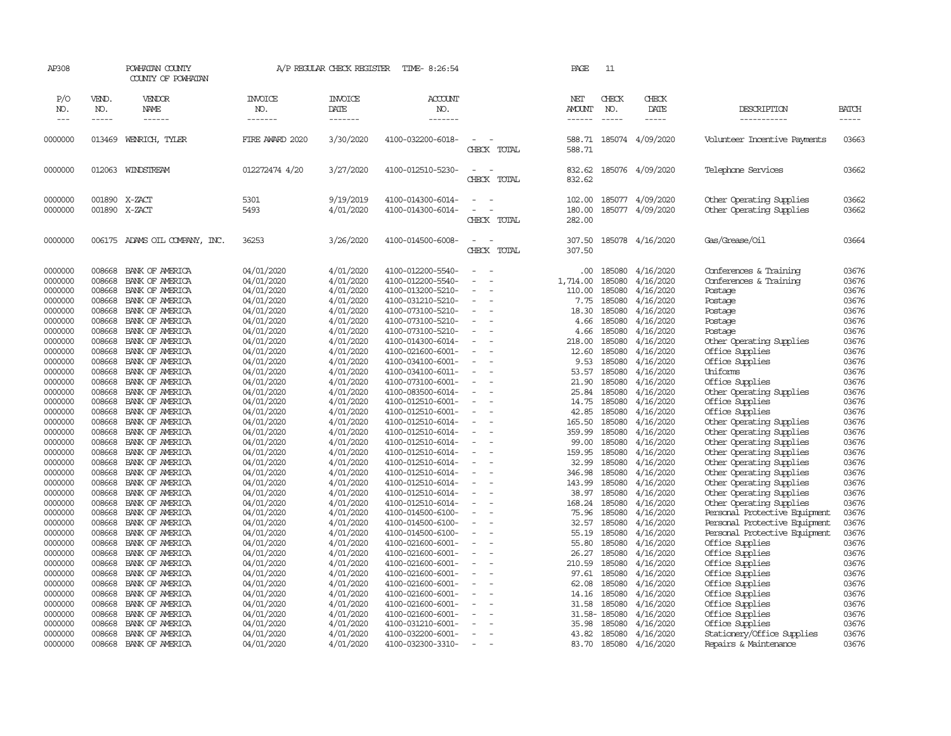| AP308      |              | POWHATAN COUNTY<br>COUNTY OF POWHATAN |                       | A/P REGULAR CHECK REGISTER | TIME- 8:26:54         |                                                      |             | PAGE                 | 11            |                         |                               |              |
|------------|--------------|---------------------------------------|-----------------------|----------------------------|-----------------------|------------------------------------------------------|-------------|----------------------|---------------|-------------------------|-------------------------------|--------------|
| P/O<br>NO. | VEND.<br>NO. | VENDOR<br>NAME                        | <b>INVOICE</b><br>NO. | <b>INVOICE</b><br>DATE     | <b>ACCOUNT</b><br>NO. |                                                      |             | NET<br><b>AMOUNT</b> | CHECK<br>NO.  | CHECK<br>DATE           | DESCRIPTION                   | <b>BATCH</b> |
| $---$      | -----        | ------                                | -------               | --------                   | -------               |                                                      |             | -------              | $\frac{1}{2}$ | $- - - - -$             | -----------                   | -----        |
| 0000000    | 013469       | WENRICH, TYLER                        | FIRE AWARD 2020       | 3/30/2020                  | 4100-032200-6018-     |                                                      | CHECK TOTAL | 588.71               |               | 588.71 185074 4/09/2020 | Volunteer Incentive Payments  | 03663        |
| 0000000    |              | 012063 WINDSTREAM                     | 012272474 4/20        | 3/27/2020                  | 4100-012510-5230-     | $\sim$<br>$\sim$<br>CHECK                            | TOTAL       | 832.62<br>832.62     |               | 185076 4/09/2020        | Telephone Services            | 03662        |
| 0000000    |              | 001890 X-ZACT                         | 5301                  | 9/19/2019                  | 4100-014300-6014-     | $\sim$<br>$\sim$                                     |             | 102.00               |               | 185077 4/09/2020        | Other Operating Supplies      | 03662        |
| 0000000    |              | 001890 X-ZACT                         | 5493                  | 4/01/2020                  | 4100-014300-6014-     |                                                      |             | 180.00               |               | 185077 4/09/2020        | Other Operating Supplies      | 03662        |
|            |              |                                       |                       |                            |                       |                                                      | CHECK TOTAL | 282.00               |               |                         |                               |              |
|            |              |                                       |                       |                            |                       | $\sim$                                               |             |                      |               |                         |                               |              |
| 0000000    |              | 006175 ADAMS OIL COMPANY, INC.        | 36253                 | 3/26/2020                  | 4100-014500-6008-     | CHECK                                                | TOTAL       | 307.50<br>307.50     |               | 185078 4/16/2020        | Gas/Grease/Oil                | 03664        |
|            |              |                                       |                       |                            |                       |                                                      |             |                      |               |                         |                               |              |
| 0000000    | 008668       | BANK OF AMERICA                       | 04/01/2020            | 4/01/2020                  | 4100-012200-5540-     |                                                      |             | .00.                 | 185080        | 4/16/2020               | Conferences & Training        | 03676        |
| 0000000    | 008668       | BANK OF AMERICA                       | 04/01/2020            | 4/01/2020                  | 4100-012200-5540-     |                                                      |             | 1,714.00             | 185080        | 4/16/2020               | Conferences & Training        | 03676        |
| 0000000    | 008668       | BANK OF AMERICA                       | 04/01/2020            | 4/01/2020                  | 4100-013200-5210-     | $\sim$                                               |             | 110.00               | 185080        | 4/16/2020               | Postage                       | 03676        |
| 0000000    | 008668       | BANK OF AMERICA                       | 04/01/2020            | 4/01/2020                  | 4100-031210-5210-     | $\sim$                                               |             | 7.75                 | 185080        | 4/16/2020               | Postage                       | 03676        |
| 0000000    | 008668       | BANK OF AMERICA                       | 04/01/2020            | 4/01/2020                  | 4100-073100-5210-     | $\sim$                                               |             | 18.30                | 185080        | 4/16/2020               | Postage                       | 03676        |
| 0000000    | 008668       | BANK OF AMERICA                       | 04/01/2020            | 4/01/2020                  | 4100-073100-5210-     | $\equiv$                                             |             | 4.66                 | 185080        | 4/16/2020               | Postage                       | 03676        |
| 0000000    | 008668       | BANK OF AMERICA                       | 04/01/2020            | 4/01/2020                  | 4100-073100-5210-     |                                                      |             | 4.66                 | 185080        | 4/16/2020               | Postage                       | 03676        |
| 0000000    | 008668       | BANK OF AMERICA                       | 04/01/2020            | 4/01/2020                  | 4100-014300-6014-     | $\sim$<br>$\sim$                                     |             | 218.00               | 185080        | 4/16/2020               | Other Operating Supplies      | 03676        |
| 0000000    | 008668       | BANK OF AMERICA                       | 04/01/2020            | 4/01/2020                  | 4100-021600-6001-     | $\sim$                                               |             | 12.60                | 185080        | 4/16/2020               | Office Supplies               | 03676        |
| 0000000    | 008668       | BANK OF AMERICA                       | 04/01/2020            | 4/01/2020                  | 4100-034100-6001-     |                                                      |             | 9.53                 | 185080        | 4/16/2020               | Office Supplies               | 03676        |
| 0000000    | 008668       | BANK OF AMERICA                       | 04/01/2020            | 4/01/2020                  | 4100-034100-6011-     | $\overline{\phantom{a}}$<br>$\overline{\phantom{a}}$ |             | 53.57                | 185080        | 4/16/2020               | Uniforms                      | 03676        |
| 0000000    | 008668       | BANK OF AMERICA                       | 04/01/2020            | 4/01/2020                  | 4100-073100-6001-     | $\overline{a}$                                       |             | 21.90                | 185080        | 4/16/2020               | Office Supplies               | 03676        |
| 0000000    | 008668       | BANK OF AMERICA                       | 04/01/2020            | 4/01/2020                  | 4100-083500-6014-     | $\sim$                                               |             | 25.84                | 185080        | 4/16/2020               | Other Operating Supplies      | 03676        |
| 0000000    | 008668       | BANK OF AMERICA                       | 04/01/2020            | 4/01/2020                  | 4100-012510-6001-     | $\equiv$                                             |             | 14.75                | 185080        | 4/16/2020               | Office Supplies               | 03676        |
| 0000000    | 008668       | BANK OF AMERICA                       | 04/01/2020            | 4/01/2020                  | 4100-012510-6001-     | $\overline{\phantom{a}}$<br>$\overline{\phantom{a}}$ |             | 42.85                | 185080        | 4/16/2020               | Office Supplies               | 03676        |
| 0000000    | 008668       | BANK OF AMERICA                       | 04/01/2020            | 4/01/2020                  | 4100-012510-6014-     | $\sim$                                               |             | 165.50               | 185080        | 4/16/2020               | Other Operating Supplies      | 03676        |
| 0000000    | 008668       | BANK OF AMERICA                       | 04/01/2020            | 4/01/2020                  | 4100-012510-6014-     |                                                      |             | 359.99               | 185080        | 4/16/2020               | Other Operating Supplies      | 03676        |
| 0000000    | 008668       | BANK OF AMERICA                       | 04/01/2020            | 4/01/2020                  | 4100-012510-6014-     | $\sim$                                               |             | 99.00                | 185080        | 4/16/2020               | Other Operating Supplies      | 03676        |
| 0000000    | 008668       | BANK OF AMERICA                       | 04/01/2020            | 4/01/2020                  | 4100-012510-6014-     |                                                      |             | 159.95               | 185080        | 4/16/2020               | Other Operating Supplies      | 03676        |
| 0000000    | 008668       | BANK OF AMERICA                       | 04/01/2020            | 4/01/2020                  | 4100-012510-6014-     | $\sim$                                               |             | 32.99                | 185080        | 4/16/2020               | Other Operating Supplies      | 03676        |
| 0000000    | 008668       | BANK OF AMERICA                       | 04/01/2020            | 4/01/2020                  | 4100-012510-6014-     |                                                      |             | 346.98               | 185080        | 4/16/2020               | Other Operating Supplies      | 03676        |
| 0000000    | 008668       | BANK OF AMERICA                       | 04/01/2020            | 4/01/2020                  | 4100-012510-6014-     | $\sim$<br>$\sim$                                     |             | 143.99               | 185080        | 4/16/2020               | Other Operating Supplies      | 03676        |
| 0000000    | 008668       | BANK OF AMERICA                       | 04/01/2020            | 4/01/2020                  | 4100-012510-6014-     | $\sim$                                               |             | 38.97                | 185080        | 4/16/2020               | Other Operating Supplies      | 03676        |
| 0000000    | 008668       | BANK OF AMERICA                       | 04/01/2020            | 4/01/2020                  | 4100-012510-6014-     |                                                      |             | 168.24               | 185080        | 4/16/2020               | Other Operating Supplies      | 03676        |
| 0000000    | 008668       | BANK OF AMERICA                       | 04/01/2020            | 4/01/2020                  | 4100-014500-6100-     | $\overline{\phantom{a}}$<br>$\overline{\phantom{a}}$ |             | 75.96                | 185080        | 4/16/2020               | Personal Protective Equipment | 03676        |
| 0000000    | 008668       | BANK OF AMERICA                       | 04/01/2020            | 4/01/2020                  | 4100-014500-6100-     | $\sim$                                               |             | 32.57                | 185080        | 4/16/2020               | Personal Protective Equipment | 03676        |
| 0000000    | 008668       | BANK OF AMERICA                       | 04/01/2020            | 4/01/2020                  | 4100-014500-6100-     | $\sim$                                               |             | 55.19                | 185080        | 4/16/2020               | Personal Protective Equipment | 03676        |
| 0000000    | 008668       | BANK OF AMERICA                       | 04/01/2020            | 4/01/2020                  | 4100-021600-6001-     | $\equiv$                                             |             | 55.80                | 185080        | 4/16/2020               | Office Supplies               | 03676        |
| 0000000    | 008668       | BANK OF AMERICA                       | 04/01/2020            | 4/01/2020                  | 4100-021600-6001-     | $\sim$                                               |             | 26.27                | 185080        | 4/16/2020               | Office Supplies               | 03676        |
| 0000000    | 008668       | BANK OF AMERICA                       | 04/01/2020            | 4/01/2020                  | 4100-021600-6001-     |                                                      |             | 210.59               | 185080        | 4/16/2020               | Office Supplies               | 03676        |
| 0000000    | 008668       | BANK OF AMERICA                       | 04/01/2020            | 4/01/2020                  | 4100-021600-6001-     |                                                      |             | 97.61                | 185080        | 4/16/2020               | Office Supplies               | 03676        |
| 0000000    | 008668       | BANK OF AMERICA                       | 04/01/2020            | 4/01/2020                  | 4100-021600-6001-     | $\overline{\phantom{a}}$<br>$\overline{\phantom{a}}$ |             | 62.08                | 185080        | 4/16/2020               | Office Supplies               | 03676        |
| 0000000    | 008668       | BANK OF AMERICA                       | 04/01/2020            | 4/01/2020                  | 4100-021600-6001-     |                                                      |             | 14.16                | 185080        | 4/16/2020               | Office Supplies               | 03676        |
| 0000000    | 008668       | BANK OF AMERICA                       | 04/01/2020            | 4/01/2020                  | 4100-021600-6001-     |                                                      |             | 31.58                | 185080        | 4/16/2020               | Office Supplies               | 03676        |
| 0000000    | 008668       | BANK OF AMERICA                       | 04/01/2020            | 4/01/2020                  | 4100-021600-6001-     |                                                      |             |                      | 31.58-185080  | 4/16/2020               | Office Supplies               | 03676        |
| 0000000    | 008668       | BANK OF AMERICA                       | 04/01/2020            | 4/01/2020                  | 4100-031210-6001-     |                                                      |             | 35.98                | 185080        | 4/16/2020               | Office Supplies               | 03676        |
| 0000000    | 008668       | BANK OF AMERICA                       | 04/01/2020            | 4/01/2020                  | 4100-032200-6001-     | $\overline{\phantom{a}}$                             |             | 43.82                | 185080        | 4/16/2020               | Stationery/Office Supplies    | 03676        |
| 0000000    | 008668       | BANK OF AMERICA                       | 04/01/2020            | 4/01/2020                  | 4100-032300-3310-     | $\sim$                                               |             | 83.70                | 185080        | 4/16/2020               | Repairs & Maintenance         | 03676        |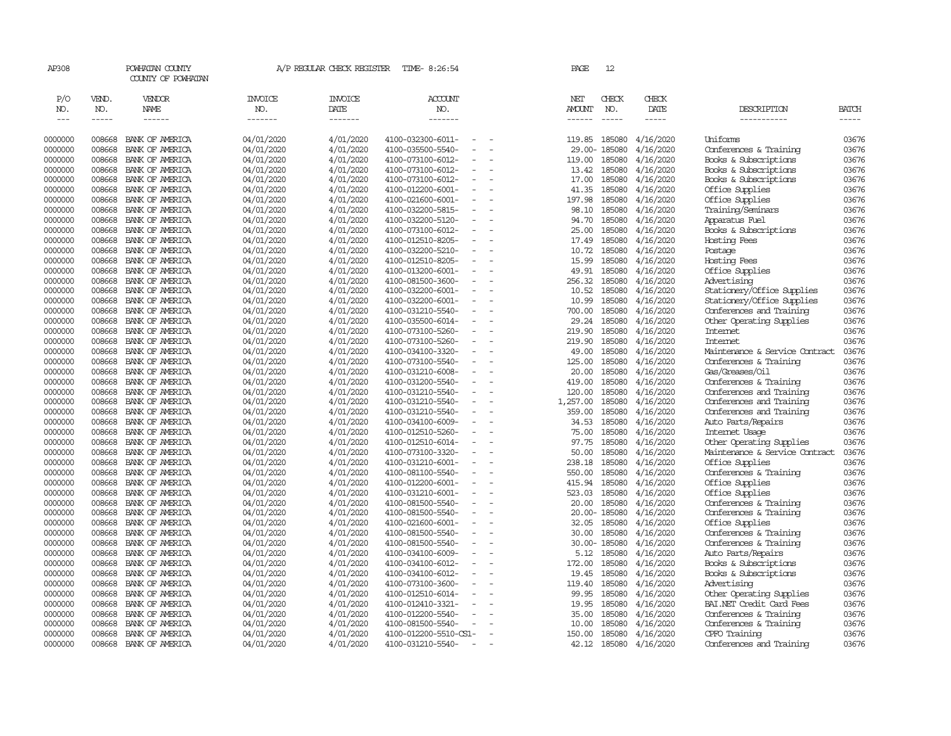| AP308                       |                             | POWHATAN COUNTY<br>COUNTY OF POWHATAN  |                                  | A/P REGULAR CHECK REGISTER        | TIME- 8:26:54                                 | PAGE                           | 12                            |                        |                                |                             |
|-----------------------------|-----------------------------|----------------------------------------|----------------------------------|-----------------------------------|-----------------------------------------------|--------------------------------|-------------------------------|------------------------|--------------------------------|-----------------------------|
| P/O<br>NO.<br>$\frac{1}{2}$ | VEND.<br>NO.<br>$- - - - -$ | <b>VENDOR</b><br>NAME<br>$- - - - - -$ | <b>INVOICE</b><br>NO.<br>------- | <b>INVOICE</b><br>DATE<br>------- | ACCOUNT<br>NO.<br>-------                     | NET<br><b>AMOUNT</b><br>------ | CHECK<br>NO.<br>$\frac{1}{2}$ | CHECK<br>DATE<br>----- | DESCRIPTION<br>-----------     | <b>BATCH</b><br>$- - - - -$ |
| 0000000                     | 008668                      | BANK OF AMERICA                        | 04/01/2020                       | 4/01/2020                         | 4100-032300-6011-                             | 119.85                         | 185080                        | 4/16/2020              | Uniforms                       | 03676                       |
| 0000000                     | 008668                      | BANK OF AMERICA                        | 04/01/2020                       | 4/01/2020                         | 4100-035500-5540-                             |                                | 29.00-185080                  | 4/16/2020              | Conferences & Training         | 03676                       |
| 0000000                     | 008668                      | BANK OF AMERICA                        | 04/01/2020                       | 4/01/2020                         | 4100-073100-6012-                             | 119.00                         | 185080                        | 4/16/2020              | Books & Subscriptions          | 03676                       |
| 0000000                     | 008668                      | BANK OF AMERICA                        | 04/01/2020                       | 4/01/2020                         | 4100-073100-6012-                             | 13.42                          | 185080                        | 4/16/2020              | Books & Subscriptions          | 03676                       |
| 0000000                     | 008668                      | BANK OF AMERICA                        | 04/01/2020                       | 4/01/2020                         | 4100-073100-6012-                             | 17.00                          | 185080                        | 4/16/2020              | Books & Subscriptions          | 03676                       |
| 0000000                     | 008668                      | BANK OF AMERICA                        | 04/01/2020                       | 4/01/2020                         | 4100-012200-6001-<br>$\equiv$                 | 41.35                          | 185080                        | 4/16/2020              | Office Supplies                | 03676                       |
| 0000000                     | 008668                      | BANK OF AMERICA                        | 04/01/2020                       | 4/01/2020                         | 4100-021600-6001-                             | 197.98                         | 185080                        | 4/16/2020              | Office Supplies                | 03676                       |
| 0000000                     | 008668                      | BANK OF AMERICA                        | 04/01/2020                       | 4/01/2020                         | 4100-032200-5815-                             | 98.10                          | 185080                        | 4/16/2020              | Training/Seminars              | 03676                       |
| 0000000                     | 008668                      | BANK OF AMERICA                        | 04/01/2020                       | 4/01/2020                         | 4100-032200-5120-                             | 94.70                          | 185080                        | 4/16/2020              | Apparatus Fuel                 | 03676                       |
| 0000000                     | 008668                      | BANK OF AMERICA                        | 04/01/2020                       | 4/01/2020                         | 4100-073100-6012-                             | 25.00                          | 185080                        | 4/16/2020              | Books & Subscriptions          | 03676                       |
| 0000000                     | 008668                      | BANK OF AMERICA                        | 04/01/2020                       | 4/01/2020                         | 4100-012510-8205-                             | 17.49                          | 185080                        | 4/16/2020              | Hosting Fees                   | 03676                       |
| 0000000                     | 008668                      | BANK OF AMERICA                        | 04/01/2020                       | 4/01/2020                         | 4100-032200-5210-                             | 10.72                          | 185080                        | 4/16/2020              | Postage                        | 03676                       |
| 0000000                     | 008668                      | BANK OF AMERICA                        | 04/01/2020                       | 4/01/2020                         | 4100-012510-8205-<br>$\equiv$                 | 15.99                          | 185080                        | 4/16/2020              | Hosting Fees                   | 03676                       |
| 0000000                     | 008668                      | BANK OF AMERICA                        | 04/01/2020                       | 4/01/2020                         | 4100-013200-6001-                             | 49.91                          | 185080                        | 4/16/2020              | Office Supplies                | 03676                       |
| 0000000                     | 008668                      | BANK OF AMERICA                        | 04/01/2020                       | 4/01/2020                         | 4100-081500-3600-                             | 256.32                         | 185080                        | 4/16/2020              | Advertising                    | 03676                       |
| 0000000                     | 008668                      | BANK OF AMERICA                        | 04/01/2020                       | 4/01/2020                         | 4100-032200-6001-                             | 10.52                          | 185080                        | 4/16/2020              | Stationery/Office Supplies     | 03676                       |
| 0000000                     | 008668                      | BANK OF AMERICA                        | 04/01/2020                       | 4/01/2020                         | 4100-032200-6001-                             | 10.99                          | 185080                        | 4/16/2020              | Stationery/Office Supplies     | 03676                       |
| 0000000                     | 008668                      | BANK OF AMERICA                        | 04/01/2020                       | 4/01/2020                         | 4100-031210-5540-                             | 700.00                         | 185080                        | 4/16/2020              | Conferences and Training       | 03676                       |
| 0000000                     | 008668                      | BANK OF AMERICA                        | 04/01/2020                       | 4/01/2020                         | 4100-035500-6014-                             | 29.24                          | 185080                        | 4/16/2020              | Other Operating Supplies       | 03676                       |
| 0000000                     | 008668                      | BANK OF AMERICA                        | 04/01/2020                       | 4/01/2020                         | 4100-073100-5260-                             | 219.90                         | 185080                        | 4/16/2020              | Internet                       | 03676                       |
| 0000000                     | 008668                      | BANK OF AMERICA                        | 04/01/2020                       | 4/01/2020                         | 4100-073100-5260-                             | 219.90                         | 185080                        | 4/16/2020              | <b>Internet</b>                | 03676                       |
| 0000000                     | 008668                      | BANK OF AMERICA                        | 04/01/2020                       | 4/01/2020                         | 4100-034100-3320-                             | 49.00                          | 185080                        | 4/16/2020              | Maintenance & Service Contract | 03676                       |
| 0000000                     | 008668                      | BANK OF AMERICA                        | 04/01/2020                       | 4/01/2020                         | 4100-073100-5540-                             | 125.00                         | 185080                        | 4/16/2020              | Conferences & Training         | 03676                       |
| 0000000                     | 008668                      | BANK OF AMERICA                        | 04/01/2020                       | 4/01/2020                         | 4100-031210-6008-<br>$\equiv$                 | 20.00                          | 185080                        | 4/16/2020              | Gas/Greases/Oil                | 03676                       |
| 0000000                     | 008668                      | BANK OF AMERICA                        | 04/01/2020                       | 4/01/2020                         | 4100-031200-5540-                             | 419.00                         | 185080                        | 4/16/2020              | Conferences & Training         | 03676                       |
| 0000000                     | 008668                      | BANK OF AMERICA                        | 04/01/2020                       | 4/01/2020                         | 4100-031210-5540-                             | 120.00                         | 185080                        | 4/16/2020              | Conferences and Training       | 03676                       |
| 0000000                     | 008668                      | BANK OF AMERICA                        | 04/01/2020                       | 4/01/2020                         | 4100-031210-5540-                             | 1,257.00                       | 185080                        | 4/16/2020              | Conferences and Training       | 03676                       |
| 0000000                     | 008668                      | BANK OF AMERICA                        | 04/01/2020                       | 4/01/2020                         | 4100-031210-5540-                             | 359.00                         | 185080                        | 4/16/2020              | Conferences and Training       | 03676                       |
| 0000000                     | 008668                      | BANK OF AMERICA                        | 04/01/2020                       | 4/01/2020                         | 4100-034100-6009-<br>$\sim$                   | 34.53                          | 185080                        | 4/16/2020              | Auto Parts/Repairs             | 03676                       |
| 0000000                     | 008668                      | BANK OF AMERICA                        | 04/01/2020                       | 4/01/2020                         | 4100-012510-5260-                             | 75.00                          | 185080                        | 4/16/2020              | Internet Usage                 | 03676                       |
| 0000000                     | 008668                      | BANK OF AMERICA                        | 04/01/2020                       | 4/01/2020                         | 4100-012510-6014-<br>$\equiv$                 | 97.75                          | 185080                        | 4/16/2020              | Other Operating Supplies       | 03676                       |
| 0000000                     | 008668                      | BANK OF AMERICA                        | 04/01/2020                       | 4/01/2020                         | 4100-073100-3320-                             | 50.00                          | 185080                        | 4/16/2020              | Maintenance & Service Contract | 03676                       |
| 0000000                     | 008668                      | BANK OF AMERICA                        | 04/01/2020                       | 4/01/2020                         | 4100-031210-6001-                             | 238.18                         | 185080                        | 4/16/2020              | Office Supplies                | 03676                       |
| 0000000                     | 008668                      | BANK OF AMERICA                        | 04/01/2020                       | 4/01/2020                         | 4100-081100-5540-                             | 550.00                         | 185080                        | 4/16/2020              | Conferences & Training         | 03676                       |
| 0000000                     | 008668                      | BANK OF AMERICA                        | 04/01/2020                       | 4/01/2020                         | 4100-012200-6001-                             | 415.94                         | 185080                        | 4/16/2020              | Office Supplies                | 03676                       |
| 0000000                     | 008668                      | BANK OF AMERICA                        | 04/01/2020                       | 4/01/2020                         | 4100-031210-6001-                             | 523.03                         | 185080                        | 4/16/2020              | Office Supplies                | 03676                       |
| 0000000                     | 008668                      | BANK OF AMERICA                        | 04/01/2020                       | 4/01/2020                         | 4100-081500-5540-                             | 20.00                          | 185080                        | 4/16/2020              | Conferences & Training         | 03676                       |
| 0000000                     | 008668                      | BANK OF AMERICA                        | 04/01/2020                       | 4/01/2020                         | 4100-081500-5540-<br>$\sim$                   |                                | 20.00-185080                  | 4/16/2020              | Conferences & Training         | 03676                       |
| 0000000                     | 008668                      | BANK OF AMERICA                        | 04/01/2020                       | 4/01/2020                         | 4100-021600-6001-                             | 32.05                          | 185080                        | 4/16/2020              | Office Supplies                | 03676                       |
| 0000000                     | 008668                      | BANK OF AMERICA                        | 04/01/2020                       | 4/01/2020                         | 4100-081500-5540-                             | 30.00                          | 185080                        | 4/16/2020              | Conferences & Training         | 03676                       |
| 0000000                     | 008668                      | BANK OF AMERICA                        | 04/01/2020                       | 4/01/2020                         | 4100-081500-5540-                             |                                | 30.00-185080                  | 4/16/2020              | Conferences & Training         | 03676                       |
| 0000000                     | 008668                      | BANK OF AMERICA                        | 04/01/2020                       | 4/01/2020                         | 4100-034100-6009-<br>$\equiv$                 | 5.12                           | 185080                        | 4/16/2020              | Auto Parts/Repairs             | 03676                       |
| 0000000                     | 008668                      | BANK OF AMERICA                        | 04/01/2020                       | 4/01/2020                         | 4100-034100-6012-                             | 172.00                         | 185080                        | 4/16/2020              | Books & Subscriptions          | 03676                       |
| 0000000                     | 008668                      | BANK OF AMERICA                        | 04/01/2020                       | 4/01/2020                         | 4100-034100-6012-                             | 19.45                          | 185080                        | 4/16/2020              | Books & Subscriptions          | 03676                       |
| 0000000                     | 008668                      | BANK OF AMERICA                        | 04/01/2020                       | 4/01/2020                         | 4100-073100-3600-<br>$\overline{\phantom{a}}$ | 119.40                         | 185080                        | 4/16/2020              | Advertising                    | 03676                       |
| 0000000                     | 008668                      | BANK OF AMERICA                        | 04/01/2020                       | 4/01/2020                         | 4100-012510-6014-<br>$\sim$                   | 99.95                          | 185080                        | 4/16/2020              | Other Operating Supplies       | 03676                       |
| 0000000                     | 008668                      | BANK OF AMERICA                        | 04/01/2020                       | 4/01/2020                         | 4100-012410-3321-                             | 19.95                          | 185080                        | 4/16/2020              | BAI.NET Credit Card Fees       | 03676                       |
| 0000000                     | 008668                      | BANK OF AMERICA                        | 04/01/2020                       | 4/01/2020                         | 4100-012200-5540-                             | 35.00                          | 185080                        | 4/16/2020              | Conferences & Training         | 03676                       |
| 0000000                     | 008668                      | BANK OF AMERICA                        | 04/01/2020                       | 4/01/2020                         | 4100-081500-5540-                             | 10.00                          | 185080                        | 4/16/2020              | Conferences & Training         | 03676                       |
| 0000000                     | 008668                      | BANK OF AMERICA                        | 04/01/2020                       | 4/01/2020                         | 4100-012200-5510-CS1-                         | 150.00                         | 185080                        | 4/16/2020              | CPFO Training                  | 03676                       |
| 0000000                     | 008668                      | BANK OF AMERICA                        | 04/01/2020                       | 4/01/2020                         | 4100-031210-5540-                             | 42.12                          | 185080                        | 4/16/2020              | Conferences and Training       | 03676                       |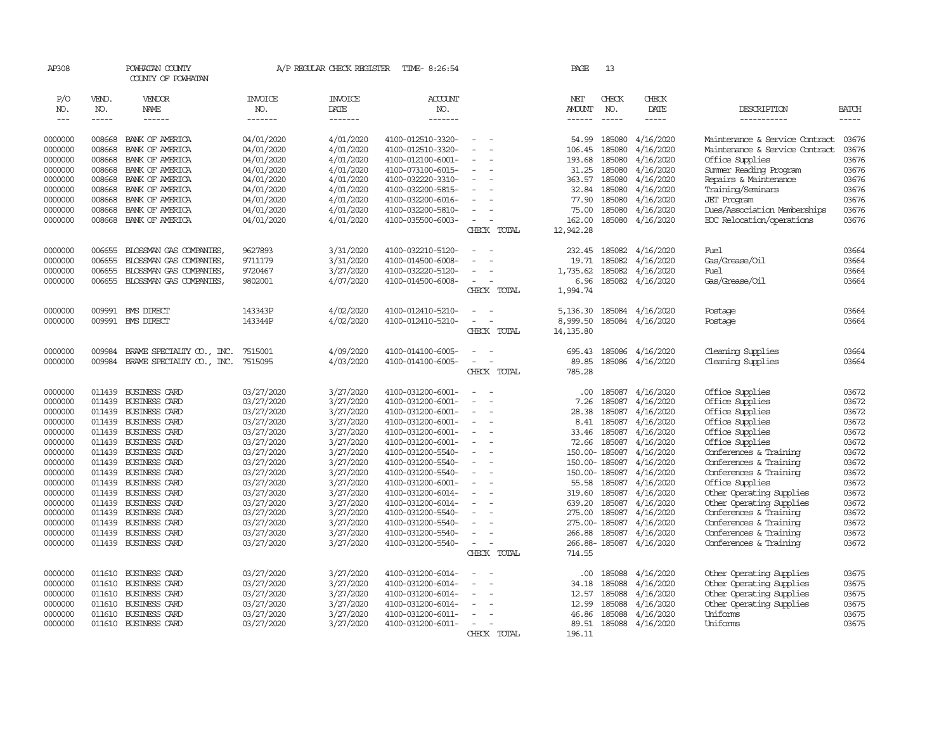| AP308              |                  | POWHATAN COUNTY<br>COUNTY OF POWHATAN |                          | A/P REGULAR CHECK REGISTER | TIME- 8:26:54                          |                                                      | PAGE           | 13                      |                        |                                                      |                |
|--------------------|------------------|---------------------------------------|--------------------------|----------------------------|----------------------------------------|------------------------------------------------------|----------------|-------------------------|------------------------|------------------------------------------------------|----------------|
| P/O<br>NO.         | VEND.<br>NO.     | VENDOR<br>NAME                        | <b>INVOICE</b><br>NO.    | <b>INVOICE</b><br>DATE     | ACCOUNT<br>NO.                         |                                                      | NET<br>AMOUNT  | CHECK<br>NO.            | CHECK<br>DATE          | DESCRIPTION                                          | <b>BATCH</b>   |
| $\qquad \qquad -$  | -----            | ------                                | -------                  | -------                    | -------                                |                                                      | ------         | $\cdots \cdots \cdots$  | -----                  | -----------                                          | $- - - - -$    |
| 0000000            | 008668           | BANK OF AMERICA                       | 04/01/2020               | 4/01/2020                  | 4100-012510-3320-                      | $\equiv$                                             | 54.99          | 185080                  | 4/16/2020              | Maintenance & Service Contract                       | 03676          |
| 0000000            | 008668           | BANK OF AMERICA                       | 04/01/2020               | 4/01/2020                  | 4100-012510-3320-                      |                                                      | 106.45         | 185080                  | 4/16/2020              | Maintenance & Service Contract                       | 03676          |
| 0000000            | 008668           | BANK OF AMERICA                       | 04/01/2020               | 4/01/2020                  | 4100-012100-6001-                      | $\equiv$<br>$\overline{a}$                           | 193.68         | 185080                  | 4/16/2020              | Office Supplies                                      | 03676          |
| 0000000            | 008668           | BANK OF AMERICA                       | 04/01/2020               | 4/01/2020                  | 4100-073100-6015-                      | $\sim$                                               | 31.25          | 185080                  | 4/16/2020              | Summer Reading Program                               | 03676          |
| 0000000            | 008668           | BANK OF AMERICA                       | 04/01/2020               | 4/01/2020                  | 4100-032220-3310-                      | ÷                                                    | 363.57         | 185080                  | 4/16/2020              | Repairs & Maintenance                                | 03676          |
| 0000000            | 008668           | BANK OF AMERICA                       | 04/01/2020               | 4/01/2020                  | 4100-032200-5815-                      |                                                      | 32.84          | 185080                  | 4/16/2020              | Training/Seminars                                    | 03676          |
| 0000000            | 008668           | BANK OF AMERICA                       | 04/01/2020               | 4/01/2020                  | 4100-032200-6016-                      |                                                      | 77.90          | 185080                  | 4/16/2020              | <b>JET</b> Program                                   | 03676          |
| 0000000            | 008668           | BANK OF AMERICA                       | 04/01/2020               | 4/01/2020                  | 4100-032200-5810-                      |                                                      | 75.00          | 185080                  | 4/16/2020              | Dues/Association Memberships                         | 03676          |
| 0000000            | 008668           | BANK OF AMERICA                       | 04/01/2020               | 4/01/2020                  | 4100-035500-6003-                      | $\overline{\phantom{a}}$                             | 162.00         |                         | 185080 4/16/2020       | ECC Relocation/operations                            | 03676          |
|                    |                  |                                       |                          |                            |                                        | CHECK TOTAL                                          | 12,942.28      |                         |                        |                                                      |                |
| 0000000            | 006655           | BLOSSMAN GAS COMPANIES,               | 9627893                  | 3/31/2020                  | 4100-032210-5120-                      |                                                      | 232.45         | 185082                  | 4/16/2020              | Fuel                                                 | 03664          |
| 0000000            | 006655           | BLOSSMAN GAS COMPANIES,               | 9711179                  | 3/31/2020                  | 4100-014500-6008-                      | $\overline{a}$                                       | 19.71          | 185082                  | 4/16/2020              | Gas/Grease/Oil                                       | 03664          |
| 0000000            | 006655           | BLOSSMAN GAS COMPANIES,               | 9720467                  | 3/27/2020                  | 4100-032220-5120-                      |                                                      | 1,735.62       | 185082                  | 4/16/2020              | Fuel                                                 | 03664          |
| 0000000            | 006655           | BLOSSMAN GAS COMPANIES,               | 9802001                  | 4/07/2020                  | 4100-014500-6008-                      |                                                      | 6.96           |                         | 185082 4/16/2020       | Gas/Grease/Oil                                       | 03664          |
|                    |                  |                                       |                          |                            |                                        | CHECK TOTAL                                          | 1,994.74       |                         |                        |                                                      |                |
| 0000000            | 009991           | <b>EMS DIRECT</b>                     | 143343P                  | 4/02/2020                  | 4100-012410-5210-                      | ÷                                                    | 5,136.30       | 185084                  | 4/16/2020              | Postage                                              | 03664          |
| 0000000            |                  | 009991 BMS DIRECT                     | 143344P                  | 4/02/2020                  | 4100-012410-5210-                      | $\blacksquare$<br>$\sim$                             | 8,999.50       | 185084                  | 4/16/2020              | Postage                                              | 03664          |
|                    |                  |                                       |                          |                            |                                        | CHECK TOTAL                                          | 14, 135.80     |                         |                        |                                                      |                |
| 0000000            | 009984           | BRAME SPECIALITY CO., INC.            | 7515001                  | 4/09/2020                  | 4100-014100-6005-                      | $\equiv$                                             | 695.43         | 185086                  | 4/16/2020              | Cleaning Supplies                                    | 03664          |
| 0000000            | 009984           | BRAME SPECIALITY CO., INC.            | 7515095                  | 4/03/2020                  | 4100-014100-6005-                      | $\overline{\phantom{a}}$<br>$\overline{\phantom{a}}$ | 89.85          | 185086                  | 4/16/2020              | Cleaning Supplies                                    | 03664          |
|                    |                  |                                       |                          |                            |                                        | CHECK TOTAL                                          | 785.28         |                         |                        |                                                      |                |
| 0000000            | 011439           | BUSINESS CARD                         | 03/27/2020               | 3/27/2020                  | 4100-031200-6001-                      | ÷                                                    | .00.           | 185087                  | 4/16/2020              | Office Supplies                                      | 03672          |
| 0000000            | 011439           | <b>BUSINESS CARD</b>                  | 03/27/2020               | 3/27/2020                  | 4100-031200-6001-                      |                                                      | 7.26           | 185087                  | 4/16/2020              | Office Supplies                                      | 03672          |
| 0000000            | 011439           | BUSINESS CARD                         | 03/27/2020               | 3/27/2020                  | 4100-031200-6001-                      | $\overline{\phantom{a}}$<br>$\overline{a}$           | 28.38          | 185087                  | 4/16/2020              | Office Supplies                                      | 03672          |
| 0000000            | 011439           | BUSINESS CARD                         | 03/27/2020               | 3/27/2020                  | 4100-031200-6001-                      | $\equiv$                                             | 8.41           | 185087                  | 4/16/2020              | Office Supplies                                      | 03672          |
| 0000000            | 011439           | BUSINESS CARD                         | 03/27/2020               | 3/27/2020                  | 4100-031200-6001-                      | $\equiv$                                             | 33.46          | 185087                  | 4/16/2020              | Office Supplies                                      | 03672          |
| 0000000            | 011439           | BUSINESS CARD                         | 03/27/2020               | 3/27/2020                  | 4100-031200-6001-                      | $\bar{\phantom{a}}$                                  | 72.66          | 185087                  | 4/16/2020              | Office Supplies                                      | 03672          |
| 0000000            | 011439           | BUSINESS CARD                         | 03/27/2020               | 3/27/2020                  | 4100-031200-5540-                      | $\blacksquare$                                       |                | 150.00-185087           | 4/16/2020              | Conferences & Training                               | 03672          |
| 0000000            | 011439           | <b>BUSINESS CARD</b>                  | 03/27/2020               | 3/27/2020                  | 4100-031200-5540-                      | $\equiv$                                             |                | 150.00-185087           | 4/16/2020              | Conferences & Training                               | 03672          |
| 0000000            | 011439           | BUSINESS CARD                         | 03/27/2020               | 3/27/2020                  | 4100-031200-5540-                      | ÷                                                    |                | 150.00-185087           | 4/16/2020              | Conferences & Training                               | 03672          |
| 0000000            | 011439           | BUSINESS CARD                         | 03/27/2020               | 3/27/2020                  | 4100-031200-6001-                      | $\bar{\phantom{a}}$                                  | 55.58          | 185087                  | 4/16/2020              | Office Supplies                                      | 03672          |
| 0000000            | 011439           | BUSINESS CARD                         | 03/27/2020               | 3/27/2020                  | 4100-031200-6014-                      | $\equiv$                                             | 319.60         | 185087                  | 4/16/2020              | Other Operating Supplies                             | 03672          |
| 0000000            | 011439           | BUSINESS CARD                         | 03/27/2020               | 3/27/2020                  | 4100-031200-6014-                      |                                                      | 639.20         | 185087                  | 4/16/2020              | Other Operating Supplies                             | 03672          |
| 0000000            | 011439           | BUSINESS CARD                         | 03/27/2020               | 3/27/2020                  | 4100-031200-5540-                      |                                                      | 275.00         | 185087                  | 4/16/2020              | Conferences & Training                               | 03672          |
| 0000000            | 011439           | BUSINESS CARD                         | 03/27/2020               | 3/27/2020                  | 4100-031200-5540-                      | $\equiv$                                             |                | 275.00- 185087          | 4/16/2020              | Conferences & Training                               | 03672          |
| 0000000<br>0000000 | 011439<br>011439 | BUSINESS CARD<br>BUSINESS CARD        | 03/27/2020               | 3/27/2020<br>3/27/2020     | 4100-031200-5540-<br>4100-031200-5540- | $\overline{\phantom{a}}$                             | 266.88         | 185087<br>266.88-185087 | 4/16/2020<br>4/16/2020 | Conferences & Training                               | 03672<br>03672 |
|                    |                  |                                       | 03/27/2020               |                            |                                        | CHECK TOTAL                                          | 714.55         |                         |                        | Conferences & Training                               |                |
|                    |                  |                                       |                          |                            |                                        |                                                      |                |                         |                        |                                                      |                |
| 0000000<br>0000000 | 011610<br>011610 | BUSINESS CARD<br>BUSINESS CARD        | 03/27/2020<br>03/27/2020 | 3/27/2020<br>3/27/2020     | 4100-031200-6014-<br>4100-031200-6014- | $\equiv$<br>÷                                        | .00.           | 185088<br>185088        | 4/16/2020<br>4/16/2020 | Other Operating Supplies<br>Other Operating Supplies | 03675<br>03675 |
|                    | 011610           | BUSINESS CARD                         |                          | 3/27/2020                  | 4100-031200-6014-                      |                                                      | 34.18          |                         | 4/16/2020              | Other Operating Supplies                             | 03675          |
| 0000000<br>0000000 | 011610           | <b>BUSINESS CARD</b>                  | 03/27/2020<br>03/27/2020 | 3/27/2020                  | 4100-031200-6014-                      | $\equiv$                                             | 12.57<br>12.99 | 185088<br>185088        | 4/16/2020              | Other Operating Supplies                             | 03675          |
| 0000000            | 011610           | BUSINESS CARD                         | 03/27/2020               | 3/27/2020                  | 4100-031200-6011-                      | $\overline{\phantom{a}}$                             | 46.86          | 185088                  | 4/16/2020              | Uniforms                                             | 03675          |
| 0000000            | 011610           | <b>BUSINESS CARD</b>                  | 03/27/2020               | 3/27/2020                  | 4100-031200-6011-                      | $\equiv$                                             | 89.51          |                         | 185088 4/16/2020       | Uniforms                                             | 03675          |
|                    |                  |                                       |                          |                            |                                        | CHECK TOTAL                                          | 196.11         |                         |                        |                                                      |                |
|                    |                  |                                       |                          |                            |                                        |                                                      |                |                         |                        |                                                      |                |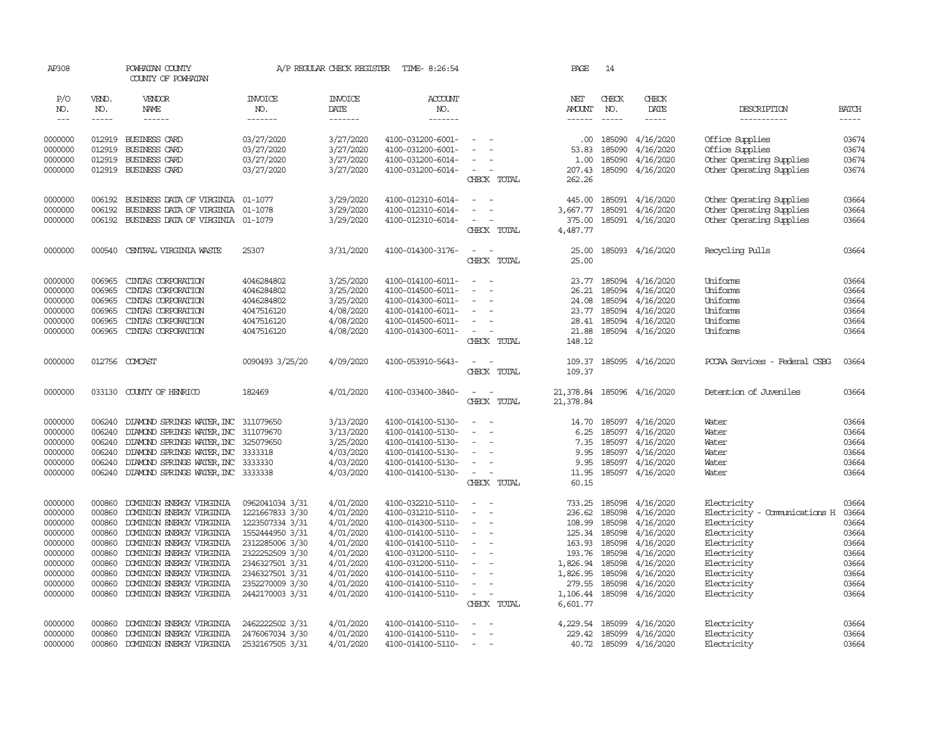| AP308             |              | POWHATAN COUNTY<br>COUNTY OF POWHATAN |                       | A/P REGULAR CHECK REGISTER | TIME- 8:26:54         |                          | PAGE                 | 14                                                                                                                                                                                                                                                                                                                                                                                                                                                                          |                            |                                     |              |
|-------------------|--------------|---------------------------------------|-----------------------|----------------------------|-----------------------|--------------------------|----------------------|-----------------------------------------------------------------------------------------------------------------------------------------------------------------------------------------------------------------------------------------------------------------------------------------------------------------------------------------------------------------------------------------------------------------------------------------------------------------------------|----------------------------|-------------------------------------|--------------|
| P/O<br>NO.        | VEND.<br>NO. | VENDOR<br><b>NAME</b>                 | <b>INVOICE</b><br>NO. | <b>INVOICE</b><br>DATE     | <b>ACCOUNT</b><br>NO. |                          | NET<br><b>AMOUNT</b> | CHECK<br>NO.                                                                                                                                                                                                                                                                                                                                                                                                                                                                | CHECK<br>DATE              | DESCRIPTION                         | <b>BATCH</b> |
| $\qquad \qquad -$ | -----        |                                       | -------               | -------                    | -------               |                          | ------               | $\begin{tabular}{ccccc} \multicolumn{2}{c }{\multicolumn{2}{c }{\multicolumn{2}{c }{\multicolumn{2}{c}}{\hspace{-2.2cm}}}} \multicolumn{2}{c }{\multicolumn{2}{c }{\hspace{-2.2cm}}\end{tabular}} \end{tabular} \begin{tabular}{c c }{\multicolumn{2}{c }{\hspace{-2.2cm}}\end{tabular}} \begin{tabular}{c c }{\multicolumn{2}{c }{\hspace{-2.2cm}}\end{tabular}} \end{tabular} \begin{tabular}{c c }{\multicolumn{2}{c }{\hspace{-2.2cm}}\end{tabular}} \begin{tabular}{c$ | -----                      | -----------                         | -----        |
| 0000000           |              | 012919 BUSINESS CARD                  | 03/27/2020            | 3/27/2020                  | 4100-031200-6001-     |                          | .00.                 | 185090                                                                                                                                                                                                                                                                                                                                                                                                                                                                      | 4/16/2020                  | Office Supplies                     | 03674        |
| 0000000           | 012919       | BUSINESS CARD                         | 03/27/2020            | 3/27/2020                  | 4100-031200-6001-     |                          | 53.83                | 185090                                                                                                                                                                                                                                                                                                                                                                                                                                                                      | 4/16/2020                  | Office Supplies                     | 03674        |
| 0000000           | 012919       | BUSINESS CARD                         | 03/27/2020            | 3/27/2020                  | 4100-031200-6014-     |                          | 1.00                 | 185090                                                                                                                                                                                                                                                                                                                                                                                                                                                                      | 4/16/2020                  | Other Operating Supplies            | 03674        |
| 0000000           |              | 012919 BUSINESS CARD                  | 03/27/2020            | 3/27/2020                  | 4100-031200-6014-     | $\overline{\phantom{a}}$ | 207.43               | 185090                                                                                                                                                                                                                                                                                                                                                                                                                                                                      | 4/16/2020                  | Other Operating Supplies            | 03674        |
|                   |              |                                       |                       |                            |                       | CHECK TOTAL              | 262.26               |                                                                                                                                                                                                                                                                                                                                                                                                                                                                             |                            |                                     |              |
| 0000000           | 006192       | BUSINESS DATA OF VIRGINIA 01-1077     |                       | 3/29/2020                  | 4100-012310-6014-     | $\overline{\phantom{a}}$ |                      |                                                                                                                                                                                                                                                                                                                                                                                                                                                                             | 445.00 185091 4/16/2020    | Other Operating Supplies            | 03664        |
| 0000000           | 006192       | BUSINESS DATA OF VIRGINIA 01-1078     |                       | 3/29/2020                  | 4100-012310-6014-     |                          | 3,667.77             |                                                                                                                                                                                                                                                                                                                                                                                                                                                                             | 185091 4/16/2020           | Other Operating Supplies            | 03664        |
| 0000000           | 006192       | BUSINESS DATA OF VIRGINIA 01-1079     |                       | 3/29/2020                  | 4100-012310-6014-     | $\sim$                   | 375.00               |                                                                                                                                                                                                                                                                                                                                                                                                                                                                             | 185091 4/16/2020           | Other Operating Supplies            | 03664        |
|                   |              |                                       |                       |                            |                       | CHECK TOTAL              | 4,487.77             |                                                                                                                                                                                                                                                                                                                                                                                                                                                                             |                            |                                     |              |
| 0000000           | 000540       | CENTRAL VIRGINIA WASTE                | 25307                 | 3/31/2020                  | 4100-014300-3176-     | $\sim$                   | 25.00                |                                                                                                                                                                                                                                                                                                                                                                                                                                                                             | 185093 4/16/2020           | Recycling Pulls                     | 03664        |
|                   |              |                                       |                       |                            |                       | CHECK TOTAL              | 25.00                |                                                                                                                                                                                                                                                                                                                                                                                                                                                                             |                            |                                     |              |
| 0000000           | 006965       | CINIAS CORPORATION                    | 4046284802            | 3/25/2020                  | 4100-014100-6011-     | $\overline{\phantom{a}}$ | 23.77                |                                                                                                                                                                                                                                                                                                                                                                                                                                                                             | 185094 4/16/2020           | Uniforms                            | 03664        |
| 0000000           | 006965       | CINIAS CORPORATION                    | 4046284802            | 3/25/2020                  | 4100-014500-6011-     |                          | 26.21                | 185094                                                                                                                                                                                                                                                                                                                                                                                                                                                                      | 4/16/2020                  | Uniforms                            | 03664        |
| 0000000           | 006965       | CINIAS CORPORATION                    | 4046284802            | 3/25/2020                  | 4100-014300-6011-     |                          | 24.08                | 185094                                                                                                                                                                                                                                                                                                                                                                                                                                                                      | 4/16/2020                  | Uniforms                            | 03664        |
| 0000000           | 006965       | CINIAS CORPORATION                    | 4047516120            | 4/08/2020                  | 4100-014100-6011-     |                          |                      |                                                                                                                                                                                                                                                                                                                                                                                                                                                                             | 23.77 185094 4/16/2020     | Uniforms                            | 03664        |
| 0000000           | 006965       | CINIAS CORPORATION                    | 4047516120            | 4/08/2020                  | 4100-014500-6011-     |                          | 28.41                |                                                                                                                                                                                                                                                                                                                                                                                                                                                                             | 185094 4/16/2020           | Uniforms                            | 03664        |
| 0000000           | 006965       | CINIAS CORPORATION                    | 4047516120            | 4/08/2020                  | 4100-014300-6011-     |                          | 21.88                |                                                                                                                                                                                                                                                                                                                                                                                                                                                                             | 185094 4/16/2020           | Uniforms                            | 03664        |
|                   |              |                                       |                       |                            |                       | CHECK TOTAL              | 148.12               |                                                                                                                                                                                                                                                                                                                                                                                                                                                                             |                            |                                     |              |
| 0000000           | 012756       | COMCAST                               | 0090493 3/25/20       | 4/09/2020                  | 4100-053910-5643-     | $\equiv$<br>$\sim$       |                      |                                                                                                                                                                                                                                                                                                                                                                                                                                                                             | 109.37 185095 4/16/2020    | PCCAA Services - Federal CSBG       | 03664        |
|                   |              |                                       |                       |                            |                       | CHECK TOTAL              | 109.37               |                                                                                                                                                                                                                                                                                                                                                                                                                                                                             |                            |                                     |              |
| 0000000           |              | 033130 COUNTY OF HENRICO              | 182469                | 4/01/2020                  | 4100-033400-3840-     | $\sim$<br>$\sim$         |                      |                                                                                                                                                                                                                                                                                                                                                                                                                                                                             | 21,378.84 185096 4/16/2020 | Detention of Juveniles              | 03664        |
|                   |              |                                       |                       |                            |                       | CHECK TOTAL              | 21,378.84            |                                                                                                                                                                                                                                                                                                                                                                                                                                                                             |                            |                                     |              |
| 0000000           | 006240       | DIAMOND SPRINGS WATER, INC 311079650  |                       | 3/13/2020                  | 4100-014100-5130-     | $\equiv$                 | 14.70                | 185097                                                                                                                                                                                                                                                                                                                                                                                                                                                                      | 4/16/2020                  | Water                               | 03664        |
| 0000000           | 006240       | DIAMOND SPRINGS WATER, INC 311079670  |                       | 3/13/2020                  | 4100-014100-5130-     |                          | 6.25                 | 185097                                                                                                                                                                                                                                                                                                                                                                                                                                                                      | 4/16/2020                  | Water                               | 03664        |
| 0000000           | 006240       | DIAMOND SPRINGS WATER, INC 325079650  |                       | 3/25/2020                  | 4100-014100-5130-     | $\sim$                   | 7.35                 |                                                                                                                                                                                                                                                                                                                                                                                                                                                                             | 185097 4/16/2020           | Water                               | 03664        |
| 0000000           | 006240       | DIAMOND SPRINGS WATER, INC 3333318    |                       | 4/03/2020                  | 4100-014100-5130-     | $\overline{\phantom{a}}$ | 9.95                 |                                                                                                                                                                                                                                                                                                                                                                                                                                                                             | 185097 4/16/2020           | Water                               | 03664        |
| 0000000           | 006240       | DIAMOND SPRINGS WATER, INC 3333330    |                       | 4/03/2020                  | 4100-014100-5130-     |                          | 9.95                 |                                                                                                                                                                                                                                                                                                                                                                                                                                                                             | 185097 4/16/2020           | Water                               | 03664        |
| 0000000           | 006240       | DIAMOND SPRINGS WATER, INC 3333338    |                       | 4/03/2020                  | 4100-014100-5130-     | $\overline{\phantom{a}}$ | 11.95                |                                                                                                                                                                                                                                                                                                                                                                                                                                                                             | 185097 4/16/2020           | Water                               | 03664        |
|                   |              |                                       |                       |                            |                       | CHECK TOTAL              | 60.15                |                                                                                                                                                                                                                                                                                                                                                                                                                                                                             |                            |                                     |              |
| 0000000           | 000860       | DOMINION ENERGY VIRGINIA              | 0962041034 3/31       | 4/01/2020                  | 4100-032210-5110-     |                          | 733.25               | 185098                                                                                                                                                                                                                                                                                                                                                                                                                                                                      | 4/16/2020                  | Electricity                         | 03664        |
| 0000000           | 000860       | DOMINION ENERGY VIRGINIA              | 1221667833 3/30       | 4/01/2020                  | 4100-031210-5110-     | $\equiv$                 |                      | 236.62 185098                                                                                                                                                                                                                                                                                                                                                                                                                                                               | 4/16/2020                  | Electricity - Comunications H 03664 |              |
| 0000000           | 000860       | DOMINION ENERGY VIRGINIA              | 1223507334 3/31       | 4/01/2020                  | 4100-014300-5110-     | $\equiv$                 | 108.99               | 185098                                                                                                                                                                                                                                                                                                                                                                                                                                                                      | 4/16/2020                  | Electricity                         | 03664        |
| 0000000           | 000860       | DOMINION ENERGY VIRGINIA              | 1552444950 3/31       | 4/01/2020                  | 4100-014100-5110-     | $\equiv$                 |                      | 125.34 185098                                                                                                                                                                                                                                                                                                                                                                                                                                                               | 4/16/2020                  | Electricity                         | 03664        |
| 0000000           | 000860       | DOMINION ENERGY VIRGINIA              | 2312285006 3/30       | 4/01/2020                  | 4100-014100-5110-     |                          |                      | 163.93 185098                                                                                                                                                                                                                                                                                                                                                                                                                                                               | 4/16/2020                  | Electricity                         | 03664        |
| 0000000           | 000860       | DOMINION ENERGY VIRGINIA              | 2322252509 3/30       | 4/01/2020                  | 4100-031200-5110-     | $\equiv$                 |                      | 193.76 185098                                                                                                                                                                                                                                                                                                                                                                                                                                                               | 4/16/2020                  | Electricity                         | 03664        |
| 0000000           | 000860       | DOMINION ENERGY VIRGINIA              | 2346327501 3/31       | 4/01/2020                  | 4100-031200-5110-     |                          | 1,826.94             | 185098                                                                                                                                                                                                                                                                                                                                                                                                                                                                      | 4/16/2020                  | Electricity                         | 03664        |
| 0000000           | 000860       | DOMINION ENERGY VIRGINIA              | 2346327501 3/31       | 4/01/2020                  | 4100-014100-5110-     |                          | 1,826.95             | 185098                                                                                                                                                                                                                                                                                                                                                                                                                                                                      | 4/16/2020                  | Electricity                         | 03664        |
| 0000000           | 000860       | DOMINION ENERGY VIRGINIA              | 2352270009 3/30       | 4/01/2020                  | 4100-014100-5110-     | $\equiv$                 | 279.55               | 185098                                                                                                                                                                                                                                                                                                                                                                                                                                                                      | 4/16/2020                  | Electricity                         | 03664        |
| 0000000           | 000860       | DOMINION ENERGY VIRGINIA              | 2442170003 3/31       | 4/01/2020                  | 4100-014100-5110-     | $\sim$                   | 1,106.44             | 185098                                                                                                                                                                                                                                                                                                                                                                                                                                                                      | 4/16/2020                  | Electricity                         | 03664        |
|                   |              |                                       |                       |                            |                       | CHECK TOTAL              | 6,601.77             |                                                                                                                                                                                                                                                                                                                                                                                                                                                                             |                            |                                     |              |
| 0000000           | 000860       | DOMINION ENERGY VIRGINIA              | 2462222502 3/31       | 4/01/2020                  | 4100-014100-5110-     |                          |                      |                                                                                                                                                                                                                                                                                                                                                                                                                                                                             | 4, 229.54 185099 4/16/2020 | Electricity                         | 03664        |
| 0000000           | 000860       | DOMINION ENERGY VIRGINIA              | 2476067034 3/30       | 4/01/2020                  | 4100-014100-5110-     |                          |                      |                                                                                                                                                                                                                                                                                                                                                                                                                                                                             | 229.42 185099 4/16/2020    | Electricity                         | 03664        |
| 0000000           | 000860       | DOMINION ENERGY VIRGINIA              | 2532167505 3/31       | 4/01/2020                  | 4100-014100-5110-     |                          |                      |                                                                                                                                                                                                                                                                                                                                                                                                                                                                             | 40.72 185099 4/16/2020     | Electricity                         | 03664        |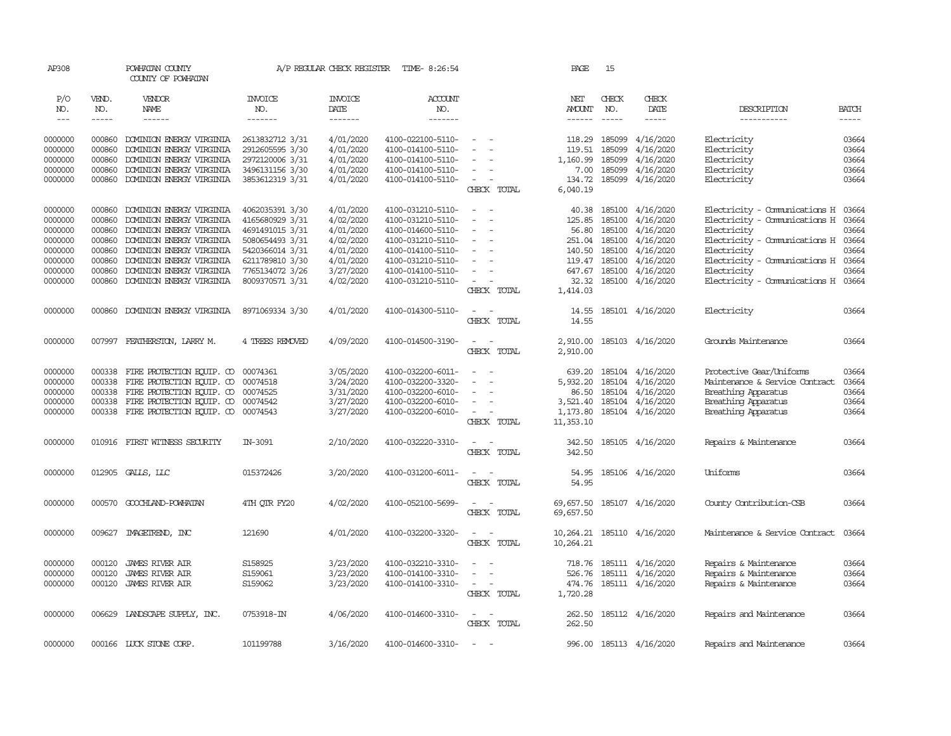| AP308         |              | POWHATAN COUNTY<br>COUNTY OF POWHATAN     |                       | A/P REGULAR CHECK REGISTER | TIME- 8:26:54     |                                 | PAGE               | 15           |                             |                                     |              |
|---------------|--------------|-------------------------------------------|-----------------------|----------------------------|-------------------|---------------------------------|--------------------|--------------|-----------------------------|-------------------------------------|--------------|
| P/O<br>NO.    | VEND.<br>NO. | VENDOR<br>NAME                            | <b>INVOICE</b><br>NO. | <b>INVOICE</b><br>DATE     | ACCOUNT<br>NO.    |                                 | NET<br>AMOUNT      | CHECK<br>NO. | CHECK<br>DATE               | DESCRIPTION                         | <b>BATCH</b> |
| $\frac{1}{2}$ | -----        | ------                                    | -------               | -------                    | -------           |                                 |                    |              | -----                       | -----------                         | $- - - - -$  |
| 0000000       | 000860       | DOMINION ENERGY VIRGINIA                  | 2613832712 3/31       | 4/01/2020                  | 4100-022100-5110- | $\overline{\phantom{a}}$        | 118.29             | 185099       | 4/16/2020                   | Electricity                         | 03664        |
| 0000000       | 000860       | DOMINION ENERGY VIRGINIA                  | 2912605595 3/30       | 4/01/2020                  | 4100-014100-5110- |                                 | 119.51             | 185099       | 4/16/2020                   | Electricity                         | 03664        |
| 0000000       | 000860       | DOMINION ENERGY VIRGINIA                  | 2972120006 3/31       | 4/01/2020                  | 4100-014100-5110- |                                 | 1,160.99           | 185099       | 4/16/2020                   | Electricity                         | 03664        |
| 0000000       | 000860       | DOMINION ENERGY VIRGINIA                  | 3496131156 3/30       | 4/01/2020                  | 4100-014100-5110- | $\equiv$                        | 7.00               | 185099       | 4/16/2020                   | Electricity                         | 03664        |
| 0000000       | 000860       | DOMINION ENERGY VIRGINIA                  | 3853612319 3/31       | 4/01/2020                  | 4100-014100-5110- | $\sim$<br>CHECK TOTAL           | 134.72<br>6,040.19 | 185099       | 4/16/2020                   | Electricity                         | 03664        |
|               |              |                                           |                       |                            |                   |                                 |                    |              |                             |                                     |              |
| 0000000       | 000860       | DOMINION ENERGY VIRGINIA                  | 4062035391 3/30       | 4/01/2020                  | 4100-031210-5110- | $\sim$                          | 40.38              | 185100       | 4/16/2020                   | Electricity - Comunications H       | 03664        |
| 0000000       | 000860       | DOMINION ENERGY VIRGINIA                  | 4165680929 3/31       | 4/02/2020                  | 4100-031210-5110- | $\equiv$                        | 125.85             | 185100       | 4/16/2020                   | Electricity - Comunications H 03664 |              |
| 0000000       | 000860       | DOMINION ENERGY VIRGINIA                  | 4691491015 3/31       | 4/01/2020                  | 4100-014600-5110- | $\sim$                          | 56.80              | 185100       | 4/16/2020                   | Electricity                         | 03664        |
| 0000000       | 000860       | DOMINION ENERGY VIRGINIA                  | 5080654493 3/31       | 4/02/2020                  | 4100-031210-5110- | $\equiv$                        | 251.04             | 185100       | 4/16/2020                   | Electricity - Comunications H 03664 |              |
| 0000000       | 000860       | DOMINION ENERGY VIRGINIA                  | 5420366014 3/31       | 4/01/2020                  | 4100-014100-5110- | $\equiv$                        | 140.50             | 185100       | 4/16/2020                   | Electricity                         | 03664        |
| 0000000       | 000860       | DOMINION ENERGY VIRGINIA                  | 6211789810 3/30       | 4/01/2020                  | 4100-031210-5110- |                                 | 119.47             | 185100       | 4/16/2020                   | Electricity - Comunications H 03664 |              |
| 0000000       | 000860       | DOMINION ENERGY VIRGINIA                  | 7765134072 3/26       | 3/27/2020                  | 4100-014100-5110- | $\sim$                          |                    |              | 647.67 185100 4/16/2020     | Electricity                         | 03664        |
| 0000000       | 000860       | DOMINION ENERGY VIRGINIA                  | 8009370571 3/31       | 4/02/2020                  | 4100-031210-5110- | $\overline{\phantom{a}}$        | 32.32              | 185100       | 4/16/2020                   | Electricity - Comunications H       | 03664        |
|               |              |                                           |                       |                            |                   | CHECK TOTAL                     | 1,414.03           |              |                             |                                     |              |
| 0000000       | 000860       | DOMINION ENERGY VIRGINIA                  | 8971069334 3/30       | 4/01/2020                  | 4100-014300-5110- | $\sim$                          | 14.55              |              | 185101 4/16/2020            | Electricity                         | 03664        |
|               |              |                                           |                       |                            |                   | CHECK TOTAL                     | 14.55              |              |                             |                                     |              |
| 0000000       |              | 007997 FEATHERSTON, LARRY M.              | 4 TREES REMOVED       | 4/09/2020                  | 4100-014500-3190- | $\sim$<br>$\sim$                | 2,910.00           |              | 185103 4/16/2020            | Grounds Maintenance                 | 03664        |
|               |              |                                           |                       |                            |                   | CHECK TOTAL                     | 2,910.00           |              |                             |                                     |              |
| 0000000       | 000338       | FIRE PROTECTION EQUIP. CO 00074361        |                       | 3/05/2020                  | 4100-032200-6011- | $\equiv$                        | 639.20             |              | 185104 4/16/2020            | Protective Gear/Uniforms            | 03664        |
| 0000000       | 000338       | FIRE PROTECTION EQUIP. CO                 | 00074518              | 3/24/2020                  | 4100-032200-3320- |                                 | 5,932.20           |              | 185104 4/16/2020            | Maintenance & Service Contract      | 03664        |
| 0000000       | 000338       | FIRE PROTECTION EQUIP. CO 00074525        |                       | 3/31/2020                  | 4100-032200-6010- |                                 | 86.50              |              | 185104 4/16/2020            | Breathing Apparatus                 | 03664        |
| 0000000       | 000338       | FIRE PROTECTION EQUIP. CO 00074542        |                       | 3/27/2020                  | 4100-032200-6010- |                                 | 3,521.40           |              | 185104 4/16/2020            | Breathing Apparatus                 | 03664        |
| 0000000       |              | 000338 FIRE PROTECTION EQUIP. CO 00074543 |                       | 3/27/2020                  | 4100-032200-6010- | $\overline{\phantom{a}}$        | 1,173.80           |              | 185104 4/16/2020            | Breathing Apparatus                 | 03664        |
|               |              |                                           |                       |                            |                   | CHECK TOTAL                     | 11,353.10          |              |                             |                                     |              |
| 0000000       |              | 010916 FIRST WITNESS SECURITY             | IN-3091               | 2/10/2020                  | 4100-032220-3310- | $\sim$<br>$\sim$                | 342.50             |              | 185105 4/16/2020            | Repairs & Maintenance               | 03664        |
|               |              |                                           |                       |                            |                   | CHECK TOTAL                     | 342.50             |              |                             |                                     |              |
|               |              |                                           |                       |                            |                   |                                 |                    |              |                             |                                     |              |
| 0000000       |              | 012905 GALLS, LLC                         | 015372426             | 3/20/2020                  | 4100-031200-6011- | $\sim$<br>$\sim$<br>CHECK TOTAL | 54.95<br>54.95     |              | 185106 4/16/2020            | Uniforms                            | 03664        |
|               |              |                                           |                       |                            |                   |                                 |                    |              |                             |                                     |              |
| 0000000       |              | 000570 GOOCHLAND-POWHATAN                 | 4TH QTR FY20          | 4/02/2020                  | 4100-052100-5699- | $\sim$                          | 69,657.50          |              | 185107 4/16/2020            | County Contribution-CSB             | 03664        |
|               |              |                                           |                       |                            |                   | CHECK TOTAL                     | 69,657.50          |              |                             |                                     |              |
| 0000000       | 009627       | IMAGEIREND, INC                           | 121690                | 4/01/2020                  | 4100-032200-3320- | $\sim$<br>$\sim$                |                    |              | 10, 264.21 185110 4/16/2020 | Maintenance & Service Contract      | 03664        |
|               |              |                                           |                       |                            |                   | CHECK TOTAL                     | 10,264.21          |              |                             |                                     |              |
| 0000000       | 000120       | <b>JAMES RIVER AIR</b>                    | S158925               | 3/23/2020                  | 4100-032210-3310- |                                 | 718.76             |              | 185111 4/16/2020            | Repairs & Maintenance               | 03664        |
| 0000000       | 000120       | <b>JAMES RIVER AIR</b>                    | S159061               | 3/23/2020                  | 4100-014100-3310- | $\overline{\phantom{a}}$        | 526.76             |              | 185111 4/16/2020            | Repairs & Maintenance               | 03664        |
| 0000000       | 000120       | JAMES RIVER AIR                           | S159062               | 3/23/2020                  | 4100-014100-3310- | $\sim$                          |                    |              | 474.76 185111 4/16/2020     | Repairs & Maintenance               | 03664        |
|               |              |                                           |                       |                            |                   | CHECK TOTAL                     | 1,720.28           |              |                             |                                     |              |
| 0000000       |              | 006629 LANDSCAPE SUPPLY, INC.             | 0753918-IN            | 4/06/2020                  | 4100-014600-3310- | $\sim$<br>$\sim$                |                    |              | 262.50 185112 4/16/2020     | Repairs and Maintenance             | 03664        |
|               |              |                                           |                       |                            |                   | CHECK TOTAL                     | 262.50             |              |                             |                                     |              |
|               |              |                                           |                       |                            |                   |                                 |                    |              |                             |                                     |              |
| 0000000       |              | 000166 LUCK STONE CORP.                   | 101199788             | 3/16/2020                  | 4100-014600-3310- | $\sim$                          |                    |              | 996.00 185113 4/16/2020     | Repairs and Maintenance             | 03664        |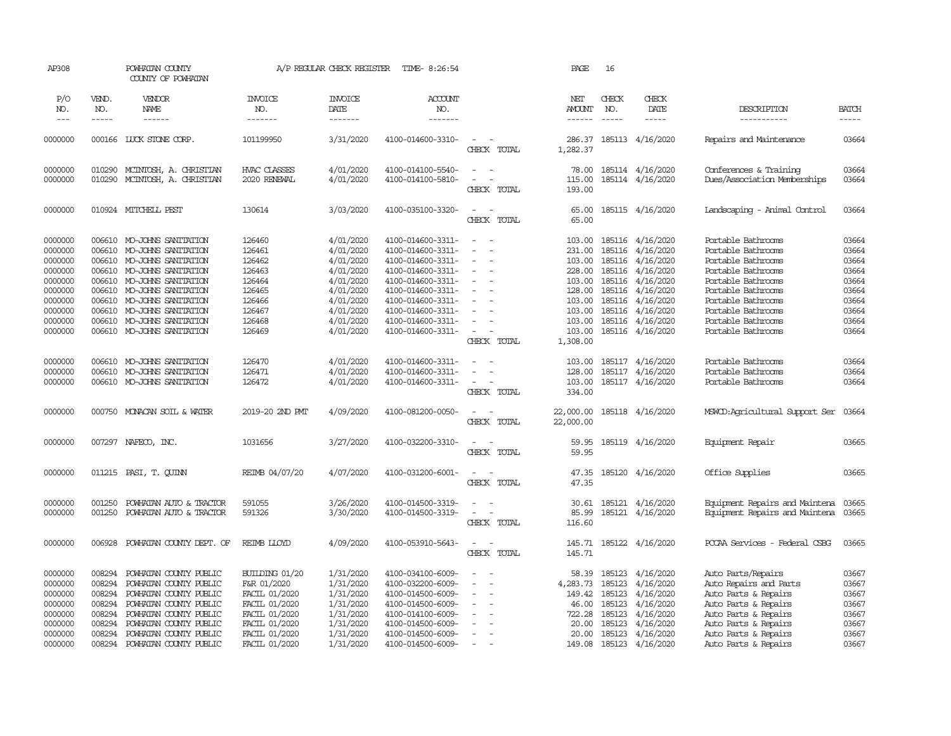| AP308                       |                       | POWHATAN COUNTY<br>COUNTY OF POWHATAN |                                  | A/P REGULAR CHECK REGISTER        | TIME- 8:26:54                    |                                                                            | PAGE                    | 16                                                                                                                                                                                                                                                                                                                                                                                                           |                                      |                                      |                             |
|-----------------------------|-----------------------|---------------------------------------|----------------------------------|-----------------------------------|----------------------------------|----------------------------------------------------------------------------|-------------------------|--------------------------------------------------------------------------------------------------------------------------------------------------------------------------------------------------------------------------------------------------------------------------------------------------------------------------------------------------------------------------------------------------------------|--------------------------------------|--------------------------------------|-----------------------------|
| P/O<br>NO.<br>$\frac{1}{2}$ | VEND.<br>NO.<br>----- | VENDOR<br>NAME<br>------              | <b>INVOICE</b><br>NO.<br>------- | <b>INVOICE</b><br>DATE<br>------- | <b>ACCOUNT</b><br>NO.<br>------- |                                                                            | NET<br>AMOUNT<br>------ | CHECK<br>NO.<br>$\frac{1}{2} \frac{1}{2} \frac{1}{2} \frac{1}{2} \frac{1}{2} \frac{1}{2} \frac{1}{2} \frac{1}{2} \frac{1}{2} \frac{1}{2} \frac{1}{2} \frac{1}{2} \frac{1}{2} \frac{1}{2} \frac{1}{2} \frac{1}{2} \frac{1}{2} \frac{1}{2} \frac{1}{2} \frac{1}{2} \frac{1}{2} \frac{1}{2} \frac{1}{2} \frac{1}{2} \frac{1}{2} \frac{1}{2} \frac{1}{2} \frac{1}{2} \frac{1}{2} \frac{1}{2} \frac{1}{2} \frac{$ | CHECK<br>DATE<br>-----               | DESCRIPTION<br>-----------           | <b>BATCH</b><br>$- - - - -$ |
| 0000000                     | 000166                | LUCK STONE CORP.                      | 101199950                        | 3/31/2020                         | 4100-014600-3310-                | $\sim$<br>CHECK TOTAL                                                      | 286.37<br>1,282.37      |                                                                                                                                                                                                                                                                                                                                                                                                              | 185113 4/16/2020                     | Repairs and Maintenance              | 03664                       |
| 0000000                     | 010290                | MCINTOSH, A. CHRISTIAN                | HVAC CLASSES                     | 4/01/2020                         | 4100-014100-5540-                | $\sim$<br>$\overline{\phantom{a}}$<br>$\equiv$<br>$\overline{\phantom{a}}$ | 78.00                   |                                                                                                                                                                                                                                                                                                                                                                                                              | 185114 4/16/2020<br>185114 4/16/2020 | Conferences & Training               | 03664<br>03664              |
| 0000000                     | 010290                | MCINTOSH, A. CHRISTIAN                | 2020 RENEWAL                     | 4/01/2020                         | 4100-014100-5810-                | CHECK TOTAL                                                                | 115.00<br>193.00        |                                                                                                                                                                                                                                                                                                                                                                                                              |                                      | Dues/Association Memberships         |                             |
| 0000000                     |                       | 010924 MITCHELL PEST                  | 130614                           | 3/03/2020                         | 4100-035100-3320-                | $\overline{a}$<br>CHECK TOTAL                                              | 65.00<br>65.00          |                                                                                                                                                                                                                                                                                                                                                                                                              | 185115 4/16/2020                     | Landscaping - Animal Control         | 03664                       |
| 0000000                     | 006610                | MO-JOHNS SANITATION                   | 126460                           | 4/01/2020                         | 4100-014600-3311-                | $\overline{\phantom{a}}$                                                   | 103.00                  |                                                                                                                                                                                                                                                                                                                                                                                                              | 185116 4/16/2020                     | Portable Bathrooms                   | 03664                       |
| 0000000                     | 006610                | MO-JOHNS SANITATION                   | 126461                           | 4/01/2020                         | 4100-014600-3311-                |                                                                            | 231.00                  |                                                                                                                                                                                                                                                                                                                                                                                                              | 185116 4/16/2020                     | Portable Bathrooms                   | 03664                       |
| 0000000                     | 006610                | MO-JOHNS SANITATION                   | 126462                           | 4/01/2020                         | 4100-014600-3311-                |                                                                            | 103.00                  |                                                                                                                                                                                                                                                                                                                                                                                                              | 185116 4/16/2020                     | Portable Bathrooms                   | 03664                       |
| 0000000                     |                       | 006610 MO-JOHNS SANITATION            | 126463                           | 4/01/2020                         | 4100-014600-3311-                | $\overline{\phantom{a}}$                                                   |                         | 228.00 185116                                                                                                                                                                                                                                                                                                                                                                                                | 4/16/2020                            | Portable Bathrooms                   | 03664                       |
| 0000000                     | 006610                | MO-JOHNS SANITATION                   | 126464                           | 4/01/2020                         | 4100-014600-3311-                | $\overline{\phantom{a}}$                                                   | 103.00                  | 185116                                                                                                                                                                                                                                                                                                                                                                                                       | 4/16/2020                            | Portable Bathrooms                   | 03664                       |
| 0000000                     | 006610                | MO-JOHNS SANITATION                   | 126465                           | 4/01/2020                         | 4100-014600-3311-                |                                                                            | 128.00                  | 185116                                                                                                                                                                                                                                                                                                                                                                                                       | 4/16/2020                            | Portable Bathrooms                   | 03664                       |
| 0000000                     | 006610                | MO-JOHNS SANITATION                   | 126466                           | 4/01/2020                         | 4100-014600-3311-                | $\equiv$                                                                   | 103.00                  |                                                                                                                                                                                                                                                                                                                                                                                                              | 185116 4/16/2020                     | Portable Bathrooms                   | 03664                       |
| 0000000                     | 006610                | MO-JOHNS SANITATION                   | 126467                           | 4/01/2020                         | 4100-014600-3311-                |                                                                            | 103.00                  |                                                                                                                                                                                                                                                                                                                                                                                                              | 185116 4/16/2020                     | Portable Bathrooms                   | 03664                       |
| 0000000                     | 006610                | MO-JOHNS SANITATION                   | 126468                           | 4/01/2020                         | 4100-014600-3311-                | $\equiv$                                                                   | 103.00                  |                                                                                                                                                                                                                                                                                                                                                                                                              | 185116 4/16/2020                     | Portable Bathrooms                   | 03664                       |
| 0000000                     |                       | 006610 MO-JOHNS SANITATION            | 126469                           | 4/01/2020                         | 4100-014600-3311-                |                                                                            | 103.00                  |                                                                                                                                                                                                                                                                                                                                                                                                              | 185116 4/16/2020                     | Portable Bathrooms                   | 03664                       |
|                             |                       |                                       |                                  |                                   |                                  | CHECK TOTAL                                                                | 1,308.00                |                                                                                                                                                                                                                                                                                                                                                                                                              |                                      |                                      |                             |
| 0000000                     | 006610                | MO-JOHNS SANITATION                   | 126470                           | 4/01/2020                         | 4100-014600-3311-                |                                                                            | 103.00                  |                                                                                                                                                                                                                                                                                                                                                                                                              | 185117 4/16/2020                     | Portable Bathrooms                   | 03664                       |
| 0000000                     | 006610                | MO-JOHNS SANITATION                   | 126471                           | 4/01/2020                         | 4100-014600-3311-                | $\overline{\phantom{a}}$                                                   | 128.00                  |                                                                                                                                                                                                                                                                                                                                                                                                              | 185117 4/16/2020                     | Portable Bathrooms                   | 03664                       |
| 0000000                     | 006610                | MO-JOHNS SANITATION                   | 126472                           | 4/01/2020                         | 4100-014600-3311-                | $\sim$                                                                     | 103.00                  |                                                                                                                                                                                                                                                                                                                                                                                                              | 185117 4/16/2020                     | Portable Bathrooms                   | 03664                       |
|                             |                       |                                       |                                  |                                   |                                  | CHECK TOTAL                                                                | 334.00                  |                                                                                                                                                                                                                                                                                                                                                                                                              |                                      |                                      |                             |
| 0000000                     |                       | 000750 MONACAN SOIL & WATER           | 2019-20 2ND PMT                  | 4/09/2020                         | 4100-081200-0050-                | $\sim$<br>$\sim$<br>CHECK TOTAL                                            | 22,000.00<br>22,000.00  |                                                                                                                                                                                                                                                                                                                                                                                                              | 185118 4/16/2020                     | MSWCD:Agricultural Support Ser       | 03664                       |
| 0000000                     |                       | 007297 NAFECO, INC.                   | 1031656                          | 3/27/2020                         | 4100-032200-3310-                | $\sim$<br>$\sim$<br>CHECK TOTAL                                            | 59.95<br>59.95          |                                                                                                                                                                                                                                                                                                                                                                                                              | 185119 4/16/2020                     | Equipment Repair                     | 03665                       |
| 0000000                     |                       | 011215 PASI, T. QUINN                 | REIMB 04/07/20                   | 4/07/2020                         | 4100-031200-6001-                | $\overline{\phantom{a}}$<br>$\sim$<br>CHECK TOTAL                          | 47.35<br>47.35          |                                                                                                                                                                                                                                                                                                                                                                                                              | 185120 4/16/2020                     | Office Supplies                      | 03665                       |
| 0000000                     | 001250                | POWHATAN AUTO & TRACTOR               | 591055                           | 3/26/2020                         | 4100-014500-3319-                |                                                                            | 30.61                   |                                                                                                                                                                                                                                                                                                                                                                                                              | 185121 4/16/2020                     | Equipment Repairs and Maintena       | 03665                       |
| 0000000                     | 001250                | POWHATAN AUTO & TRACTOR               | 591326                           | 3/30/2020                         | 4100-014500-3319-                | $\sim$ $ \sim$                                                             | 85.99                   |                                                                                                                                                                                                                                                                                                                                                                                                              | 185121 4/16/2020                     | Equipment Repairs and Maintena 03665 |                             |
|                             |                       |                                       |                                  |                                   |                                  | CHECK TOTAL                                                                | 116.60                  |                                                                                                                                                                                                                                                                                                                                                                                                              |                                      |                                      |                             |
| 0000000                     | 006928                | POWHATAN COUNTY DEPT. OF              | REIMB LLOYD                      | 4/09/2020                         | 4100-053910-5643-                | $\sim$<br>$\sim$ $-$<br>CHECK TOTAL                                        | 145.71                  |                                                                                                                                                                                                                                                                                                                                                                                                              | 145.71 185122 4/16/2020              | PCCAA Services - Federal CSBG        | 03665                       |
| 0000000                     | 008294                | POWHATAN COUNTY PUBLIC                | BUILDING 01/20                   | 1/31/2020                         | 4100-034100-6009-                | $\sim$                                                                     | 58.39                   | 185123                                                                                                                                                                                                                                                                                                                                                                                                       | 4/16/2020                            | Auto Parts/Repairs                   | 03667                       |
| 0000000                     | 008294                | POWHATAN COUNTY PUBLIC                | F&R 01/2020                      | 1/31/2020                         | 4100-032200-6009-                | $\equiv$<br>$\overline{\phantom{a}}$                                       | 4,283.73                | 185123                                                                                                                                                                                                                                                                                                                                                                                                       | 4/16/2020                            | Auto Repairs and Parts               | 03667                       |
| 0000000                     | 008294                | POWHATAN COUNTY PUBLIC                | FACIL 01/2020                    | 1/31/2020                         | 4100-014500-6009-                | $\sim$                                                                     | 149.42                  | 185123                                                                                                                                                                                                                                                                                                                                                                                                       | 4/16/2020                            | Auto Parts & Repairs                 | 03667                       |
| 0000000                     | 008294                | POWHATAN COUNTY PUBLIC                | FACIL 01/2020                    |                                   | 4100-014500-6009-                |                                                                            | 46.00                   | 185123                                                                                                                                                                                                                                                                                                                                                                                                       | 4/16/2020                            | Auto Parts & Repairs                 | 03667                       |
|                             |                       |                                       |                                  | 1/31/2020                         |                                  |                                                                            |                         |                                                                                                                                                                                                                                                                                                                                                                                                              |                                      |                                      |                             |
| 0000000                     | 008294                | POWHATAN COUNTY PUBLIC                | FACIL 01/2020                    | 1/31/2020                         | 4100-014100-6009-                |                                                                            | 722.28                  | 185123                                                                                                                                                                                                                                                                                                                                                                                                       | 4/16/2020                            | Auto Parts & Repairs                 | 03667                       |
| 0000000                     | 008294                | POWHATAN COUNTY PUBLIC                | FACIL 01/2020                    | 1/31/2020                         | 4100-014500-6009-                |                                                                            | 20.00                   | 185123                                                                                                                                                                                                                                                                                                                                                                                                       | 4/16/2020                            | Auto Parts & Repairs                 | 03667                       |
| 0000000                     | 008294                | POWHATAN COUNTY PUBLIC                | FACIL 01/2020                    | 1/31/2020                         | 4100-014500-6009-                | $\equiv$                                                                   | 20.00                   | 185123                                                                                                                                                                                                                                                                                                                                                                                                       | 4/16/2020                            | Auto Parts & Repairs                 | 03667                       |
| 0000000                     | 008294                | POWHATAN COUNTY PUBLIC                | FACIL 01/2020                    | 1/31/2020                         | 4100-014500-6009-                |                                                                            | 149.08                  |                                                                                                                                                                                                                                                                                                                                                                                                              | 185123 4/16/2020                     | Auto Parts & Repairs                 | 03667                       |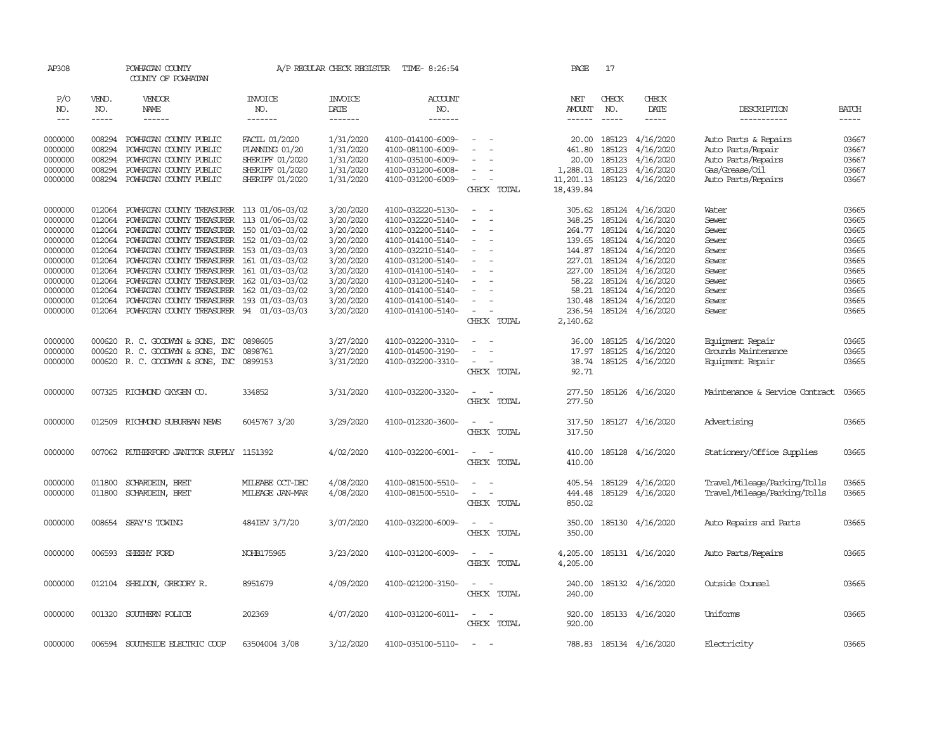| AP308   |             | POWHATAN COUNTY<br>COUNTY OF POWHATAN            |                 | A/P REGULAR CHECK REGISTER | TIME- 8:26:54     |                                    |             | PAGE          | 17            |                         |                                |              |
|---------|-------------|--------------------------------------------------|-----------------|----------------------------|-------------------|------------------------------------|-------------|---------------|---------------|-------------------------|--------------------------------|--------------|
| P/O     | VEND.       | VENDOR                                           | <b>INVOICE</b>  | <b>INVOICE</b>             | <b>ACCOUNT</b>    |                                    |             | NET           | CHECK         | CHECK                   |                                |              |
| NO.     | NO.         | NAME                                             | NO.             | DATE                       | NO.               |                                    |             | AMOUNT        | NO.           | DATE                    | DESCRIPTION                    | <b>BATCH</b> |
| $---$   | $- - - - -$ | $- - - - - -$                                    | -------         | $- - - - - - -$            | --------          |                                    |             | $- - - - - -$ | $\frac{1}{2}$ | -----                   | -----------                    | $- - - - -$  |
| 0000000 | 008294      | POWHATAN COUNTY PUBLIC                           | FACIL 01/2020   | 1/31/2020                  | 4100-014100-6009- |                                    |             | 20.00         | 185123        | 4/16/2020               | Auto Parts & Repairs           | 03667        |
| 0000000 | 008294      | POWHATAN COUNTY PUBLIC                           | PLANING 01/20   | 1/31/2020                  | 4100-081100-6009- |                                    |             | 461.80        | 185123        | 4/16/2020               | Auto Parts/Repair              | 03667        |
| 0000000 | 008294      | POWHATAN COUNTY PUBLIC                           | SHERIFF 01/2020 | 1/31/2020                  | 4100-035100-6009- |                                    |             | 20.00         | 185123        | 4/16/2020               | Auto Parts/Repairs             | 03667        |
| 0000000 | 008294      | POWHATAN COUNTY PUBLIC                           | SHERIFF 01/2020 | 1/31/2020                  | 4100-031200-6008- | $\equiv$                           |             | 1,288.01      | 185123        | 4/16/2020               | Gas/Grease/Oil                 | 03667        |
| 0000000 | 008294      | POWHATAN COUNTY PUBLIC                           | SHERIFF 01/2020 | 1/31/2020                  | 4100-031200-6009- | $\overline{\phantom{a}}$           |             | 11,201.13     | 185123        | 4/16/2020               | Auto Parts/Repairs             | 03667        |
|         |             |                                                  |                 |                            |                   |                                    | CHECK TOTAL | 18,439.84     |               |                         |                                |              |
|         |             |                                                  |                 |                            |                   |                                    |             |               |               |                         |                                |              |
| 0000000 | 012064      | POWHATAN COUNTY TREASURER 113 01/06-03/02        |                 | 3/20/2020                  | 4100-032220-5130- | $\sim$                             |             | 305.62        |               | 185124 4/16/2020        | Water                          | 03665        |
| 0000000 | 012064      | POWHATAN COUNTY TREASURER                        | 113 01/06-03/02 | 3/20/2020                  | 4100-032220-5140- | $\equiv$                           |             | 348.25        | 185124        | 4/16/2020               | Sewer                          | 03665        |
| 0000000 | 012064      | POWHATAN COUNTY TREASURER 150 01/03-03/02        |                 | 3/20/2020                  | 4100-032200-5140- |                                    |             |               |               | 264.77 185124 4/16/2020 | Sewer                          | 03665        |
| 0000000 | 012064      | POWHATAN COUNTY TREASURER 152 01/03-03/02        |                 | 3/20/2020                  | 4100-014100-5140- | $\overline{\phantom{a}}$           |             |               |               | 139.65 185124 4/16/2020 | Sewer                          | 03665        |
| 0000000 | 012064      | POWHATAN COUNTY TREASURER 153 01/03-03/03        |                 | 3/20/2020                  | 4100-032210-5140- | $\equiv$                           |             |               | 144.87 185124 | 4/16/2020               | Sewer                          | 03665        |
| 0000000 | 012064      | POWHATAN COUNTY TREASURER 161 01/03-03/02        |                 | 3/20/2020                  | 4100-031200-5140- |                                    |             |               |               | 227.01 185124 4/16/2020 | Sewer                          | 03665        |
| 0000000 | 012064      | POWHATAN COUNTY TREASURER 161 01/03-03/02        |                 | 3/20/2020                  | 4100-014100-5140- | $\overline{\phantom{a}}$           |             |               |               | 227.00 185124 4/16/2020 | Sewer                          | 03665        |
| 0000000 |             | 012064 POWHATAN COUNTY TREASURER 162 01/03-03/02 |                 | 3/20/2020                  | 4100-031200-5140- |                                    |             | 58.22         |               | 185124 4/16/2020        | Sewer                          | 03665        |
| 0000000 | 012064      | POWHATAN COUNTY TREASURER 162 01/03-03/02        |                 | 3/20/2020                  | 4100-014100-5140- | $\equiv$                           |             | 58.21         |               | 185124 4/16/2020        | Sewer                          | 03665        |
| 0000000 | 012064      | POWHATAN COUNTY TREASURER 193 01/03-03/03        |                 | 3/20/2020                  | 4100-014100-5140- | $\equiv$                           |             | 130.48        |               | 185124 4/16/2020        | Sewer                          | 03665        |
| 0000000 |             | 012064 POWHATAN COUNTY TREASURER 94 01/03-03/03  |                 | 3/20/2020                  | 4100-014100-5140- | $\overline{\phantom{a}}$           |             | 236.54        |               | 185124 4/16/2020        | Sewer                          | 03665        |
|         |             |                                                  |                 |                            |                   |                                    | CHECK TOTAL | 2,140.62      |               |                         |                                |              |
|         |             |                                                  |                 |                            |                   |                                    |             |               |               |                         |                                |              |
| 0000000 |             | 000620 R. C. GOODWIN & SONS, INC                 | 0898605         | 3/27/2020                  | 4100-032200-3310- | $\sim$<br>$\overline{\phantom{a}}$ |             |               |               | 36.00 185125 4/16/2020  | Equipment Repair               | 03665        |
| 0000000 |             | 000620 R.C. GOODWYN & SONS, INC                  | 0898761         | 3/27/2020                  | 4100-014500-3190- | ÷                                  |             | 17.97         |               | 185125 4/16/2020        | Grounds Maintenance            | 03665        |
| 0000000 |             | 000620 R. C. GOODWIN & SONS, INC 0899153         |                 | 3/31/2020                  | 4100-032200-3310- | $\sim$<br>$\sim$                   |             | 38.74         |               | 185125 4/16/2020        | Equipment Repair               | 03665        |
|         |             |                                                  |                 |                            |                   |                                    | CHECK TOTAL | 92.71         |               |                         |                                |              |
| 0000000 |             | 007325 RICHMOND OXYGEN CO.                       | 334852          | 3/31/2020                  | 4100-032200-3320- | $\overline{\phantom{a}}$<br>$\sim$ |             | 277.50        |               | 185126 4/16/2020        | Maintenance & Service Contract | 03665        |
|         |             |                                                  |                 |                            |                   |                                    | CHECK TOTAL | 277.50        |               |                         |                                |              |
|         |             |                                                  |                 |                            |                   |                                    |             |               |               |                         |                                |              |
| 0000000 |             | 012509 RICHMOND SUBURBAN NEWS                    | 6045767 3/20    | 3/29/2020                  | 4100-012320-3600- | $\overline{\phantom{a}}$           |             | 317.50        |               | 185127 4/16/2020        | Advertising                    | 03665        |
|         |             |                                                  |                 |                            |                   |                                    | CHECK TOTAL | 317.50        |               |                         |                                |              |
|         |             |                                                  |                 |                            |                   |                                    |             |               |               |                         |                                |              |
| 0000000 |             | 007062 RUIHERFORD JANITOR SUPPLY 1151392         |                 | 4/02/2020                  | 4100-032200-6001- | $\overline{\phantom{a}}$<br>$\sim$ |             | 410.00        |               | 185128 4/16/2020        | Stationery/Office Supplies     | 03665        |
|         |             |                                                  |                 |                            |                   |                                    | CHECK TOTAL | 410.00        |               |                         |                                |              |
| 0000000 | 011800      | SCHARDEIN, BRET                                  | MILEABE OCT-DEC | 4/08/2020                  | 4100-081500-5510- | $\sim$<br>$\sim$                   |             | 405.54        |               | 185129 4/16/2020        | Travel/Mileage/Parking/Tolls   | 03665        |
|         |             |                                                  |                 |                            |                   | $\overline{\phantom{a}}$<br>$\sim$ |             |               |               |                         |                                |              |
| 0000000 | 011800      | SCHARDEIN, BRET                                  | MILEAGE JAN-MAR | 4/08/2020                  | 4100-081500-5510- |                                    |             | 444.48        |               | 185129 4/16/2020        | Travel/Mileage/Parking/Tolls   | 03665        |
|         |             |                                                  |                 |                            |                   |                                    | CHECK TOTAL | 850.02        |               |                         |                                |              |
| 0000000 | 008654      | SEAY'S TOWING                                    | 484IEV 3/7/20   | 3/07/2020                  | 4100-032200-6009- | $\sim$<br>$\sim$                   |             | 350.00        |               | 185130 4/16/2020        | Auto Repairs and Parts         | 03665        |
|         |             |                                                  |                 |                            |                   |                                    | CHECK TOTAL | 350.00        |               |                         |                                |              |
|         |             |                                                  |                 |                            |                   |                                    |             |               |               |                         |                                |              |
| 0000000 |             | 006593 SHEEHY FORD                               | NOHB175965      | 3/23/2020                  | 4100-031200-6009- | $\sim$<br>$\sim$                   |             | 4,205.00      |               | 185131 4/16/2020        | Auto Parts/Repairs             | 03665        |
|         |             |                                                  |                 |                            |                   |                                    | CHECK TOTAL | 4,205.00      |               |                         |                                |              |
|         |             |                                                  |                 |                            |                   |                                    |             |               |               |                         |                                |              |
| 0000000 |             | 012104 SHELDON, GREGORY R.                       | 8951679         | 4/09/2020                  | 4100-021200-3150- | $\sim$<br>$\sim$                   |             | 240.00        |               | 185132 4/16/2020        | Outside Counsel                | 03665        |
|         |             |                                                  |                 |                            |                   |                                    | CHECK TOTAL | 240.00        |               |                         |                                |              |
|         |             |                                                  |                 |                            |                   |                                    |             |               |               |                         |                                |              |
| 0000000 | 001320      | SOUTHERN POLICE                                  | 202369          | 4/07/2020                  | 4100-031200-6011- | $\sim$ $ -$                        |             | 920.00        |               | 185133 4/16/2020        | Uniforms                       | 03665        |
|         |             |                                                  |                 |                            |                   |                                    | CHECK TOTAL | 920.00        |               |                         |                                |              |
|         |             |                                                  |                 |                            |                   |                                    |             |               |               |                         |                                |              |
| 0000000 |             | 006594 SOUTHSIDE ELECTRIC COOP                   | 63504004 3/08   | 3/12/2020                  | 4100-035100-5110- | $\sim$                             |             |               |               | 788.83 185134 4/16/2020 | Electricity                    | 03665        |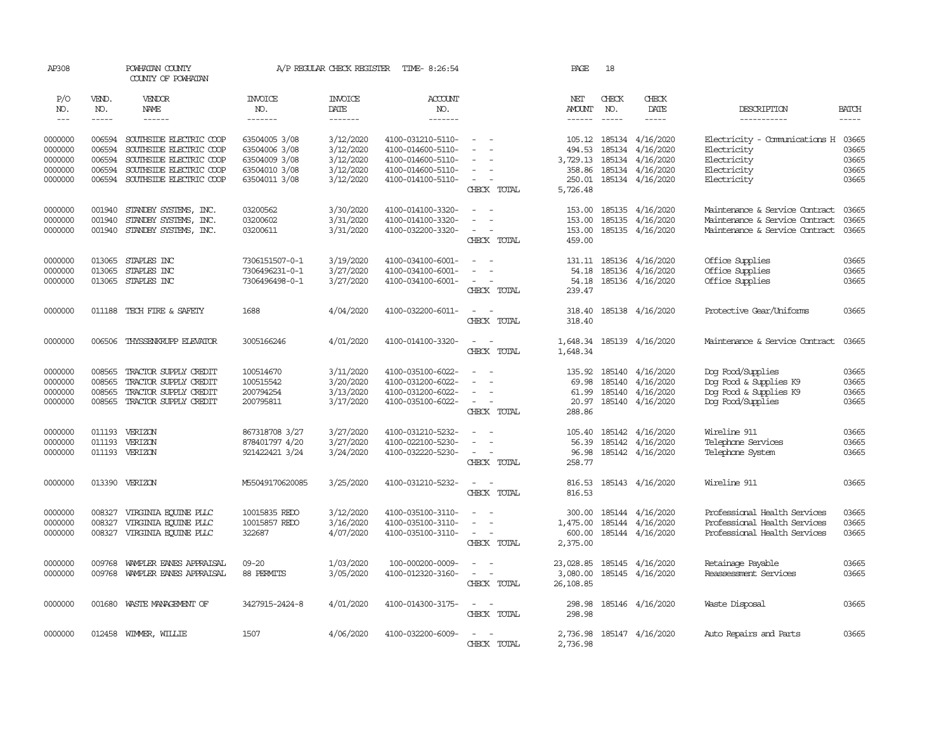| AP308         |              | POWHATAN COUNTY<br>COUNTY OF POWHATAN |                       | A/P REGULAR CHECK REGISTER | TIME- 8:26:54     |                                    | PAGE                 | 18           |                           |                                |              |
|---------------|--------------|---------------------------------------|-----------------------|----------------------------|-------------------|------------------------------------|----------------------|--------------|---------------------------|--------------------------------|--------------|
| P/O<br>NO.    | VEND.<br>NO. | VENDOR<br>NAME                        | <b>INVOICE</b><br>NO. | <b>INVOICE</b><br>DATE     | ACCOUNT<br>NO.    |                                    | NET<br><b>AMOUNT</b> | CHECK<br>NO. | CHECK<br>DATE             | DESCRIPTION                    | <b>BATCH</b> |
| $\frac{1}{2}$ | $- - - - -$  | $- - - - - -$                         | -------               | -------                    | -------           |                                    |                      |              | $- - - - -$               | -----------                    | $- - - - -$  |
| 0000000       | 006594       | SOUTHSIDE ELECTRIC COOP               | 63504005 3/08         | 3/12/2020                  | 4100-031210-5110- | $\sim$                             |                      |              | 105.12 185134 4/16/2020   | Electricity - Comunications H  | 03665        |
| 0000000       | 006594       | SOUTHSIDE ELECTRIC COOP               | 63504006 3/08         | 3/12/2020                  | 4100-014600-5110- | $\equiv$                           | 494.53               | 185134       | 4/16/2020                 | Electricity                    | 03665        |
| 0000000       | 006594       | SOUTHSIDE ELECTRIC COOP               | 63504009 3/08         | 3/12/2020                  | 4100-014600-5110- |                                    | 3,729.13             | 185134       | 4/16/2020                 | Electricity                    | 03665        |
| 0000000       | 006594       | SOUTHSIDE ELECTRIC COOP               | 63504010 3/08         | 3/12/2020                  | 4100-014600-5110- |                                    | 358.86               |              | 185134 4/16/2020          | Electricity                    | 03665        |
| 0000000       | 006594       | SOUTHSIDE ELECTRIC COOP               | 63504011 3/08         | 3/12/2020                  | 4100-014100-5110- | $\sim$<br>CHECK TOTAL              | 250.01<br>5,726.48   |              | 185134 4/16/2020          | Electricity                    | 03665        |
| 0000000       | 001940       | STANDBY SYSTEMS, INC.                 | 03200562              | 3/30/2020                  | 4100-014100-3320- | $\sim$                             | 153.00               | 185135       | 4/16/2020                 | Maintenance & Service Contract | 03665        |
| 0000000       | 001940       | STANDBY SYSTEMS, INC.                 | 03200602              | 3/31/2020                  | 4100-014100-3320- | $\sim$                             | 153.00               | 185135       | 4/16/2020                 | Maintenance & Service Contract | 03665        |
| 0000000       | 001940       | STANDBY SYSTEMS, INC.                 | 03200611              | 3/31/2020                  | 4100-032200-3320- | $\sim$<br>$\sim$                   | 153.00               |              | 185135 4/16/2020          | Maintenance & Service Contract | 03665        |
|               |              |                                       |                       |                            |                   | CHECK TOTAL                        | 459.00               |              |                           |                                |              |
| 0000000       | 013065       | STAPLES INC                           | 7306151507-0-1        | 3/19/2020                  | 4100-034100-6001- | $\equiv$                           | 131.11               |              | 185136 4/16/2020          | Office Supplies                | 03665        |
| 0000000       | 013065       | STAPLES INC                           | 7306496231-0-1        | 3/27/2020                  | 4100-034100-6001- | $\overline{\phantom{a}}$           | 54.18                |              | 185136 4/16/2020          | Office Supplies                | 03665        |
| 0000000       |              | 013065 STAPLES INC                    | 7306496498-0-1        | 3/27/2020                  | 4100-034100-6001- | $\equiv$                           | 54.18                |              | 185136 4/16/2020          | Office Supplies                | 03665        |
|               |              |                                       |                       |                            |                   | CHECK TOTAL                        | 239.47               |              |                           |                                |              |
| 0000000       |              | 011188 TECH FIRE & SAFETY             | 1688                  | 4/04/2020                  | 4100-032200-6011- | $\sim$<br>$\sim$                   | 318.40               |              | 185138 4/16/2020          | Protective Gear/Uniforms       | 03665        |
|               |              |                                       |                       |                            |                   | CHECK TOTAL                        | 318.40               |              |                           |                                |              |
| 0000000       | 006506       | THYSSENKRUPP ELEVATOR                 | 3005166246            | 4/01/2020                  | 4100-014100-3320- | $\sim$<br>$\sim$                   |                      |              | 1,648.34 185139 4/16/2020 | Maintenance & Service Contract | 03665        |
|               |              |                                       |                       |                            |                   | CHECK TOTAL                        | 1,648.34             |              |                           |                                |              |
| 0000000       | 008565       | TRACTOR SUPPLY CREDIT                 | 100514670             | 3/11/2020                  | 4100-035100-6022- |                                    | 135.92               |              | 185140 4/16/2020          | Dog Food/Supplies              | 03665        |
| 0000000       | 008565       | TRACTOR SUPPLY CREDIT                 | 100515542             | 3/20/2020                  | 4100-031200-6022- |                                    | 69.98                | 185140       | 4/16/2020                 | Dog Food & Supplies K9         | 03665        |
| 0000000       | 008565       | TRACTOR SUPPLY CREDIT                 | 200794254             | 3/13/2020                  | 4100-031200-6022- | $\equiv$                           | 61.99                |              | 185140 4/16/2020          | Dog Food & Supplies K9         | 03665        |
| 0000000       | 008565       | TRACTOR SUPPLY CREDIT                 | 200795811             | 3/17/2020                  | 4100-035100-6022- | $\sim$<br>$\overline{\phantom{a}}$ | 20.97                | 185140       | 4/16/2020                 | Dog Food/Supplies              | 03665        |
|               |              |                                       |                       |                            |                   | CHECK TOTAL                        | 288.86               |              |                           |                                |              |
| 0000000       | 011193       | VERIZON                               | 867318708 3/27        | 3/27/2020                  | 4100-031210-5232- | $\overline{\phantom{a}}$           | 105.40               |              | 185142 4/16/2020          | Wireline 911                   | 03665        |
| 0000000       | 011193       | VERIZON                               | 878401797 4/20        | 3/27/2020                  | 4100-022100-5230- | $\equiv$                           | 56.39                |              | 185142 4/16/2020          | Telephone Services             | 03665        |
| 0000000       | 011193       | VERIZON                               | 921422421 3/24        | 3/24/2020                  | 4100-032220-5230- | $\sim$<br>CHECK TOTAL              | 96.98<br>258.77      |              | 185142 4/16/2020          | Telephone System               | 03665        |
| 0000000       |              | 013390 VERIZON                        | M55049170620085       | 3/25/2020                  | 4100-031210-5232- | $\sim$ $ \sim$                     | 816.53               |              | 185143 4/16/2020          | Wireline 911                   | 03665        |
|               |              |                                       |                       |                            |                   | CHECK TOTAL                        | 816.53               |              |                           |                                |              |
| 0000000       | 008327       | VIRGINIA EQUINE PLLC                  | 10015835 REDO         | 3/12/2020                  | 4100-035100-3110- |                                    | 300.00               |              | 185144 4/16/2020          | Professional Health Services   | 03665        |
| 0000000       | 008327       | VIRGINIA EQUINE PLLC                  | 10015857 REDO         | 3/16/2020                  | 4100-035100-3110- |                                    | 1,475.00             |              | 185144 4/16/2020          | Professional Health Services   | 03665        |
| 0000000       |              | 008327 VIRGINIA EQUINE PLLC           | 322687                | 4/07/2020                  | 4100-035100-3110- | $\sim$                             | 600.00               |              | 185144 4/16/2020          | Professional Health Services   | 03665        |
|               |              |                                       |                       |                            |                   | CHECK TOTAL                        | 2,375.00             |              |                           |                                |              |
| 0000000       | 009768       | WAMPLER EANES APPRAISAL               | $09 - 20$             | 1/03/2020                  | 100-000200-0009-  | $\equiv$<br>$\sim$                 | 23,028.85            |              | 185145 4/16/2020          | Retainage Payable              | 03665        |
| 0000000       | 009768       | WAMPLER EANES APPRAISAL               | 88 PERMITS            | 3/05/2020                  | 4100-012320-3160- | $\sim$<br>$\overline{\phantom{a}}$ | 3,080.00             |              | 185145 4/16/2020          | Reassessment Services          | 03665        |
|               |              |                                       |                       |                            |                   | CHECK TOTAL                        | 26,108.85            |              |                           |                                |              |
| 0000000       | 001680       | WASTE MANAGEMENT OF                   | 3427915-2424-8        | 4/01/2020                  | 4100-014300-3175- | $\sim$                             | 298.98               |              | 185146 4/16/2020          | Waste Disposal                 | 03665        |
|               |              |                                       |                       |                            |                   | CHECK TOTAL                        | 298.98               |              |                           |                                |              |
|               |              |                                       |                       |                            |                   |                                    |                      |              |                           |                                |              |
| 0000000       |              | 012458 WIMMER, WILLIE                 | 1507                  | 4/06/2020                  | 4100-032200-6009- |                                    | 2,736.98             |              | 185147 4/16/2020          | Auto Repairs and Parts         | 03665        |
|               |              |                                       |                       |                            |                   | CHECK TOTAL                        | 2,736.98             |              |                           |                                |              |
|               |              |                                       |                       |                            |                   |                                    |                      |              |                           |                                |              |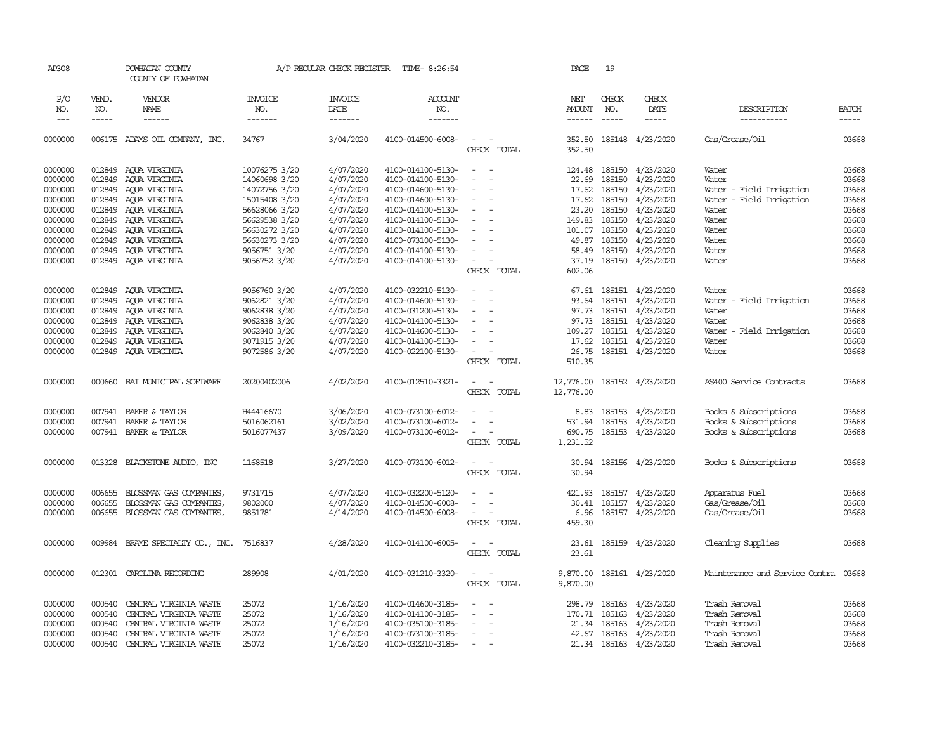| AP308        |                      | POWHATAN COUNTY<br>COUNTY OF POWHATAN |                | A/P REGULAR CHECK REGISTER | TIME- 8:26:54          |                                                                                                              | PAGE                    | 19                   |                         |                                |                             |
|--------------|----------------------|---------------------------------------|----------------|----------------------------|------------------------|--------------------------------------------------------------------------------------------------------------|-------------------------|----------------------|-------------------------|--------------------------------|-----------------------------|
| P/O          | VEND.                | VENDOR                                | <b>INVOICE</b> | <b>INVOICE</b>             | ACCOUNT                |                                                                                                              | NET                     | CHECK                | CHECK                   |                                |                             |
| NO.<br>$---$ | NO.<br>$\frac{1}{2}$ | NAME<br>$- - - - - -$                 | NO.<br>------- | DATE<br>$- - - - - - -$    | NO.<br>$- - - - - - -$ |                                                                                                              | AMOUNT<br>$- - - - - -$ | NO.<br>$\frac{1}{2}$ | DATE<br>-----           | DESCRIPTION<br>-----------     | <b>BATCH</b><br>$- - - - -$ |
|              |                      |                                       |                |                            |                        |                                                                                                              |                         |                      |                         |                                |                             |
| 0000000      |                      | 006175 ADAMS OIL COMPANY, INC.        | 34767          | 3/04/2020                  | 4100-014500-6008-      | $\equiv$                                                                                                     | 352.50                  |                      | 185148 4/23/2020        | Gas/Grease/Oil                 | 03668                       |
|              |                      |                                       |                |                            |                        | CHECK TOTAL                                                                                                  | 352.50                  |                      |                         |                                |                             |
| 0000000      | 012849               | AQUA VIRGINIA                         | 10076275 3/20  | 4/07/2020                  | 4100-014100-5130-      | $\frac{1}{2} \left( \frac{1}{2} \right) \left( \frac{1}{2} \right) = \frac{1}{2} \left( \frac{1}{2} \right)$ |                         |                      | 124.48 185150 4/23/2020 | Water                          | 03668                       |
| 0000000      | 012849               | AQUA VIRGINIA                         | 14060698 3/20  | 4/07/2020                  | 4100-014100-5130-      |                                                                                                              | 22.69                   | 185150               | 4/23/2020               | Water                          | 03668                       |
| 0000000      | 012849               | ACUA VIRGINIA                         | 14072756 3/20  | 4/07/2020                  | 4100-014600-5130-      |                                                                                                              | 17.62                   | 185150               | 4/23/2020               | Water - Field Irrigation       | 03668                       |
| 0000000      | 012849               | AQUA VIRGINIA                         | 15015408 3/20  | 4/07/2020                  | 4100-014600-5130-      | $\equiv$                                                                                                     | 17.62                   | 185150               | 4/23/2020               | Water - Field Irrigation       | 03668                       |
| 0000000      | 012849               | AQUA VIRGINIA                         | 56628066 3/20  | 4/07/2020                  | 4100-014100-5130-      | $\sim$                                                                                                       | 23.20                   | 185150               | 4/23/2020               | Water                          | 03668                       |
| 0000000      | 012849               | ACUA VIRGINIA                         | 56629538 3/20  | 4/07/2020                  | 4100-014100-5130-      | $\equiv$                                                                                                     | 149.83                  | 185150               | 4/23/2020               | Water                          | 03668                       |
| 0000000      | 012849               | AQUA VIRGINIA                         | 56630272 3/20  | 4/07/2020                  | 4100-014100-5130-      |                                                                                                              | 101.07                  | 185150               | 4/23/2020               | Water                          | 03668                       |
| 0000000      | 012849               | AQUA VIRGINIA                         | 56630273 3/20  | 4/07/2020                  | 4100-073100-5130-      | $\overline{\phantom{a}}$                                                                                     | 49.87                   | 185150               | 4/23/2020               | Water                          | 03668                       |
| 0000000      | 012849               | AQUA VIRGINIA                         | 9056751 3/20   | 4/07/2020                  | 4100-014100-5130-      | $\sim$                                                                                                       | 58.49                   | 185150               | 4/23/2020               | Water                          | 03668                       |
| 0000000      |                      | 012849 AQUA VIRGINIA                  | 9056752 3/20   | 4/07/2020                  | 4100-014100-5130-      | $\sim$<br>$\sim$                                                                                             | 37.19                   |                      | 185150 4/23/2020        | Water                          | 03668                       |
|              |                      |                                       |                |                            |                        | CHECK TOTAL                                                                                                  | 602.06                  |                      |                         |                                |                             |
| 0000000      | 012849               | AQUA VIRGINIA                         | 9056760 3/20   | 4/07/2020                  | 4100-032210-5130-      | $\sim$                                                                                                       | 67.61                   |                      | 185151 4/23/2020        | Water                          | 03668                       |
| 0000000      | 012849               | AOUA VIRGINIA                         | 9062821 3/20   | 4/07/2020                  | 4100-014600-5130-      |                                                                                                              |                         |                      | 93.64 185151 4/23/2020  | Water - Field Irrigation       | 03668                       |
| 0000000      | 012849               | AQUA VIRGINIA                         | 9062838 3/20   | 4/07/2020                  | 4100-031200-5130-      | $\equiv$                                                                                                     |                         |                      | 97.73 185151 4/23/2020  | Water                          | 03668                       |
| 0000000      | 012849               | AQUA VIRGINIA                         | 9062838 3/20   | 4/07/2020                  | 4100-014100-5130-      | $\equiv$                                                                                                     | 97.73                   | 185151               | 4/23/2020               | Water                          | 03668                       |
| 0000000      | 012849               | AQUA VIRGINIA                         | 9062840 3/20   | 4/07/2020                  | 4100-014600-5130-      |                                                                                                              | 109.27                  |                      | 185151 4/23/2020        | Water - Field Irrigation       | 03668                       |
| 0000000      | 012849               | ACUA VIRGINIA                         | 9071915 3/20   | 4/07/2020                  | 4100-014100-5130-      | $\equiv$                                                                                                     | 17.62                   |                      | 185151 4/23/2020        | Water                          | 03668                       |
| 0000000      | 012849               | AOUA VIRGINIA                         | 9072586 3/20   | 4/07/2020                  | 4100-022100-5130-      | $\sim$                                                                                                       | 26.75                   |                      | 185151 4/23/2020        | Water                          | 03668                       |
|              |                      |                                       |                |                            |                        | CHECK TOTAL                                                                                                  | 510.35                  |                      |                         |                                |                             |
| 0000000      | 000660               | BAI MUNICIPAL SOFTWARE                | 20200402006    | 4/02/2020                  | 4100-012510-3321-      | $\sim$<br>$\sim$                                                                                             | 12,776.00               |                      | 185152 4/23/2020        | AS400 Service Contracts        | 03668                       |
|              |                      |                                       |                |                            |                        | CHECK TOTAL                                                                                                  | 12,776.00               |                      |                         |                                |                             |
|              |                      |                                       |                |                            |                        |                                                                                                              |                         |                      |                         |                                |                             |
| 0000000      | 007941               | BAKER & TAYLOR                        | H44416670      | 3/06/2020                  | 4100-073100-6012-      | $\sim$                                                                                                       | 8.83                    |                      | 185153 4/23/2020        | Books & Subscriptions          | 03668                       |
| 0000000      | 007941               | BAKER & TAYLOR                        | 5016062161     | 3/02/2020                  | 4100-073100-6012-      | $\sim$                                                                                                       | 531.94                  | 185153               | 4/23/2020               | Books & Subscriptions          | 03668                       |
| 0000000      |                      | 007941 BAKER & TAYLOR                 | 5016077437     | 3/09/2020                  | 4100-073100-6012-      | $\sim$ $ \sim$                                                                                               | 690.75                  |                      | 185153 4/23/2020        | Books & Subscriptions          | 03668                       |
|              |                      |                                       |                |                            |                        | CHECK TOTAL                                                                                                  | 1,231.52                |                      |                         |                                |                             |
| 0000000      | 013328               | BLACKSTONE AUDIO, INC                 | 1168518        | 3/27/2020                  | 4100-073100-6012-      | $\sim$                                                                                                       | 30.94                   |                      | 185156 4/23/2020        | Books & Subscriptions          | 03668                       |
|              |                      |                                       |                |                            |                        | CHECK TOTAL                                                                                                  | 30.94                   |                      |                         |                                |                             |
| 0000000      | 006655               | BLOSSMAN GAS COMPANIES                | 9731715        | 4/07/2020                  | 4100-032200-5120-      | $\sim$                                                                                                       | 421.93                  | 185157               | 4/23/2020               | Apparatus Fuel                 | 03668                       |
| 0000000      | 006655               | BLOSSMAN GAS COMPANIES,               | 9802000        | 4/07/2020                  | 4100-014500-6008-      |                                                                                                              |                         | 30.41 185157         | 4/23/2020               | Gas/Grease/Oil                 | 03668                       |
| 0000000      | 006655               | BLOSSMAN GAS COMPANIES,               | 9851781        | 4/14/2020                  | 4100-014500-6008-      | $\sim$                                                                                                       | 6.96                    |                      | 185157 4/23/2020        | Gas/Grease/Oil                 | 03668                       |
|              |                      |                                       |                |                            |                        | CHECK TOTAL                                                                                                  | 459.30                  |                      |                         |                                |                             |
|              |                      |                                       |                |                            |                        |                                                                                                              |                         |                      |                         |                                |                             |
| 0000000      | 009984               | BRAME SPECIALITY CO., INC.            | 7516837        | 4/28/2020                  | 4100-014100-6005-      | $\sim$ $\sim$<br>CHECK TOTAL                                                                                 | 23.61                   |                      | 23.61 185159 4/23/2020  | Cleaning Supplies              | 03668                       |
|              |                      |                                       |                |                            |                        |                                                                                                              |                         |                      |                         |                                |                             |
| 0000000      |                      | 012301 CAROLINA RECORDING             | 289908         | 4/01/2020                  | 4100-031210-3320-      | $\sim$<br>$\sim$                                                                                             | 9,870.00                |                      | 185161 4/23/2020        | Maintenance and Service Contra | 03668                       |
|              |                      |                                       |                |                            |                        | CHECK TOTAL                                                                                                  | 9,870.00                |                      |                         |                                |                             |
| 0000000      | 000540               | CENTRAL VIRGINIA WASTE                | 25072          | 1/16/2020                  | 4100-014600-3185-      |                                                                                                              | 298.79                  |                      | 185163 4/23/2020        | Trash Removal                  | 03668                       |
| 0000000      | 000540               | CENTRAL VIRGINIA WASTE                | 25072          | 1/16/2020                  | 4100-014100-3185-      |                                                                                                              | 170.71                  | 185163               | 4/23/2020               | Trash Removal                  | 03668                       |
| 0000000      | 000540               | CENTRAL VIRGINIA WASTE                | 25072          | 1/16/2020                  | 4100-035100-3185-      |                                                                                                              | 21.34                   | 185163               | 4/23/2020               | Trash Removal                  | 03668                       |
| 0000000      | 000540               | CENTRAL VIRGINIA WASTE                | 25072          | 1/16/2020                  | 4100-073100-3185-      | $\overline{\phantom{a}}$                                                                                     | 42.67                   |                      | 185163 4/23/2020        | Trash Removal                  | 03668                       |
| 0000000      | 000540               | CENTRAL VIRGINIA WASTE                | 25072          | 1/16/2020                  | 4100-032210-3185-      | $\equiv$                                                                                                     |                         |                      | 21.34 185163 4/23/2020  | Trash Removal                  | 03668                       |
|              |                      |                                       |                |                            |                        |                                                                                                              |                         |                      |                         |                                |                             |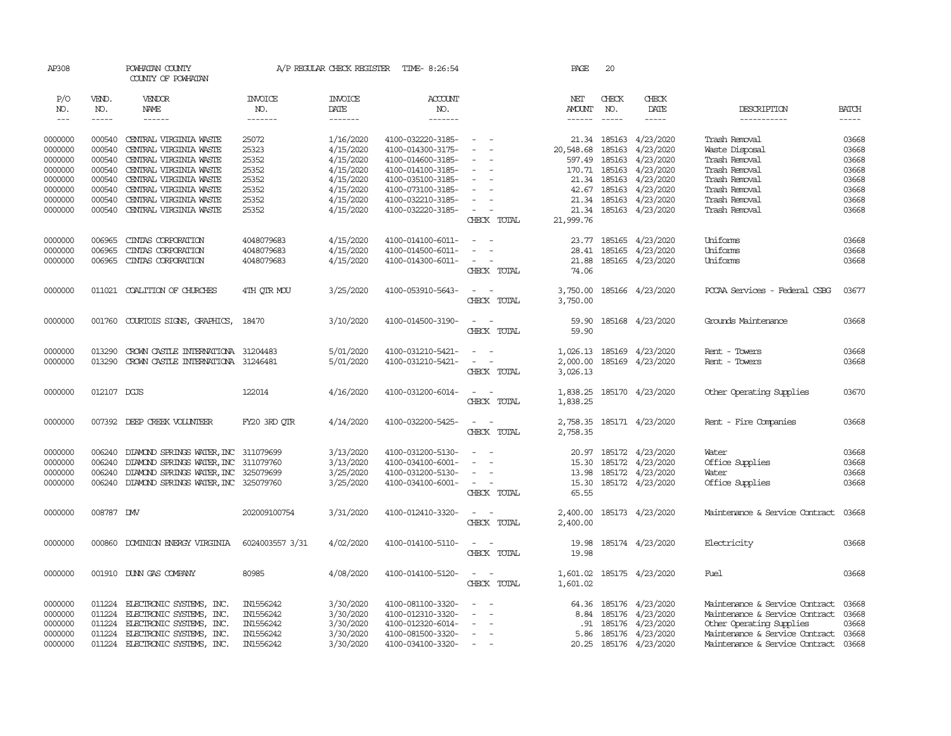| AP308   |               | POWHATAN COUNTY<br>COUNTY OF POWHATAN       |                 | A/P REGULAR CHECK REGISTER | TIME- 8:26:54     |                          | PAGE          | 20            |                           |                                      |              |
|---------|---------------|---------------------------------------------|-----------------|----------------------------|-------------------|--------------------------|---------------|---------------|---------------------------|--------------------------------------|--------------|
| P/O     | VEND.         | VENDOR                                      | <b>INVOICE</b>  | <b>INVOICE</b>             | ACCOUNT           |                          | NET           | CHECK         | CHECK                     |                                      |              |
| NO.     | NO.           | NAME                                        | NO.             | DATE                       | NO.               |                          | AMOUNT        | NO.           | DATE                      | DESCRIPTION                          | <b>BATCH</b> |
| $---$   | $\frac{1}{2}$ | $- - - - - -$                               | -------         | $- - - - - - -$            | $- - - - - - -$   |                          | $- - - - - -$ | $\frac{1}{2}$ | $- - - - -$               | -----------                          |              |
| 0000000 | 000540        | CENTRAL VIRGINIA WASTE                      | 25072           | 1/16/2020                  | 4100-032220-3185- | $\sim$ $ \sim$           |               |               | 21.34 185163 4/23/2020    | Trash Removal                        | 03668        |
| 0000000 | 000540        | CENTRAL VIRGINIA WASTE                      | 25323           | 4/15/2020                  | 4100-014300-3175- |                          | 20,548.68     | 185163        | 4/23/2020                 | Waste Disposal                       | 03668        |
| 0000000 | 000540        | CENTRAL VIRGINIA WASTE                      |                 |                            | 4100-014600-3185- |                          |               | 185163        | 4/23/2020                 | Trash Removal                        | 03668        |
|         |               |                                             | 25352           | 4/15/2020                  |                   |                          | 597.49        |               |                           |                                      |              |
| 0000000 | 000540        | CENTRAL VIRGINIA WASTE                      | 25352           | 4/15/2020                  | 4100-014100-3185- | $\equiv$                 |               |               | 170.71 185163 4/23/2020   | Trash Removal                        | 03668        |
| 0000000 | 000540        | CENTRAL VIRGINIA WASTE                      | 25352           | 4/15/2020                  | 4100-035100-3185- | $\sim$                   |               | 21.34 185163  | 4/23/2020                 | Trash Removal                        | 03668        |
| 0000000 | 000540        | CENTRAL VIRGINIA WASTE                      | 25352           | 4/15/2020                  | 4100-073100-3185- |                          | 42.67         |               | 185163 4/23/2020          | Trash Removal                        | 03668        |
| 0000000 | 000540        | CENTRAL VIRGINIA WASTE                      | 25352           | 4/15/2020                  | 4100-032210-3185- |                          |               |               | 21.34 185163 4/23/2020    | Trash Removal                        | 03668        |
| 0000000 | 000540        | CENTRAL VIRGINIA WASTE                      | 25352           | 4/15/2020                  | 4100-032220-3185- | $\overline{\phantom{a}}$ | 21.34         |               | 185163 4/23/2020          | Trash Removal                        | 03668        |
|         |               |                                             |                 |                            |                   | CHECK TOTAL              | 21,999.76     |               |                           |                                      |              |
| 0000000 | 006965        | CINIAS CORPORATION                          | 4048079683      | 4/15/2020                  | 4100-014100-6011- | $\sim$                   | 23.77         | 185165        | 4/23/2020                 | Uniforms                             | 03668        |
| 0000000 | 006965        | CINIAS CORPORATION                          | 4048079683      | 4/15/2020                  | 4100-014500-6011- | $\sim$                   | 28.41         | 185165        | 4/23/2020                 | Uniforms                             | 03668        |
| 0000000 | 006965        | CINIAS CORPORATION                          | 4048079683      | 4/15/2020                  | 4100-014300-6011- | $\sim$<br>$\sim$         | 21.88         |               | 185165 4/23/2020          | Uniforms                             | 03668        |
|         |               |                                             |                 |                            |                   | CHECK TOTAL              | 74.06         |               |                           |                                      |              |
|         |               |                                             |                 |                            |                   |                          |               |               |                           |                                      |              |
| 0000000 | 011021        | COALITION OF CHURCHES                       | 4TH QTR MOU     | 3/25/2020                  | 4100-053910-5643- | $\sim$<br>$\sim$         | 3,750.00      |               | 185166 4/23/2020          | PCCAA Services - Federal CSBG        | 03677        |
|         |               |                                             |                 |                            |                   | CHECK TOTAL              | 3,750.00      |               |                           |                                      |              |
|         |               |                                             |                 |                            |                   |                          |               |               |                           |                                      |              |
| 0000000 | 001760        | COURTOIS SIGNS, GRAPHICS,                   | 18470           | 3/10/2020                  | 4100-014500-3190- | $\sim$<br>$\sim$         | 59.90         |               | 185168 4/23/2020          | Grounds Maintenance                  | 03668        |
|         |               |                                             |                 |                            |                   | CHECK TOTAL              | 59.90         |               |                           |                                      |              |
| 0000000 | 013290        | CROWN CASTLE INTERNATIONA 31204483          |                 | 5/01/2020                  | 4100-031210-5421- | $\sim$                   | 1,026.13      |               | 185169 4/23/2020          | Rent - Towers                        | 03668        |
| 0000000 | 013290        | CROWN CASTLE INTERNATIONA 31246481          |                 | 5/01/2020                  | 4100-031210-5421- |                          | 2,000.00      |               | 185169 4/23/2020          | Rent - Towers                        | 03668        |
|         |               |                                             |                 |                            |                   | CHECK TOTAL              | 3,026.13      |               |                           |                                      |              |
|         |               |                                             |                 |                            |                   |                          |               |               |                           |                                      |              |
| 0000000 | 012107 DCJS   |                                             | 122014          | 4/16/2020                  | 4100-031200-6014- |                          | 1,838.25      |               | 185170 4/23/2020          | Other Operating Supplies             | 03670        |
|         |               |                                             |                 |                            |                   | CHECK TOTAL              | 1,838.25      |               |                           |                                      |              |
| 0000000 |               | 007392 DEEP CREEK VOLUNTEER                 | FY20 3RD OTR    | 4/14/2020                  | 4100-032200-5425- | $\sim$                   |               |               | 2,758.35 185171 4/23/2020 | Rent - Fire Companies                | 03668        |
|         |               |                                             |                 |                            |                   | CHECK TOTAL              | 2,758.35      |               |                           |                                      |              |
|         |               |                                             |                 |                            |                   |                          |               |               |                           |                                      |              |
| 0000000 | 006240        | DIAMOND SPRINGS WATER, INC 311079699        |                 | 3/13/2020                  | 4100-031200-5130- | $\sim$                   |               |               | 20.97 185172 4/23/2020    | Water                                | 03668        |
| 0000000 | 006240        | DIAMOND SPRINGS WATER, INC 311079760        |                 | 3/13/2020                  | 4100-034100-6001- |                          | 15.30         |               | 185172 4/23/2020          | Office Supplies                      | 03668        |
| 0000000 | 006240        | DIAMOND SPRINGS WATER, INC 325079699        |                 | 3/25/2020                  | 4100-031200-5130- |                          | 13.98         |               | 185172 4/23/2020          | Water                                | 03668        |
| 0000000 |               | 006240 DIAMOND SPRINGS WATER, INC 325079760 |                 | 3/25/2020                  | 4100-034100-6001- | $\sim$                   |               |               | 15.30 185172 4/23/2020    | Office Supplies                      | 03668        |
|         |               |                                             |                 |                            |                   | CHECK TOTAL              | 65.55         |               |                           |                                      |              |
| 0000000 | 008787 DW     |                                             | 202009100754    | 3/31/2020                  | 4100-012410-3320- | $\sim$<br>$\sim$         | 2,400.00      |               | 185173 4/23/2020          | Maintenance & Service Contract       | 03668        |
|         |               |                                             |                 |                            |                   | CHECK TOTAL              | 2,400.00      |               |                           |                                      |              |
|         |               |                                             |                 |                            |                   |                          |               |               |                           |                                      |              |
| 0000000 |               | 000860 DOMINION ENERGY VIRGINIA             | 6024003557 3/31 | 4/02/2020                  | 4100-014100-5110- | $\sim$ $ \sim$           | 19.98         |               | 185174 4/23/2020          | Electricity                          | 03668        |
|         |               |                                             |                 |                            |                   | CHECK TOTAL              | 19.98         |               |                           |                                      |              |
| 0000000 |               | 001910 DUNN GAS COMPANY                     | 80985           | 4/08/2020                  | 4100-014100-5120- | $\sim$<br>$\sim$         |               |               | 1,601.02 185175 4/23/2020 | Fuel                                 | 03668        |
|         |               |                                             |                 |                            |                   | CHECK TOTAL              | 1,601.02      |               |                           |                                      |              |
|         |               |                                             |                 |                            |                   |                          |               |               |                           |                                      |              |
| 0000000 | 011224        | ELECTRONIC SYSTEMS, INC.                    | IN1556242       | 3/30/2020                  | 4100-081100-3320- | $\overline{\phantom{a}}$ |               |               | 64.36 185176 4/23/2020    | Maintenance & Service Contract 03668 |              |
| 0000000 | 011224        | ELECTRONIC SYSTEMS, INC.                    | IN1556242       | 3/30/2020                  | 4100-012310-3320- |                          | 8.84          |               | 185176 4/23/2020          | Maintenance & Service Contract 03668 |              |
| 0000000 | 011224        | ELECTRONIC SYSTEMS, INC.                    | IN1556242       | 3/30/2020                  | 4100-012320-6014- |                          | .91           | 185176        | 4/23/2020                 | Other Operating Supplies             | 03668        |
| 0000000 | 011224        | ELECTRONIC SYSTEMS, INC.                    | IN1556242       | 3/30/2020                  | 4100-081500-3320- | $\equiv$                 | 5.86          |               | 185176 4/23/2020          | Maintenance & Service Contract       | 03668        |
| 0000000 | 011224        | ELECTRONIC SYSTEMS, INC.                    | IN1556242       | 3/30/2020                  | 4100-034100-3320- |                          |               |               | 20.25 185176 4/23/2020    | Maintenance & Service Contract       | 03668        |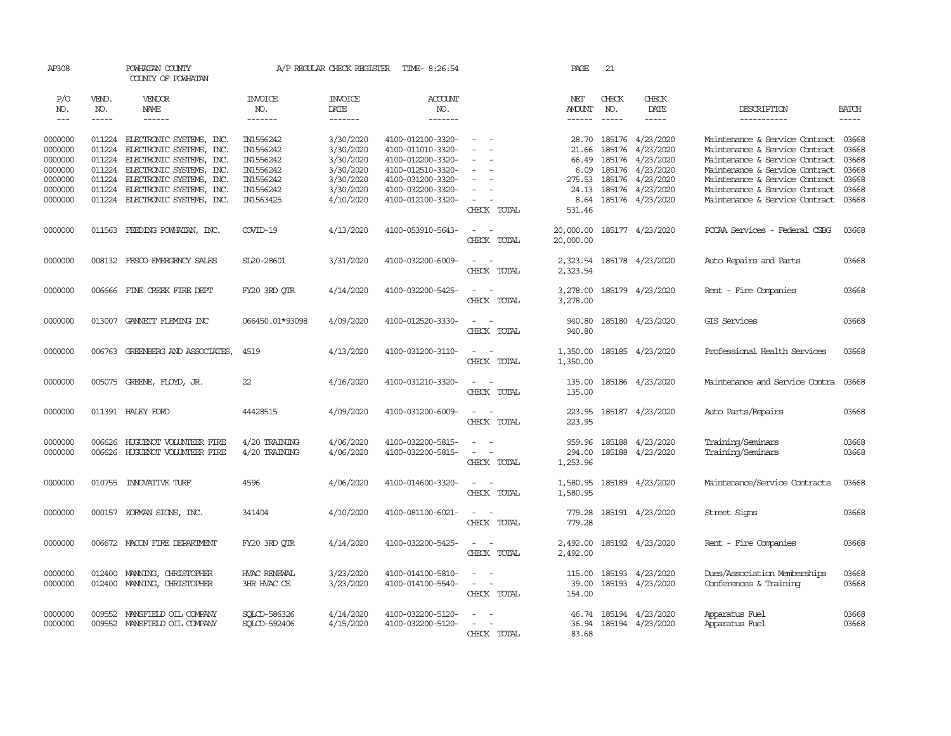| AP308                |                      | POWHATAN COUNTY<br>COUNTY OF POWHATAN |                 | A/P REGULAR CHECK REGISTER | TIME- 8:26:54     |                        | PAGE                           | 21                   |                     |                                |                               |
|----------------------|----------------------|---------------------------------------|-----------------|----------------------------|-------------------|------------------------|--------------------------------|----------------------|---------------------|--------------------------------|-------------------------------|
| P/O                  | VEND.                | VENDOR                                | <b>INVOICE</b>  | <b>INVOICE</b>             | ACCOUNT           |                        | NET                            | CHECK                | <b>CHECK</b>        |                                |                               |
| NO.<br>$\frac{1}{2}$ | NO.<br>$\frac{1}{2}$ | NAME<br>$- - - - - -$                 | NO.<br>-------  | DATE<br>-------            | NO.<br>--------   |                        | <b>AMOUNT</b><br>$- - - - - -$ | NO.<br>$\frac{1}{2}$ | DATE<br>$- - - - -$ | DESCRIPTION<br>-----------     | <b>BATCH</b><br>$\frac{1}{2}$ |
|                      |                      |                                       |                 |                            |                   |                        |                                |                      |                     |                                |                               |
| 0000000              |                      | 011224 ELECTRONIC SYSTEMS, INC.       | IN1556242       | 3/30/2020                  | 4100-012100-3320- | $\sim$                 | 28.70                          |                      | 185176 4/23/2020    | Maintenance & Service Contract | 03668                         |
| 0000000              | 011224               | ELECTRONIC SYSTEMS, INC.              | IN1556242       | 3/30/2020                  | 4100-011010-3320- | $\blacksquare$         | 21.66                          | 185176               | 4/23/2020           | Maintenance & Service Contract | 03668                         |
| 0000000              | 011224               | ELECTRONIC SYSTEMS, INC.              | IN1556242       | 3/30/2020                  | 4100-012200-3320- |                        | 66.49                          | 185176               | 4/23/2020           | Maintenance & Service Contract | 03668                         |
| 0000000              | 011224               | ELECTRONIC SYSTEMS, INC.              | IN1556242       | 3/30/2020                  | 4100-012510-3320- | $\sim$                 | 6.09                           | 185176               | 4/23/2020           | Maintenance & Service Contract | 03668                         |
| 0000000              | 011224               | ELECTRONIC SYSTEMS, INC.              | IN1556242       | 3/30/2020                  | 4100-031200-3320- | $\sim$                 | 275.53                         | 185176               | 4/23/2020           | Maintenance & Service Contract | 03668                         |
| 0000000              | 011224               | ELECTRONIC SYSTEMS, INC.              | IN1556242       | 3/30/2020                  | 4100-032200-3320- | $\equiv$               | 24.13                          |                      | 185176 4/23/2020    | Maintenance & Service Contract | 03668                         |
| 0000000              | 011224               | ELECTRONIC SYSTEMS, INC.              | IN1563425       | 4/10/2020                  | 4100-012100-3320- | $\sim$                 | 8.64                           |                      | 185176 4/23/2020    | Maintenance & Service Contract | 03668                         |
|                      |                      |                                       |                 |                            |                   | CHECK TOTAL            | 531.46                         |                      |                     |                                |                               |
| 0000000              |                      | 011563 FEEDING POWHATAN, INC.         | $C V I D-19$    | 4/13/2020                  | 4100-053910-5643- | $\sim$<br>$\sim$       | 20,000.00                      |                      | 185177 4/23/2020    | PCCAA Services - Federal CSBG  | 03668                         |
|                      |                      |                                       |                 |                            |                   | CHECK TOTAL            | 20,000.00                      |                      |                     |                                |                               |
|                      |                      |                                       |                 |                            |                   |                        |                                |                      |                     |                                |                               |
| 0000000              |                      | 008132 FESCO EMERGENCY SALES          | SL20-28601      | 3/31/2020                  | 4100-032200-6009- | $\sim$<br>$\sim$       | 2,323.54                       |                      | 185178 4/23/2020    | Auto Repairs and Parts         | 03668                         |
|                      |                      |                                       |                 |                            |                   | CHECK TOTAL            | 2,323.54                       |                      |                     |                                |                               |
| 0000000              |                      | 006666 FINE CREEK FIRE DEPT           | FY20 3RD QTR    | 4/14/2020                  | 4100-032200-5425- | $\sim$ $\sim$          | 3,278.00                       |                      | 185179 4/23/2020    | Rent - Fire Companies          | 03668                         |
|                      |                      |                                       |                 |                            |                   | CHECK TOTAL            | 3,278.00                       |                      |                     |                                |                               |
|                      |                      |                                       |                 |                            |                   |                        |                                |                      |                     |                                |                               |
| 0000000              |                      | 013007 GANNETT FLEMING INC            | 066450.01*93098 | 4/09/2020                  | 4100-012520-3330- | $\sim$ $\sim$          | 940.80                         |                      | 185180 4/23/2020    | GIS Services                   | 03668                         |
|                      |                      |                                       |                 |                            |                   | CHECK TOTAL            | 940.80                         |                      |                     |                                |                               |
| 0000000              |                      | 006763 GREENBERG AND ASSOCIATES,      | 4519            | 4/13/2020                  | 4100-031200-3110- | $\sim$ $\sim$          | 1,350.00                       |                      | 185185 4/23/2020    | Professional Health Services   | 03668                         |
|                      |                      |                                       |                 |                            |                   | CHECK TOTAL            | 1,350.00                       |                      |                     |                                |                               |
|                      |                      |                                       |                 |                            |                   |                        |                                |                      |                     |                                |                               |
| 0000000              |                      | 005075 GREENE, FLOYD, JR.             | 22              | 4/16/2020                  | 4100-031210-3320- | $\sim$ $\sim$          | 135.00                         |                      | 185186 4/23/2020    | Maintenance and Service Contra | 03668                         |
|                      |                      |                                       |                 |                            |                   | CHECK TOTAL            | 135.00                         |                      |                     |                                |                               |
|                      |                      |                                       |                 |                            |                   |                        |                                |                      |                     |                                |                               |
| 0000000              |                      | 011391 HALEY FORD                     | 44428515        | 4/09/2020                  | 4100-031200-6009- | $\sim$<br>$\sim$       | 223.95                         |                      | 185187 4/23/2020    | Auto Parts/Repairs             | 03668                         |
|                      |                      |                                       |                 |                            |                   | CHECK TOTAL            | 223.95                         |                      |                     |                                |                               |
| 0000000              | 006626               | HUGUENOT VOLUNTEER FIRE               | $4/20$ TRAINING | 4/06/2020                  | 4100-032200-5815- | $\equiv$               | 959.96                         |                      | 185188 4/23/2020    | Training/Seminars              | 03668                         |
| 0000000              | 006626               | HUGUENOT VOLUNIEER FIRE               | $4/20$ TRAINING | 4/06/2020                  | 4100-032200-5815- |                        | 294.00                         |                      | 185188 4/23/2020    | Training/Seminars              | 03668                         |
|                      |                      |                                       |                 |                            |                   | CHECK TOTAL            | 1,253.96                       |                      |                     |                                |                               |
|                      |                      |                                       |                 |                            |                   |                        |                                |                      |                     |                                |                               |
| 0000000              | 010755               | <b>INOVATIVE TURF</b>                 | 4596            | 4/06/2020                  | 4100-014600-3320- | $\sim$<br>$\sim$       | 1,580.95                       |                      | 185189 4/23/2020    | Maintenance/Service Contracts  | 03668                         |
|                      |                      |                                       |                 |                            |                   | CHECK TOTAL            | 1,580.95                       |                      |                     |                                |                               |
|                      |                      |                                       |                 |                            |                   | $\sim$<br>$\sim$       |                                |                      |                     |                                |                               |
| 0000000              |                      | 000157 KORMAN SIGNS, INC.             | 341404          | 4/10/2020                  | 4100-081100-6021- | CHECK TOTAL            | 779.28<br>779.28               |                      | 185191 4/23/2020    | Street Signs                   | 03668                         |
|                      |                      |                                       |                 |                            |                   |                        |                                |                      |                     |                                |                               |
| 0000000              |                      | 006672 MACON FIRE DEPARIMENT          | FY20 3RD OTR    | 4/14/2020                  | 4100-032200-5425- | $\equiv$               | 2,492.00                       |                      | 185192 4/23/2020    | Rent - Fire Companies          | 03668                         |
|                      |                      |                                       |                 |                            |                   | CHECK TOTAL            | 2,492.00                       |                      |                     |                                |                               |
|                      |                      |                                       |                 |                            |                   |                        |                                |                      |                     |                                |                               |
| 0000000              | 012400               | MANING, CHRISTOPHER                   | HVAC RENEWAL    | 3/23/2020                  | 4100-014100-5810- | $\sim$                 | 115.00                         |                      | 185193 4/23/2020    | Dues/Association Memberships   | 03668                         |
| 0000000              | 012400               | MANING, CHRISTOPHER                   | 3HR HVAC CE     | 3/23/2020                  | 4100-014100-5540- | $\equiv$<br>$\sim$ $-$ | 39.00                          |                      | 185193 4/23/2020    | Conferences & Training         | 03668                         |
|                      |                      |                                       |                 |                            |                   | CHECK TOTAL            | 154.00                         |                      |                     |                                |                               |
| 0000000              | 009552               | MANSFIELD OIL COMPANY                 | SOLCD-586326    | 4/14/2020                  | 4100-032200-5120- | $\equiv$               | 46.74                          |                      | 185194 4/23/2020    | Apparatus Fuel                 | 03668                         |
| 0000000              | 009552               | MANSFIELD OIL COMPANY                 | SOLCD-592406    | 4/15/2020                  | 4100-032200-5120- |                        | 36.94                          |                      | 185194 4/23/2020    | Apparatus Fuel                 | 03668                         |
|                      |                      |                                       |                 |                            |                   | CHECK TOTAL            | 83.68                          |                      |                     |                                |                               |
|                      |                      |                                       |                 |                            |                   |                        |                                |                      |                     |                                |                               |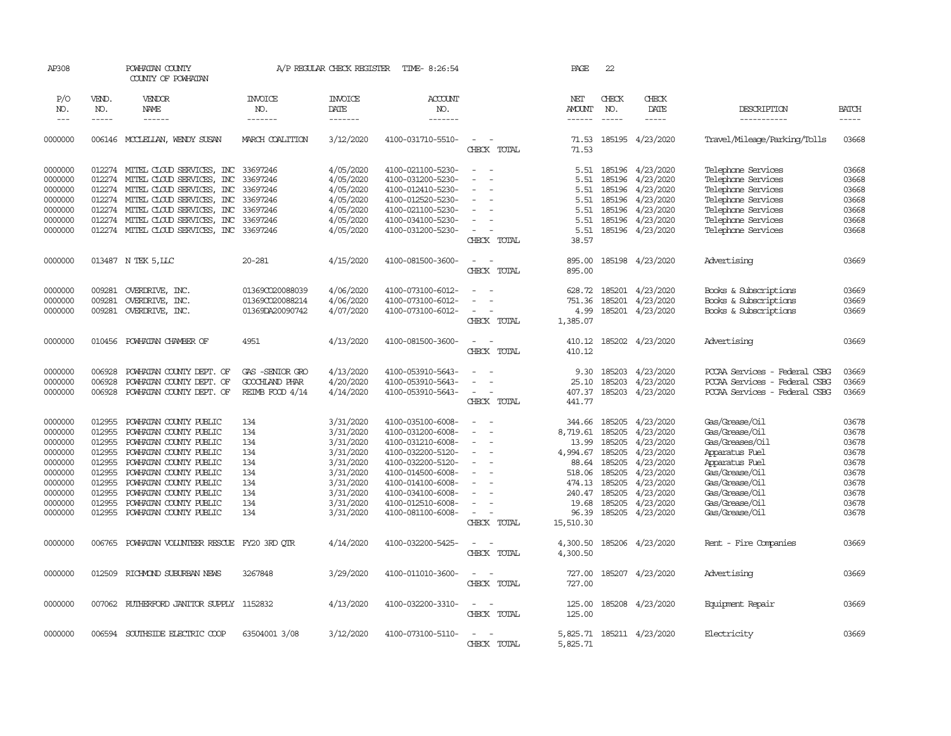| AP308                                                                                                      |                                                                                                  | POWHATAN COUNTY<br>COUNTY OF POWHATAN                                                                                                                                                                                                                            |                                                                      | A/P REGULAR CHECK REGISTER                                                                                                     | TIME- 8:26:54                                                                                                                                                                                                  |                                                                                                           | PAGE                                                                                                          | 22                                                                           |                                                                                                                                              |                                                                                                                                                                                   |                                                                                        |
|------------------------------------------------------------------------------------------------------------|--------------------------------------------------------------------------------------------------|------------------------------------------------------------------------------------------------------------------------------------------------------------------------------------------------------------------------------------------------------------------|----------------------------------------------------------------------|--------------------------------------------------------------------------------------------------------------------------------|----------------------------------------------------------------------------------------------------------------------------------------------------------------------------------------------------------------|-----------------------------------------------------------------------------------------------------------|---------------------------------------------------------------------------------------------------------------|------------------------------------------------------------------------------|----------------------------------------------------------------------------------------------------------------------------------------------|-----------------------------------------------------------------------------------------------------------------------------------------------------------------------------------|----------------------------------------------------------------------------------------|
| P/O<br>NO.<br>$\frac{1}{2}$                                                                                | VEND.<br>NO.<br>-----                                                                            | VENDOR<br>NAME<br>------                                                                                                                                                                                                                                         | <b>INVOICE</b><br>NO.<br>-------                                     | <b>INVOICE</b><br>DATE<br>-------                                                                                              | <b>ACCOUNT</b><br>NO.<br>-------                                                                                                                                                                               |                                                                                                           | NET<br><b>AMOUNT</b>                                                                                          | CHECK<br>NO.<br>$- - - - -$                                                  | CHECK<br>DATE<br>-----                                                                                                                       | DESCRIPTION<br>-----------                                                                                                                                                        | <b>BATCH</b>                                                                           |
| 0000000                                                                                                    |                                                                                                  | 006146 MCCLELLAN, WENDY SUSAN                                                                                                                                                                                                                                    | MARCH COALITION                                                      | 3/12/2020                                                                                                                      | 4100-031710-5510-                                                                                                                                                                                              | $\overline{\phantom{a}}$<br>CHECK TOTAL                                                                   | 71.53<br>71.53                                                                                                |                                                                              | 185195 4/23/2020                                                                                                                             | Travel/Mileage/Parking/Tolls                                                                                                                                                      | 03668                                                                                  |
| 0000000<br>0000000<br>0000000<br>0000000<br>0000000<br>0000000<br>0000000                                  | 012274<br>012274<br>012274                                                                       | 012274 MITEL CLOUD SERVICES, INC<br>MITEL CLOUD SERVICES, INC<br>MITEL CLOUD SERVICES, INC<br>012274 MITEL CLOUD SERVICES, INC<br>012274 MITEL CLOUD SERVICES, INC<br>MITEL CLOUD SERVICES, INC<br>012274 MITEL CLOUD SERVICES, INC 33697246                     | 33697246<br>33697246<br>33697246<br>33697246<br>33697246<br>33697246 | 4/05/2020<br>4/05/2020<br>4/05/2020<br>4/05/2020<br>4/05/2020<br>4/05/2020<br>4/05/2020                                        | 4100-021100-5230-<br>4100-031200-5230-<br>4100-012410-5230-<br>4100-012520-5230-<br>4100-021100-5230-<br>4100-034100-5230-<br>4100-031200-5230-                                                                | $\sim$<br>$\sim$<br>$\overline{\phantom{a}}$<br>CHECK TOTAL                                               | 5.51<br>5.51<br>5.51<br>5.51<br>5.51<br>5.51<br>38.57                                                         | 5.51 185196<br>185196<br>185196<br>185196<br>185196<br>185196                | 4/23/2020<br>4/23/2020<br>4/23/2020<br>4/23/2020<br>4/23/2020<br>4/23/2020<br>185196 4/23/2020                                               | Telephone Services<br>Telephone Services<br>Telephone Services<br>Telephone Services<br>Telephone Services<br>Telephone Services<br>Telephone Services                            | 03668<br>03668<br>03668<br>03668<br>03668<br>03668<br>03668                            |
| 0000000                                                                                                    |                                                                                                  | 013487 N TEK 5, LLC                                                                                                                                                                                                                                              | $20 - 281$                                                           | 4/15/2020                                                                                                                      | 4100-081500-3600-                                                                                                                                                                                              | $\sim$<br>$\sim$<br>CHECK TOTAL                                                                           | 895.00<br>895.00                                                                                              |                                                                              | 185198 4/23/2020                                                                                                                             | Advertising                                                                                                                                                                       | 03669                                                                                  |
| 0000000<br>0000000<br>0000000                                                                              | 009281<br>009281<br>009281                                                                       | OVERDRIVE, INC.<br>OVERDRIVE, INC.<br>OVERDRIVE, INC.                                                                                                                                                                                                            | 013690020088039<br>01369CO20088214<br>01369DA20090742                | 4/06/2020<br>4/06/2020<br>4/07/2020                                                                                            | 4100-073100-6012-<br>4100-073100-6012-<br>4100-073100-6012-                                                                                                                                                    | $\overline{\phantom{a}}$<br>CHECK TOTAL                                                                   | 628.72<br>751.36<br>4.99<br>1,385.07                                                                          | 185201                                                                       | 185201 4/23/2020<br>4/23/2020<br>185201 4/23/2020                                                                                            | Books & Subscriptions<br>Books & Subscriptions<br>Books & Subscriptions                                                                                                           | 03669<br>03669<br>03669                                                                |
| 0000000                                                                                                    | 010456                                                                                           | POWHATAN CHAMBER OF                                                                                                                                                                                                                                              | 4951                                                                 | 4/13/2020                                                                                                                      | 4100-081500-3600-                                                                                                                                                                                              | $\sim$<br>$\sim$<br>CHECK TOTAL                                                                           | 410.12<br>410.12                                                                                              |                                                                              | 185202 4/23/2020                                                                                                                             | Advertising                                                                                                                                                                       | 03669                                                                                  |
| 0000000<br>0000000<br>0000000                                                                              | 006928<br>006928<br>006928                                                                       | POWHATAN COUNTY DEPT. OF<br>POWHATAN COUNTY DEPT. OF<br>POWHATAN COUNTY DEPT. OF                                                                                                                                                                                 | GAS -SENIOR GRO<br>GOOCHLAND PHAR<br>REIMB FOOD 4/14                 | 4/13/2020<br>4/20/2020<br>4/14/2020                                                                                            | 4100-053910-5643-<br>4100-053910-5643-<br>4100-053910-5643-                                                                                                                                                    | $\equiv$<br>CHECK TOTAL                                                                                   | 9.30<br>25.10<br>407.37<br>441.77                                                                             | 185203<br>185203<br>185203                                                   | 4/23/2020<br>4/23/2020<br>4/23/2020                                                                                                          | PCCAA Services - Federal CSBG<br>PCCAA Services - Federal CSBG<br>PCCAA Services - Federal CSBG                                                                                   | 03669<br>03669<br>03669                                                                |
| 0000000<br>0000000<br>0000000<br>0000000<br>0000000<br>0000000<br>0000000<br>0000000<br>0000000<br>0000000 | 012955<br>012955<br>012955<br>012955<br>012955<br>012955<br>012955<br>012955<br>012955<br>012955 | POWHATAN COUNTY PUBLIC<br>POWHATAN COUNTY PUBLIC<br>POWHATAN COUNTY PUBLIC<br>POWHATAN COUNTY PUBLIC<br>POWHATAN COUNTY PUBLIC<br>POWHATAN COUNTY PUBLIC<br>POWHATAN COUNTY PUBLIC<br>POWHATAN COUNTY PUBLIC<br>POWHATAN COUNTY PUBLIC<br>POWHATAN COUNTY PUBLIC | 134<br>134<br>134<br>134<br>134<br>134<br>134<br>134<br>134<br>134   | 3/31/2020<br>3/31/2020<br>3/31/2020<br>3/31/2020<br>3/31/2020<br>3/31/2020<br>3/31/2020<br>3/31/2020<br>3/31/2020<br>3/31/2020 | 4100-035100-6008-<br>4100-031200-6008-<br>4100-031210-6008-<br>4100-032200-5120-<br>4100-032200-5120-<br>4100-014500-6008-<br>4100-014100-6008-<br>4100-034100-6008-<br>4100-012510-6008-<br>4100-081100-6008- | $\sim$<br>$\overline{\phantom{a}}$<br>$\overline{\phantom{a}}$<br>$\overline{\phantom{a}}$<br>CHECK TOTAL | 344.66<br>8,719.61<br>13.99<br>4,994.67<br>88.64<br>518.06<br>474.13<br>240.47<br>19.68<br>96.39<br>15,510.30 | 185205<br>185205<br>185205<br>185205<br>185205<br>185205<br>185205<br>185205 | 185205 4/23/2020<br>4/23/2020<br>4/23/2020<br>4/23/2020<br>4/23/2020<br>4/23/2020<br>4/23/2020<br>4/23/2020<br>4/23/2020<br>185205 4/23/2020 | Gas/Grease/Oil<br>Gas/Grease/Oil<br>Gas/Greases/Oil<br>Apparatus Fuel<br>Apparatus Fuel<br>Gas/Grease/Oil<br>Gas/Grease/Oil<br>Gas/Grease/Oil<br>Gas/Grease/Oil<br>Gas/Grease/Oil | 03678<br>03678<br>03678<br>03678<br>03678<br>03678<br>03678<br>03678<br>03678<br>03678 |
| 0000000                                                                                                    | 006765                                                                                           | POWHATAN VOLUNTEER RESCUE FY20 3RD QTR                                                                                                                                                                                                                           |                                                                      | 4/14/2020                                                                                                                      | 4100-032200-5425-                                                                                                                                                                                              | $\equiv$<br>CHECK TOTAL                                                                                   | 4,300.50<br>4,300.50                                                                                          |                                                                              | 185206 4/23/2020                                                                                                                             | Rent - Fire Companies                                                                                                                                                             | 03669                                                                                  |
| 0000000                                                                                                    | 012509                                                                                           | RICHMOND SUBURBAN NEWS                                                                                                                                                                                                                                           | 3267848                                                              | 3/29/2020                                                                                                                      | 4100-011010-3600-                                                                                                                                                                                              | $\sim$<br>$\sim$<br>CHECK TOTAL                                                                           | 727.00<br>727.00                                                                                              |                                                                              | 185207 4/23/2020                                                                                                                             | Advertising                                                                                                                                                                       | 03669                                                                                  |
| 0000000                                                                                                    | 007062                                                                                           | RUTHERFORD JANITOR SUPPLY 1152832                                                                                                                                                                                                                                |                                                                      | 4/13/2020                                                                                                                      | 4100-032200-3310-                                                                                                                                                                                              | $\overline{\phantom{a}}$<br>$\sim$<br>CHECK TOTAL                                                         | 125.00<br>125.00                                                                                              |                                                                              | 185208 4/23/2020                                                                                                                             | Equipment Repair                                                                                                                                                                  | 03669                                                                                  |
| 0000000                                                                                                    |                                                                                                  | 006594 SOUTHSIDE ELECTRIC COOP                                                                                                                                                                                                                                   | 63504001 3/08                                                        | 3/12/2020                                                                                                                      | 4100-073100-5110-                                                                                                                                                                                              | $\sim$<br>CHECK TOTAL                                                                                     | 5,825.71                                                                                                      |                                                                              | 5,825.71 185211 4/23/2020                                                                                                                    | Electricity                                                                                                                                                                       | 03669                                                                                  |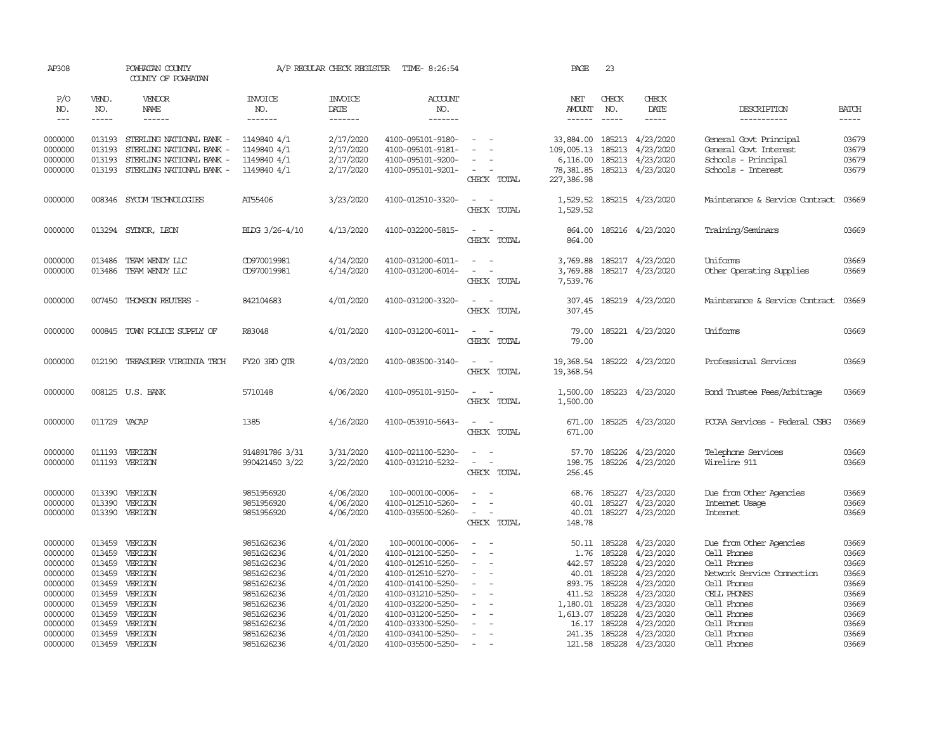| AP308              |                  | POWHATAN COUNTY<br>COUNTY OF POWHATAN |                          | A/P REGULAR CHECK REGISTER | TIME- 8:26:54                          |                                    | PAGE                    | 23               |                        |                                |                |
|--------------------|------------------|---------------------------------------|--------------------------|----------------------------|----------------------------------------|------------------------------------|-------------------------|------------------|------------------------|--------------------------------|----------------|
| P/O<br>NO.         | VEND.<br>NO.     | VENDOR<br>NAME                        | <b>INVOICE</b><br>NO.    | <b>INVOICE</b><br>DATE     | ACCOUNT<br>NO.                         |                                    | NET<br><b>AMOUNT</b>    | CHECK<br>NO.     | CHECK<br>DATE          | DESCRIPTION                    | <b>BATCH</b>   |
| $---$              | $- - - - -$      | $- - - - - -$                         | -------                  | --------                   | $- - - - - - -$                        |                                    | ------                  | $\frac{1}{2}$    | $- - - - -$            | -----------                    | $- - - - -$    |
| 0000000            | 013193           | STERLING NATIONAL BANK -              | 1149840 4/1              | 2/17/2020                  | 4100-095101-9180-                      | $\overline{\phantom{a}}$           | 33,884.00               | 185213           | 4/23/2020              | General Govt Principal         | 03679          |
| 0000000            | 013193           | STERLING NATIONAL BANK -              | 1149840 4/1              | 2/17/2020                  | 4100-095101-9181-                      |                                    | 109,005.13              | 185213           | 4/23/2020              | General Govt Interest          | 03679          |
| 0000000            | 013193           | STERLING NATIONAL BANK -              | 1149840 4/1              | 2/17/2020                  | 4100-095101-9200-                      | $\sim$                             | 6,116.00                | 185213           | 4/23/2020              | Schools - Principal            | 03679          |
| 0000000            | 013193           | STERLING NATIONAL BANK -              | 1149840 4/1              | 2/17/2020                  | 4100-095101-9201-                      | $\sim$<br>CHECK TOTAL              | 78,381.85<br>227,386.98 |                  | 185213 4/23/2020       | Schools - Interest             | 03679          |
| 0000000            |                  | 008346 SYCOM TECHNOLOGIES             | AT55406                  | 3/23/2020                  | 4100-012510-3320-                      | $\sim$<br>$\sim$<br>CHECK TOTAL    | 1,529.52<br>1,529.52    |                  | 185215 4/23/2020       | Maintenance & Service Contract | 03669          |
| 0000000            |                  | 013294 SYDNOR, LEON                   | BLDG 3/26-4/10           | 4/13/2020                  | 4100-032200-5815-                      | $\sim$ 100 $\sim$<br>CHECK TOTAL   | 864.00<br>864.00        |                  | 185216 4/23/2020       | Training/Seminars              | 03669          |
| 0000000            | 013486           | TEAM WENDY LLC                        | CD970019981              | 4/14/2020                  | 4100-031200-6011-                      | $\sim$                             | 3,769.88                |                  | 185217 4/23/2020       | Uniforms                       | 03669          |
| 0000000            |                  | 013486 TEAM WENDY LLC                 | CD970019981              | 4/14/2020                  | 4100-031200-6014-                      | $\sim$<br>$\overline{\phantom{a}}$ | 3,769.88                |                  | 185217 4/23/2020       | Other Operating Supplies       | 03669          |
|                    |                  |                                       |                          |                            |                                        | CHECK TOTAL                        | 7,539.76                |                  |                        |                                |                |
| 0000000            | 007450           | THOMSON REUTERS -                     | 842104683                | 4/01/2020                  | 4100-031200-3320-                      | $\sim$ $ -$                        | 307.45                  |                  | 185219 4/23/2020       | Maintenance & Service Contract | 03669          |
|                    |                  |                                       |                          |                            |                                        | CHECK TOTAL                        | 307.45                  |                  |                        |                                |                |
| 0000000            |                  | 000845 TOWN POLICE SUPPLY OF          | R83048                   | 4/01/2020                  | 4100-031200-6011-                      | $\sim$<br>$\sim$                   | 79.00                   |                  | 185221 4/23/2020       | Uniforms                       | 03669          |
|                    |                  |                                       |                          |                            |                                        | CHECK TOTAL                        | 79.00                   |                  |                        |                                |                |
| 0000000            | 012190           | TREASURER VIRGINIA TECH               | FY20 3RD OTR             | 4/03/2020                  | 4100-083500-3140-                      | $\sim$ $ \sim$                     | 19,368.54               |                  | 185222 4/23/2020       | Professional Services          | 03669          |
|                    |                  |                                       |                          |                            |                                        | CHECK TOTAL                        | 19,368.54               |                  |                        |                                |                |
| 0000000            |                  | 008125 U.S. BANK                      | 5710148                  | 4/06/2020                  | 4100-095101-9150-                      | $\sim$<br>$\sim$                   | 1,500.00                |                  | 185223 4/23/2020       | Bond Trustee Fees/Arbitrage    | 03669          |
|                    |                  |                                       |                          |                            |                                        | CHECK TOTAL                        | 1,500.00                |                  |                        |                                |                |
| 0000000            | 011729 VACAP     |                                       | 1385                     | 4/16/2020                  | 4100-053910-5643-                      | $\overline{\phantom{a}}$<br>$\sim$ | 671.00                  |                  | 185225 4/23/2020       | PCCAA Services - Federal CSBG  | 03669          |
|                    |                  |                                       |                          |                            |                                        | CHECK TOTAL                        | 671.00                  |                  |                        |                                |                |
| 0000000            |                  | 011193 VERIZON                        | 914891786 3/31           | 3/31/2020                  | 4100-021100-5230-                      | $\sim$<br>$\sim$                   | 57.70                   |                  | 185226 4/23/2020       | Telephone Services             | 03669          |
| 0000000            |                  | 011193 VERIZON                        | 990421450 3/22           | 3/22/2020                  | 4100-031210-5232-                      | $\sim$ $ \sim$                     | 198.75                  |                  | 185226 4/23/2020       | Wireline 911                   | 03669          |
|                    |                  |                                       |                          |                            |                                        | CHECK TOTAL                        | 256.45                  |                  |                        |                                |                |
| 0000000            | 013390           | VERIZON                               | 9851956920               | 4/06/2020                  | 100-000100-0006-                       | $\sim$                             | 68.76                   | 185227           | 4/23/2020              | Due from Other Agencies        | 03669          |
| 0000000            | 013390           | VERIZON                               | 9851956920               | 4/06/2020                  | 4100-012510-5260-                      |                                    | 40.01                   | 185227           | 4/23/2020              | Internet Usage                 | 03669          |
| 0000000            |                  | 013390 VERIZON                        | 9851956920               | 4/06/2020                  | 4100-035500-5260-                      | $\sim$<br>$\sim$                   | 40.01                   |                  | 185227 4/23/2020       | Internet                       | 03669          |
|                    |                  |                                       |                          |                            |                                        | CHECK TOTAL                        | 148.78                  |                  |                        |                                |                |
| 0000000            | 013459           | VERIZON                               | 9851626236               | 4/01/2020                  | 100-000100-0006-                       | $\sim$<br>$\sim$                   |                         |                  | 50.11 185228 4/23/2020 | Due from Other Agencies        | 03669          |
| 0000000            | 013459           | VERIZON                               | 9851626236               | 4/01/2020                  | 4100-012100-5250-                      | $\overline{\phantom{a}}$<br>$\sim$ | 1.76                    | 185228           | 4/23/2020              | Cell Phones<br>Cell Phones     | 03669          |
| 0000000<br>0000000 | 013459<br>013459 | VERIZON<br>VERIZON                    | 9851626236<br>9851626236 | 4/01/2020<br>4/01/2020     | 4100-012510-5250-<br>4100-012510-5270- |                                    | 442.57<br>40.01         | 185228<br>185228 | 4/23/2020<br>4/23/2020 | Network Service Connection     | 03669<br>03669 |
| 0000000            | 013459           | VERIZON                               | 9851626236               | 4/01/2020                  | 4100-014100-5250-                      | $\sim$<br>$\overline{\phantom{a}}$ | 893.75                  | 185228           | 4/23/2020              | Cell Phones                    | 03669          |
| 0000000            | 013459           | VERIZON                               | 9851626236               | 4/01/2020                  | 4100-031210-5250-                      | $\sim$                             | 411.52                  | 185228           | 4/23/2020              | CELL PHONES                    | 03669          |
| 0000000            | 013459           | VERIZON                               | 9851626236               | 4/01/2020                  | 4100-032200-5250-                      |                                    | 1,180.01                | 185228           | 4/23/2020              | Cell Phones                    | 03669          |
| 0000000            | 013459           | VERIZON                               | 9851626236               | 4/01/2020                  | 4100-031200-5250-                      |                                    | 1,613.07 185228         |                  | 4/23/2020              | Cell Phones                    | 03669          |
| 0000000            | 013459           | VERIZON                               | 9851626236               | 4/01/2020                  | 4100-033300-5250-                      |                                    | 16.17                   | 185228           | 4/23/2020              | Cell Phones                    | 03669          |
| 0000000            | 013459           | VERIZON                               | 9851626236               | 4/01/2020                  | 4100-034100-5250-                      | $\sim$                             | 241.35                  | 185228           | 4/23/2020              | Cell Phones                    | 03669          |
| 0000000            |                  | 013459 VERIZON                        | 9851626236               | 4/01/2020                  | 4100-035500-5250-                      | $\sim$                             | 121.58                  |                  | 185228 4/23/2020       | Cell Phones                    | 03669          |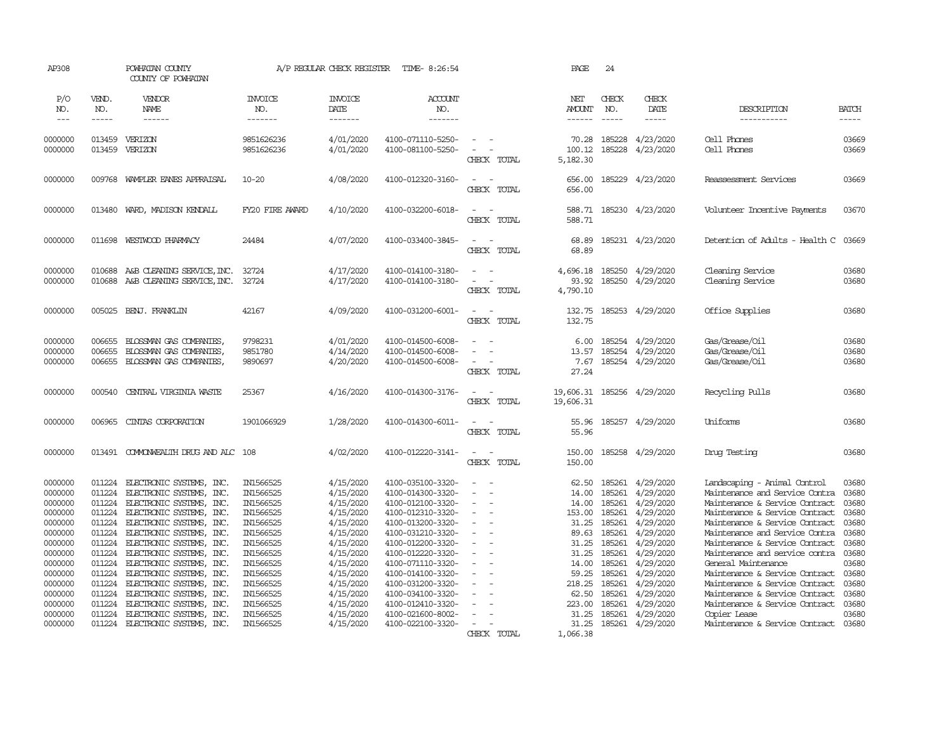| AP308                                                                                                                                                  |                                                                                                                                          | POWHATAN COUNTY<br>COUNTY OF POWHATAN                                                                                                                                                                                                                                                                                                                                                                |                                                                                                                                                                                    | A/P REGULAR CHECK REGISTER                                                                                                                                                         | TIME- 8:26:54                                                                                                                                                                                                                                                                                      |                                                                                  | PAGE                                                                                                                          | 24                                                                                                                                       |                                                                                                                                                                                    |                                                                                                                                                                                                                                                                                                                                                                                                                                                                 |                                                                                                                   |
|--------------------------------------------------------------------------------------------------------------------------------------------------------|------------------------------------------------------------------------------------------------------------------------------------------|------------------------------------------------------------------------------------------------------------------------------------------------------------------------------------------------------------------------------------------------------------------------------------------------------------------------------------------------------------------------------------------------------|------------------------------------------------------------------------------------------------------------------------------------------------------------------------------------|------------------------------------------------------------------------------------------------------------------------------------------------------------------------------------|----------------------------------------------------------------------------------------------------------------------------------------------------------------------------------------------------------------------------------------------------------------------------------------------------|----------------------------------------------------------------------------------|-------------------------------------------------------------------------------------------------------------------------------|------------------------------------------------------------------------------------------------------------------------------------------|------------------------------------------------------------------------------------------------------------------------------------------------------------------------------------|-----------------------------------------------------------------------------------------------------------------------------------------------------------------------------------------------------------------------------------------------------------------------------------------------------------------------------------------------------------------------------------------------------------------------------------------------------------------|-------------------------------------------------------------------------------------------------------------------|
| P/O<br>NO.<br>$---$                                                                                                                                    | VEND.<br>NO.<br>-----                                                                                                                    | VENDOR<br>NAME<br>------                                                                                                                                                                                                                                                                                                                                                                             | <b>INVOICE</b><br>NO.<br>-------                                                                                                                                                   | <b>INVOICE</b><br>DATE<br>-------                                                                                                                                                  | ACCOUNT<br>NO.<br>-------                                                                                                                                                                                                                                                                          |                                                                                  | NET<br><b>AMOUNT</b><br>$- - - - - -$                                                                                         | CHECK<br>NO.<br>$- - - - -$                                                                                                              | CHECK<br>DATE<br>$- - - - -$                                                                                                                                                       | DESCRIPTION<br>-----------                                                                                                                                                                                                                                                                                                                                                                                                                                      | BATCH<br>-----                                                                                                    |
| 0000000<br>0000000                                                                                                                                     | 013459<br>013459                                                                                                                         | VERIZON<br>VERIZON                                                                                                                                                                                                                                                                                                                                                                                   | 9851626236<br>9851626236                                                                                                                                                           | 4/01/2020<br>4/01/2020                                                                                                                                                             | 4100-071110-5250-<br>4100-081100-5250-                                                                                                                                                                                                                                                             | CHECK TOTAL                                                                      | 70.28<br>100.12<br>5,182.30                                                                                                   | 185228<br>185228                                                                                                                         | 4/23/2020<br>4/23/2020                                                                                                                                                             | Cell Phones<br>Cell Phones                                                                                                                                                                                                                                                                                                                                                                                                                                      | 03669<br>03669                                                                                                    |
| 0000000                                                                                                                                                | 009768                                                                                                                                   | WAMPLER EANES APPRAISAL                                                                                                                                                                                                                                                                                                                                                                              | $10 - 20$                                                                                                                                                                          | 4/08/2020                                                                                                                                                                          | 4100-012320-3160-                                                                                                                                                                                                                                                                                  | $\sim$<br>$\overline{\phantom{a}}$<br>CHECK TOTAL                                | 656.00<br>656.00                                                                                                              | 185229                                                                                                                                   | 4/23/2020                                                                                                                                                                          | Reassessment Services                                                                                                                                                                                                                                                                                                                                                                                                                                           | 03669                                                                                                             |
| 0000000                                                                                                                                                | 013480                                                                                                                                   | WARD, MADISON KENDALL                                                                                                                                                                                                                                                                                                                                                                                | FY20 FIRE AWARD                                                                                                                                                                    | 4/10/2020                                                                                                                                                                          | 4100-032200-6018-                                                                                                                                                                                                                                                                                  | $\overline{\phantom{a}}$<br>$\overline{\phantom{a}}$<br>CHECK TOTAL              | 588.71<br>588.71                                                                                                              |                                                                                                                                          | 185230 4/23/2020                                                                                                                                                                   | Volunteer Incentive Payments                                                                                                                                                                                                                                                                                                                                                                                                                                    | 03670                                                                                                             |
| 0000000                                                                                                                                                | 011698                                                                                                                                   | WESTWOOD PHARMACY                                                                                                                                                                                                                                                                                                                                                                                    | 24484                                                                                                                                                                              | 4/07/2020                                                                                                                                                                          | 4100-033400-3845-                                                                                                                                                                                                                                                                                  | $\overline{\phantom{a}}$<br>$\sim$<br>CHECK TOTAL                                | 68.89<br>68.89                                                                                                                |                                                                                                                                          | 185231 4/23/2020                                                                                                                                                                   | Detention of Adults - Health C                                                                                                                                                                                                                                                                                                                                                                                                                                  | 03669                                                                                                             |
| 0000000<br>0000000                                                                                                                                     | 010688<br>010688                                                                                                                         | A&B CLEANING SERVICE, INC.<br>A&B CLEANING SERVICE, INC.                                                                                                                                                                                                                                                                                                                                             | 32724<br>32724                                                                                                                                                                     | 4/17/2020<br>4/17/2020                                                                                                                                                             | 4100-014100-3180-<br>4100-014100-3180-                                                                                                                                                                                                                                                             | CHECK TOTAL                                                                      | 4,696.18<br>93.92<br>4,790.10                                                                                                 | 185250<br>185250                                                                                                                         | 4/29/2020<br>4/29/2020                                                                                                                                                             | Cleaning Service<br>Cleaning Service                                                                                                                                                                                                                                                                                                                                                                                                                            | 03680<br>03680                                                                                                    |
| 0000000                                                                                                                                                | 005025                                                                                                                                   | BENJ. FRANKLIN                                                                                                                                                                                                                                                                                                                                                                                       | 42167                                                                                                                                                                              | 4/09/2020                                                                                                                                                                          | 4100-031200-6001-                                                                                                                                                                                                                                                                                  | $\overline{\phantom{a}}$<br>$\sim$<br>CHECK TOTAL                                | 132.75<br>132.75                                                                                                              | 185253                                                                                                                                   | 4/29/2020                                                                                                                                                                          | Office Supplies                                                                                                                                                                                                                                                                                                                                                                                                                                                 | 03680                                                                                                             |
| 0000000<br>0000000<br>0000000                                                                                                                          | 006655<br>006655<br>006655                                                                                                               | BLOSSMAN GAS COMPANIES<br>BLOSSMAN GAS COMPANIES<br>BLOSSMAN GAS COMPANIES                                                                                                                                                                                                                                                                                                                           | 9798231<br>9851780<br>9890697                                                                                                                                                      | 4/01/2020<br>4/14/2020<br>4/20/2020                                                                                                                                                | 4100-014500-6008-<br>4100-014500-6008-<br>4100-014500-6008-                                                                                                                                                                                                                                        | $\equiv$<br>CHECK TOTAL                                                          | 6.00<br>13.57<br>7.67<br>27.24                                                                                                | 185254<br>185254<br>185254                                                                                                               | 4/29/2020<br>4/29/2020<br>4/29/2020                                                                                                                                                | Gas/Grease/Oil<br>Gas/Grease/Oil<br>Gas/Grease/Oil                                                                                                                                                                                                                                                                                                                                                                                                              | 03680<br>03680<br>03680                                                                                           |
| 0000000                                                                                                                                                | 000540                                                                                                                                   | CENTRAL VIRGINIA WASTE                                                                                                                                                                                                                                                                                                                                                                               | 25367                                                                                                                                                                              | 4/16/2020                                                                                                                                                                          | 4100-014300-3176-                                                                                                                                                                                                                                                                                  | $\sim$<br>$\sim$<br>CHECK TOTAL                                                  | 19,606.31<br>19,606.31                                                                                                        |                                                                                                                                          | 185256 4/29/2020                                                                                                                                                                   | Recycling Pulls                                                                                                                                                                                                                                                                                                                                                                                                                                                 | 03680                                                                                                             |
| 0000000                                                                                                                                                | 006965                                                                                                                                   | CINIAS CORPORATION                                                                                                                                                                                                                                                                                                                                                                                   | 1901066929                                                                                                                                                                         | 1/28/2020                                                                                                                                                                          | 4100-014300-6011-                                                                                                                                                                                                                                                                                  | $\sim$<br>$\overline{\phantom{a}}$<br>CHECK TOTAL                                | 55.96<br>55.96                                                                                                                |                                                                                                                                          | 185257 4/29/2020                                                                                                                                                                   | Uniforms                                                                                                                                                                                                                                                                                                                                                                                                                                                        | 03680                                                                                                             |
| 0000000                                                                                                                                                | 013491                                                                                                                                   | COMONWEALTH DRUG AND ALC 108                                                                                                                                                                                                                                                                                                                                                                         |                                                                                                                                                                                    | 4/02/2020                                                                                                                                                                          | 4100-012220-3141-                                                                                                                                                                                                                                                                                  | $\sim$<br>$\overline{\phantom{a}}$<br>CHECK TOTAL                                | 150.00<br>150.00                                                                                                              |                                                                                                                                          | 185258 4/29/2020                                                                                                                                                                   | Drug Testing                                                                                                                                                                                                                                                                                                                                                                                                                                                    | 03680                                                                                                             |
| 0000000<br>0000000<br>0000000<br>0000000<br>0000000<br>0000000<br>0000000<br>0000000<br>0000000<br>0000000<br>0000000<br>0000000<br>0000000<br>0000000 | 011224<br>011224<br>011224<br>011224<br>011224<br>011224<br>011224<br>011224<br>011224<br>011224<br>011224<br>011224<br>011224<br>011224 | ELECTRONIC SYSTEMS, INC.<br>ELECTRONIC SYSTEMS, INC.<br>ELECTRONIC SYSTEMS, INC.<br>ELECTRONIC SYSTEMS, INC.<br>ELECTRONIC SYSTEMS, INC.<br>ELECTRONIC SYSTEMS, INC.<br>ELECTRONIC SYSTEMS, INC.<br>ELECTRONIC SYSTEMS, INC.<br>ELECTRONIC SYSTEMS, INC.<br>ELECTRONIC SYSTEMS, INC.<br>ELECTRONIC SYSTEMS, INC.<br>ELECTRONIC SYSTEMS, INC.<br>ELECTRONIC SYSTEMS, INC.<br>ELECTRONIC SYSTEMS, INC. | IN1566525<br>IN1566525<br>IN1566525<br>IN1566525<br>IN1566525<br>IN1566525<br>IN1566525<br>IN1566525<br>IN1566525<br>IN1566525<br>IN1566525<br>IN1566525<br>IN1566525<br>IN1566525 | 4/15/2020<br>4/15/2020<br>4/15/2020<br>4/15/2020<br>4/15/2020<br>4/15/2020<br>4/15/2020<br>4/15/2020<br>4/15/2020<br>4/15/2020<br>4/15/2020<br>4/15/2020<br>4/15/2020<br>4/15/2020 | 4100-035100-3320-<br>4100-014300-3320-<br>4100-012100-3320-<br>4100-012310-3320-<br>4100-013200-3320-<br>4100-031210-3320-<br>4100-012200-3320-<br>4100-012220-3320-<br>4100-071110-3320-<br>4100-014100-3320-<br>4100-031200-3320-<br>4100-034100-3320-<br>4100-012410-3320-<br>4100-021600-8002- | $\overline{\phantom{m}}$<br>$\blacksquare$<br>$\overline{\phantom{a}}$<br>$\sim$ | 62.50<br>14.00<br>14.00<br>153.00<br>31.25<br>89.63<br>31.25<br>31.25<br>14.00<br>59.25<br>218.25<br>62.50<br>223.00<br>31.25 | 185261<br>185261<br>185261<br>185261<br>185261<br>185261<br>185261<br>185261<br>185261<br>185261<br>185261<br>185261<br>185261<br>185261 | 4/29/2020<br>4/29/2020<br>4/29/2020<br>4/29/2020<br>4/29/2020<br>4/29/2020<br>4/29/2020<br>4/29/2020<br>4/29/2020<br>4/29/2020<br>4/29/2020<br>4/29/2020<br>4/29/2020<br>4/29/2020 | Landscaping - Animal Control<br>Maintenance and Service Contra<br>Maintenance & Service Contract<br>Maintenance & Service Contract<br>Maintenance & Service Contract<br>Maintenance and Service Contra<br>Maintenance & Service Contract<br>Maintenance and service contra<br>General Maintenance<br>Maintenance & Service Contract<br>Maintenance & Service Contract<br>Maintenance & Service Contract<br>Maintenance & Service Contract 03680<br>Copier Lease | 03680<br>03680<br>03680<br>03680<br>03680<br>03680<br>03680<br>03680<br>03680<br>03680<br>03680<br>03680<br>03680 |
| 0000000                                                                                                                                                | 011224                                                                                                                                   | ELECTRONIC SYSTEMS, INC.                                                                                                                                                                                                                                                                                                                                                                             | IN1566525                                                                                                                                                                          | 4/15/2020                                                                                                                                                                          | 4100-022100-3320-                                                                                                                                                                                                                                                                                  | CHECK TOTAL                                                                      | 31.25<br>1,066.38                                                                                                             | 185261                                                                                                                                   | 4/29/2020                                                                                                                                                                          | Maintenance & Service Contract 03680                                                                                                                                                                                                                                                                                                                                                                                                                            |                                                                                                                   |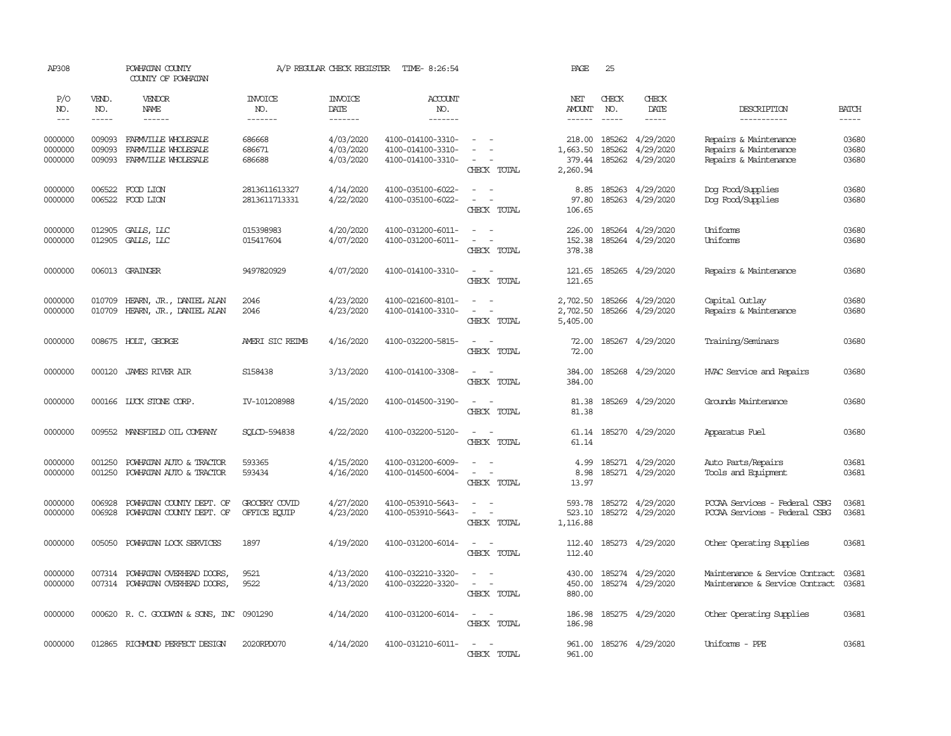| AP308                         |                             | POWHATAN COUNTY<br>COUNTY OF POWHATAN                             |                                  | A/P REGULAR CHECK REGISTER          | TIME- 8:26:54                                               |                                                                           | PAGE                                  | 25                            |                                                          |                                                                         |                             |
|-------------------------------|-----------------------------|-------------------------------------------------------------------|----------------------------------|-------------------------------------|-------------------------------------------------------------|---------------------------------------------------------------------------|---------------------------------------|-------------------------------|----------------------------------------------------------|-------------------------------------------------------------------------|-----------------------------|
| P/O<br>NO.<br>$---$           | VEND.<br>NO.<br>$- - - - -$ | VENDOR<br>NAME<br>------                                          | <b>INVOICE</b><br>NO.<br>------- | <b>INVOICE</b><br>DATE<br>-------   | ACCOUNT<br>NO.<br>-------                                   |                                                                           | NET<br><b>AMOUNT</b><br>$- - - - - -$ | CHECK<br>NO.<br>$\frac{1}{2}$ | CHECK<br>DATE<br>$- - - - -$                             | DESCRIPTION<br>-----------                                              | <b>BATCH</b><br>$- - - - -$ |
| 0000000<br>0000000<br>0000000 | 009093<br>009093<br>009093  | FARMVILLE WHOLESALE<br>FARMVILLE WHOLESALE<br>FARMVILLE WHOLESALE | 686668<br>686671<br>686688       | 4/03/2020<br>4/03/2020<br>4/03/2020 | 4100-014100-3310-<br>4100-014100-3310-<br>4100-014100-3310- | $\sim$<br>$\equiv$<br>$\sim$<br>$\sim$<br>CHECK TOTAL                     | 1,663.50<br>379.44<br>2,260.94        | 185262                        | 218.00 185262 4/29/2020<br>4/29/2020<br>185262 4/29/2020 | Repairs & Maintenance<br>Repairs & Maintenance<br>Repairs & Maintenance | 03680<br>03680<br>03680     |
| 0000000<br>0000000            |                             | 006522 FOOD LION<br>006522 FOOD LION                              | 2813611613327<br>2813611713331   | 4/14/2020<br>4/22/2020              | 4100-035100-6022-<br>4100-035100-6022-                      | $\sim$<br>$\sim$<br>$\overline{\phantom{a}}$<br>$\sim$ $-$<br>CHECK TOTAL | 8.85<br>97.80<br>106.65               |                               | 185263 4/29/2020<br>185263 4/29/2020                     | Dog Food/Supplies<br>Dog Food/Supplies                                  | 03680<br>03680              |
| 0000000<br>0000000            | 012905<br>012905            | GALLS, LLC<br>GALLS, LLC                                          | 015398983<br>015417604           | 4/20/2020<br>4/07/2020              | 4100-031200-6011-<br>4100-031200-6011-                      | $\sim$<br>$\equiv$<br>$\sim$<br>CHECK TOTAL                               | 226.00<br>152.38<br>378.38            |                               | 185264 4/29/2020<br>185264 4/29/2020                     | Uniforms<br>Uniforms                                                    | 03680<br>03680              |
| 0000000                       |                             | 006013 GRAINGER                                                   | 9497820929                       | 4/07/2020                           | 4100-014100-3310-                                           | $\sim$ $\sim$<br>CHECK TOTAL                                              | 121.65<br>121.65                      |                               | 185265 4/29/2020                                         | Repairs & Maintenance                                                   | 03680                       |
| 0000000<br>0000000            | 010709<br>010709            | HEARN, JR., DANIEL ALAN<br>HEARN, JR., DANIEL ALAN                | 2046<br>2046                     | 4/23/2020<br>4/23/2020              | 4100-021600-8101-<br>4100-014100-3310-                      | $\sim$<br>$\sim$ $-$<br>$\sim$ $ \sim$<br>CHECK TOTAL                     | 2,702.50<br>2,702.50<br>5,405.00      |                               | 185266 4/29/2020<br>185266 4/29/2020                     | Capital Outlay<br>Repairs & Maintenance                                 | 03680<br>03680              |
| 0000000                       |                             | 008675 HOLT, GEORGE                                               | AMERI SIC REIMB                  | 4/16/2020                           | 4100-032200-5815-                                           | $\sim$ $ \sim$<br>CHECK TOTAL                                             | 72.00<br>72.00                        |                               | 185267 4/29/2020                                         | Training/Seminars                                                       | 03680                       |
| 0000000                       | 000120                      | JAMES RIVER AIR                                                   | S158438                          | 3/13/2020                           | 4100-014100-3308-                                           | $\overline{a}$<br>$\sim$<br>CHECK TOTAL                                   | 384.00<br>384.00                      |                               | 185268 4/29/2020                                         | HVAC Service and Repairs                                                | 03680                       |
| 0000000                       |                             | 000166 LUCK STONE CORP.                                           | IV-101208988                     | 4/15/2020                           | 4100-014500-3190-                                           | $\sim$ $ \sim$<br>CHECK TOTAL                                             | 81.38<br>81.38                        |                               | 185269 4/29/2020                                         | Grounds Maintenance                                                     | 03680                       |
| 0000000                       |                             | 009552 MANSFIELD OIL COMPANY                                      | SOLCD-594838                     | 4/22/2020                           | 4100-032200-5120-                                           | $\sim$<br>$\sim$<br>CHECK TOTAL                                           | 61.14<br>61.14                        |                               | 185270 4/29/2020                                         | Apparatus Fuel                                                          | 03680                       |
| 0000000<br>0000000            | 001250<br>001250            | POWHATAN AUTO & TRACTOR<br>POWHATAN AUTO & TRACTOR                | 593365<br>593434                 | 4/15/2020<br>4/16/2020              | 4100-031200-6009-<br>4100-014500-6004-                      | $\sim$<br>$\sim$ $ \sim$<br>CHECK TOTAL                                   | 4.99<br>8.98<br>13.97                 |                               | 185271 4/29/2020<br>185271 4/29/2020                     | Auto Parts/Repairs<br>Tools and Equipment                               | 03681<br>03681              |
| 0000000<br>0000000            | 006928<br>006928            | POWHATAN COUNTY DEPT. OF<br>POWHATAN COUNTY DEPT. OF              | GROCERY COVID<br>OFFICE EQUIP    | 4/27/2020<br>4/23/2020              | 4100-053910-5643-<br>4100-053910-5643-                      | $\sim$<br>$\sim$<br>$\sim$<br>$\sim$ $-$<br>CHECK TOTAL                   | 593.78<br>523.10<br>1,116.88          |                               | 185272 4/29/2020<br>185272 4/29/2020                     | PCCAA Services - Federal CSBG<br>PCCAA Services - Federal CSBG          | 03681<br>03681              |
| 0000000                       | 005050                      | POWHATAN LOCK SERVICES                                            | 1897                             | 4/19/2020                           | 4100-031200-6014-                                           | $\sim$ $ \sim$<br>CHECK TOTAL                                             | 112.40                                |                               | 112.40 185273 4/29/2020                                  | Other Operating Supplies                                                | 03681                       |
| 0000000<br>0000000            | 007314                      | POWHATAN OVERHEAD DOORS,<br>007314 POWHATAN OVERHEAD DOORS,       | 9521<br>9522                     | 4/13/2020<br>4/13/2020              | 4100-032210-3320-<br>4100-032220-3320-                      | $\equiv$<br>$\sim$<br>$\sim$ $ -$<br>CHECK TOTAL                          | 430.00<br>450.00<br>880.00            |                               | 185274 4/29/2020<br>185274 4/29/2020                     | Maintenance & Service Contract<br>Maintenance & Service Contract        | 03681<br>03681              |
| 0000000                       |                             | 000620 R. C. GOODWYN & SONS, INC 0901290                          |                                  | 4/14/2020                           | 4100-031200-6014-                                           | $\sim$<br>$\sim$ $-$<br>CHECK TOTAL                                       | 186.98<br>186.98                      |                               | 185275 4/29/2020                                         | Other Operating Supplies                                                | 03681                       |
| 0000000                       |                             | 012865 RICHMOND PERFECT DESIGN                                    | 2020RPD070                       | 4/14/2020                           | 4100-031210-6011-                                           | $\sim$<br>$\sim$<br>CHECK TOTAL                                           | 961.00                                |                               | 961.00 185276 4/29/2020                                  | Uniforms - PPE                                                          | 03681                       |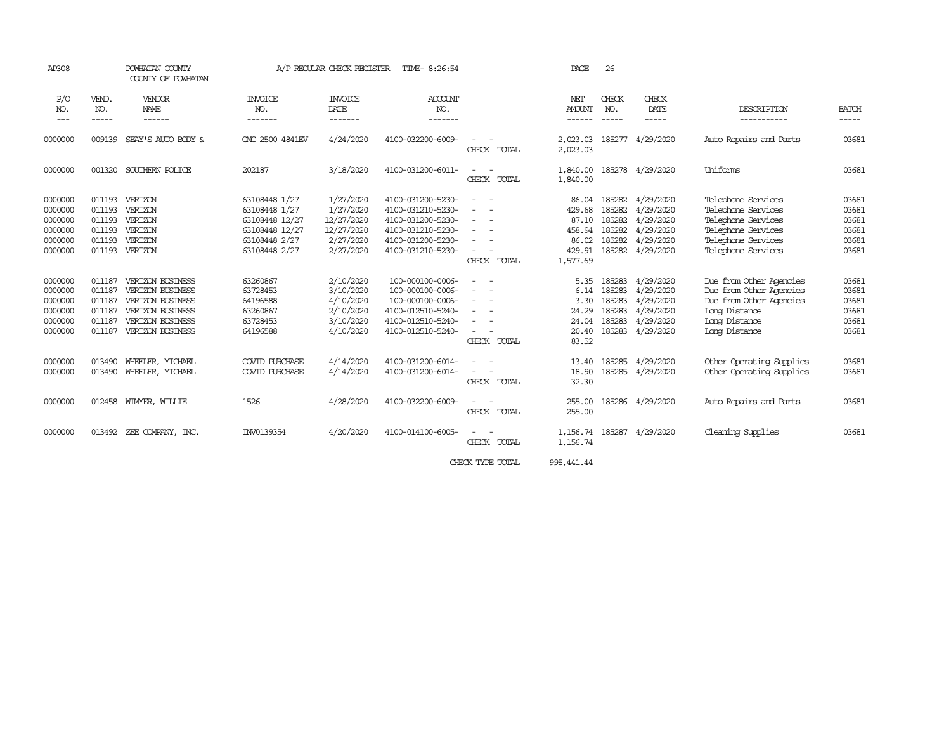| AP308                                                                                                                                                                                                                                                                                                                                                                                                      | POWHATAN COUNTY<br>COUNTY OF POWHATAN                    |                                                                                                                      | A/P REGULAR CHECK REGISTER                                                                           |                                                                              | PAGE                                                                                                                       | 26                                                                                                                                                                                                                                                                                                                                                                                                                                                                                                                     |                                                                   |                                                                                                                                                                                                                                                                                                                                                                                                              |                                                                                   |                                                                                                                                  |                                                    |
|------------------------------------------------------------------------------------------------------------------------------------------------------------------------------------------------------------------------------------------------------------------------------------------------------------------------------------------------------------------------------------------------------------|----------------------------------------------------------|----------------------------------------------------------------------------------------------------------------------|------------------------------------------------------------------------------------------------------|------------------------------------------------------------------------------|----------------------------------------------------------------------------------------------------------------------------|------------------------------------------------------------------------------------------------------------------------------------------------------------------------------------------------------------------------------------------------------------------------------------------------------------------------------------------------------------------------------------------------------------------------------------------------------------------------------------------------------------------------|-------------------------------------------------------------------|--------------------------------------------------------------------------------------------------------------------------------------------------------------------------------------------------------------------------------------------------------------------------------------------------------------------------------------------------------------------------------------------------------------|-----------------------------------------------------------------------------------|----------------------------------------------------------------------------------------------------------------------------------|----------------------------------------------------|
| P/O<br>NO.<br>$\frac{1}{2} \frac{1}{2} \frac{1}{2} \frac{1}{2} \frac{1}{2} \frac{1}{2} \frac{1}{2} \frac{1}{2} \frac{1}{2} \frac{1}{2} \frac{1}{2} \frac{1}{2} \frac{1}{2} \frac{1}{2} \frac{1}{2} \frac{1}{2} \frac{1}{2} \frac{1}{2} \frac{1}{2} \frac{1}{2} \frac{1}{2} \frac{1}{2} \frac{1}{2} \frac{1}{2} \frac{1}{2} \frac{1}{2} \frac{1}{2} \frac{1}{2} \frac{1}{2} \frac{1}{2} \frac{1}{2} \frac{$ | VEND.<br>NO.<br>$- - - - -$                              | VENDOR<br>NAME<br>------                                                                                             | <b>INVOICE</b><br>NO.<br>-------                                                                     | <b>INVOICE</b><br>DATE<br>-------                                            | <b>ACCOUNT</b><br>NO.<br>-------                                                                                           |                                                                                                                                                                                                                                                                                                                                                                                                                                                                                                                        | NET<br><b>AMOUNT</b><br>------                                    | CHECK<br>NO.<br>$\frac{1}{2} \frac{1}{2} \frac{1}{2} \frac{1}{2} \frac{1}{2} \frac{1}{2} \frac{1}{2} \frac{1}{2} \frac{1}{2} \frac{1}{2} \frac{1}{2} \frac{1}{2} \frac{1}{2} \frac{1}{2} \frac{1}{2} \frac{1}{2} \frac{1}{2} \frac{1}{2} \frac{1}{2} \frac{1}{2} \frac{1}{2} \frac{1}{2} \frac{1}{2} \frac{1}{2} \frac{1}{2} \frac{1}{2} \frac{1}{2} \frac{1}{2} \frac{1}{2} \frac{1}{2} \frac{1}{2} \frac{$ | CHECK<br>DATE<br>-----                                                            | DESCRIPTION<br>-----------                                                                                                       | <b>BATCH</b><br>-----                              |
| 0000000                                                                                                                                                                                                                                                                                                                                                                                                    | 009139                                                   | SEAY'S AUTO BODY &                                                                                                   | GMC 2500 4841EV                                                                                      | 4/24/2020                                                                    | 4100-032200-6009-                                                                                                          | CHECK TOTAL                                                                                                                                                                                                                                                                                                                                                                                                                                                                                                            | 2,023.03                                                          |                                                                                                                                                                                                                                                                                                                                                                                                              | 2,023.03 185277 4/29/2020                                                         | Auto Repairs and Parts                                                                                                           | 03681                                              |
| 0000000                                                                                                                                                                                                                                                                                                                                                                                                    | 001320                                                   | SOUTHERN POLICE                                                                                                      | 202187                                                                                               | 3/18/2020                                                                    | 4100-031200-6011-                                                                                                          | $\sim$<br>CHECK TOTAL                                                                                                                                                                                                                                                                                                                                                                                                                                                                                                  | 1,840.00<br>1,840.00                                              |                                                                                                                                                                                                                                                                                                                                                                                                              | 185278 4/29/2020                                                                  | Uniforms                                                                                                                         | 03681                                              |
| 0000000<br>0000000<br>0000000<br>0000000<br>0000000<br>0000000                                                                                                                                                                                                                                                                                                                                             | 011193<br>011193<br>011193<br>011193<br>011193           | VERIZON<br>VERIZON<br>VERIZON<br>VERIZON<br>VERIZON<br>011193 VERIZON                                                | 63108448 1/27<br>63108448 1/27<br>63108448 12/27<br>63108448 12/27<br>63108448 2/27<br>63108448 2/27 | 1/27/2020<br>1/27/2020<br>12/27/2020<br>12/27/2020<br>2/27/2020<br>2/27/2020 | 4100-031200-5230-<br>4100-031210-5230-<br>4100-031200-5230-<br>4100-031210-5230-<br>4100-031200-5230-<br>4100-031210-5230- | $ -$<br>$\sim$<br>$\frac{1}{2} \left( \frac{1}{2} \right) \left( \frac{1}{2} \right) = \frac{1}{2} \left( \frac{1}{2} \right)$<br>$\frac{1}{2} \left( \frac{1}{2} \right) \left( \frac{1}{2} \right) \left( \frac{1}{2} \right)$<br>$\overline{\phantom{a}}$<br>$\sim$<br>$\frac{1}{2} \left( \frac{1}{2} \right) \left( \frac{1}{2} \right) = \frac{1}{2} \left( \frac{1}{2} \right)$<br>CHECK TOTAL                                                                                                                  | 86.04<br>429.68<br>87.10<br>458.94<br>86.02<br>429.91<br>1,577.69 | 185282<br>185282<br>185282<br>185282<br>185282                                                                                                                                                                                                                                                                                                                                                               | 4/29/2020<br>4/29/2020<br>4/29/2020<br>4/29/2020<br>4/29/2020<br>185282 4/29/2020 | Telephone Services<br>Telephone Services<br>Telephone Services<br>Telephone Services<br>Telephone Services<br>Telephone Services | 03681<br>03681<br>03681<br>03681<br>03681<br>03681 |
| 0000000<br>0000000<br>0000000<br>0000000<br>0000000<br>0000000                                                                                                                                                                                                                                                                                                                                             | 011187<br>011187<br>011187<br>011187<br>011187<br>011187 | VERIZON BUSINESS<br>VERIZON BUSINESS<br>VERIZON BUSINESS<br>VERIZON BUSINESS<br>VERIZON BUSINESS<br>VERIZON BUSINESS | 63260867<br>63728453<br>64196588<br>63260867<br>63728453<br>64196588                                 | 2/10/2020<br>3/10/2020<br>4/10/2020<br>2/10/2020<br>3/10/2020<br>4/10/2020   | 100-000100-0006-<br>100-000100-0006-<br>100-000100-0006-<br>4100-012510-5240-<br>4100-012510-5240-<br>4100-012510-5240-    | $\sim$<br>$\sim$<br>$\sim$<br>$\frac{1}{2} \left( \frac{1}{2} \right) \left( \frac{1}{2} \right) = \frac{1}{2} \left( \frac{1}{2} \right)$<br>$\frac{1}{2} \left( \frac{1}{2} \right) \left( \frac{1}{2} \right) \left( \frac{1}{2} \right) \left( \frac{1}{2} \right)$<br>$\frac{1}{2} \left( \frac{1}{2} \right) \left( \frac{1}{2} \right) = \frac{1}{2} \left( \frac{1}{2} \right)$<br>$\frac{1}{2} \left( \frac{1}{2} \right) \left( \frac{1}{2} \right) = \frac{1}{2} \left( \frac{1}{2} \right)$<br>CHECK TOTAL | 5.35<br>6.14<br>3.30<br>24.29<br>24.04<br>20.40<br>83.52          | 185283<br>185283<br>185283<br>185283<br>185283<br>185283                                                                                                                                                                                                                                                                                                                                                     | 4/29/2020<br>4/29/2020<br>4/29/2020<br>4/29/2020<br>4/29/2020<br>4/29/2020        | Due from Other Agencies<br>Due from Other Agencies<br>Due from Other Agencies<br>Long Distance<br>Long Distance<br>Long Distance | 03681<br>03681<br>03681<br>03681<br>03681<br>03681 |
| 0000000<br>0000000                                                                                                                                                                                                                                                                                                                                                                                         | 013490<br>013490                                         | WHEELER, MICHAEL<br>WHEELER, MICHAEL                                                                                 | <b>COVID PURCHASE</b><br>COVID PURCHASE                                                              | 4/14/2020<br>4/14/2020                                                       | 4100-031200-6014-<br>4100-031200-6014-                                                                                     | $\overline{\phantom{a}}$<br>CHECK TOTAL                                                                                                                                                                                                                                                                                                                                                                                                                                                                                | 13.40<br>18.90<br>32.30                                           | 185285                                                                                                                                                                                                                                                                                                                                                                                                       | 4/29/2020<br>185285 4/29/2020                                                     | Other Operating Supplies<br>Other Operating Supplies                                                                             | 03681<br>03681                                     |
| 0000000                                                                                                                                                                                                                                                                                                                                                                                                    |                                                          | 012458 WIMMER, WILLIE                                                                                                | 1526                                                                                                 | 4/28/2020                                                                    | 4100-032200-6009-                                                                                                          | $\sim$<br>$\sim$<br>CHECK TOTAL                                                                                                                                                                                                                                                                                                                                                                                                                                                                                        | 255.00<br>255.00                                                  | 185286                                                                                                                                                                                                                                                                                                                                                                                                       | 4/29/2020                                                                         | Auto Repairs and Parts                                                                                                           | 03681                                              |
| 0000000                                                                                                                                                                                                                                                                                                                                                                                                    |                                                          | 013492 ZEE COMPANY, INC.                                                                                             | INV0139354                                                                                           | 4/20/2020                                                                    | 4100-014100-6005-                                                                                                          | $\sim$<br>CHECK TOTAL                                                                                                                                                                                                                                                                                                                                                                                                                                                                                                  | 1, 156.74 185287<br>1,156.74                                      |                                                                                                                                                                                                                                                                                                                                                                                                              | 4/29/2020                                                                         | Cleaning Supplies                                                                                                                | 03681                                              |
|                                                                                                                                                                                                                                                                                                                                                                                                            |                                                          |                                                                                                                      |                                                                                                      |                                                                              |                                                                                                                            | CHECK TYPE TOTAL                                                                                                                                                                                                                                                                                                                                                                                                                                                                                                       | 995, 441, 44                                                      |                                                                                                                                                                                                                                                                                                                                                                                                              |                                                                                   |                                                                                                                                  |                                                    |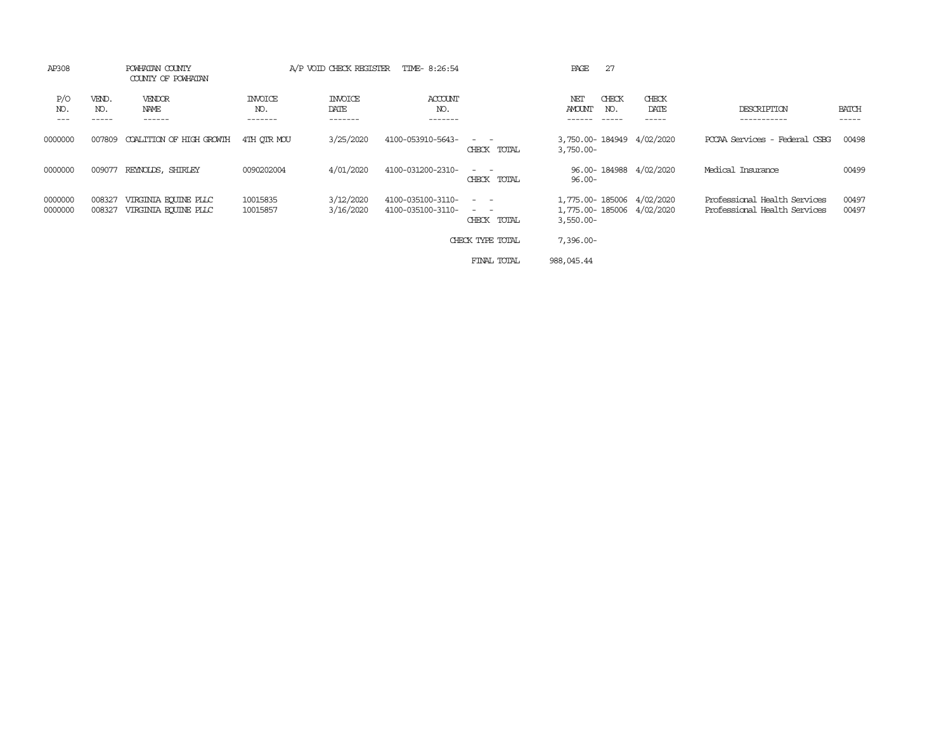| AP308                 | POWHATAN COUNTY<br>COUNTY OF POWHATAN |                                              | A/P VOID CHECK REGISTER<br>TIME- 8:26:54 |                                   |                                        | 27<br>PAGE                                                                                                                                |                                                                        |              |                        |                                                              |                       |  |
|-----------------------|---------------------------------------|----------------------------------------------|------------------------------------------|-----------------------------------|----------------------------------------|-------------------------------------------------------------------------------------------------------------------------------------------|------------------------------------------------------------------------|--------------|------------------------|--------------------------------------------------------------|-----------------------|--|
| P/O<br>NO.<br>$- - -$ | VEND.<br>NO.                          | VENDOR<br>NAME<br>------                     | <b>INVOICE</b><br>NO.<br>-------         | <b>INVOICE</b><br>DATE<br>------- | ACCOUNT<br>NO.<br>-------              |                                                                                                                                           | NET<br><b>AMOUNT</b>                                                   | CHECK<br>NO. | CHECK<br>DATE<br>.     | DESCRIPTION<br>.                                             | <b>BATCH</b><br>----- |  |
| 0000000               | 007809                                | COALITION OF HIGH GROWIH                     | 4TH OTR MOU                              | 3/25/2020                         | 4100-053910-5643-                      | CHECK TOTAL                                                                                                                               | 3,750.00-184949 4/02/2020<br>$3,750.00 -$                              |              |                        | PCCAA Services - Federal CSBG                                | 00498                 |  |
| 0000000               | 009077                                | REYNOLDS, SHIRLEY                            | 0090202004                               | 4/01/2020                         | 4100-031200-2310-                      | $\frac{1}{2} \left( \frac{1}{2} \right) \left( \frac{1}{2} \right) = \frac{1}{2} \left( \frac{1}{2} \right)$<br>CHECK TOTAL               | $96.00 -$                                                              |              | 96.00-184988 4/02/2020 | Medical Insurance                                            | 00499                 |  |
| 0000000<br>0000000    | 008327<br>008327                      | VIRGINIA EQUINE PLLC<br>VIRGINIA EQUINE PLLC | 10015835<br>10015857                     | 3/12/2020<br>3/16/2020            | 4100-035100-3110-<br>4100-035100-3110- | $\frac{1}{2} \left( \frac{1}{2} \right) \left( \frac{1}{2} \right) = \frac{1}{2} \left( \frac{1}{2} \right)$<br>$\sim$ $-$<br>CHECK TOTAL | 1,775.00-185006 4/02/2020<br>1,775.00-185006 4/02/2020<br>$3,550.00 -$ |              |                        | Professional Health Services<br>Professional Health Services | 00497<br>00497        |  |
|                       |                                       |                                              |                                          |                                   |                                        | CHECK TYPE TOTAL                                                                                                                          | $7,396.00 -$                                                           |              |                        |                                                              |                       |  |
|                       |                                       |                                              |                                          |                                   |                                        | FINAL TOTAL                                                                                                                               | 988,045.44                                                             |              |                        |                                                              |                       |  |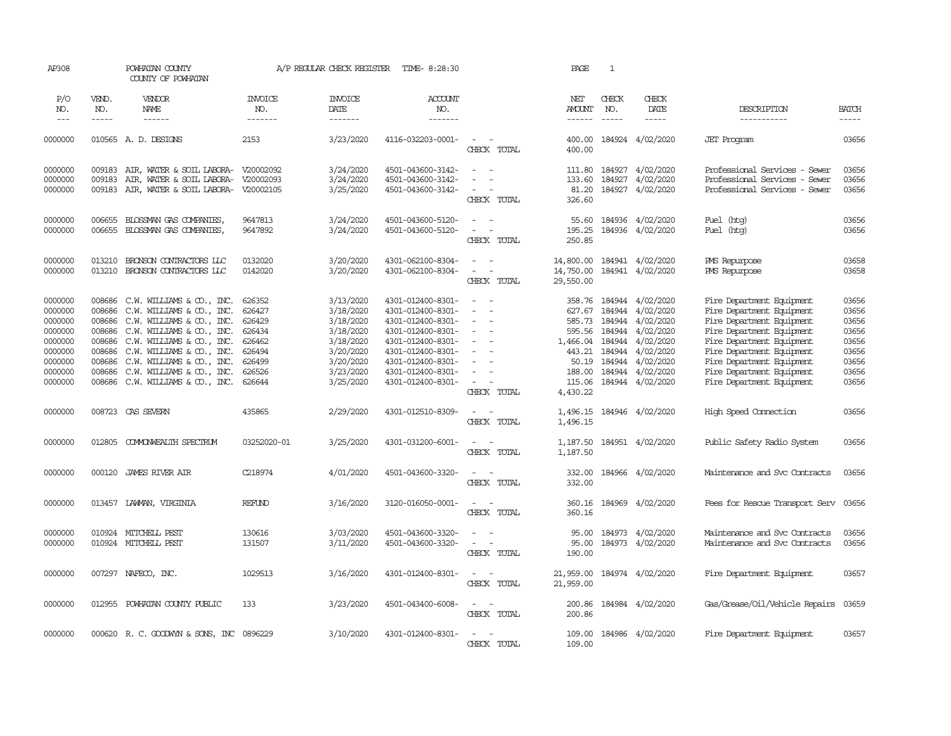| AP308                                                                     |                                                                    | POWHATAN COUNTY<br>COUNTY OF POWHATAN                                                                                                                                                     |                                                                    | A/P REGULAR CHECK REGISTER                                                              | TIME- 8:28:30                                                                                                                                   |                                                                                         | PAGE                                                                | 1                                                                  |                                                                                         |                                                                                                                                                                                                         |                                                             |
|---------------------------------------------------------------------------|--------------------------------------------------------------------|-------------------------------------------------------------------------------------------------------------------------------------------------------------------------------------------|--------------------------------------------------------------------|-----------------------------------------------------------------------------------------|-------------------------------------------------------------------------------------------------------------------------------------------------|-----------------------------------------------------------------------------------------|---------------------------------------------------------------------|--------------------------------------------------------------------|-----------------------------------------------------------------------------------------|---------------------------------------------------------------------------------------------------------------------------------------------------------------------------------------------------------|-------------------------------------------------------------|
| P/O<br>NO.<br>$---$                                                       | VEND.<br>NO.<br>$- - - - -$                                        | VENDOR<br>NAME<br>$- - - - - -$                                                                                                                                                           | <b>INVOICE</b><br>NO.<br>-------                                   | <b>INVOICE</b><br>DATE<br>-------                                                       | ACCOUNT<br>NO.<br>-------                                                                                                                       |                                                                                         | NET<br>AMOUNT<br>$- - - - - -$                                      | CHECK<br>NO.<br>$\frac{1}{2}$                                      | CHECK<br>DATE<br>$- - - - -$                                                            | DESCRIPTION<br>-----------                                                                                                                                                                              | <b>BATCH</b><br>-----                                       |
| 0000000                                                                   |                                                                    | 010565 A.D. DESIGNS                                                                                                                                                                       | 2153                                                               | 3/23/2020                                                                               | 4116-032203-0001-                                                                                                                               | $\sim$<br>$\sim$<br>CHECK TOTAL                                                         | 400.00<br>400.00                                                    |                                                                    | 184924 4/02/2020                                                                        | <b>JET</b> Program                                                                                                                                                                                      | 03656                                                       |
| 0000000<br>0000000<br>0000000                                             | 009183<br>009183<br>009183                                         | AIR, WATER & SOIL LABORA- V20002092<br>AIR, WATER & SOIL LABORA- V20002093<br>AIR, WATER & SOIL LABORA- V20002105                                                                         |                                                                    | 3/24/2020<br>3/24/2020<br>3/25/2020                                                     | 4501-043600-3142-<br>4501-043600-3142-<br>4501-043600-3142-                                                                                     | $\equiv$<br>$\sim$<br>$\sim$<br>$\sim$<br>CHECK TOTAL                                   | 111.80<br>133.60<br>81.20<br>326.60                                 |                                                                    | 184927 4/02/2020<br>184927 4/02/2020<br>184927 4/02/2020                                | Professional Services - Sewer<br>Professional Services - Sewer<br>Professional Services - Sewer                                                                                                         | 03656<br>03656<br>03656                                     |
| 0000000<br>0000000                                                        | 006655<br>006655                                                   | BLOSSMAN GAS COMPANIES,<br>BLOSSMAN GAS COMPANIES,                                                                                                                                        | 9647813<br>9647892                                                 | 3/24/2020<br>3/24/2020                                                                  | 4501-043600-5120-<br>4501-043600-5120-                                                                                                          | $\sim$<br>$\sim$<br>$\overline{\phantom{a}}$<br>$\sim$<br>CHECK TOTAL                   | 55.60<br>195.25<br>250.85                                           |                                                                    | 184936 4/02/2020<br>184936 4/02/2020                                                    | Fuel (htg)<br>Fuel (htg)                                                                                                                                                                                | 03656<br>03656                                              |
| 0000000<br>0000000                                                        | 013210<br>013210                                                   | BRONSON CONTRACTORS LLC<br>BRONSON CONTRACTORS LLC                                                                                                                                        | 0132020<br>0142020                                                 | 3/20/2020<br>3/20/2020                                                                  | 4301-062100-8304-<br>4301-062100-8304-                                                                                                          | $\sim$<br>$\sim$<br>CHECK TOTAL                                                         | 14,800.00<br>14,750.00<br>29,550.00                                 |                                                                    | 184941 4/02/2020<br>184941 4/02/2020                                                    | PMS Repurpose<br>PMS Repurpose                                                                                                                                                                          | 03658<br>03658                                              |
| 0000000<br>0000000<br>0000000<br>0000000<br>0000000<br>0000000<br>0000000 | 008686<br>008686<br>008686<br>008686<br>008686<br>008686<br>008686 | $C.W. WILLIANS & O.$ , INC.<br>C.W. WILLIAMS & CO., INC.<br>$C.W. WILLIANS & CD., INC.C.W. WILLIANS & CD., INC.C.W. WILLIANS & O., INC.C.W. WILLIANS & O., INC.C.W. WILLIAMS & CO., INC.$ | 626352<br>626427<br>626429<br>626434<br>626462<br>626494<br>626499 | 3/13/2020<br>3/18/2020<br>3/18/2020<br>3/18/2020<br>3/18/2020<br>3/20/2020<br>3/20/2020 | 4301-012400-8301-<br>4301-012400-8301-<br>4301-012400-8301-<br>4301-012400-8301-<br>4301-012400-8301-<br>4301-012400-8301-<br>4301-012400-8301- | $\overline{\phantom{a}}$<br>$\equiv$<br>$\sim$<br>$\equiv$<br>$\equiv$                  | 358.76<br>627.67<br>585.73<br>595.56<br>1,466.04<br>443.21<br>50.19 | 184944<br>184944<br>184944<br>184944<br>184944<br>184944<br>184944 | 4/02/2020<br>4/02/2020<br>4/02/2020<br>4/02/2020<br>4/02/2020<br>4/02/2020<br>4/02/2020 | Fire Department Equipment<br>Fire Department Equipment<br>Fire Department Equipment<br>Fire Department Equipment<br>Fire Department Equipment<br>Fire Department Equipment<br>Fire Department Equipment | 03656<br>03656<br>03656<br>03656<br>03656<br>03656<br>03656 |
| 0000000<br>0000000                                                        | 008686<br>008686                                                   | C.W. WILLIAMS & CO., INC.<br>C.W. WILLIAMS & CO., INC.                                                                                                                                    | 626526<br>626644                                                   | 3/23/2020<br>3/25/2020                                                                  | 4301-012400-8301-<br>4301-012400-8301-                                                                                                          | $\overline{\phantom{a}}$<br>CHECK TOTAL                                                 | 188.00<br>115.06<br>4,430.22                                        | 184944                                                             | 4/02/2020<br>184944 4/02/2020                                                           | Fire Department Equipment<br>Fire Department Equipment                                                                                                                                                  | 03656<br>03656                                              |
| 0000000                                                                   | 008723                                                             | CAS SEVERN                                                                                                                                                                                | 435865                                                             | 2/29/2020                                                                               | 4301-012510-8309-                                                                                                                               | $\sim$ $\sim$<br>CHECK TOTAL                                                            | 1,496.15<br>1,496.15                                                |                                                                    | 184946 4/02/2020                                                                        | High Speed Connection                                                                                                                                                                                   | 03656                                                       |
| 0000000                                                                   | 012805                                                             | COMMONWEALTH SPECTRUM                                                                                                                                                                     | 03252020-01                                                        | 3/25/2020                                                                               | 4301-031200-6001-                                                                                                                               | $\sim$<br>$\sim$<br>CHECK TOTAL                                                         | 1,187.50<br>1,187.50                                                |                                                                    | 184951 4/02/2020                                                                        | Public Safety Radio System                                                                                                                                                                              | 03656                                                       |
| 0000000                                                                   | 000120                                                             | JAMES RIVER AIR                                                                                                                                                                           | C218974                                                            | 4/01/2020                                                                               | 4501-043600-3320-                                                                                                                               | $\sim$<br>$\overline{\phantom{a}}$<br>CHECK TOTAL                                       | 332.00<br>332.00                                                    |                                                                    | 184966 4/02/2020                                                                        | Maintenance and Svc Contracts                                                                                                                                                                           | 03656                                                       |
| 0000000                                                                   | 013457                                                             | LAWAN, VIRGINIA                                                                                                                                                                           | <b>REFUND</b>                                                      | 3/16/2020                                                                               | 3120-016050-0001-                                                                                                                               | $\sim$<br>$\sim$<br>CHECK TOTAL                                                         | 360.16<br>360.16                                                    |                                                                    | 184969 4/02/2020                                                                        | Fees for Rescue Transport Serv                                                                                                                                                                          | 03656                                                       |
| 0000000<br>0000000                                                        |                                                                    | 010924 MITCHELL PEST<br>010924 MITCHELL PEST                                                                                                                                              | 130616<br>131507                                                   | 3/03/2020<br>3/11/2020                                                                  | 4501-043600-3320-<br>4501-043600-3320-                                                                                                          | $\overline{\phantom{a}}$<br>$\sim$<br>$\sim$<br>$\overline{\phantom{a}}$<br>CHECK TOTAL | 95.00<br>95.00<br>190.00                                            |                                                                    | 184973 4/02/2020<br>184973 4/02/2020                                                    | Maintenance and Svc Contracts<br>Maintenance and Svc Contracts                                                                                                                                          | 03656<br>03656                                              |
| 0000000                                                                   |                                                                    | 007297 NAFECO, INC.                                                                                                                                                                       | 1029513                                                            | 3/16/2020                                                                               | 4301-012400-8301-                                                                                                                               | $\sim$<br>$\sim$<br>CHECK TOTAL                                                         | 21,959.00<br>21,959.00                                              |                                                                    | 184974 4/02/2020                                                                        | Fire Department Equipment                                                                                                                                                                               | 03657                                                       |
| 0000000                                                                   | 012955                                                             | POWHATAN COUNTY PUBLIC                                                                                                                                                                    | 133                                                                | 3/23/2020                                                                               | 4501-043400-6008-                                                                                                                               | $\sim$<br>$\sim$<br>CHECK TOTAL                                                         | 200.86<br>200.86                                                    |                                                                    | 184984 4/02/2020                                                                        | Gas/Grease/Oil/Vehicle Repairs                                                                                                                                                                          | 03659                                                       |
| 0000000                                                                   |                                                                    | 000620 R.C. GOODWYN & SONS, INC 0896229                                                                                                                                                   |                                                                    | 3/10/2020                                                                               | 4301-012400-8301-                                                                                                                               | $ -$<br>CHECK TOTAL                                                                     | 109.00<br>109.00                                                    |                                                                    | 184986 4/02/2020                                                                        | Fire Department Equipment                                                                                                                                                                               | 03657                                                       |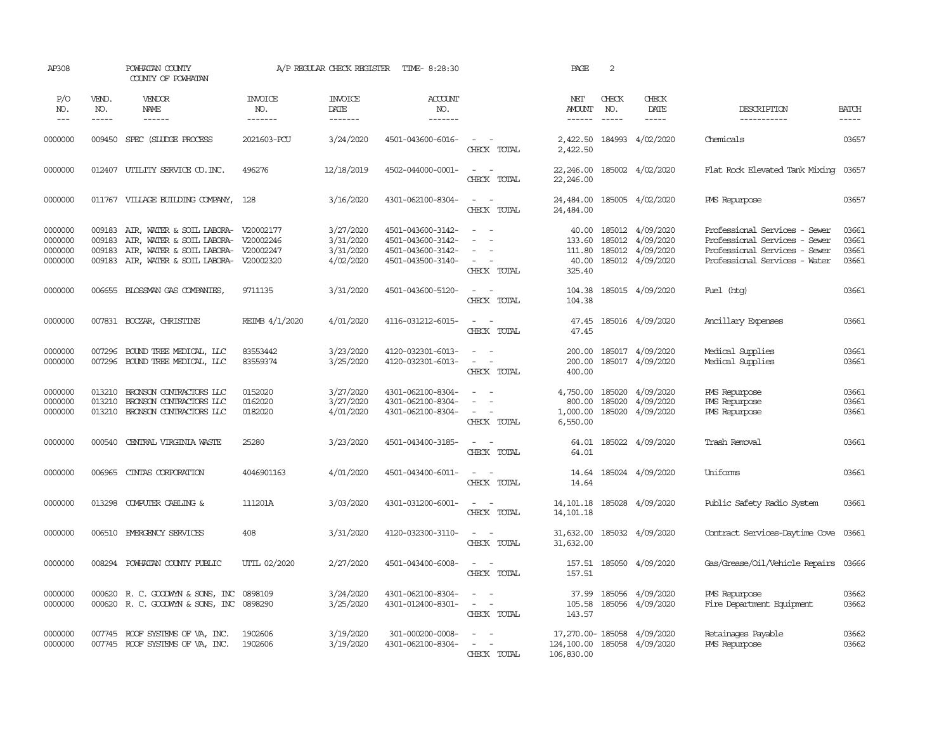| AP308                       |                       | POWHATAN COUNTY<br>COUNTY OF POWHATAN                                      |                                  |                                          | A/P REGULAR CHECK REGISTER TIME-8:28:30 |                                                                            | PAGE                                      | 2                           |                               |                                                                |                       |
|-----------------------------|-----------------------|----------------------------------------------------------------------------|----------------------------------|------------------------------------------|-----------------------------------------|----------------------------------------------------------------------------|-------------------------------------------|-----------------------------|-------------------------------|----------------------------------------------------------------|-----------------------|
| P/O<br>NO.<br>$\frac{1}{2}$ | VEND.<br>NO.<br>----- | VENDOR<br>NAME<br>------                                                   | <b>INVOICE</b><br>NO.<br>------- | <b>INVOICE</b><br><b>DATE</b><br>------- | <b>ACCOUNT</b><br>NO.<br>--------       |                                                                            | NET<br>AMOUNT<br>$- - - - - -$            | CHECK<br>NO.<br>$- - - - -$ | CHECK<br>DATE<br>$- - - - -$  | DESCRIPTION<br>-----------                                     | <b>BATCH</b><br>----- |
| 0000000                     |                       | 009450 SPEC (SLUDGE PROCESS                                                | 2021603-PCU                      | 3/24/2020                                | 4501-043600-6016-                       | $\omega_{\rm{max}}$ and $\omega_{\rm{max}}$                                |                                           |                             | 2,422.50 184993 4/02/2020     | Chemicals                                                      | 03657                 |
|                             |                       |                                                                            |                                  |                                          |                                         | CHECK TOTAL                                                                | 2,422.50                                  |                             |                               |                                                                |                       |
| 0000000                     |                       | 012407 UTILITY SERVICE CO. INC.                                            | 496276                           | 12/18/2019                               | 4502-044000-0001-                       | $\mathcal{L}_{\text{max}}$ , and $\mathcal{L}_{\text{max}}$<br>CHECK TOTAL | 22,246.00<br>22,246.00                    |                             | 185002 4/02/2020              | Flat Rock Elevated Tank Mixing 03657                           |                       |
| 0000000                     |                       | 011767 VILLAGE BUILDING COMPANY, 128                                       |                                  | 3/16/2020                                | 4301-062100-8304-                       | $\sim$ $ -$<br>CHECK TOTAL                                                 | 24,484.00<br>24,484.00                    |                             | 185005 4/02/2020              | PMS Repurpose                                                  | 03657                 |
| 0000000<br>0000000          | 009183<br>009183      | AIR, WATER & SOIL LABORA- V20002177<br>AIR, WATER & SOIL LABORA- V20002246 |                                  | 3/27/2020                                | 4501-043600-3142-<br>4501-043600-3142-  | $\omega_{\rm{max}}$ and                                                    | 40.00<br>133.60                           | 185012<br>185012            | 4/09/2020<br>4/09/2020        | Professional Services - Sewer<br>Professional Services - Sewer | 03661<br>03661        |
| 0000000                     | 009183                | AIR, WATER & SOIL LABORA- V20002247                                        |                                  | 3/31/2020<br>3/31/2020                   | 4501-043600-3142-                       |                                                                            | 111.80                                    | 185012                      | 4/09/2020                     | Professional Services - Sewer                                  | 03661                 |
| 0000000                     |                       | 009183 AIR, WATER & SOIL LABORA- V20002320                                 |                                  | 4/02/2020                                | 4501-043500-3140-                       | $\sim$ $ -$<br>CHECK TOTAL                                                 | 40.00<br>325.40                           |                             | 185012 4/09/2020              | Professional Services - Water                                  | 03661                 |
| 0000000                     | 006655                | BLOSSMAN GAS COMPANIES,                                                    | 9711135                          | 3/31/2020                                | 4501-043600-5120-                       | $\sim$ $ \sim$                                                             | 104.38                                    |                             | 185015 4/09/2020              | Fuel (htg)                                                     | 03661                 |
|                             |                       |                                                                            |                                  |                                          |                                         | CHECK TOTAL                                                                | 104.38                                    |                             |                               |                                                                |                       |
| 0000000                     |                       | 007831 BOCZAR, CHRISTINE                                                   | REIMB 4/1/2020                   | 4/01/2020                                | 4116-031212-6015-                       | $\sim 100$ km s $^{-1}$<br>CHECK TOTAL                                     | 47.45<br>47.45                            |                             | 185016 4/09/2020              | Ancillary Expenses                                             | 03661                 |
| 0000000                     | 007296                | BOUND TREE MEDICAL, LLC                                                    | 83553442                         | 3/23/2020                                | 4120-032301-6013-                       | $\sim$ $\sim$                                                              | 200.00                                    |                             | 185017 4/09/2020              | Medical Supplies                                               | 03661                 |
| 0000000                     |                       | 007296 BOUND TREE MEDICAL, LLC                                             | 83559374                         | 3/25/2020                                | 4120-032301-6013-                       | $\sim$ $ \sim$<br>CHECK TOTAL                                              | 200.00<br>400.00                          |                             | 185017 4/09/2020              | Medical Supplies                                               | 03661                 |
| 0000000                     | 013210                | BRONSON CONTRACTORS LLC                                                    | 0152020                          | 3/27/2020                                | 4301-062100-8304-                       | $\sim$ $ \sim$                                                             | 4,750.00                                  | 185020                      | 4/09/2020                     | PMS Repurpose                                                  | 03661                 |
| 0000000<br>0000000          | 013210<br>013210      | BRONSON CONTRACTORS LLC<br>BRONSON CONTRACTORS LLC                         | 0162020                          | 3/27/2020                                | 4301-062100-8304-                       | $\sim$                                                                     | 800.00                                    | 185020                      | 4/09/2020<br>185020 4/09/2020 | PMS Repurpose                                                  | 03661                 |
|                             |                       |                                                                            | 0182020                          | 4/01/2020                                | 4301-062100-8304-                       | $\sim$ $ -$<br>CHECK TOTAL                                                 | 1,000.00<br>6,550.00                      |                             |                               | PMS Repurpose                                                  | 03661                 |
| 0000000                     | 000540                | CENTRAL VIRGINIA WASTE                                                     | 25280                            | 3/23/2020                                | 4501-043400-3185-                       | $\sim$ $\sim$<br>CHECK TOTAL                                               | 64.01<br>64.01                            |                             | 185022 4/09/2020              | Trash Removal                                                  | 03661                 |
| 0000000                     | 006965                | CINIAS CORPORATION                                                         | 4046901163                       | 4/01/2020                                | 4501-043400-6011-                       | $\sim$<br>$\sim$ $-$                                                       | 14.64                                     |                             | 185024 4/09/2020              | Uniforms                                                       | 03661                 |
|                             |                       |                                                                            |                                  |                                          |                                         | CHECK TOTAL                                                                | 14.64                                     |                             |                               |                                                                |                       |
| 0000000                     |                       | 013298 COMPUTER CABLING &                                                  | 111201A                          | 3/03/2020                                | 4301-031200-6001-                       | $\sim$ $ -$<br>CHECK TOTAL                                                 | 14, 101. 18<br>14, 101. 18                |                             | 185028 4/09/2020              | Public Safety Radio System                                     | 03661                 |
| 0000000                     |                       | 006510 EMERGENCY SERVICES                                                  | 408                              | 3/31/2020                                | 4120-032300-3110-                       | $\omega_{\rm{max}}$ and $\omega_{\rm{max}}$                                | 31,632.00                                 |                             | 185032 4/09/2020              | Contract Services-Daytime Cove 03661                           |                       |
|                             |                       |                                                                            |                                  |                                          |                                         | CHECK TOTAL                                                                | 31,632.00                                 |                             |                               |                                                                |                       |
| 0000000                     |                       | 008294 POWHATAN COUNTY PUBLIC                                              | UTIL 02/2020                     | 2/27/2020                                | 4501-043400-6008-                       | $\sim$ 10 $\sim$ 10 $\sim$<br>CHECK TOTAL                                  | 157.51                                    |                             | 157.51 185050 4/09/2020       | Gas/Grease/Oil/Vehicle Repairs 03666                           |                       |
| 0000000                     |                       | 000620 R. C. GOODWIN & SONS, INC                                           | 0898109                          | 3/24/2020                                | 4301-062100-8304-                       | $\sim$ $-$<br>$\sim$<br>$\omega_{\rm{max}}$                                |                                           |                             | 37.99 185056 4/09/2020        | PMS Repurpose                                                  | 03662<br>03662        |
| 0000000                     |                       | 000620 R. C. GOODWYN & SONS, INC 0898290                                   |                                  | 3/25/2020                                | 4301-012400-8301-                       | CHECK TOTAL                                                                | 143.57                                    |                             | 105.58 185056 4/09/2020       | Fire Department Equipment                                      |                       |
| 0000000                     |                       | 007745 ROOF SYSTEMS OF VA, INC.                                            | 1902606                          | 3/19/2020                                | 301-000200-0008-                        |                                                                            |                                           |                             | 17,270.00-185058 4/09/2020    | Retainages Payable                                             | 03662                 |
| 0000000                     |                       | 007745 ROOF SYSTEMS OF VA, INC.                                            | 1902606                          | 3/19/2020                                | 4301-062100-8304-                       | $\sim$ $ \sim$<br>CHECK TOTAL                                              | 124,100.00 185058 4/09/2020<br>106,830.00 |                             |                               | PMS Repurpose                                                  | 03662                 |
|                             |                       |                                                                            |                                  |                                          |                                         |                                                                            |                                           |                             |                               |                                                                |                       |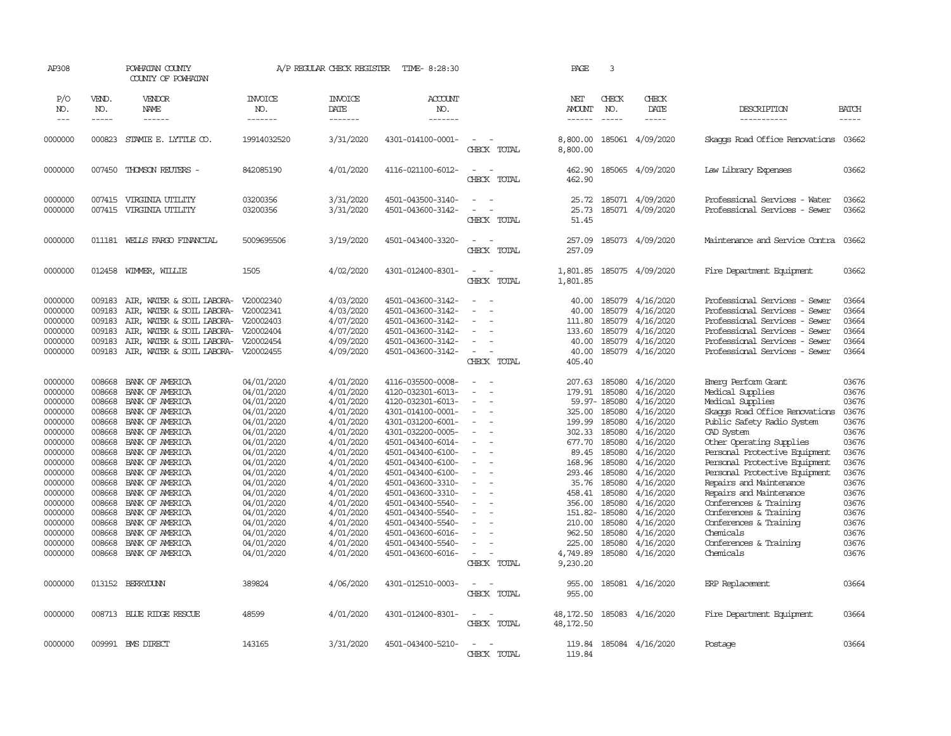| AP308                                                          |                                                | POWHATAN COUNTY<br>COUNTY OF POWHATAN                                                                                                                                                       |                                                               | A/P REGULAR CHECK REGISTER                                                 | TIME- 8:28:30                                                                                                              |                                                                | PAGE                                                           | 3                                              |                                                                                   |                                                                                                                                                                                                    |                                                    |
|----------------------------------------------------------------|------------------------------------------------|---------------------------------------------------------------------------------------------------------------------------------------------------------------------------------------------|---------------------------------------------------------------|----------------------------------------------------------------------------|----------------------------------------------------------------------------------------------------------------------------|----------------------------------------------------------------|----------------------------------------------------------------|------------------------------------------------|-----------------------------------------------------------------------------------|----------------------------------------------------------------------------------------------------------------------------------------------------------------------------------------------------|----------------------------------------------------|
| P/O<br>NO.                                                     | VEND.<br>NO.                                   | VENDOR<br>NAME                                                                                                                                                                              | <b>INVOICE</b><br>NO.                                         | <b>INVOICE</b><br>DATE                                                     | ACCOUNT<br>NO.                                                                                                             |                                                                | NET<br><b>AMOUNT</b>                                           | CHECK<br>NO.                                   | CHECK<br>DATE                                                                     | DESCRIPTION                                                                                                                                                                                        | <b>BATCH</b>                                       |
| $---$                                                          | $- - - - -$                                    | $- - - - - -$                                                                                                                                                                               | -------                                                       | --------                                                                   | --------                                                                                                                   |                                                                | $- - - - - -$                                                  | $\frac{1}{2}$                                  | -----                                                                             | -----------                                                                                                                                                                                        | -----                                              |
| 0000000                                                        | 000823                                         | STAMIE E. LYTTLE CO.                                                                                                                                                                        | 19914032520                                                   | 3/31/2020                                                                  | 4301-014100-0001-                                                                                                          | $\overline{\phantom{a}}$<br>CHECK TOTAL                        | 8,800.00<br>8,800.00                                           | 185061                                         | 4/09/2020                                                                         | Skaops Road Office Renovations                                                                                                                                                                     | 03662                                              |
| 0000000                                                        |                                                | 007450 THOMSON REUTERS -                                                                                                                                                                    | 842085190                                                     | 4/01/2020                                                                  | 4116-021100-6012-                                                                                                          | $\sim$<br>$\overline{\phantom{a}}$<br>CHECK TOTAL              | 462.90<br>462.90                                               |                                                | 185065 4/09/2020                                                                  | Law Library Expenses                                                                                                                                                                               | 03662                                              |
| 0000000<br>0000000                                             | 007415                                         | VIRGINIA UTILITY<br>007415 VIRGINIA UTILITY                                                                                                                                                 | 03200356<br>03200356                                          | 3/31/2020<br>3/31/2020                                                     | 4501-043500-3140-<br>4501-043600-3142-                                                                                     | $\sim$<br>$\sim$<br>$\sim$<br>CHECK TOTAL                      | 25.72<br>25.73<br>51.45                                        |                                                | 185071 4/09/2020<br>185071 4/09/2020                                              | Professional Services - Water<br>Professional Services - Sewer                                                                                                                                     | 03662<br>03662                                     |
| 0000000                                                        |                                                | 011181 WELLS FARGO FINANCIAL                                                                                                                                                                | 5009695506                                                    | 3/19/2020                                                                  | 4501-043400-3320-                                                                                                          | $\sim$<br>. —<br>CHECK TOTAL                                   | 257.09<br>257.09                                               |                                                | 185073 4/09/2020                                                                  | Maintenance and Service Contra                                                                                                                                                                     | 03662                                              |
| 0000000                                                        |                                                | 012458 WIMMER, WILLIE                                                                                                                                                                       | 1505                                                          | 4/02/2020                                                                  | 4301-012400-8301-                                                                                                          | $\equiv$<br>- -<br>CHECK TOTAL                                 | 1,801.85<br>1,801.85                                           |                                                | 185075 4/09/2020                                                                  | Fire Department Equipment                                                                                                                                                                          | 03662                                              |
| 0000000<br>0000000<br>0000000<br>0000000<br>0000000<br>0000000 | 009183<br>009183<br>009183<br>009183<br>009183 | AIR, WATER & SOIL LABORA-<br>AIR, WATER & SOIL LABORA-<br>AIR, WATER & SOIL LABORA- V20002403<br>AIR, WATER & SOIL LABORA-<br>AIR, WATER & SOIL LABORA-<br>009183 AIR, WATER & SOIL LABORA- | V20002340<br>V20002341<br>V20002404<br>V20002454<br>V20002455 | 4/03/2020<br>4/03/2020<br>4/07/2020<br>4/07/2020<br>4/09/2020<br>4/09/2020 | 4501-043600-3142-<br>4501-043600-3142-<br>4501-043600-3142-<br>4501-043600-3142-<br>4501-043600-3142-<br>4501-043600-3142- | $\overline{\phantom{a}}$<br>$\sim$<br>$\equiv$<br>CHECK TOTAL  | 40.00<br>40.00<br>111.80<br>133.60<br>40.00<br>40.00<br>405.40 | 185079<br>185079<br>185079<br>185079<br>185079 | 4/16/2020<br>4/16/2020<br>4/16/2020<br>4/16/2020<br>4/16/2020<br>185079 4/16/2020 | Professional Services - Sewer<br>Professional Services - Sewer<br>Professional Services - Sewer<br>Professional Services - Sewer<br>Professional Services - Sewer<br>Professional Services - Sewer | 03664<br>03664<br>03664<br>03664<br>03664<br>03664 |
| 0000000<br>0000000<br>0000000                                  | 008668<br>008668<br>008668                     | BANK OF AMERICA<br>BANK OF AMERICA<br>BANK OF AMERICA                                                                                                                                       | 04/01/2020<br>04/01/2020<br>04/01/2020                        | 4/01/2020<br>4/01/2020<br>4/01/2020                                        | 4116-035500-0008-<br>4120-032301-6013-<br>4120-032301-6013-                                                                | $\sim$<br>$\sim$<br>$\sim$                                     | 207.63<br>179.91                                               | 185080<br>185080<br>59.97-185080               | 4/16/2020<br>4/16/2020<br>4/16/2020                                               | Emerg Perform Grant<br>Medical Supplies<br>Medical Supplies                                                                                                                                        | 03676<br>03676<br>03676                            |
| 0000000<br>0000000<br>0000000<br>0000000                       | 008668<br>008668<br>008668<br>008668           | BANK OF AMERICA<br>BANK OF AMERICA<br>BANK OF AMERICA<br>BANK OF AMERICA                                                                                                                    | 04/01/2020<br>04/01/2020<br>04/01/2020<br>04/01/2020          | 4/01/2020<br>4/01/2020<br>4/01/2020<br>4/01/2020                           | 4301-014100-0001-<br>4301-031200-6001-<br>4301-032200-0005-<br>4501-043400-6014-                                           | $\sim$<br>$\overline{\phantom{a}}$<br>$\overline{\phantom{a}}$ | 325.00<br>199.99<br>302.33 185080<br>677.70                    | 185080<br>185080<br>185080                     | 4/16/2020<br>4/16/2020<br>4/16/2020<br>4/16/2020                                  | Skaops Road Office Renovations<br>Public Safety Radio System<br>CAD System<br>Other Operating Supplies                                                                                             | 03676<br>03676<br>03676<br>03676                   |
| 0000000<br>0000000<br>0000000<br>0000000                       | 008668<br>008668<br>008668<br>008668           | BANK OF AMERICA<br>BANK OF AMERICA<br>BANK OF AMERICA<br>BANK OF AMERICA                                                                                                                    | 04/01/2020<br>04/01/2020<br>04/01/2020                        | 4/01/2020<br>4/01/2020<br>4/01/2020<br>4/01/2020                           | 4501-043400-6100-<br>4501-043400-6100-<br>4501-043400-6100-<br>4501-043600-3310-                                           |                                                                | 89.45<br>168.96<br>293.46<br>35.76                             | 185080<br>185080<br>185080<br>185080           | 4/16/2020<br>4/16/2020<br>4/16/2020                                               | Personal Protective Equipment<br>Personal Protective Equipment<br>Personal Protective Equipment                                                                                                    | 03676<br>03676<br>03676<br>03676                   |
| 0000000<br>0000000<br>0000000                                  | 008668<br>008668<br>008668                     | BANK OF AMERICA<br>BANK OF AMERICA<br>BANK OF AMERICA                                                                                                                                       | 04/01/2020<br>04/01/2020<br>04/01/2020<br>04/01/2020          | 4/01/2020<br>4/01/2020<br>4/01/2020                                        | 4501-043600-3310-<br>4501-043400-5540-<br>4501-043400-5540-                                                                | $\sim$<br>÷,                                                   | 458.41<br>356.00<br>151.82- 185080                             | 185080<br>185080                               | 4/16/2020<br>4/16/2020<br>4/16/2020<br>4/16/2020                                  | Repairs and Maintenance<br>Repairs and Maintenance<br>Conferences & Training<br>Conferences & Training                                                                                             | 03676<br>03676<br>03676                            |
| 0000000<br>0000000<br>0000000                                  | 008668<br>008668<br>008668                     | BANK OF AMERICA<br>BANK OF AMERICA<br>BANK OF AMERICA                                                                                                                                       | 04/01/2020<br>04/01/2020<br>04/01/2020                        | 4/01/2020<br>4/01/2020<br>4/01/2020                                        | 4501-043400-5540-<br>4501-043600-6016-<br>4501-043400-5540-                                                                | ÷.                                                             | 210.00<br>962.50<br>225.00                                     | 185080<br>185080<br>185080                     | 4/16/2020<br>4/16/2020<br>4/16/2020                                               | Conferences & Training<br>Chemicals<br>Conferences & Training                                                                                                                                      | 03676<br>03676<br>03676                            |
| 0000000                                                        | 008668                                         | BANK OF AMERICA                                                                                                                                                                             | 04/01/2020                                                    | 4/01/2020                                                                  | 4501-043600-6016-                                                                                                          | $\sim$<br>CHECK TOTAL                                          | 4,749.89<br>9,230.20                                           | 185080                                         | 4/16/2020                                                                         | Chemicals                                                                                                                                                                                          | 03676                                              |
| 0000000                                                        |                                                | 013152 BERRYDUNN                                                                                                                                                                            | 389824                                                        | 4/06/2020                                                                  | 4301-012510-0003-                                                                                                          | $\overline{\phantom{a}}$<br>CHECK TOTAL                        | 955.00<br>955.00                                               |                                                | 185081 4/16/2020                                                                  | ERP Replacement                                                                                                                                                                                    | 03664                                              |
| 0000000                                                        |                                                | 008713 BLUE RIDGE RESCUE                                                                                                                                                                    | 48599                                                         | 4/01/2020                                                                  | 4301-012400-8301-                                                                                                          | $\sim$<br>$\overline{\phantom{a}}$<br>CHECK TOTAL              | 48,172.50<br>48,172.50                                         |                                                | 185083 4/16/2020                                                                  | Fire Department Equipment                                                                                                                                                                          | 03664                                              |
| 0000000                                                        |                                                | 009991 BMS DIRECT                                                                                                                                                                           | 143165                                                        | 3/31/2020                                                                  | 4501-043400-5210-                                                                                                          | $\overline{a}$<br>. —<br><b>CHFLCK</b><br><b>TOTAL</b>         | 119.84                                                         |                                                | 119.84 185084 4/16/2020                                                           | Postage                                                                                                                                                                                            | 03664                                              |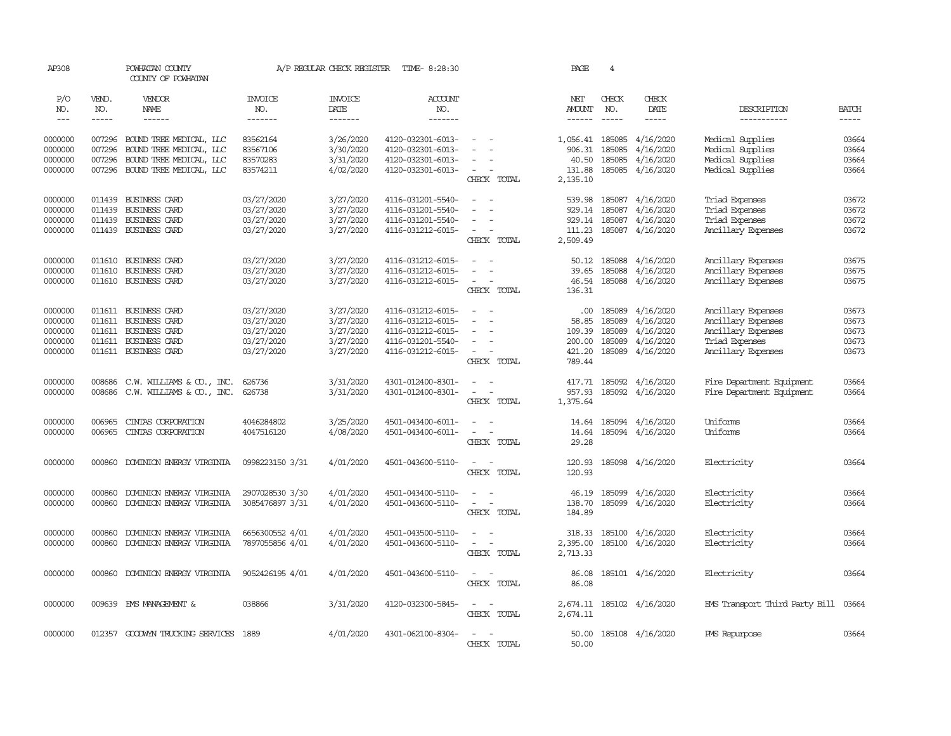| AP308               |                       | POWHATAN COUNTY<br>COUNTY OF POWHATAN                |                                    | A/P REGULAR CHECK REGISTER        | TIME- 8:28:30                            |                                                                | PAGE                 | $\overline{4}$                |                                       |                                          |                             |
|---------------------|-----------------------|------------------------------------------------------|------------------------------------|-----------------------------------|------------------------------------------|----------------------------------------------------------------|----------------------|-------------------------------|---------------------------------------|------------------------------------------|-----------------------------|
| P/O<br>NO.<br>$---$ | VEND.<br>NO.<br>----- | VENDOR<br>NAME<br>$- - - - - -$                      | <b>INVOICE</b><br>NO.<br>-------   | <b>INVOICE</b><br>DATE<br>------- | <b>ACCOUNT</b><br>NO.<br>$- - - - - - -$ |                                                                | NET<br>AMOUNT        | CHECK<br>NO.<br>$\frac{1}{2}$ | CHECK<br>DATE<br>$- - - - -$          | DESCRIPTION<br>-----------               | <b>BATCH</b><br>$- - - - -$ |
| 0000000             | 007296                | BOUND TREE MEDICAL, LLC                              | 83562164                           | 3/26/2020                         | 4120-032301-6013-                        | $\sim$                                                         | 1,056.41 185085      |                               | 4/16/2020                             | Medical Supplies                         | 03664                       |
| 0000000             | 007296                | BOUND TREE MEDICAL, LLC                              | 83567106                           | 3/30/2020                         | 4120-032301-6013-                        |                                                                | 906.31               | 185085                        | 4/16/2020                             | Medical Supplies                         | 03664                       |
| 0000000             | 007296                | BOUND TREE MEDICAL, LLC                              | 83570283                           | 3/31/2020                         | 4120-032301-6013-                        |                                                                | 40.50                | 185085                        | 4/16/2020                             | Medical Supplies                         | 03664                       |
| 0000000             |                       | 007296 BOUND TREE MEDICAL, LLC                       | 83574211                           | 4/02/2020                         | 4120-032301-6013-                        | $\sim$                                                         | 131.88               |                               | 185085 4/16/2020                      | Medical Supplies                         | 03664                       |
|                     |                       |                                                      |                                    |                                   |                                          | CHECK TOTAL                                                    | 2,135.10             |                               |                                       |                                          |                             |
| 0000000             | 011439                | BUSINESS CARD                                        | 03/27/2020                         | 3/27/2020                         | 4116-031201-5540-                        | $\sim$                                                         | 539.98               |                               | 185087 4/16/2020                      | Triad Expenses                           | 03672                       |
| 0000000             | 011439                | BUSINESS CARD                                        | 03/27/2020                         | 3/27/2020                         | 4116-031201-5540-                        | $\sim$<br>$\overline{\phantom{a}}$                             |                      | 929.14 185087                 | 4/16/2020                             | Triad Expenses                           | 03672                       |
| 0000000             | 011439                | BUSINESS CARD                                        | 03/27/2020                         | 3/27/2020                         | 4116-031201-5540-                        | $\equiv$                                                       | 929.14               | 185087                        | 4/16/2020                             | Triad Expenses                           | 03672                       |
| 0000000             |                       | 011439 BUSINESS CARD                                 | 03/27/2020                         | 3/27/2020                         | 4116-031212-6015-                        | $\overline{\phantom{a}}$<br>$\sim$                             |                      |                               | 111.23 185087 4/16/2020               | Ancillary Expenses                       | 03672                       |
|                     |                       |                                                      |                                    |                                   |                                          | CHECK TOTAL                                                    | 2,509.49             |                               |                                       |                                          |                             |
| 0000000             |                       | 011610 BUSINESS CARD                                 | 03/27/2020                         | 3/27/2020                         | 4116-031212-6015-                        | $\sim$                                                         | 50.12                | 185088                        | 4/16/2020                             | Ancillary Expenses                       | 03675                       |
| 0000000             | 011610                | <b>BUSINESS CARD</b>                                 | 03/27/2020                         | 3/27/2020                         | 4116-031212-6015-                        |                                                                | 39.65                | 185088                        | 4/16/2020                             | Ancillary Expenses                       | 03675                       |
| 0000000             |                       | 011610 BUSINESS CARD                                 | 03/27/2020                         | 3/27/2020                         | 4116-031212-6015-                        | $\sim$                                                         |                      |                               | 46.54 185088 4/16/2020                | Ancillary Expenses                       | 03675                       |
|                     |                       |                                                      |                                    |                                   |                                          | CHECK TOTAL                                                    | 136.31               |                               |                                       |                                          |                             |
|                     |                       |                                                      |                                    |                                   |                                          |                                                                |                      |                               |                                       |                                          |                             |
| 0000000<br>0000000  |                       | 011611 BUSINESS CARD<br>011611 BUSINESS CARD         | 03/27/2020<br>03/27/2020           | 3/27/2020<br>3/27/2020            | 4116-031212-6015-<br>4116-031212-6015-   | $\overline{\phantom{a}}$<br>$\sim$                             |                      | 58.85 185089                  | $.00$ 185089 $4/16/2020$<br>4/16/2020 | Ancillary Expenses<br>Ancillary Expenses | 03673<br>03673              |
| 0000000             |                       | 011611 BUSINESS CARD                                 | 03/27/2020                         | 3/27/2020                         | 4116-031212-6015-                        |                                                                | 109.39               | 185089                        | 4/16/2020                             | Ancillary Expenses                       | 03673                       |
| 0000000             |                       | 011611 BUSINESS CARD                                 | 03/27/2020                         | 3/27/2020                         | 4116-031201-5540-                        |                                                                | 200.00               | 185089                        | 4/16/2020                             | Triad Expenses                           | 03673                       |
| 0000000             |                       | 011611 BUSINESS CARD                                 | 03/27/2020                         | 3/27/2020                         | 4116-031212-6015-                        | $\sim$                                                         |                      | 421.20 185089                 | 4/16/2020                             | Ancillary Expenses                       | 03673                       |
|                     |                       |                                                      |                                    |                                   |                                          | CHECK TOTAL                                                    | 789.44               |                               |                                       |                                          |                             |
| 0000000             | 008686                | C.W. WILLIAMS & CO., INC.                            | 626736                             | 3/31/2020                         | 4301-012400-8301-                        | $\overline{\phantom{a}}$<br>$\sim$                             | 417.71               |                               | 185092 4/16/2020                      | Fire Department Equipment                | 03664                       |
| 0000000             | 008686                | C.W. WILLIAMS & CO., INC.                            | 626738                             | 3/31/2020                         | 4301-012400-8301-                        | $\sim$<br>$\sim$ $-$                                           | 957.93               |                               | 185092 4/16/2020                      | Fire Department Equipment                | 03664                       |
|                     |                       |                                                      |                                    |                                   |                                          | CHECK TOTAL                                                    | 1,375.64             |                               |                                       |                                          |                             |
|                     |                       |                                                      |                                    |                                   |                                          | $ -$                                                           |                      |                               |                                       | Uniforms                                 |                             |
| 0000000<br>0000000  | 006965<br>006965      | CINIAS CORPORATION<br>CINIAS CORPORATION             | 4046284802<br>4047516120           | 3/25/2020<br>4/08/2020            | 4501-043400-6011-<br>4501-043400-6011-   | $\sim$<br>$\sim$                                               | 14.64<br>14.64       |                               | 185094 4/16/2020<br>185094 4/16/2020  | Uniforms                                 | 03664<br>03664              |
|                     |                       |                                                      |                                    |                                   |                                          | CHECK TOTAL                                                    | 29.28                |                               |                                       |                                          |                             |
|                     |                       |                                                      |                                    |                                   |                                          |                                                                |                      |                               |                                       |                                          |                             |
| 0000000             | 000860                | DOMINION ENERGY VIRGINIA                             | 0998223150 3/31                    | 4/01/2020                         | 4501-043600-5110-                        | $\overline{\phantom{a}}$<br>$\sim$                             | 120.93               |                               | 185098 4/16/2020                      | Electricity                              | 03664                       |
|                     |                       |                                                      |                                    |                                   |                                          | CHECK TOTAL                                                    | 120.93               |                               |                                       |                                          |                             |
| 0000000             | 000860                | DOMINION ENERGY VIRGINIA                             | 2907028530 3/30                    | 4/01/2020                         | 4501-043400-5110-                        | $ -$                                                           | 46.19                | 185099                        | 4/16/2020                             | Electricity                              | 03664                       |
| 0000000             | 000860                | DOMINION ENERGY VIRGINIA                             | 3085476897 3/31                    | 4/01/2020                         | 4501-043600-5110-                        | $\sim$ $\sim$                                                  | 138.70               | 185099                        | 4/16/2020                             | Electricity                              | 03664                       |
|                     |                       |                                                      |                                    |                                   |                                          | CHECK TOTAL                                                    | 184.89               |                               |                                       |                                          |                             |
|                     |                       |                                                      |                                    |                                   |                                          |                                                                |                      |                               |                                       |                                          |                             |
| 0000000<br>0000000  | 000860<br>000860      | DOMINION ENERGY VIRGINIA<br>DOMINION ENERGY VIRGINIA | 6656300552 4/01<br>7897055856 4/01 | 4/01/2020<br>4/01/2020            | 4501-043500-5110-<br>4501-043600-5110-   | $\overline{\phantom{a}}$<br>$\sim$<br>$\overline{\phantom{a}}$ | 318.33               |                               | 185100 4/16/2020                      | Electricity<br>Electricity               | 03664<br>03664              |
|                     |                       |                                                      |                                    |                                   |                                          | CHECK TOTAL                                                    | 2,395.00<br>2,713.33 |                               | 185100 4/16/2020                      |                                          |                             |
|                     |                       |                                                      |                                    |                                   |                                          |                                                                |                      |                               |                                       |                                          |                             |
| 0000000             | 000860                | DOMINION ENERGY VIRGINIA                             | 9052426195 4/01                    | 4/01/2020                         | 4501-043600-5110-                        | $\sim$<br>$\sim$                                               | 86.08                |                               | 185101 4/16/2020                      | Electricity                              | 03664                       |
|                     |                       |                                                      |                                    |                                   |                                          | CHECK TOTAL                                                    | 86.08                |                               |                                       |                                          |                             |
| 0000000             |                       | 009639 EMS MANAGEMENT &                              | 038866                             | 3/31/2020                         | 4120-032300-5845-                        | $\sim$ $ \sim$                                                 |                      |                               | 2,674.11 185102 4/16/2020             | EMS Transport Third Party Bill 03664     |                             |
|                     |                       |                                                      |                                    |                                   |                                          | CHECK TOTAL                                                    | 2,674.11             |                               |                                       |                                          |                             |
|                     |                       |                                                      |                                    |                                   |                                          |                                                                |                      |                               |                                       |                                          |                             |
| 0000000             |                       | 012357 GOODWIN TRUCKING SERVICES 1889                |                                    | 4/01/2020                         | 4301-062100-8304-                        | $\sim$                                                         |                      |                               | 50.00 185108 4/16/2020                | PMS Repurpose                            | 03664                       |
|                     |                       |                                                      |                                    |                                   |                                          | CHECK TOTAL                                                    | 50.00                |                               |                                       |                                          |                             |
|                     |                       |                                                      |                                    |                                   |                                          |                                                                |                      |                               |                                       |                                          |                             |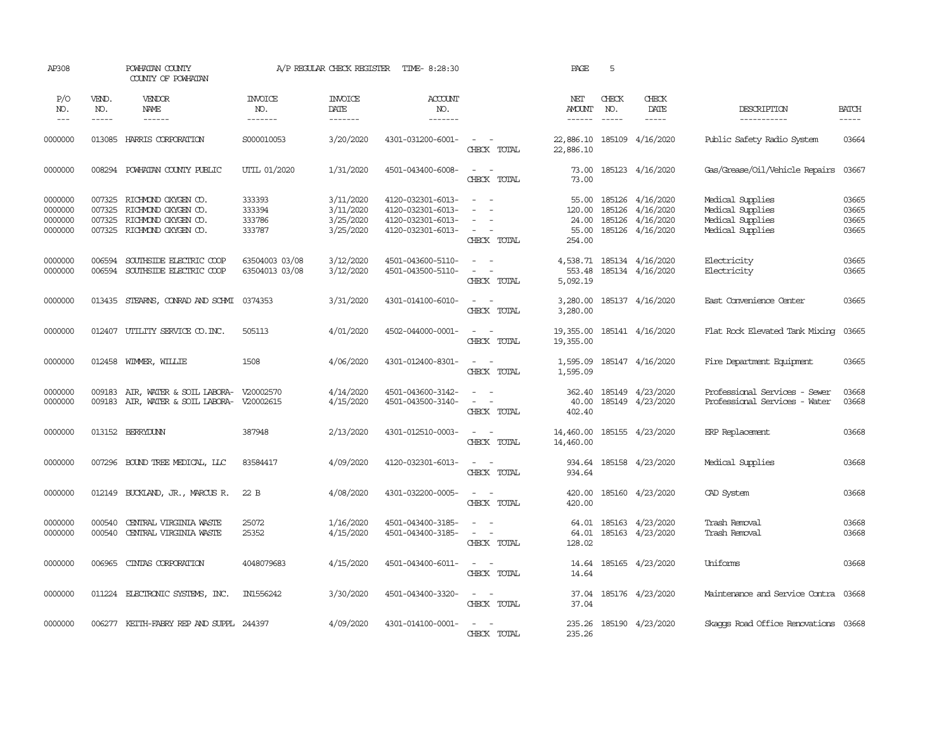| AP308                                    |                            | POWHATAN COUNTY<br>COUNTY OF POWHATAN                                                           |                                      | A/P REGULAR CHECK REGISTER                       | TIME- 8:28:30                                                                    |                                                                            | PAGE                                        | 5            |                                                                                                                                                                                                                                                                                |                                                                              |                                  |
|------------------------------------------|----------------------------|-------------------------------------------------------------------------------------------------|--------------------------------------|--------------------------------------------------|----------------------------------------------------------------------------------|----------------------------------------------------------------------------|---------------------------------------------|--------------|--------------------------------------------------------------------------------------------------------------------------------------------------------------------------------------------------------------------------------------------------------------------------------|------------------------------------------------------------------------------|----------------------------------|
| P/O<br>NO.<br>$\frac{1}{2}$              | VEND.<br>NO.<br>-----      | VENDOR<br>NAME                                                                                  | <b>INVOICE</b><br>NO.<br>-------     | <b>INVOICE</b><br>DATE<br>-------                | ACCOUNT<br>NO.<br>$- - - - - - -$                                                |                                                                            | NET<br><b>AMOUNT</b>                        | CHECK<br>NO. | CHECK<br>DATE<br>$\begin{tabular}{ccccc} \multicolumn{2}{c }{\multicolumn{2}{c }{\multicolumn{2}{c }{\multicolumn{2}{c}}{\hspace{-2.2cm}}}} \multicolumn{2}{c }{\multicolumn{2}{c }{\hspace{-2.2cm}}\hline \multicolumn{2}{c }{\hspace{-2.2cm}}}} \end{tabular} \end{tabular}$ | DESCRIPTION<br>-----------                                                   | <b>BATCH</b><br>$- - - - -$      |
| 0000000                                  |                            | 013085 HARRIS CORPORATION                                                                       | S000010053                           | 3/20/2020                                        | 4301-031200-6001-                                                                | $\sim$ $ \sim$<br>CHECK TOTAL                                              | 22,886.10<br>22,886.10                      |              | 185109 4/16/2020                                                                                                                                                                                                                                                               | Public Safety Radio System                                                   | 03664                            |
| 0000000                                  |                            | 008294 POWHATAN COUNTY PUBLIC                                                                   | UTIL 01/2020                         | 1/31/2020                                        | 4501-043400-6008-                                                                | $\sim$<br>$\sim$<br>CHECK TOTAL                                            | 73.00<br>73.00                              |              | 185123 4/16/2020                                                                                                                                                                                                                                                               | Gas/Grease/Oil/Vehicle Repairs                                               | 03667                            |
| 0000000<br>0000000<br>0000000<br>0000000 | 007325<br>007325<br>007325 | 007325 RICHMOND OXYGEN CO.<br>RICHMOND OXYGEN CO.<br>RICHMOND OXYGEN CO.<br>RICHMOND OXYGEN CO. | 333393<br>333394<br>333786<br>333787 | 3/11/2020<br>3/11/2020<br>3/25/2020<br>3/25/2020 | 4120-032301-6013-<br>4120-032301-6013-<br>4120-032301-6013-<br>4120-032301-6013- | $\sim$ 100 $\sim$<br>$\overline{\phantom{a}}$<br>$\sim$<br>CHECK TOTAL     | 55.00<br>120.00<br>24.00<br>55.00<br>254.00 |              | 185126 4/16/2020<br>185126 4/16/2020<br>185126 4/16/2020<br>185126 4/16/2020                                                                                                                                                                                                   | Medical Supplies<br>Medical Supplies<br>Medical Supplies<br>Medical Supplies | 03665<br>03665<br>03665<br>03665 |
| 0000000<br>0000000                       | 006594<br>006594           | SOUTHSIDE ELECTRIC COOP<br>SOUTHSIDE ELECTRIC COOP                                              | 63504003 03/08<br>63504013 03/08     | 3/12/2020<br>3/12/2020                           | 4501-043600-5110-<br>4501-043500-5110-                                           | $\sim$ $ \sim$<br>$\sim$<br>$\sim$ $-$<br>CHECK TOTAL                      | 553.48<br>5,092.19                          |              | 4,538.71 185134 4/16/2020<br>185134 4/16/2020                                                                                                                                                                                                                                  | Electricity<br>Electricity                                                   | 03665<br>03665                   |
| 0000000                                  |                            | 013435 STEARNS, CONRAD AND SCHMI 0374353                                                        |                                      | 3/31/2020                                        | 4301-014100-6010-                                                                | $\sim$ 100 $\sim$<br>CHECK TOTAL                                           | 3,280.00<br>3,280.00                        |              | 185137 4/16/2020                                                                                                                                                                                                                                                               | East Convenience Center                                                      | 03665                            |
| 0000000                                  | 012407                     | UITLITY SERVICE CO. INC.                                                                        | 505113                               | 4/01/2020                                        | 4502-044000-0001-                                                                | $\sim$<br>$\sim$<br>CHECK TOTAL                                            | 19,355.00<br>19,355.00                      |              | 185141 4/16/2020                                                                                                                                                                                                                                                               | Flat Rock Elevated Tank Mixing                                               | 03665                            |
| 0000000                                  |                            | 012458 WIMMER, WILLIE                                                                           | 1508                                 | 4/06/2020                                        | 4301-012400-8301-                                                                | $\sim$ $ -$<br>CHECK TOTAL                                                 | 1,595.09<br>1,595.09                        |              | 185147 4/16/2020                                                                                                                                                                                                                                                               | Fire Department Equipment                                                    | 03665                            |
| 0000000<br>0000000                       | 009183<br>009183           | AIR, WATER & SOIL LABORA- V20002570<br>AIR, WATER & SOIL LABORA- V20002615                      |                                      | 4/14/2020<br>4/15/2020                           | 4501-043600-3142-<br>4501-043500-3140-                                           | $\omega_{\rm{max}}$ and $\omega_{\rm{max}}$<br>$\sim$ $ -$<br>CHECK TOTAL  | 362.40<br>40.00<br>402.40                   |              | 185149 4/23/2020<br>185149 4/23/2020                                                                                                                                                                                                                                           | Professional Services - Sewer<br>Professional Services - Water               | 03668<br>03668                   |
| 0000000                                  |                            | 013152 BERRYDUNN                                                                                | 387948                               | 2/13/2020                                        | 4301-012510-0003-                                                                | $\sim$<br>$\sim$<br>CHECK TOTAL                                            | 14,460.00<br>14,460.00                      |              | 185155 4/23/2020                                                                                                                                                                                                                                                               | ERP Replacement                                                              | 03668                            |
| 0000000                                  |                            | 007296 BOUND TREE MEDICAL, LLC                                                                  | 83584417                             | 4/09/2020                                        | 4120-032301-6013-                                                                | $\sim$ $ -$<br>CHECK TOTAL                                                 | 934.64<br>934.64                            |              | 185158 4/23/2020                                                                                                                                                                                                                                                               | Medical Supplies                                                             | 03668                            |
| 0000000                                  |                            | 012149 BUCKLAND, JR., MARCUS R.                                                                 | 22 B                                 | 4/08/2020                                        | 4301-032200-0005-                                                                | $\mathcal{L}_{\text{max}}$ , and $\mathcal{L}_{\text{max}}$<br>CHECK TOTAL | 420.00                                      |              | 420.00 185160 4/23/2020                                                                                                                                                                                                                                                        | CAD System                                                                   | 03668                            |
| 0000000<br>0000000                       | 000540<br>000540           | CENTRAL VIRGINIA WASTE<br>CENTRAL VIRGINIA WASTE                                                | 25072<br>25352                       | 1/16/2020<br>4/15/2020                           | 4501-043400-3185-<br>4501-043400-3185-                                           | $\overline{\phantom{a}}$<br>$\sim$<br>$\sim$<br>$\sim$<br>CHECK TOTAL      | 64.01<br>128.02                             |              | 64.01 185163 4/23/2020<br>185163 4/23/2020                                                                                                                                                                                                                                     | Trash Removal<br>Trash Removal                                               | 03668<br>03668                   |
| 0000000                                  | 006965                     | CINTAS CORPORATION                                                                              | 4048079683                           | 4/15/2020                                        | 4501-043400-6011-                                                                | $\sim$ $ -$<br>CHECK TOTAL                                                 | 14.64<br>14.64                              |              | 185165 4/23/2020                                                                                                                                                                                                                                                               | Uniforms                                                                     | 03668                            |
| 0000000                                  |                            | 011224 ELECTRONIC SYSTEMS, INC.                                                                 | IN1556242                            | 3/30/2020                                        | 4501-043400-3320-                                                                | $\sim$ $ -$<br>CHECK TOTAL                                                 | 37.04<br>37.04                              |              | 185176 4/23/2020                                                                                                                                                                                                                                                               | Maintenance and Service Contra 03668                                         |                                  |
| 0000000                                  |                            | 006277 KEITH-FABRY REP AND SUPPL 244397                                                         |                                      | 4/09/2020                                        | 4301-014100-0001-                                                                | $\sim$ $  -$<br>CHECK TOTAL                                                | 235.26                                      |              | 235.26 185190 4/23/2020                                                                                                                                                                                                                                                        | Skaops Road Office Renovations 03668                                         |                                  |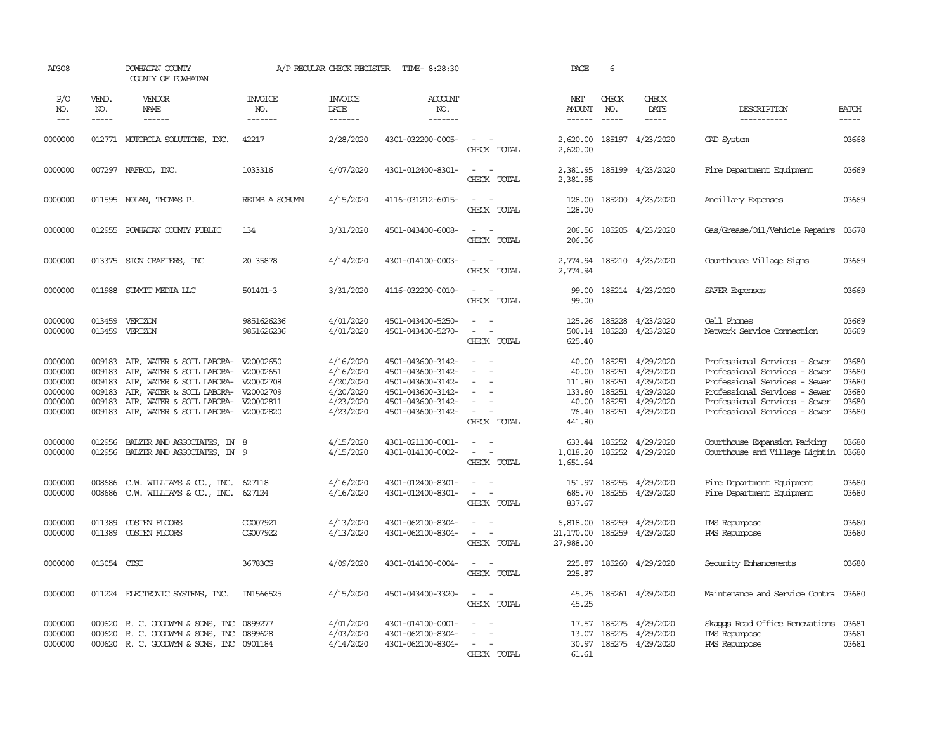| AP308                                                          |                                                | POWHATAN COUNTY<br>COUNTY OF POWHATAN                                                                                                                                                                                                         |                                  | A/P REGULAR CHECK REGISTER                                                 | TIME- 8:28:30                                                                                                              |                                                                                           | PAGE                                                  | 6                                    |                                                                                                |                                                                                                                                                                                                    |                                                    |
|----------------------------------------------------------------|------------------------------------------------|-----------------------------------------------------------------------------------------------------------------------------------------------------------------------------------------------------------------------------------------------|----------------------------------|----------------------------------------------------------------------------|----------------------------------------------------------------------------------------------------------------------------|-------------------------------------------------------------------------------------------|-------------------------------------------------------|--------------------------------------|------------------------------------------------------------------------------------------------|----------------------------------------------------------------------------------------------------------------------------------------------------------------------------------------------------|----------------------------------------------------|
| P/O<br>NO.<br>$\cdots$                                         | VEND.<br>NO.<br>$\frac{1}{2}$                  | VENDOR<br>NAME<br>$- - - - - -$                                                                                                                                                                                                               | <b>INVOICE</b><br>NO.<br>------- | <b>INVOICE</b><br>DATE<br>-------                                          | ACCOUNT<br>NO.<br>$- - - - - - -$                                                                                          |                                                                                           | NET<br><b>AMOUNT</b><br>$- - - - - -$                 | CHECK<br>NO.<br>$\cdots$             | <b>CHECK</b><br>DATE                                                                           | DESCRIPTION<br>-----------                                                                                                                                                                         | <b>BATCH</b><br>-----                              |
| 0000000                                                        |                                                | 012771 MOTOROLA SOLUTIONS, INC.                                                                                                                                                                                                               | 42217                            | 2/28/2020                                                                  | 4301-032200-0005-                                                                                                          | $\sim$ $-$<br>CHECK TOTAL                                                                 | 2,620.00                                              |                                      | 2,620.00 185197 4/23/2020                                                                      | CAD System                                                                                                                                                                                         | 03668                                              |
| 0000000                                                        |                                                | 007297 NAFECO, INC.                                                                                                                                                                                                                           | 1033316                          | 4/07/2020                                                                  | 4301-012400-8301-                                                                                                          | $\sim$ $ -$<br>CHECK TOTAL                                                                | 2,381.95<br>2,381.95                                  |                                      | 185199 4/23/2020                                                                               | Fire Department Equipment                                                                                                                                                                          | 03669                                              |
| 0000000                                                        |                                                | 011595 NOLAN, THOMAS P.                                                                                                                                                                                                                       | REIMB A SCHUMM                   | 4/15/2020                                                                  | 4116-031212-6015-                                                                                                          | $\sim$ $ \sim$<br>CHECK TOTAL                                                             | 128.00<br>128.00                                      |                                      | 185200 4/23/2020                                                                               | Ancillary Expenses                                                                                                                                                                                 | 03669                                              |
| 0000000                                                        | 012955                                         | POWHATAN COUNTY PUBLIC                                                                                                                                                                                                                        | 134                              | 3/31/2020                                                                  | 4501-043400-6008-                                                                                                          | $\sim$ $\sim$<br>CHECK TOTAL                                                              | 206.56<br>206.56                                      |                                      | 185205 4/23/2020                                                                               | Gas/Grease/Oil/Vehicle Repairs 03678                                                                                                                                                               |                                                    |
| 0000000                                                        |                                                | 013375 SIGN CRAFTERS, INC                                                                                                                                                                                                                     | 20 35878                         | 4/14/2020                                                                  | 4301-014100-0003-                                                                                                          | $\sim$<br>$\sim$<br>CHECK TOTAL                                                           | 2,774.94<br>2,774.94                                  |                                      | 185210 4/23/2020                                                                               | Courthouse Village Signs                                                                                                                                                                           | 03669                                              |
| 0000000                                                        | 011988                                         | SUMIT MEDIA LLC                                                                                                                                                                                                                               | 501401-3                         | 3/31/2020                                                                  | 4116-032200-0010-                                                                                                          | $\sim$<br>$\sim$ $-$<br>CHECK TOTAL                                                       | 99.00<br>99.00                                        |                                      | 185214 4/23/2020                                                                               | SAFER Expenses                                                                                                                                                                                     | 03669                                              |
| 0000000<br>0000000                                             | 013459<br>013459                               | VERIZON<br>VERIZON                                                                                                                                                                                                                            | 9851626236<br>9851626236         | 4/01/2020<br>4/01/2020                                                     | 4501-043400-5250-<br>4501-043400-5270-                                                                                     | $\equiv$<br>$\sim$ $ \sim$<br>CHECK TOTAL                                                 | 125.26<br>500.14<br>625.40                            | 185228                               | 185228 4/23/2020<br>4/23/2020                                                                  | Cell Phones<br>Network Service Connection                                                                                                                                                          | 03669<br>03669                                     |
| 0000000<br>0000000<br>0000000<br>0000000<br>0000000<br>0000000 | 009183<br>009183<br>009183<br>009183<br>009183 | 009183 AIR, WATER & SOIL LABORA- V20002650<br>AIR, WATER & SOIL LABORA- V20002651<br>AIR, WATER & SOIL LABORA- V20002708<br>AIR, WATER & SOIL LABORA- V20002709<br>AIR, WATER & SOIL LABORA- V20002811<br>AIR, WATER & SOIL LABORA- V20002820 |                                  | 4/16/2020<br>4/16/2020<br>4/20/2020<br>4/20/2020<br>4/23/2020<br>4/23/2020 | 4501-043600-3142-<br>4501-043600-3142-<br>4501-043600-3142-<br>4501-043600-3142-<br>4501-043600-3142-<br>4501-043600-3142- | $\sim$ $ \sim$<br>$\sim$<br>$\sim$<br>$\sim$<br>$\sim$<br>$\sim$<br>$\sim$<br>CHECK TOTAL | 40.00<br>111.80<br>133.60<br>40.00<br>76.40<br>441.80 | 185251<br>185251<br>185251<br>185251 | 40.00 185251 4/29/2020<br>4/29/2020<br>4/29/2020<br>4/29/2020<br>4/29/2020<br>185251 4/29/2020 | Professional Services - Sewer<br>Professional Services - Sewer<br>Professional Services - Sewer<br>Professional Services - Sewer<br>Professional Services - Sewer<br>Professional Services - Sewer | 03680<br>03680<br>03680<br>03680<br>03680<br>03680 |
| 0000000<br>0000000                                             | 012956                                         | BALZER AND ASSOCIATES, IN 8<br>012956 BALZER AND ASSOCIATES, IN 9                                                                                                                                                                             |                                  | 4/15/2020<br>4/15/2020                                                     | 4301-021100-0001-<br>4301-014100-0002-                                                                                     | $\sim$ $ \sim$<br>$\sim$ $ \sim$<br>CHECK TOTAL                                           | 1,018.20<br>1,651.64                                  |                                      | 633.44 185252 4/29/2020<br>185252 4/29/2020                                                    | Courthouse Expansion Parking<br>Courthouse and Village Lightin                                                                                                                                     | 03680<br>03680                                     |
| 0000000<br>0000000                                             | 008686                                         | $C.W. WILLIANS & CD., INC.008686 C.W. WILLIAMS & CO., INC.$                                                                                                                                                                                   | 627118<br>627124                 | 4/16/2020<br>4/16/2020                                                     | 4301-012400-8301-<br>4301-012400-8301-                                                                                     | $\sim$<br>$ -$<br>CHECK TOTAL                                                             | 151.97<br>685.70<br>837.67                            |                                      | 185255 4/29/2020<br>185255 4/29/2020                                                           | Fire Department Equipment<br>Fire Department Equipment                                                                                                                                             | 03680<br>03680                                     |
| 0000000<br>0000000                                             | 011389<br>011389                               | COSTEN FLOORS<br>COSTEN FLOORS                                                                                                                                                                                                                | CG007921<br>CG007922             | 4/13/2020<br>4/13/2020                                                     | 4301-062100-8304-<br>4301-062100-8304-                                                                                     | $\sim$<br>$\sim$<br>$\sim$ $ -$<br>CHECK TOTAL                                            | 6,818.00<br>21,170.00<br>27,988.00                    | 185259                               | 4/29/2020<br>185259 4/29/2020                                                                  | PMS Repurpose<br>PMS Repurpose                                                                                                                                                                     | 03680<br>03680                                     |
| 0000000                                                        | 013054 CTSI                                    |                                                                                                                                                                                                                                               | 36783CS                          | 4/09/2020                                                                  | 4301-014100-0004-                                                                                                          | $\sim$ $  -$<br>CHECK TOTAL                                                               | 225.87<br>225.87                                      |                                      | 185260 4/29/2020                                                                               | Security Enhancements                                                                                                                                                                              | 03680                                              |
| 0000000                                                        |                                                | 011224 ELECTRONIC SYSTEMS, INC.                                                                                                                                                                                                               | IN1566525                        | 4/15/2020                                                                  | 4501-043400-3320-                                                                                                          | $\sim$ 100 $\sim$<br>CHECK TOTAL                                                          | 45.25<br>45.25                                        |                                      | 185261 4/29/2020                                                                               | Maintenance and Service Contra 03680                                                                                                                                                               |                                                    |
| 0000000<br>0000000<br>0000000                                  | 000620<br>000620                               | R. C. GOODWYN & SONS, INC<br>R. C. GOODWYN & SONS, INC<br>000620 R. C. GOODWYN & SONS, INC 0901184                                                                                                                                            | 0899277<br>0899628               | 4/01/2020<br>4/03/2020<br>4/14/2020                                        | 4301-014100-0001-<br>4301-062100-8304-<br>4301-062100-8304-                                                                | $\sim$ $ \sim$<br>$\sim$<br>$\sim$<br>$\sim$<br>CHECK TOTAL                               | 17.57<br>13.07<br>61.61                               | 185275                               | 4/29/2020<br>185275 4/29/2020<br>30.97 185275 4/29/2020                                        | Skaops Road Office Renovations<br>PMS Repurpose<br>PMS Repurpose                                                                                                                                   | 03681<br>03681<br>03681                            |